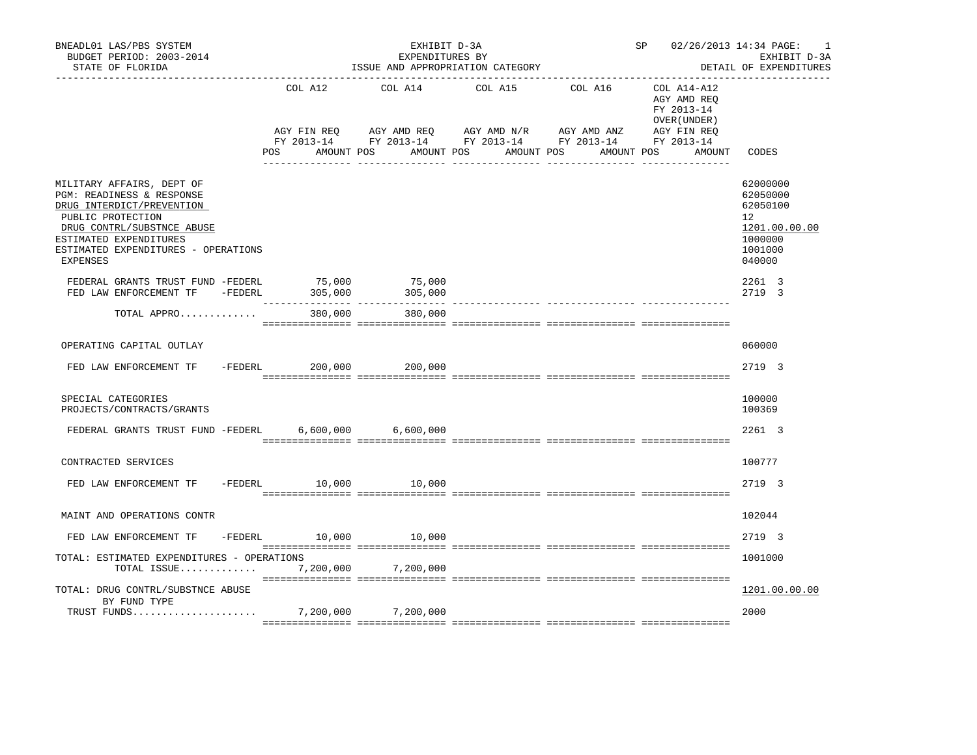| BNEADL01 LAS/PBS SYSTEM<br>BUDGET PERIOD: 2003-2014<br>STATE OF FLORIDA                                                                                                                                             | EXHIBIT D-3A<br>EXPENDITURES BY<br>ISSUE AND APPROPRIATION CATEGORY<br>_______________________________ |                                              |  |                                                                                                                         |  |                       |         | SP 02/26/2013 14:34 PAGE: |  |                             |                                      | 1<br>EXHIBIT D-3A<br>DETAIL OF EXPENDITURES                            |               |
|---------------------------------------------------------------------------------------------------------------------------------------------------------------------------------------------------------------------|--------------------------------------------------------------------------------------------------------|----------------------------------------------|--|-------------------------------------------------------------------------------------------------------------------------|--|-----------------------|---------|---------------------------|--|-----------------------------|--------------------------------------|------------------------------------------------------------------------|---------------|
|                                                                                                                                                                                                                     | <b>POS</b>                                                                                             | COL A12 COL A14<br>AGY FIN REO<br>AMOUNT POS |  | AGY AMD REQ AGY AMD N/R AGY AMD ANZ AGY FIN REQ<br>FY 2013-14 FY 2013-14 FY 2013-14 FY 2013-14 FY 2013-14<br>AMOUNT POS |  | COL A15<br>AMOUNT POS | COL A16 | AMOUNT POS                |  | FY 2013-14<br>OVER (UNDER ) | COL A14-A12<br>AGY AMD REQ<br>AMOUNT | CODES                                                                  |               |
| MILITARY AFFAIRS, DEPT OF<br>PGM: READINESS & RESPONSE<br>DRUG INTERDICT/PREVENTION<br>PUBLIC PROTECTION<br>DRUG CONTRL/SUBSTNCE ABUSE<br>ESTIMATED EXPENDITURES<br>ESTIMATED EXPENDITURES - OPERATIONS<br>EXPENSES |                                                                                                        |                                              |  |                                                                                                                         |  |                       |         |                           |  |                             |                                      | 62000000<br>62050000<br>62050100<br>12<br>1000000<br>1001000<br>040000 | 1201.00.00.00 |
| FEDERAL GRANTS TRUST FUND -FEDERL 75,000 75,000<br>FED LAW ENFORCEMENT TF -FEDERL                                                                                                                                   |                                                                                                        | 305,000                                      |  | 305,000                                                                                                                 |  |                       |         |                           |  |                             |                                      | 2261 3<br>2719 3                                                       |               |
| TOTAL APPRO                                                                                                                                                                                                         |                                                                                                        | --------------- ---------------<br>380,000   |  | 380,000                                                                                                                 |  |                       |         |                           |  |                             |                                      |                                                                        |               |
| OPERATING CAPITAL OUTLAY                                                                                                                                                                                            |                                                                                                        |                                              |  |                                                                                                                         |  |                       |         |                           |  |                             |                                      | 060000                                                                 |               |
| FED LAW ENFORCEMENT TF -FEDERL 200,000                                                                                                                                                                              |                                                                                                        |                                              |  | 200,000                                                                                                                 |  |                       |         |                           |  |                             |                                      | 2719 3                                                                 |               |
| SPECIAL CATEGORIES<br>PROJECTS/CONTRACTS/GRANTS                                                                                                                                                                     |                                                                                                        |                                              |  |                                                                                                                         |  |                       |         |                           |  |                             |                                      | 100000<br>100369                                                       |               |
| FEDERAL GRANTS TRUST FUND -FEDERL                                                                                                                                                                                   |                                                                                                        |                                              |  | 6,600,000 6,600,000                                                                                                     |  |                       |         |                           |  |                             |                                      | 2261 3                                                                 |               |
| CONTRACTED SERVICES                                                                                                                                                                                                 |                                                                                                        |                                              |  |                                                                                                                         |  |                       |         |                           |  |                             |                                      | 100777                                                                 |               |
| FED LAW ENFORCEMENT TF                                                                                                                                                                                              |                                                                                                        |                                              |  | -FEDERL 10,000 10,000                                                                                                   |  |                       |         |                           |  |                             |                                      | 2719 3                                                                 |               |
| MAINT AND OPERATIONS CONTR                                                                                                                                                                                          |                                                                                                        |                                              |  |                                                                                                                         |  |                       |         |                           |  |                             |                                      | 102044                                                                 |               |
| FED LAW ENFORCEMENT TF -FEDERL 10,000                                                                                                                                                                               |                                                                                                        |                                              |  | 10,000                                                                                                                  |  |                       |         |                           |  |                             |                                      | 2719 3                                                                 |               |
| TOTAL: ESTIMATED EXPENDITURES - OPERATIONS<br>TOTAL ISSUE                                                                                                                                                           |                                                                                                        |                                              |  | 7,200,000 7,200,000                                                                                                     |  |                       |         |                           |  |                             |                                      | 1001000                                                                |               |
| TOTAL: DRUG CONTRL/SUBSTNCE ABUSE<br>BY FUND TYPE                                                                                                                                                                   |                                                                                                        |                                              |  |                                                                                                                         |  |                       |         |                           |  |                             |                                      |                                                                        | 1201.00.00.00 |
|                                                                                                                                                                                                                     |                                                                                                        |                                              |  |                                                                                                                         |  |                       |         |                           |  |                             |                                      | 2000                                                                   |               |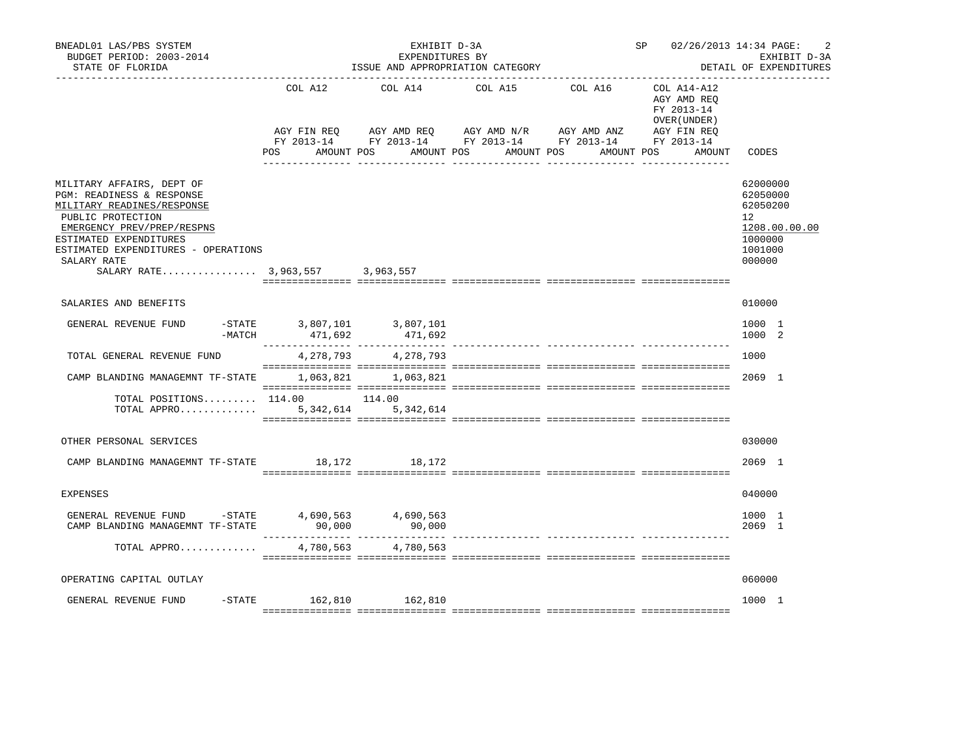| BNEADL01 LAS/PBS SYSTEM<br>BUDGET PERIOD: 2003-2014<br>STATE OF FLORIDA                                                                                                                                                                                    |                                       | EXHIBIT D-3A<br>EXPENDITURES BY                  | ISSUE AND APPROPRIATION CATEGORY                                                              |                                      | SP 02/26/2013 14:34 PAGE:                                                         | 2<br>EXHIBIT D-3A<br>DETAIL OF EXPENDITURES                                             |  |  |
|------------------------------------------------------------------------------------------------------------------------------------------------------------------------------------------------------------------------------------------------------------|---------------------------------------|--------------------------------------------------|-----------------------------------------------------------------------------------------------|--------------------------------------|-----------------------------------------------------------------------------------|-----------------------------------------------------------------------------------------|--|--|
|                                                                                                                                                                                                                                                            | COL A12<br>AGY FIN REO<br>POS FOR     | COL A14<br>AGY AMD REQ AGY AMD N/R<br>AMOUNT POS | COL A15<br>FY 2013-14 FY 2013-14 FY 2013-14 FY 2013-14 FY 2013-14<br>AMOUNT POS<br>AMOUNT POS | COL A16<br>AGY AMD ANZ<br>AMOUNT POS | COL A14-A12<br>AGY AMD REO<br>FY 2013-14<br>OVER (UNDER)<br>AGY FIN REO<br>AMOUNT | CODES                                                                                   |  |  |
| MILITARY AFFAIRS, DEPT OF<br>PGM: READINESS & RESPONSE<br>MILITARY READINES/RESPONSE<br>PUBLIC PROTECTION<br>EMERGENCY PREV/PREP/RESPNS<br>ESTIMATED EXPENDITURES<br>ESTIMATED EXPENDITURES - OPERATIONS<br>SALARY RATE<br>SALARY RATE 3,963,557 3,963,557 |                                       |                                                  |                                                                                               |                                      |                                                                                   | 62000000<br>62050000<br>62050200<br>12<br>1208.00.00.00<br>1000000<br>1001000<br>000000 |  |  |
| SALARIES AND BENEFITS                                                                                                                                                                                                                                      |                                       |                                                  |                                                                                               |                                      |                                                                                   | 010000                                                                                  |  |  |
| GENERAL REVENUE FUND<br>$-MATCH$                                                                                                                                                                                                                           | -STATE 3,807,101 3,807,101<br>471,692 | 471,692                                          |                                                                                               |                                      |                                                                                   | 1000 1<br>1000 2                                                                        |  |  |
| TOTAL GENERAL REVENUE FUND                                                                                                                                                                                                                                 | 4,278,793                             | 4,278,793                                        |                                                                                               |                                      |                                                                                   | 1000                                                                                    |  |  |
| CAMP BLANDING MANAGEMNT TF-STATE                                                                                                                                                                                                                           |                                       | 1,063,821 1,063,821                              |                                                                                               |                                      |                                                                                   | 2069 1                                                                                  |  |  |
| TOTAL POSITIONS 114.00 114.00<br>TOTAL APPRO 5,342,614 5,342,614                                                                                                                                                                                           |                                       |                                                  |                                                                                               |                                      |                                                                                   |                                                                                         |  |  |
| OTHER PERSONAL SERVICES                                                                                                                                                                                                                                    |                                       |                                                  |                                                                                               |                                      |                                                                                   | 030000                                                                                  |  |  |
| CAMP BLANDING MANAGEMNT TF-STATE 18,172                                                                                                                                                                                                                    |                                       | 18,172                                           |                                                                                               |                                      |                                                                                   | 2069 1                                                                                  |  |  |
| <b>EXPENSES</b>                                                                                                                                                                                                                                            |                                       |                                                  |                                                                                               |                                      |                                                                                   | 040000                                                                                  |  |  |
| GENERAL REVENUE FUND -STATE<br>CAMP BLANDING MANAGEMNT TF-STATE                                                                                                                                                                                            | 4,690,563<br>90,000                   | 4,690,563<br>90,000                              |                                                                                               |                                      |                                                                                   | 1000 1<br>$2069$ 1                                                                      |  |  |
| TOTAL APPRO                                                                                                                                                                                                                                                | 4,780,563                             | 4,780,563                                        |                                                                                               |                                      |                                                                                   |                                                                                         |  |  |
| OPERATING CAPITAL OUTLAY                                                                                                                                                                                                                                   |                                       |                                                  |                                                                                               |                                      |                                                                                   | 060000                                                                                  |  |  |
| GENERAL REVENUE FUND                                                                                                                                                                                                                                       | -STATE 162,810 162,810                |                                                  |                                                                                               |                                      |                                                                                   | 1000 1                                                                                  |  |  |
|                                                                                                                                                                                                                                                            |                                       |                                                  |                                                                                               |                                      |                                                                                   |                                                                                         |  |  |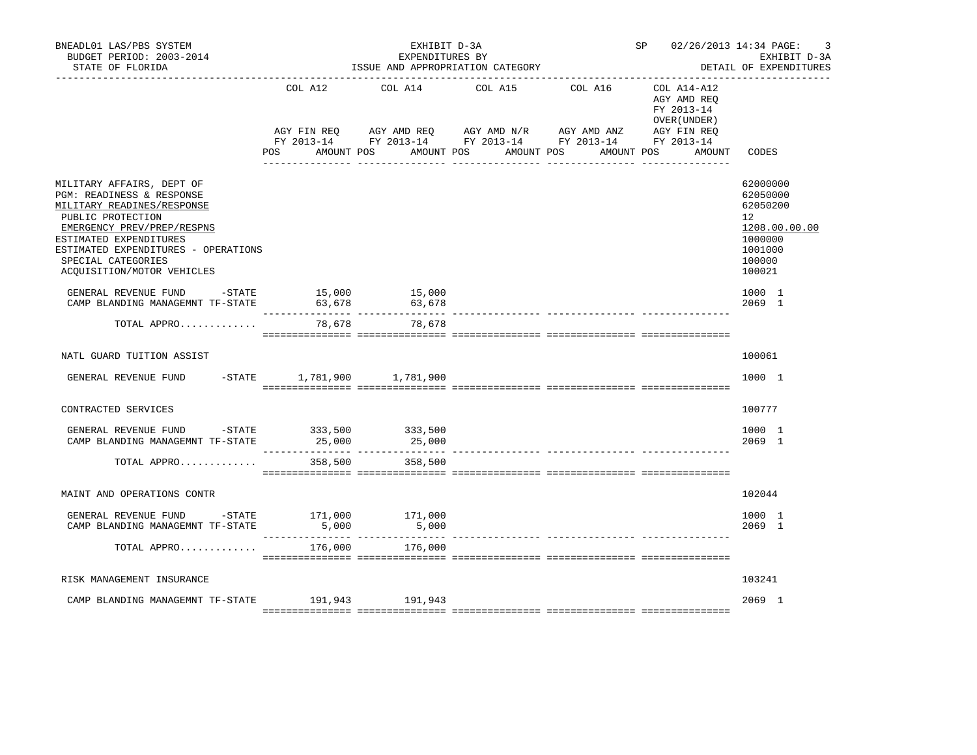| BNEADL01 LAS/PBS SYSTEM<br>BUDGET PERIOD: 2003-2014<br>STATE OF FLORIDA                                                                                                                                                                                                 |                                                    | EXHIBIT D-3A<br>EXPENDITURES BY<br>ISSUE AND APPROPRIATION CATEGORY |                                                                                                                                                   |                       | SP 02/26/2013 14:34 PAGE:                                           | 3<br>EXHIBIT D-3A<br>DETAIL OF EXPENDITURES                                                                    |  |
|-------------------------------------------------------------------------------------------------------------------------------------------------------------------------------------------------------------------------------------------------------------------------|----------------------------------------------------|---------------------------------------------------------------------|---------------------------------------------------------------------------------------------------------------------------------------------------|-----------------------|---------------------------------------------------------------------|----------------------------------------------------------------------------------------------------------------|--|
|                                                                                                                                                                                                                                                                         | COL A12<br>AGY FIN REO<br><b>POS</b><br>AMOUNT POS | COL A14<br>AMOUNT POS                                               | COL A15<br>AGY AMD REQ      AGY AMD N/R      AGY AMD ANZ      AGY FIN REQ<br>FY 2013-14 FY 2013-14 FY 2013-14 FY 2013-14 FY 2013-14<br>AMOUNT POS | COL A16<br>AMOUNT POS | COL A14-A12<br>AGY AMD REO<br>FY 2013-14<br>OVER (UNDER )<br>AMOUNT | CODES                                                                                                          |  |
|                                                                                                                                                                                                                                                                         |                                                    |                                                                     |                                                                                                                                                   |                       |                                                                     |                                                                                                                |  |
| MILITARY AFFAIRS, DEPT OF<br><b>PGM: READINESS &amp; RESPONSE</b><br>MILITARY READINES/RESPONSE<br>PUBLIC PROTECTION<br>EMERGENCY PREV/PREP/RESPNS<br>ESTIMATED EXPENDITURES<br>ESTIMATED EXPENDITURES - OPERATIONS<br>SPECIAL CATEGORIES<br>ACQUISITION/MOTOR VEHICLES |                                                    |                                                                     |                                                                                                                                                   |                       |                                                                     | 62000000<br>62050000<br>62050200<br>12 <sup>°</sup><br>1208.00.00.00<br>1000000<br>1001000<br>100000<br>100021 |  |
| GENERAL REVENUE FUND -STATE 15,000 15,000<br>CAMP BLANDING MANAGEMNT TF-STATE                                                                                                                                                                                           | 63,678                                             | 63,678                                                              |                                                                                                                                                   |                       |                                                                     | 1000 1<br>2069 1                                                                                               |  |
| TOTAL APPRO                                                                                                                                                                                                                                                             | 78,678                                             | 78,678                                                              |                                                                                                                                                   |                       |                                                                     |                                                                                                                |  |
| NATL GUARD TUITION ASSIST                                                                                                                                                                                                                                               |                                                    |                                                                     |                                                                                                                                                   |                       |                                                                     | 100061                                                                                                         |  |
| GENERAL REVENUE FUND -STATE 1,781,900 1,781,900                                                                                                                                                                                                                         |                                                    |                                                                     |                                                                                                                                                   |                       |                                                                     | 1000 1                                                                                                         |  |
| CONTRACTED SERVICES                                                                                                                                                                                                                                                     |                                                    |                                                                     |                                                                                                                                                   |                       |                                                                     | 100777                                                                                                         |  |
| GENERAL REVENUE FUND -STATE 333,500 333,500<br>CAMP BLANDING MANAGEMNT TF-STATE                                                                                                                                                                                         | 25,000                                             | 25,000                                                              |                                                                                                                                                   |                       |                                                                     | 1000 1<br>$2069$ 1                                                                                             |  |
| TOTAL APPRO                                                                                                                                                                                                                                                             | 358,500                                            | 358,500                                                             |                                                                                                                                                   |                       |                                                                     |                                                                                                                |  |
| MAINT AND OPERATIONS CONTR                                                                                                                                                                                                                                              |                                                    |                                                                     |                                                                                                                                                   |                       |                                                                     | 102044                                                                                                         |  |
| GENERAL REVENUE FUND -STATE 171,000<br>CAMP BLANDING MANAGEMNT TF-STATE                                                                                                                                                                                                 | 5,000                                              | 171,000<br>5,000                                                    |                                                                                                                                                   |                       |                                                                     | 1000 1<br>$2069$ 1                                                                                             |  |
| TOTAL APPRO                                                                                                                                                                                                                                                             |                                                    | 176,000 176,000                                                     |                                                                                                                                                   |                       |                                                                     |                                                                                                                |  |
| RISK MANAGEMENT INSURANCE                                                                                                                                                                                                                                               |                                                    |                                                                     |                                                                                                                                                   |                       |                                                                     | 103241                                                                                                         |  |
| CAMP BLANDING MANAGEMNT TF-STATE 191,943 191,943                                                                                                                                                                                                                        |                                                    |                                                                     |                                                                                                                                                   |                       |                                                                     | 2069 1                                                                                                         |  |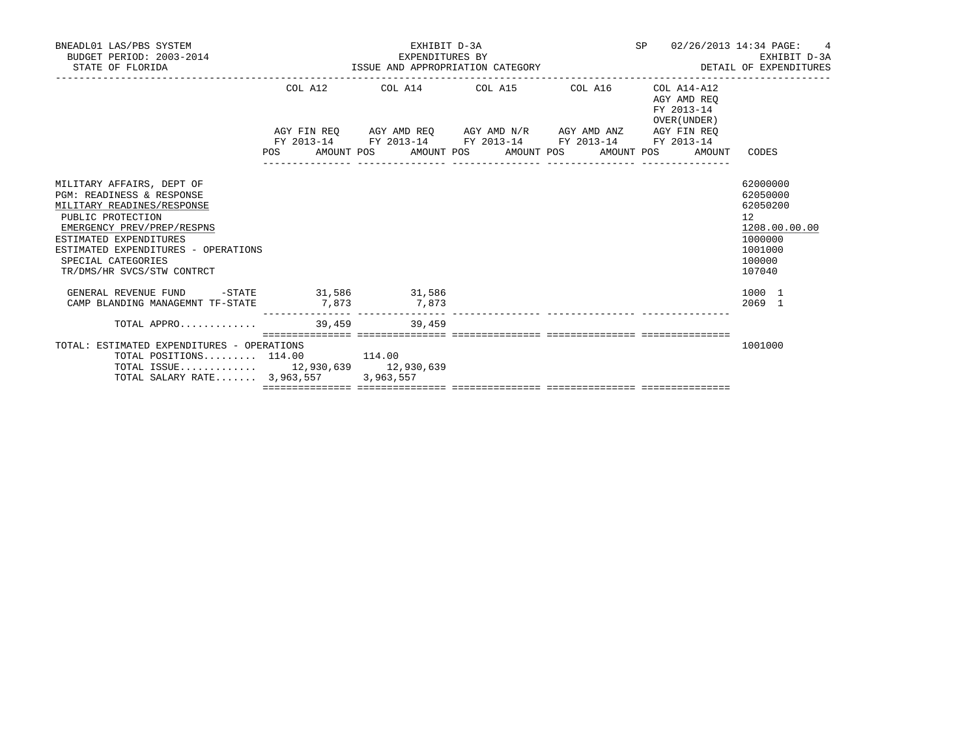| BNEADL01 LAS/PBS SYSTEM<br>BUDGET PERIOD: 2003-2014<br>STATE OF FLORIDA                                                                                                                                                                                      |        | EXHIBIT D-3A<br>EXPENDITURES BY<br>ISSUE AND APPROPRIATION CATEGORY                                       |  | SP 02/26/2013 14:34 PAGE:                 | 4<br>EXHIBIT D-3A<br>DETAIL OF EXPENDITURES                                                       |
|--------------------------------------------------------------------------------------------------------------------------------------------------------------------------------------------------------------------------------------------------------------|--------|-----------------------------------------------------------------------------------------------------------|--|-------------------------------------------|---------------------------------------------------------------------------------------------------|
|                                                                                                                                                                                                                                                              |        | COL A12 COL A14 COL A15 COL A16 COL A14-A12                                                               |  | AGY AMD REO<br>FY 2013-14<br>OVER (UNDER) |                                                                                                   |
|                                                                                                                                                                                                                                                              |        | AGY FIN REQ AGY AMD REQ AGY AMD N/R AGY AMD ANZ AGY FIN REQ                                               |  |                                           |                                                                                                   |
|                                                                                                                                                                                                                                                              |        | FY 2013-14 FY 2013-14 FY 2013-14 FY 2013-14 FY 2013-14<br>POS AMOUNT POS AMOUNT POS AMOUNT POS AMOUNT POS |  | AMOUNT                                    | CODES                                                                                             |
| MILITARY AFFAIRS, DEPT OF<br>PGM: READINESS & RESPONSE<br>MILITARY READINES/RESPONSE<br>PUBLIC PROTECTION<br>EMERGENCY PREV/PREP/RESPNS<br>ESTIMATED EXPENDITURES<br>ESTIMATED EXPENDITURES - OPERATIONS<br>SPECIAL CATEGORIES<br>TR/DMS/HR SVCS/STW CONTRCT |        |                                                                                                           |  |                                           | 62000000<br>62050000<br>62050200<br>12<br>1208.00.00.00<br>1000000<br>1001000<br>100000<br>107040 |
| GENERAL REVENUE FUND -STATE 31,586 31,586                                                                                                                                                                                                                    |        |                                                                                                           |  |                                           | 1000 1                                                                                            |
| CAMP BLANDING MANAGEMNT TF-STATE                                                                                                                                                                                                                             |        | 7,873 7,873                                                                                               |  |                                           | 2069 1                                                                                            |
| TOTAL APPRO $\ldots \ldots \ldots$ 39,459 39,459                                                                                                                                                                                                             |        |                                                                                                           |  |                                           |                                                                                                   |
| TOTAL: ESTIMATED EXPENDITURES - OPERATIONS<br>TOTAL POSITIONS $114.00$<br>TOTAL ISSUE 12,930,639 12,930,639<br>TOTAL SALARY RATE 3,963,557 3,963,557                                                                                                         | 114.00 |                                                                                                           |  |                                           | 1001000                                                                                           |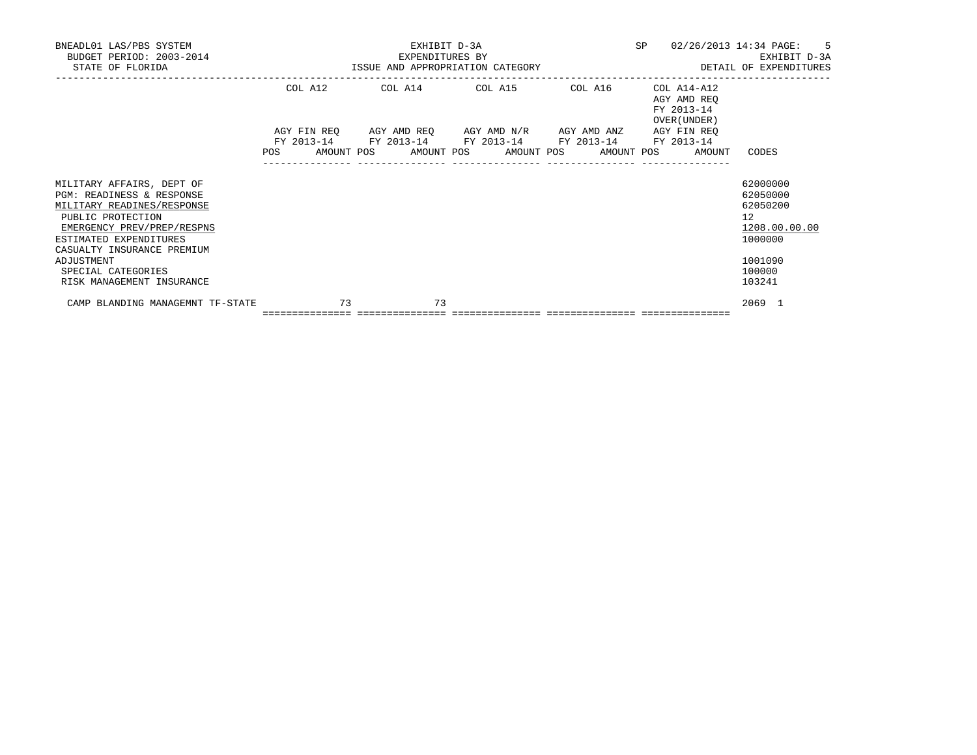| BNEADL01 LAS/PBS SYSTEM<br>BUDGET PERIOD: 2003-2014<br>STATE OF FLORIDA                                                                                                                                       | EXHIBIT D-3A<br>EXPENDITURES BY<br>EXPENDITURES BY THE SAME AND APPROPRIATION CATEGORY THE SAME OF EXPENDITURES AND APPROPRIATION CATEGORY THE SA |    |  |    |  |                                                                                                            |  | SP |                                           | 02/26/2013 14:34 PAGE: 5<br>EXHIBIT D-3A                                      |
|---------------------------------------------------------------------------------------------------------------------------------------------------------------------------------------------------------------|---------------------------------------------------------------------------------------------------------------------------------------------------|----|--|----|--|------------------------------------------------------------------------------------------------------------|--|----|-------------------------------------------|-------------------------------------------------------------------------------|
|                                                                                                                                                                                                               |                                                                                                                                                   |    |  |    |  | COL A12 COL A14 COL A15 COL A16 COL A14-A12<br>AGY FIN REQ AGY AMD REQ AGY AMD N/R AGY AMD ANZ AGY FIN REQ |  |    | AGY AMD REO<br>FY 2013-14<br>OVER (UNDER) |                                                                               |
|                                                                                                                                                                                                               | POS AMOUNT POS AMOUNT POS AMOUNT POS AMOUNT POS                                                                                                   |    |  |    |  | FY 2013-14 FY 2013-14 FY 2013-14 FY 2013-14 FY 2013-14                                                     |  |    | AMOUNT                                    | CODES                                                                         |
| MILITARY AFFAIRS, DEPT OF<br>PGM: READINESS & RESPONSE<br>MILITARY READINES/RESPONSE<br>PUBLIC PROTECTION<br>EMERGENCY PREV/PREP/RESPNS<br>ESTIMATED EXPENDITURES<br>CASUALTY INSURANCE PREMIUM<br>ADJUSTMENT |                                                                                                                                                   |    |  |    |  |                                                                                                            |  |    |                                           | 62000000<br>62050000<br>62050200<br>12<br>1208.00.00.00<br>1000000<br>1001090 |
| SPECIAL CATEGORIES<br>RISK MANAGEMENT INSURANCE                                                                                                                                                               |                                                                                                                                                   |    |  |    |  |                                                                                                            |  |    |                                           | 100000<br>103241                                                              |
| CAMP BLANDING MANAGEMNT TF-STATE                                                                                                                                                                              | ================================                                                                                                                  | 73 |  | 73 |  |                                                                                                            |  |    |                                           | $2069$ 1                                                                      |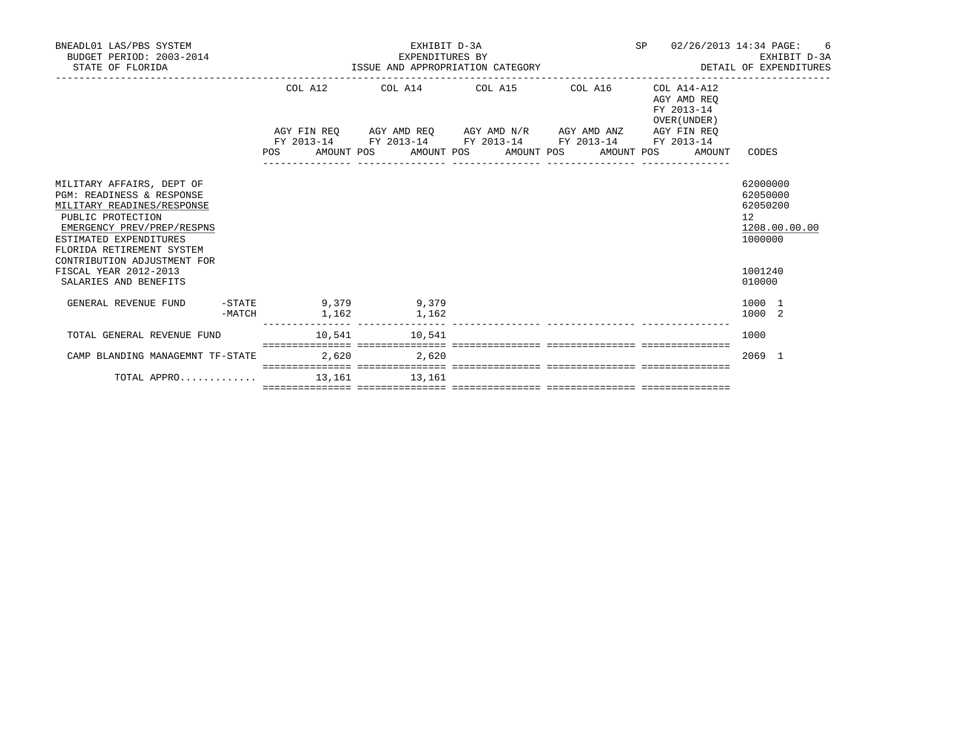|                                            |                                                                                        |                                 |                                                     | 6<br>EXHIBIT D-3A<br>DETAIL OF EXPENDITURES                                                                                                                                                                                                          |
|--------------------------------------------|----------------------------------------------------------------------------------------|---------------------------------|-----------------------------------------------------|------------------------------------------------------------------------------------------------------------------------------------------------------------------------------------------------------------------------------------------------------|
|                                            |                                                                                        |                                 | AGY AMD REO<br>FY 2013-14<br>OVER (UNDER)           |                                                                                                                                                                                                                                                      |
|                                            |                                                                                        |                                 |                                                     |                                                                                                                                                                                                                                                      |
|                                            |                                                                                        |                                 | AMOUNT                                              | CODES                                                                                                                                                                                                                                                |
|                                            |                                                                                        |                                 |                                                     | 62000000<br>62050000<br>62050200<br>12<br>1208.00.00.00<br>1000000                                                                                                                                                                                   |
|                                            |                                                                                        |                                 |                                                     |                                                                                                                                                                                                                                                      |
|                                            |                                                                                        |                                 |                                                     | 1001240<br>010000                                                                                                                                                                                                                                    |
| 1,162                                      |                                                                                        |                                 |                                                     | 1000 1<br>1000 2                                                                                                                                                                                                                                     |
|                                            |                                                                                        |                                 |                                                     | 1000                                                                                                                                                                                                                                                 |
| 2,620                                      |                                                                                        |                                 |                                                     | 2069 1                                                                                                                                                                                                                                               |
|                                            |                                                                                        |                                 |                                                     |                                                                                                                                                                                                                                                      |
| -MATCH<br>CAMP BLANDING MANAGEMNT TF-STATE | -STATE 9,379 9,379<br>1,162<br>$10,541$ $10,541$<br>2,620<br>TOTAL APPRO 13,161 13,161 | EXHIBIT D-3A<br>EXPENDITURES BY | EXPENDITURES BY<br>ISSUE AND APPROPRIATION CATEGORY | SP 02/26/2013 14:34 PAGE:<br>COL A12 COL A14 COL A15 COL A16 COL A14-A12<br>AGY FIN REQ AGY AMD REQ AGY AMD N/R AGY AMD ANZ AGY FIN REQ<br>FY 2013-14 FY 2013-14 FY 2013-14 FY 2013-14 FY 2013-14<br>POS AMOUNT POS AMOUNT POS AMOUNT POS AMOUNT POS |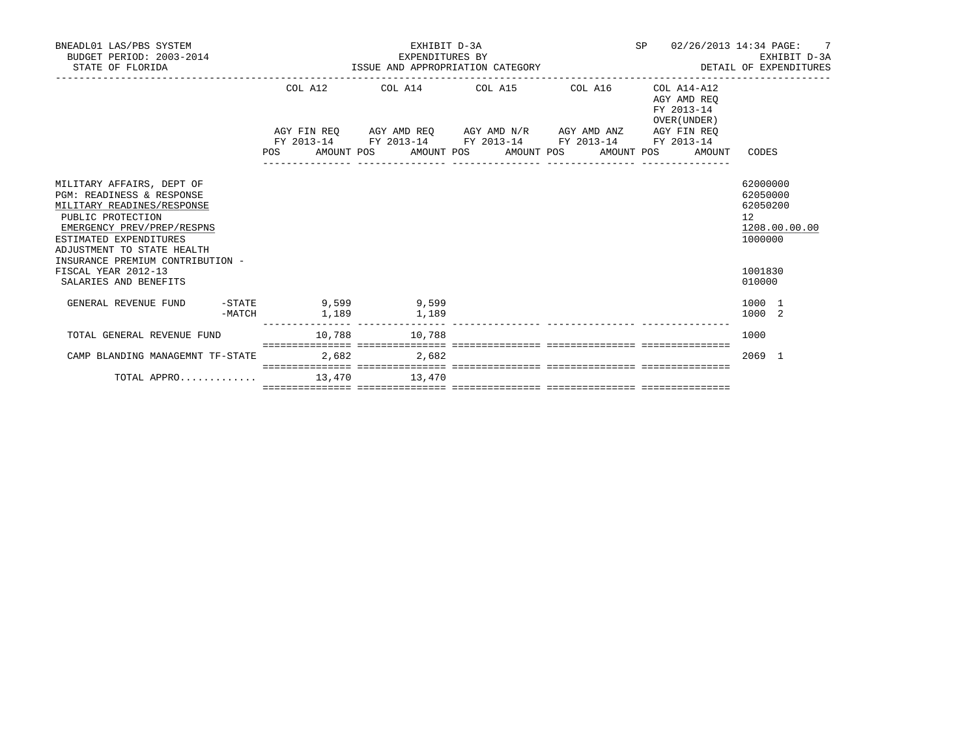| BNEADL01 LAS/PBS SYSTEM<br>BUDGET PERIOD: 2003-2014<br>STATE OF FLORIDA                                                                                                                         |        |                                                 |       | EXHIBIT D-3A<br>EXPENDITURES BY | EXPENDITURES BY<br>ISSUE AND APPROPRIATION CATEGORY |                                                             | SP 02/26/2013 14:34 PAGE:                                |                                                                | $7^{\circ}$<br>EXHIBIT D-3A<br>DETAIL OF EXPENDITURES |
|-------------------------------------------------------------------------------------------------------------------------------------------------------------------------------------------------|--------|-------------------------------------------------|-------|---------------------------------|-----------------------------------------------------|-------------------------------------------------------------|----------------------------------------------------------|----------------------------------------------------------------|-------------------------------------------------------|
|                                                                                                                                                                                                 |        |                                                 |       |                                 |                                                     | COL A12 COL A14 COL A15 COL A16                             | COL A14-A12<br>AGY AMD REO<br>FY 2013-14<br>OVER (UNDER) |                                                                |                                                       |
|                                                                                                                                                                                                 |        |                                                 |       |                                 |                                                     | AGY FIN REQ AGY AMD REQ AGY AMD N/R AGY AMD ANZ AGY FIN REQ |                                                          |                                                                |                                                       |
|                                                                                                                                                                                                 |        | POS AMOUNT POS AMOUNT POS AMOUNT POS AMOUNT POS |       |                                 |                                                     | FY 2013-14 FY 2013-14 FY 2013-14 FY 2013-14 FY 2013-14      | AMOUNT                                                   | CODES                                                          |                                                       |
| MILITARY AFFAIRS, DEPT OF<br>PGM: READINESS & RESPONSE<br>MILITARY READINES/RESPONSE<br>PUBLIC PROTECTION<br>EMERGENCY PREV/PREP/RESPNS<br>ESTIMATED EXPENDITURES<br>ADJUSTMENT TO STATE HEALTH |        |                                                 |       |                                 |                                                     |                                                             |                                                          | 62000000<br>62050000<br>62050200<br>12 <sup>°</sup><br>1000000 | 1208.00.00.00                                         |
| INSURANCE PREMIUM CONTRIBUTION -                                                                                                                                                                |        |                                                 |       |                                 |                                                     |                                                             |                                                          |                                                                |                                                       |
| FISCAL YEAR 2012-13<br>SALARIES AND BENEFITS                                                                                                                                                    |        |                                                 |       |                                 |                                                     |                                                             |                                                          | 1001830<br>010000                                              |                                                       |
| GENERAL REVENUE FUND                                                                                                                                                                            | -MATCH | -STATE 9,599 9,599<br>1,189                     |       | 1,189                           |                                                     |                                                             |                                                          | 1000 1<br>1000 2                                               |                                                       |
| TOTAL GENERAL REVENUE FUND                                                                                                                                                                      |        | 10,788 10,788                                   |       |                                 |                                                     |                                                             |                                                          | 1000                                                           |                                                       |
| CAMP BLANDING MANAGEMNT TF-STATE                                                                                                                                                                |        |                                                 | 2,682 | 2,682                           |                                                     |                                                             |                                                          | $2069$ 1                                                       |                                                       |
| TOTAL APPRO 13,470 13,470                                                                                                                                                                       |        |                                                 |       |                                 |                                                     |                                                             |                                                          |                                                                |                                                       |
|                                                                                                                                                                                                 |        |                                                 |       |                                 |                                                     |                                                             |                                                          |                                                                |                                                       |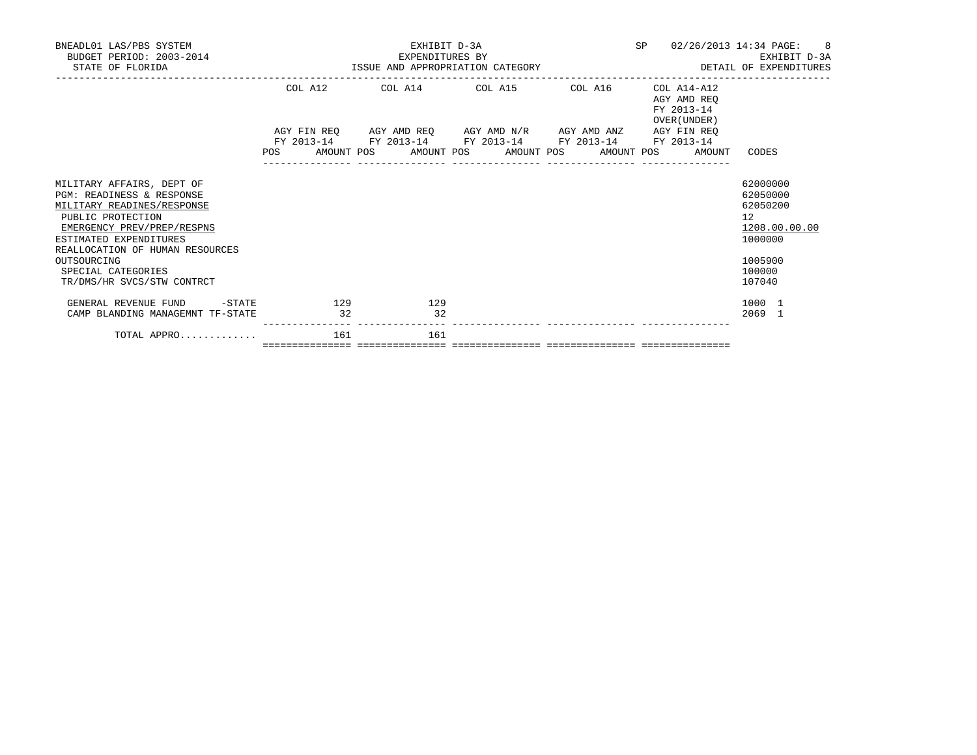| BNEADL01 LAS/PBS SYSTEM<br>BUDGET PERIOD: 2003-2014<br>STATE OF FLORIDA                                                                                                                                                                                                 |           | EXHIBIT D-3A<br>EXPENDITURES BY<br>ISSUE AND APPROPRIATION CATEGORY                     | SP               | 02/26/2013 14:34 PAGE: 8<br>EXHIBIT D-3A<br>DETAIL OF EXPENDITURES |                                                          |                                                                                                             |
|-------------------------------------------------------------------------------------------------------------------------------------------------------------------------------------------------------------------------------------------------------------------------|-----------|-----------------------------------------------------------------------------------------|------------------|--------------------------------------------------------------------|----------------------------------------------------------|-------------------------------------------------------------------------------------------------------------|
|                                                                                                                                                                                                                                                                         |           | COL A12 COL A14 COL A15 COL A16                                                         |                  |                                                                    | COL A14-A12<br>AGY AMD REO<br>FY 2013-14<br>OVER (UNDER) |                                                                                                             |
|                                                                                                                                                                                                                                                                         |           | AGY FIN REQ        AGY AMD REQ        AGY AMD N/R        AGY AMD ANZ        AGY FIN REQ |                  |                                                                    |                                                          |                                                                                                             |
|                                                                                                                                                                                                                                                                         |           | FY 2013-14 FY 2013-14 FY 2013-14 FY 2013-14 FY 2013-14                                  | ---------------- | ________________                                                   | POS AMOUNT POS AMOUNT POS AMOUNT POS AMOUNT POS AMOUNT   | CODES                                                                                                       |
| MILITARY AFFAIRS, DEPT OF<br>PGM: READINESS & RESPONSE<br>MILITARY READINES/RESPONSE<br>PUBLIC PROTECTION<br>EMERGENCY PREV/PREP/RESPNS<br>ESTIMATED EXPENDITURES<br>REALLOCATION OF HUMAN RESOURCES<br>OUTSOURCING<br>SPECIAL CATEGORIES<br>TR/DMS/HR SVCS/STW CONTRCT |           |                                                                                         |                  |                                                                    |                                                          | 62000000<br>62050000<br>62050200<br>$12^{\circ}$<br>1208.00.00.00<br>1000000<br>1005900<br>100000<br>107040 |
| GENERAL REVENUE FUND -STATE<br>CAMP BLANDING MANAGEMNT TF-STATE                                                                                                                                                                                                         | 129<br>32 | 129<br>$\overline{32}$                                                                  |                  |                                                                    |                                                          | 1000 1<br>$2069$ 1                                                                                          |
| TOTAL APPRO                                                                                                                                                                                                                                                             | 161       | 161                                                                                     |                  |                                                                    |                                                          |                                                                                                             |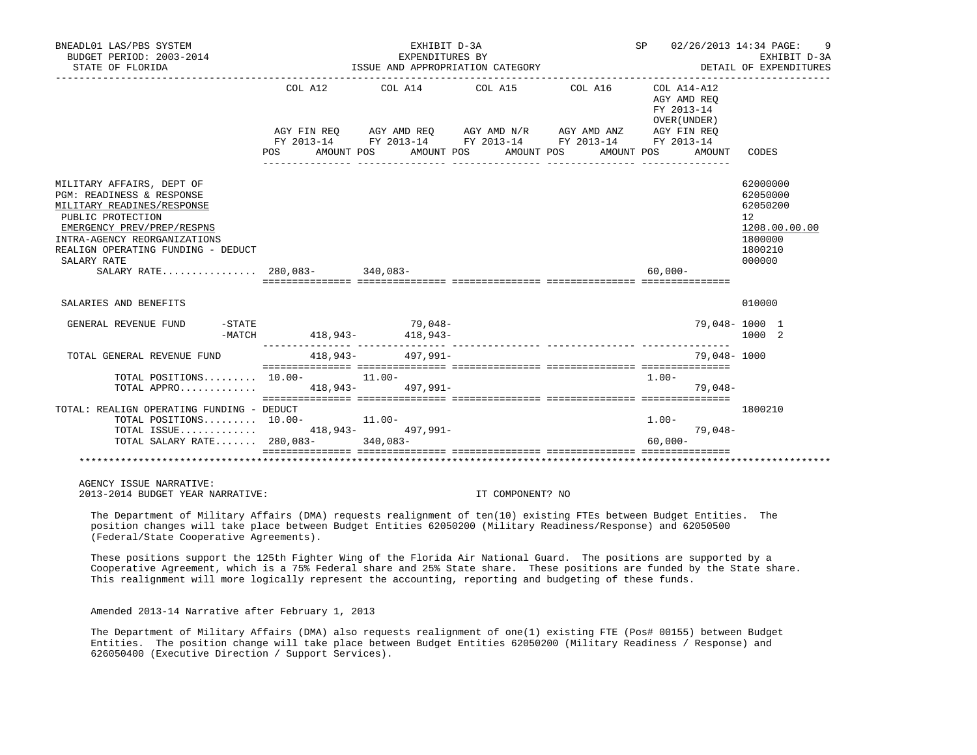| BNEADL01 LAS/PBS SYSTEM<br>BUDGET PERIOD: 2003-2014<br>STATE OF FLORIDA                                                                                                                                                                 |            | EXHIBIT D-3A<br>EXPENDITURES BY<br>ISSUE AND APPROPRIATION CATEGORY                            |                       |            | SP 02/26/2013 14:34 PAGE:                 | 9<br>EXHIBIT D-3A<br>DETAIL OF EXPENDITURES                                             |
|-----------------------------------------------------------------------------------------------------------------------------------------------------------------------------------------------------------------------------------------|------------|------------------------------------------------------------------------------------------------|-----------------------|------------|-------------------------------------------|-----------------------------------------------------------------------------------------|
|                                                                                                                                                                                                                                         | COL A12    | COL A14 COL A15 COL A16 COL A14-A12                                                            |                       |            | AGY AMD REO<br>FY 2013-14<br>OVER (UNDER) |                                                                                         |
|                                                                                                                                                                                                                                         |            | AGY FIN REQ AGY AMD REQ AGY AMD N/R AGY AMD ANZ<br>FY 2013-14 FY 2013-14 FY 2013-14 FY 2013-14 |                       |            | AGY FIN REO<br>FY 2013-14                 |                                                                                         |
|                                                                                                                                                                                                                                         | <b>POS</b> | AMOUNT POS                                                                                     | AMOUNT POS AMOUNT POS | AMOUNT POS | AMOUNT                                    | CODES                                                                                   |
| MILITARY AFFAIRS, DEPT OF<br><b>PGM: READINESS &amp; RESPONSE</b><br>MILITARY READINES/RESPONSE<br>PUBLIC PROTECTION<br>EMERGENCY PREV/PREP/RESPNS<br>INTRA-AGENCY REORGANIZATIONS<br>REALIGN OPERATING FUNDING - DEDUCT<br>SALARY RATE |            |                                                                                                |                       |            | $60,000-$                                 | 62000000<br>62050000<br>62050200<br>12<br>1208.00.00.00<br>1800000<br>1800210<br>000000 |
| SALARIES AND BENEFITS                                                                                                                                                                                                                   |            |                                                                                                |                       |            |                                           | 010000                                                                                  |
| $-$ STATE<br>GENERAL REVENUE FUND<br>-MATCH                                                                                                                                                                                             |            | $79,048-$<br>418,943-<br>418,943-                                                              |                       |            | 79,048-1000 1                             | 1000 2                                                                                  |
| TOTAL GENERAL REVENUE FUND                                                                                                                                                                                                              |            | 418,943- 497,991-                                                                              |                       |            | 79,048- 1000                              |                                                                                         |
| TOTAL POSITIONS 10.00- 11.00-<br>TOTAL APPRO 418,943- 497.991-                                                                                                                                                                          |            |                                                                                                |                       |            | $1.00 -$<br>$79.048 -$                    |                                                                                         |
| TOTAL: REALIGN OPERATING FUNDING - DEDUCT<br>TOTAL POSITIONS $10.00-11.00-$<br>TOTAL ISSUE 418,943- 497,991-                                                                                                                            |            |                                                                                                |                       |            | $1.00 -$<br>79,048-                       | 1800210                                                                                 |
| TOTAL SALARY RATE 280,083-340,083-                                                                                                                                                                                                      |            |                                                                                                |                       |            | $60.000 -$                                |                                                                                         |

 AGENCY ISSUE NARRATIVE: 2013-2014 BUDGET YEAR NARRATIVE: IT COMPONENT? NO

 The Department of Military Affairs (DMA) requests realignment of ten(10) existing FTEs between Budget Entities. The position changes will take place between Budget Entities 62050200 (Military Readiness/Response) and 62050500 (Federal/State Cooperative Agreements).

 These positions support the 125th Fighter Wing of the Florida Air National Guard. The positions are supported by a Cooperative Agreement, which is a 75% Federal share and 25% State share. These positions are funded by the State share. This realignment will more logically represent the accounting, reporting and budgeting of these funds.

Amended 2013-14 Narrative after February 1, 2013

 The Department of Military Affairs (DMA) also requests realignment of one(1) existing FTE (Pos# 00155) between Budget Entities. The position change will take place between Budget Entities 62050200 (Military Readiness / Response) and 626050400 (Executive Direction / Support Services).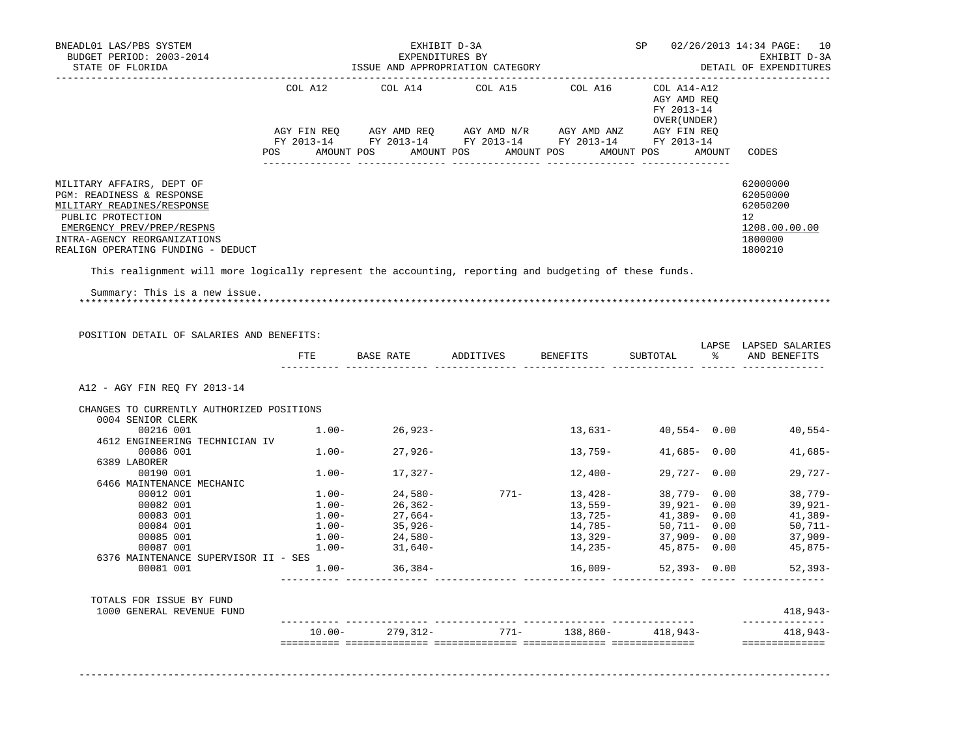| BNEADL01 LAS/PBS SYSTEM<br>BUDGET PERIOD: 2003-2014<br>STATE OF FLORIDA                                                                                                                                       |           | EXHIBIT D-3A<br>EXPENDITURES BY<br>ISSUE AND APPROPRIATION CATEGORY    |      |                                                                                                                                                                                                                                                                                              | SP 02/26/2013 14:34 PAGE: 10<br>EXHIBIT D-3A<br>DETAIL OF EXPENDITURES |  |                                                                                            |
|---------------------------------------------------------------------------------------------------------------------------------------------------------------------------------------------------------------|-----------|------------------------------------------------------------------------|------|----------------------------------------------------------------------------------------------------------------------------------------------------------------------------------------------------------------------------------------------------------------------------------------------|------------------------------------------------------------------------|--|--------------------------------------------------------------------------------------------|
|                                                                                                                                                                                                               | COL A12   | COL A14                                                                |      | $COL A15$ $COL A16$ $COL A14- A12$                                                                                                                                                                                                                                                           | AGY AMD REQ<br>FY 2013-14<br>OVER (UNDER )                             |  |                                                                                            |
|                                                                                                                                                                                                               |           |                                                                        |      |                                                                                                                                                                                                                                                                                              |                                                                        |  |                                                                                            |
|                                                                                                                                                                                                               |           |                                                                        |      | POS AMOUNT POS AMOUNT POS AMOUNT POS AMOUNT POS AMOUNT                                                                                                                                                                                                                                       |                                                                        |  | CODES                                                                                      |
|                                                                                                                                                                                                               |           |                                                                        |      |                                                                                                                                                                                                                                                                                              |                                                                        |  |                                                                                            |
| MILITARY AFFAIRS, DEPT OF<br>PGM: READINESS & RESPONSE<br>MILITARY READINES/RESPONSE<br>PUBLIC PROTECTION<br>EMERGENCY PREV/PREP/RESPNS<br>INTRA-AGENCY REORGANIZATIONS<br>REALIGN OPERATING FUNDING - DEDUCT |           |                                                                        |      |                                                                                                                                                                                                                                                                                              |                                                                        |  | 62000000<br>62050000<br>62050200<br>12 <sup>7</sup><br>1208.00.00.00<br>1800000<br>1800210 |
| This realignment will more logically represent the accounting, reporting and budgeting of these funds.                                                                                                        |           |                                                                        |      |                                                                                                                                                                                                                                                                                              |                                                                        |  |                                                                                            |
| POSITION DETAIL OF SALARIES AND BENEFITS:                                                                                                                                                                     | ETE       |                                                                        |      | BASE RATE             ADDITIVES           BENEFITS             SUBTOTAL                         AND  BENEFITS                                                                                                                                                                                |                                                                        |  | LAPSE LAPSED SALARIES                                                                      |
|                                                                                                                                                                                                               |           |                                                                        |      |                                                                                                                                                                                                                                                                                              |                                                                        |  |                                                                                            |
| A12 - AGY FIN REO FY 2013-14                                                                                                                                                                                  |           |                                                                        |      |                                                                                                                                                                                                                                                                                              |                                                                        |  |                                                                                            |
| CHANGES TO CURRENTLY AUTHORIZED POSITIONS                                                                                                                                                                     |           |                                                                        |      |                                                                                                                                                                                                                                                                                              |                                                                        |  |                                                                                            |
| 0004 SENIOR CLERK<br>00216 001                                                                                                                                                                                |           | $1.00 - 26,923 -$                                                      |      |                                                                                                                                                                                                                                                                                              | $13,631 40,554-$ 0.00                                                  |  | 40,554-                                                                                    |
| 4612 ENGINEERING TECHNICIAN IV                                                                                                                                                                                |           |                                                                        |      |                                                                                                                                                                                                                                                                                              |                                                                        |  |                                                                                            |
| 00086 001                                                                                                                                                                                                     |           | $1.00 - 27,926 -$                                                      |      | 13,759-                                                                                                                                                                                                                                                                                      | $41,685 - 0.00$                                                        |  | $41,685-$                                                                                  |
| 6389 LABORER                                                                                                                                                                                                  |           |                                                                        |      |                                                                                                                                                                                                                                                                                              |                                                                        |  |                                                                                            |
| 00190 001                                                                                                                                                                                                     | $1.00 -$  | 17,327-                                                                |      | 12,400-                                                                                                                                                                                                                                                                                      | $29,727 - 0.00$                                                        |  | $29,727-$                                                                                  |
| 6466 MAINTENANCE MECHANIC                                                                                                                                                                                     |           |                                                                        |      |                                                                                                                                                                                                                                                                                              |                                                                        |  |                                                                                            |
| 00012 001                                                                                                                                                                                                     |           | $1.00 24,580-$<br>$1.00 26,362-$                                       |      | $\begin{array}{cccc} 771- & 13\, , 428- & 38\, , 779- & 0\, .00 \\ & 13\, , 559- & 39\, , 921- & 0\, .00 \\ & 13\, , 725- & 41\, , 389- & 0\, .00 \\ & 14\, , 785- & 50\, , 711- & 0\, .00 \\ & 13\, , 329- & 37\, , 909- & 0\, .00 \\ & 14\, , 235- & 45\, , 875- & 0\, .00 \\ \end{array}$ | $38,779 - 0.00$                                                        |  | 38,779-                                                                                    |
| 00082 001                                                                                                                                                                                                     |           |                                                                        |      |                                                                                                                                                                                                                                                                                              |                                                                        |  | 39,921-                                                                                    |
| 00083 001                                                                                                                                                                                                     |           | $1.00-$<br>$27,664-$<br>$1.00-$<br>$24,580-$<br>$24,580-$<br>$31,640-$ |      |                                                                                                                                                                                                                                                                                              |                                                                        |  | 41,389-                                                                                    |
| 00084 001                                                                                                                                                                                                     |           |                                                                        |      |                                                                                                                                                                                                                                                                                              |                                                                        |  | 50,711-                                                                                    |
| 00085 001                                                                                                                                                                                                     |           |                                                                        |      |                                                                                                                                                                                                                                                                                              |                                                                        |  | 37,909-                                                                                    |
| 00087 001                                                                                                                                                                                                     |           |                                                                        |      |                                                                                                                                                                                                                                                                                              |                                                                        |  | 45,875-                                                                                    |
| 6376 MAINTENANCE SUPERVISOR II - SES                                                                                                                                                                          |           |                                                                        |      |                                                                                                                                                                                                                                                                                              |                                                                        |  |                                                                                            |
| 00081 001                                                                                                                                                                                                     |           | $1.00 - 36,384 -$                                                      |      | $16,009-$                                                                                                                                                                                                                                                                                    | 52,393-0.00                                                            |  | 52,393-                                                                                    |
| TOTALS FOR ISSUE BY FUND<br>1000 GENERAL REVENUE FUND                                                                                                                                                         |           |                                                                        |      |                                                                                                                                                                                                                                                                                              |                                                                        |  | $418,943-$                                                                                 |
|                                                                                                                                                                                                               | $10.00 -$ | 279,312-                                                               | 771- | 138,860-                                                                                                                                                                                                                                                                                     | 418,943-                                                               |  | ___________<br>$418,943-$                                                                  |
|                                                                                                                                                                                                               |           |                                                                        |      |                                                                                                                                                                                                                                                                                              |                                                                        |  | ==============                                                                             |

-------------------------------------------------------------------------------------------------------------------------------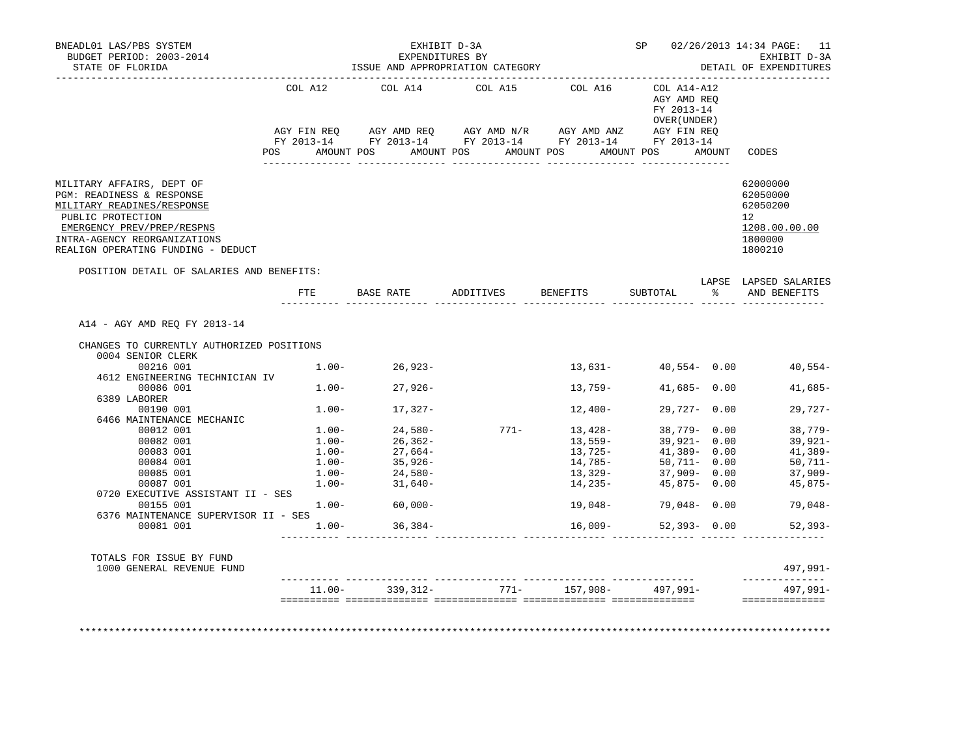| BUDGET PERIOD: 2003-2014<br>STATE OF FLORIDA<br>. _ _ _ _ _ _ _ _ _ _ _ _ _ _ _ _ _ _                                                                                                                                                                                                                                                                                     | ISSUE AND APPROPRIATION CATEGORY |                                                                                                                                                                                                                                            |                                  | SP 02/26/2013 14:34 PAGE: 11<br>EXHIBIT D-3A<br>DETAIL OF EXPENDITURES                                                             |                                                                                                                                                                                                     |        |                                                                                                                             |  |
|---------------------------------------------------------------------------------------------------------------------------------------------------------------------------------------------------------------------------------------------------------------------------------------------------------------------------------------------------------------------------|----------------------------------|--------------------------------------------------------------------------------------------------------------------------------------------------------------------------------------------------------------------------------------------|----------------------------------|------------------------------------------------------------------------------------------------------------------------------------|-----------------------------------------------------------------------------------------------------------------------------------------------------------------------------------------------------|--------|-----------------------------------------------------------------------------------------------------------------------------|--|
|                                                                                                                                                                                                                                                                                                                                                                           | COL A12                          |                                                                                                                                                                                                                                            | COL A14 COL A15 COL A16          |                                                                                                                                    | COL A14-A12<br>AGY AMD REO<br>FY 2013-14<br>OVER (UNDER )                                                                                                                                           |        |                                                                                                                             |  |
|                                                                                                                                                                                                                                                                                                                                                                           | POS                              | AMOUNT POS                                                                                                                                                                                                                                 | AMOUNT POS                       | AMOUNT POS                                                                                                                         | AMOUNT POS                                                                                                                                                                                          | AMOUNT | CODES                                                                                                                       |  |
| MILITARY AFFAIRS, DEPT OF<br>PGM: READINESS & RESPONSE<br>MILITARY READINES/RESPONSE<br>PUBLIC PROTECTION<br>EMERGENCY PREV/PREP/RESPNS<br>INTRA-AGENCY REORGANIZATIONS<br>REALIGN OPERATING FUNDING - DEDUCT                                                                                                                                                             |                                  |                                                                                                                                                                                                                                            |                                  |                                                                                                                                    |                                                                                                                                                                                                     |        | 62000000<br>62050000<br>62050200<br>12<br>1208.00.00.00<br>1800000<br>1800210                                               |  |
| POSITION DETAIL OF SALARIES AND BENEFITS:                                                                                                                                                                                                                                                                                                                                 |                                  |                                                                                                                                                                                                                                            | FTE BASE RATE ADDITIVES BENEFITS |                                                                                                                                    | SUBTOTAL                                                                                                                                                                                            |        | LAPSE LAPSED SALARIES<br>% AND BENEFITS                                                                                     |  |
| A14 - AGY AMD REO FY 2013-14                                                                                                                                                                                                                                                                                                                                              |                                  |                                                                                                                                                                                                                                            |                                  |                                                                                                                                    |                                                                                                                                                                                                     |        |                                                                                                                             |  |
| CHANGES TO CURRENTLY AUTHORIZED POSITIONS<br>0004 SENIOR CLERK<br>00216 001<br>4612 ENGINEERING TECHNICIAN IV<br>00086 001<br>6389 LABORER<br>00190 001<br>6466 MAINTENANCE MECHANIC<br>00012 001<br>00082 001<br>00083 001<br>00084 001<br>00085 001<br>00087 001<br>0720 EXECUTIVE ASSISTANT II - SES<br>00155 001<br>6376 MAINTENANCE SUPERVISOR II - SES<br>00081 001 |                                  | $1.00 - 26,923 -$<br>$1.00 - 27,926 -$<br>$1.00 - 17,327 -$<br>$\begin{array}{cccc} 1.00-&24,580-\\ 1.00-&26,362-\\ 1.00-&27,664-\\ 1.00-&35,926-\\ 1.00-&24,580-\\ 1.00-&31,640-\\ \end{array}$<br>$1.00 - 60.000 -$<br>$1.00 - 36,384 -$ |                                  | 13,631-<br>$13.759-$<br>12,400-<br>$771 - 13,428 -$<br>13,559-<br>13,725-<br>14,785-<br>13,329-<br>14,235-<br>19,048-<br>$16,009-$ | $40.554 - 0.00$<br>$41.685 - 0.00$<br>$29,727 - 0.00$<br>38,779- 0.00<br>$39,921 - 0.00$<br>$41,389 - 0.00$<br>50,711- 0.00<br>$37,909 - 0.00$<br>$45,875 - 0.00$<br>79,048-0.00<br>$52,393 - 0.00$ |        | 40,554-<br>$41,685-$<br>$29,727-$<br>38,779-<br>39,921-<br>41,389-<br>50,711-<br>37,909-<br>45,875-<br>79,048-<br>$52,393-$ |  |
| TOTALS FOR ISSUE BY FUND<br>1000 GENERAL REVENUE FUND                                                                                                                                                                                                                                                                                                                     |                                  |                                                                                                                                                                                                                                            |                                  | ----------- --------------                                                                                                         |                                                                                                                                                                                                     |        | $497,991 -$<br>--------------                                                                                               |  |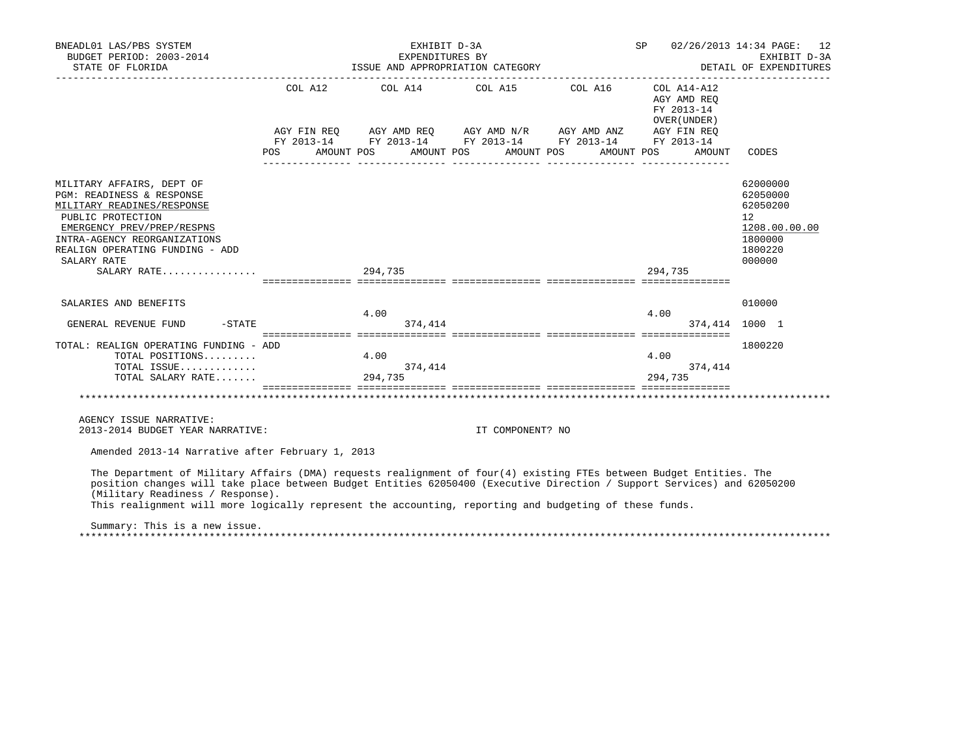| BNEADL01 LAS/PBS SYSTEM<br>BUDGET PERIOD: 2003-2014<br>STATE OF FLORIDA                                                                                                                                                                                                                                                                                                                                                       | EXHIBIT D-3A<br>EXPENDITURES BY<br>ISSUE AND APPROPRIATION CATEGORY                                              |                  | SP 02/26/2013 14:34 PAGE: 12<br>EXHIBIT D-3A<br>DETAIL OF EXPENDITURES |                                                                                                   |
|-------------------------------------------------------------------------------------------------------------------------------------------------------------------------------------------------------------------------------------------------------------------------------------------------------------------------------------------------------------------------------------------------------------------------------|------------------------------------------------------------------------------------------------------------------|------------------|------------------------------------------------------------------------|---------------------------------------------------------------------------------------------------|
|                                                                                                                                                                                                                                                                                                                                                                                                                               | COL A12 COL A14 COL A15 COL A16 COL A14-A12<br>POS AMOUNT POS AMOUNT POS AMOUNT POS AMOUNT POS AMOUNT POS AMOUNT |                  | AGY AMD REO<br>FY 2013-14<br>OVER (UNDER)<br>AMOUNT                    | CODES                                                                                             |
| MILITARY AFFAIRS, DEPT OF<br>PGM: READINESS & RESPONSE<br>MILITARY READINES/RESPONSE<br>PUBLIC PROTECTION<br>EMERGENCY PREV/PREP/RESPNS<br>INTRA-AGENCY REORGANIZATIONS<br>REALIGN OPERATING FUNDING - ADD<br>SALARY RATE<br>SALARY RATE                                                                                                                                                                                      | 294,735                                                                                                          |                  | 294,735                                                                | 62000000<br>62050000<br>62050200<br>$12^{\circ}$<br>1208.00.00.00<br>1800000<br>1800220<br>000000 |
| SALARIES AND BENEFITS<br>$-STATE$<br>GENERAL REVENUE FUND                                                                                                                                                                                                                                                                                                                                                                     | 4.00<br>374, 414                                                                                                 |                  | 4.00                                                                   | 010000<br>374,414 1000 1                                                                          |
| TOTAL: REALIGN OPERATING FUNDING - ADD<br>TOTAL ISSUE<br>TOTAL SALARY RATE                                                                                                                                                                                                                                                                                                                                                    | 374,414<br>294,735                                                                                               |                  | 4.00<br>374,414<br>294.735                                             | 1800220                                                                                           |
| AGENCY ISSUE NARRATIVE:<br>2013-2014 BUDGET YEAR NARRATIVE:                                                                                                                                                                                                                                                                                                                                                                   |                                                                                                                  | IT COMPONENT? NO |                                                                        |                                                                                                   |
| Amended 2013-14 Narrative after February 1, 2013                                                                                                                                                                                                                                                                                                                                                                              |                                                                                                                  |                  |                                                                        |                                                                                                   |
| The Department of Military Affairs (DMA) requests realignment of four(4) existing FTEs between Budget Entities. The<br>position changes will take place between Budget Entities 62050400 (Executive Direction / Support Services) and 62050200<br>(Military Readiness / Response).<br>This realignment will more logically represent the accounting, reporting and budgeting of these funds.<br>Summary: This is a new issue. |                                                                                                                  |                  |                                                                        |                                                                                                   |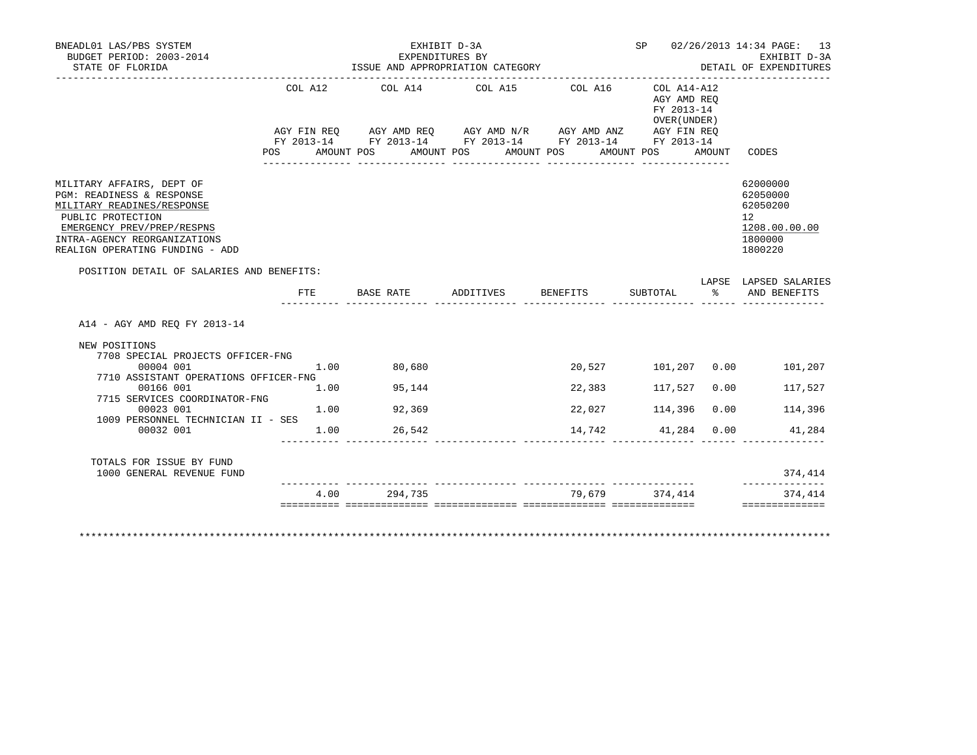| BNEADL01 LAS/PBS SYSTEM<br>BUDGET PERIOD: 2003-2014                                                                                                                                                        |                           |                     | EXHIBIT D-3A<br>EXPENDITURES BY                                                                                                                           |                    |                                                                                            |        | SP 02/26/2013 14:34 PAGE: 13<br>EXHIBIT D-3A                                               |
|------------------------------------------------------------------------------------------------------------------------------------------------------------------------------------------------------------|---------------------------|---------------------|-----------------------------------------------------------------------------------------------------------------------------------------------------------|--------------------|--------------------------------------------------------------------------------------------|--------|--------------------------------------------------------------------------------------------|
| STATE OF FLORIDA<br>__________________                                                                                                                                                                     |                           |                     | ISSUE AND APPROPRIATION CATEGORY                                                                                                                          |                    |                                                                                            |        | DETAIL OF EXPENDITURES                                                                     |
|                                                                                                                                                                                                            | COL A12<br>POS AMOUNT POS | COL A14             | COL A15<br>AGY FIN REQ AGY AMD REQ AGY AMD N/R AGY AMD ANZ AGY FIN REQ<br>FY 2013-14 FY 2013-14 FY 2013-14 FY 2013-14 FY 2013-14<br>AMOUNT POS AMOUNT POS | COL A16            | COL A14-A12<br>AGY AMD REO<br>FY 2013-14<br>OVER (UNDER )<br>AMOUNT POS<br>_______________ | AMOUNT | CODES                                                                                      |
| MILITARY AFFAIRS, DEPT OF<br>PGM: READINESS & RESPONSE<br>MILITARY READINES/RESPONSE<br>PUBLIC PROTECTION<br>EMERGENCY PREV/PREP/RESPNS<br>INTRA-AGENCY REORGANIZATIONS<br>REALIGN OPERATING FUNDING - ADD |                           |                     |                                                                                                                                                           |                    |                                                                                            |        | 62000000<br>62050000<br>62050200<br>12 <sup>°</sup><br>1208.00.00.00<br>1800000<br>1800220 |
| POSITION DETAIL OF SALARIES AND BENEFITS:                                                                                                                                                                  |                           |                     |                                                                                                                                                           |                    |                                                                                            |        |                                                                                            |
|                                                                                                                                                                                                            | FTE                       | BASE RATE ADDITIVES |                                                                                                                                                           | <b>BENEFITS</b>    | SUBTOTAL<br>______ _______________ _____                                                   | ጱ      | LAPSE LAPSED SALARIES<br>AND BENEFITS                                                      |
| A14 - AGY AMD REO FY 2013-14                                                                                                                                                                               |                           |                     |                                                                                                                                                           |                    |                                                                                            |        |                                                                                            |
| NEW POSITIONS                                                                                                                                                                                              |                           |                     |                                                                                                                                                           |                    |                                                                                            |        |                                                                                            |
| 7708 SPECIAL PROJECTS OFFICER-FNG<br>00004 001<br>7710 ASSISTANT OPERATIONS OFFICER-FNG                                                                                                                    | 1.00                      | 80,680              |                                                                                                                                                           |                    |                                                                                            |        | 20,527 101,207 0.00 101,207                                                                |
| 00166 001                                                                                                                                                                                                  | 1.00                      | 95,144              |                                                                                                                                                           | 22,383             | 117,527                                                                                    | 0.00   | 117,527                                                                                    |
| 7715 SERVICES COORDINATOR-FNG<br>00023 001                                                                                                                                                                 | 1.00                      | 92,369              |                                                                                                                                                           | 22,027             | 114,396                                                                                    | 0.00   | 114,396                                                                                    |
| 1009 PERSONNEL TECHNICIAN II - SES<br>00032 001                                                                                                                                                            | 1.00                      | 26,542              |                                                                                                                                                           | 14,742 41,284 0.00 |                                                                                            |        | 41,284                                                                                     |
| TOTALS FOR ISSUE BY FUND                                                                                                                                                                                   |                           |                     |                                                                                                                                                           |                    |                                                                                            |        | 374,414                                                                                    |
| 1000 GENERAL REVENUE FUND                                                                                                                                                                                  |                           |                     |                                                                                                                                                           |                    | 79,679 374,414                                                                             |        |                                                                                            |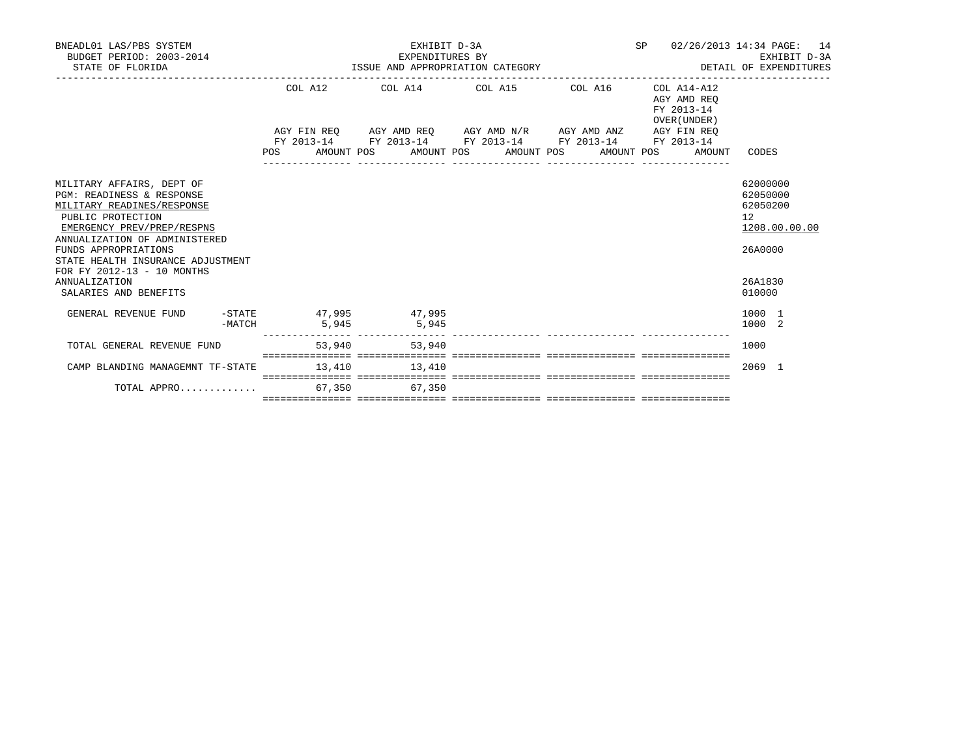| BNEADL01 LAS/PBS SYSTEM<br>BUDGET PERIOD: 2003-2014<br>STATE OF FLORIDA                                                                 |        |                                         | EXPENDITURES BY | EXHIBIT D-3A<br>ISSUE AND APPROPRIATION CATEGORY                                                                                                              | SP 02/26/2013 14:34 PAGE: 14<br>DETAIL OF EXPENDITURES   | EXHIBIT D-3A                                                      |
|-----------------------------------------------------------------------------------------------------------------------------------------|--------|-----------------------------------------|-----------------|---------------------------------------------------------------------------------------------------------------------------------------------------------------|----------------------------------------------------------|-------------------------------------------------------------------|
|                                                                                                                                         |        |                                         |                 | COL A12 COL A14 COL A15 COL A16                                                                                                                               | COL A14-A12<br>AGY AMD REO<br>FY 2013-14<br>OVER (UNDER) |                                                                   |
|                                                                                                                                         |        |                                         |                 | AGY FIN REO AGY AMD REO AGY AMD N/R AGY AMD ANZ AGY FIN REO<br>FY 2013-14 FY 2013-14 FY 2013-14 FY 2013-14 FY 2013-14<br>POS AMOUNT POS AMOUNT POS AMOUNT POS | AMOUNT POS<br>AMOUNT                                     | CODES                                                             |
| MILITARY AFFAIRS, DEPT OF<br>PGM: READINESS & RESPONSE<br>MILITARY READINES/RESPONSE<br>PUBLIC PROTECTION<br>EMERGENCY PREV/PREP/RESPNS |        |                                         |                 |                                                                                                                                                               |                                                          | 62000000<br>62050000<br>62050200<br>$12^{\circ}$<br>1208.00.00.00 |
| ANNUALIZATION OF ADMINISTERED<br>FUNDS APPROPRIATIONS<br>STATE HEALTH INSURANCE ADJUSTMENT<br>FOR FY 2012-13 - 10 MONTHS                |        |                                         |                 |                                                                                                                                                               |                                                          | 26A0000                                                           |
| ANNUALIZATION<br>SALARIES AND BENEFITS                                                                                                  |        |                                         |                 |                                                                                                                                                               |                                                          | 26A1830<br>010000                                                 |
| GENERAL REVENUE FUND                                                                                                                    | -MATCH | -STATE 47,995 47,995<br>$5.945$ $5.945$ |                 |                                                                                                                                                               |                                                          | 1000 1<br>1000 2                                                  |
| TOTAL GENERAL REVENUE FUND                                                                                                              |        |                                         | 53,940 53,940   |                                                                                                                                                               |                                                          | 1000                                                              |
| CAMP BLANDING MANAGEMNT TF-STATE                                                                                                        |        |                                         | 13,410 13,410   | <u> sooroorooroor aasooroorooroo aasooroorooroo aasooroorooroo aasooroorooroo</u>                                                                             |                                                          | 2069 1                                                            |
| TOTAL APPRO 67,350 67,350                                                                                                               |        |                                         |                 |                                                                                                                                                               |                                                          |                                                                   |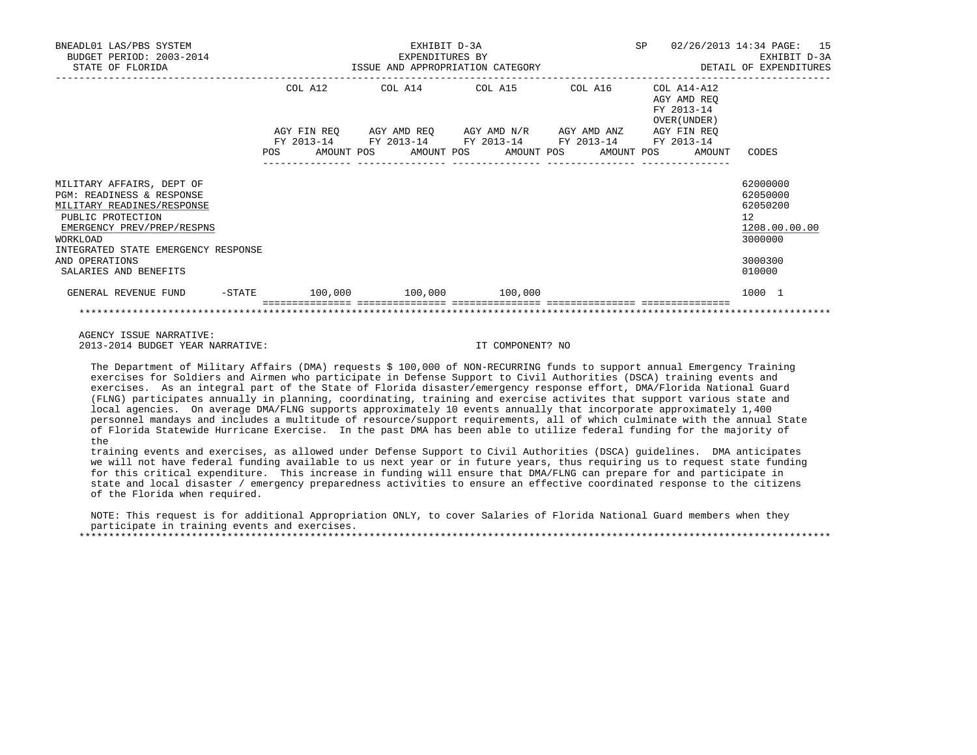| BNEADL01 LAS/PBS SYSTEM<br>BUDGET PERIOD: 2003-2014<br>STATE OF FLORIDA       | EXHIBIT D-3A<br>EXPENDITURES BY<br>ISSUE AND APPROPRIATION CATEGORY <b>And SET ALL SETAIL OF EXPENDITURES</b> |  |  |  |  |                                                                                                                                                                                 |  |                 | SP |                                                          | 02/26/2013 14:34 PAGE: 15<br>EXHIBIT D-3A |  |
|-------------------------------------------------------------------------------|---------------------------------------------------------------------------------------------------------------|--|--|--|--|---------------------------------------------------------------------------------------------------------------------------------------------------------------------------------|--|-----------------|----|----------------------------------------------------------|-------------------------------------------|--|
|                                                                               |                                                                                                               |  |  |  |  | COL A12 COL A14 COL A15 COL A16                                                                                                                                                 |  |                 |    | COL A14-A12<br>AGY AMD REO<br>FY 2013-14<br>OVER (UNDER) |                                           |  |
|                                                                               |                                                                                                               |  |  |  |  | AGY FIN REQ AGY AMD REQ AGY AMD N/R AGY AMD ANZ AGY FIN REQ<br>FY 2013-14 FY 2013-14 FY 2013-14 FY 2013-14 FY 2013-14<br>POS AMOUNT POS AMOUNT POS AMOUNT POS AMOUNT POS AMOUNT |  |                 |    |                                                          | CODES                                     |  |
| MILITARY AFFAIRS, DEPT OF                                                     |                                                                                                               |  |  |  |  | ---------------                                                                                                                                                                 |  | _______________ |    |                                                          | 62000000                                  |  |
| PGM: READINESS & RESPONSE<br>MILITARY READINES/RESPONSE<br>PUBLIC PROTECTION  |                                                                                                               |  |  |  |  |                                                                                                                                                                                 |  |                 |    |                                                          | 62050000<br>62050200<br>12                |  |
| EMERGENCY PREV/PREP/RESPNS<br>WORKLOAD<br>INTEGRATED STATE EMERGENCY RESPONSE |                                                                                                               |  |  |  |  |                                                                                                                                                                                 |  |                 |    |                                                          | 1208.00.00.00<br>3000000                  |  |
| AND OPERATIONS<br>SALARIES AND BENEFITS                                       |                                                                                                               |  |  |  |  |                                                                                                                                                                                 |  |                 |    |                                                          | 3000300<br>010000                         |  |
| GENERAL REVENUE FUND                                                          |                                                                                                               |  |  |  |  | $-$ STATE $100,000$ $100,000$ $100,000$                                                                                                                                         |  |                 |    |                                                          | 1000 1                                    |  |
|                                                                               |                                                                                                               |  |  |  |  |                                                                                                                                                                                 |  |                 |    |                                                          |                                           |  |

 AGENCY ISSUE NARRATIVE: 2013-2014 BUDGET YEAR NARRATIVE: IT COMPONENT? NO

 The Department of Military Affairs (DMA) requests \$ 100,000 of NON-RECURRING funds to support annual Emergency Training exercises for Soldiers and Airmen who participate in Defense Support to Civil Authorities (DSCA) training events and exercises. As an integral part of the State of Florida disaster/emergency response effort, DMA/Florida National Guard (FLNG) participates annually in planning, coordinating, training and exercise activites that support various state and local agencies. On average DMA/FLNG supports approximately 10 events annually that incorporate approximately 1,400 personnel mandays and includes a multitude of resource/support requirements, all of which culminate with the annual State of Florida Statewide Hurricane Exercise. In the past DMA has been able to utilize federal funding for the majority of the

 training events and exercises, as allowed under Defense Support to Civil Authorities (DSCA) guidelines. DMA anticipates we will not have federal funding available to us next year or in future years, thus requiring us to request state funding for this critical expenditure. This increase in funding will ensure that DMA/FLNG can prepare for and participate in state and local disaster / emergency preparedness activities to ensure an effective coordinated response to the citizens of the Florida when required.

 NOTE: This request is for additional Appropriation ONLY, to cover Salaries of Florida National Guard members when they participate in training events and exercises. \*\*\*\*\*\*\*\*\*\*\*\*\*\*\*\*\*\*\*\*\*\*\*\*\*\*\*\*\*\*\*\*\*\*\*\*\*\*\*\*\*\*\*\*\*\*\*\*\*\*\*\*\*\*\*\*\*\*\*\*\*\*\*\*\*\*\*\*\*\*\*\*\*\*\*\*\*\*\*\*\*\*\*\*\*\*\*\*\*\*\*\*\*\*\*\*\*\*\*\*\*\*\*\*\*\*\*\*\*\*\*\*\*\*\*\*\*\*\*\*\*\*\*\*\*\*\*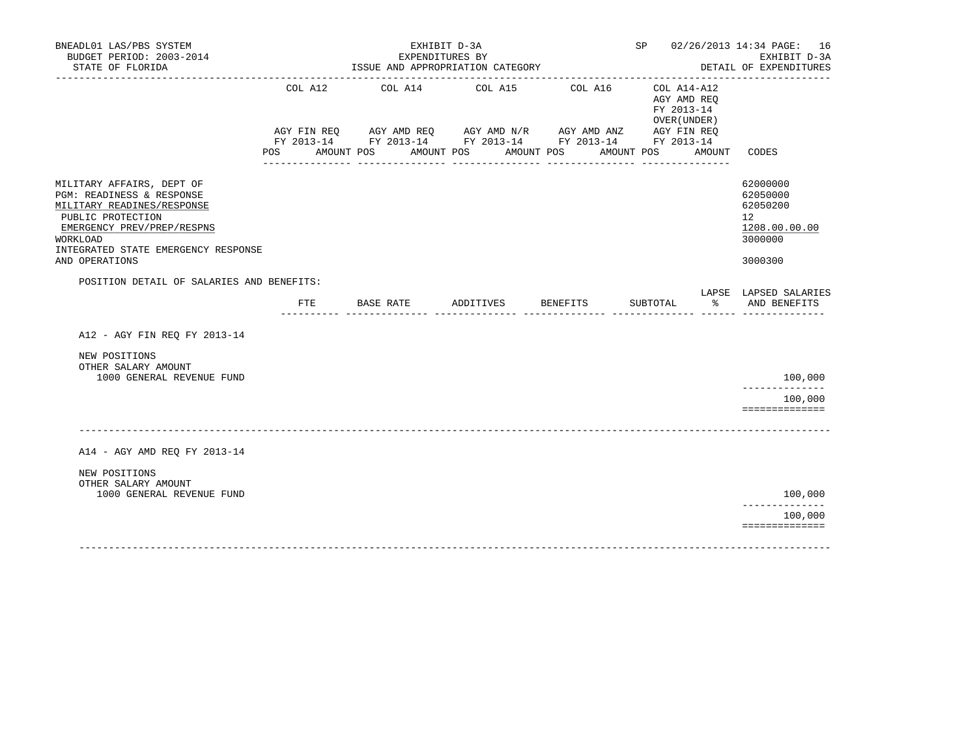|                                                                                                                                                                                                              |             |                  | ISSUE AND APPROPRIATION CATEGORY                                                                                                                     |                                     |                                                           |        | EXHIBIT D-3A<br>DETAIL OF EXPENDITURES                                                     |
|--------------------------------------------------------------------------------------------------------------------------------------------------------------------------------------------------------------|-------------|------------------|------------------------------------------------------------------------------------------------------------------------------------------------------|-------------------------------------|-----------------------------------------------------------|--------|--------------------------------------------------------------------------------------------|
| POS                                                                                                                                                                                                          | AGY FIN REQ | AMOUNT POS       | COL A12 COL A14 COL A15<br>AGY AMD REQ AGY AMD $N/R$ AGY AMD ANZ AGY FIN REQ<br>FY 2013-14 FY 2013-14 FY 2013-14 FY 2013-14 FY 2013-14<br>AMOUNT POS | COL A16<br>AMOUNT POS<br>AMOUNT POS | COL A14-A12<br>AGY AMD REO<br>FY 2013-14<br>OVER (UNDER ) | AMOUNT | CODES                                                                                      |
| MILITARY AFFAIRS, DEPT OF<br>PGM: READINESS & RESPONSE<br>MILITARY READINES/RESPONSE<br>PUBLIC PROTECTION<br>EMERGENCY PREV/PREP/RESPNS<br>WORKLOAD<br>INTEGRATED STATE EMERGENCY RESPONSE<br>AND OPERATIONS |             |                  |                                                                                                                                                      |                                     |                                                           |        | 62000000<br>62050000<br>62050200<br>12 <sup>1</sup><br>1208.00.00.00<br>3000000<br>3000300 |
| POSITION DETAIL OF SALARIES AND BENEFITS:                                                                                                                                                                    |             |                  |                                                                                                                                                      |                                     |                                                           |        |                                                                                            |
|                                                                                                                                                                                                              | FTE         | <b>BASE RATE</b> | ADDITIVES                                                                                                                                            | <b>BENEFITS</b>                     | SUBTOTAL                                                  | ႜႂ     | LAPSE LAPSED SALARIES<br>AND BENEFITS                                                      |
| A12 - AGY FIN REO FY 2013-14<br>NEW POSITIONS<br>OTHER SALARY AMOUNT<br>1000 GENERAL REVENUE FUND                                                                                                            |             |                  |                                                                                                                                                      |                                     |                                                           |        | 100,000<br>______________<br>100,000                                                       |
|                                                                                                                                                                                                              |             |                  |                                                                                                                                                      |                                     |                                                           |        | ==============                                                                             |
| A14 - AGY AMD REQ FY 2013-14                                                                                                                                                                                 |             |                  |                                                                                                                                                      |                                     |                                                           |        |                                                                                            |
| NEW POSITIONS<br>OTHER SALARY AMOUNT<br>1000 GENERAL REVENUE FUND                                                                                                                                            |             |                  |                                                                                                                                                      |                                     |                                                           |        | 100,000                                                                                    |
|                                                                                                                                                                                                              |             |                  |                                                                                                                                                      |                                     |                                                           |        | . _ _ _ _ _ _ _ _ _ _ _ _ _<br>100,000<br>==============                                   |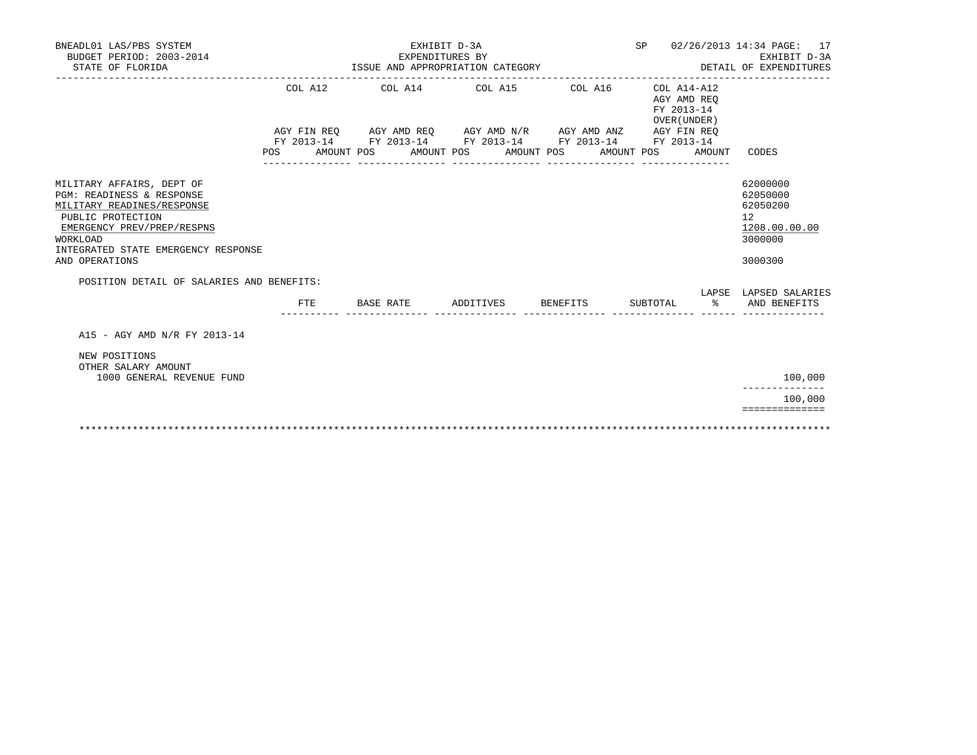| BNEADL01 LAS/PBS SYSTEM<br>BUDGET PERIOD: 2003-2014<br>STATE OF FLORIDA                                                                                                                                                                                   | ISSUE AND APPROPRIATION CATEGORY |                                                                                                                                                  | SP 02/26/2013 14:34 PAGE: 17<br>EXHIBIT D-3A<br>DETAIL OF EXPENDITURES |                                                                               |               |                                                                                                                     |
|-----------------------------------------------------------------------------------------------------------------------------------------------------------------------------------------------------------------------------------------------------------|----------------------------------|--------------------------------------------------------------------------------------------------------------------------------------------------|------------------------------------------------------------------------|-------------------------------------------------------------------------------|---------------|---------------------------------------------------------------------------------------------------------------------|
|                                                                                                                                                                                                                                                           | COL A12<br>POS AMOUNT POS        | COL A14 COL A15 COL A16<br>AGY FIN REQ AGY AMD REQ AGY AMD N/R AGY AMD ANZ AGY FIN REQ<br>FY 2013-14 FY 2013-14 FY 2013-14 FY 2013-14 FY 2013-14 | AMOUNT POS AMOUNT POS                                                  | COL A14-A12<br>AGY AMD REO<br>FY 2013-14<br>OVER (UNDER)<br>AMOUNT POS AMOUNT |               | CODES                                                                                                               |
| MILITARY AFFAIRS, DEPT OF<br>PGM: READINESS & RESPONSE<br>MILITARY READINES/RESPONSE<br>PUBLIC PROTECTION<br>EMERGENCY PREV/PREP/RESPNS<br>WORKLOAD<br>INTEGRATED STATE EMERGENCY RESPONSE<br>AND OPERATIONS<br>POSITION DETAIL OF SALARIES AND BENEFITS: |                                  | ____________________________________                                                                                                             |                                                                        |                                                                               |               | 62000000<br>62050000<br>62050200<br>12 <sup>°</sup><br>1208.00.00.00<br>3000000<br>3000300<br>LAPSE LAPSED SALARIES |
|                                                                                                                                                                                                                                                           | <b>FTE</b>                       | BASE RATE                                                                                                                                        | ADDITIVES BENEFITS                                                     | SUBTOTAL                                                                      | $\frac{1}{6}$ | AND BENEFITS                                                                                                        |
| A15 - AGY AMD N/R FY 2013-14                                                                                                                                                                                                                              |                                  |                                                                                                                                                  |                                                                        |                                                                               |               |                                                                                                                     |
| NEW POSITIONS<br>OTHER SALARY AMOUNT<br>1000 GENERAL REVENUE FUND                                                                                                                                                                                         |                                  |                                                                                                                                                  |                                                                        |                                                                               |               | 100,000                                                                                                             |
|                                                                                                                                                                                                                                                           |                                  |                                                                                                                                                  |                                                                        |                                                                               |               | 100,000                                                                                                             |
|                                                                                                                                                                                                                                                           |                                  |                                                                                                                                                  |                                                                        |                                                                               |               | ==============                                                                                                      |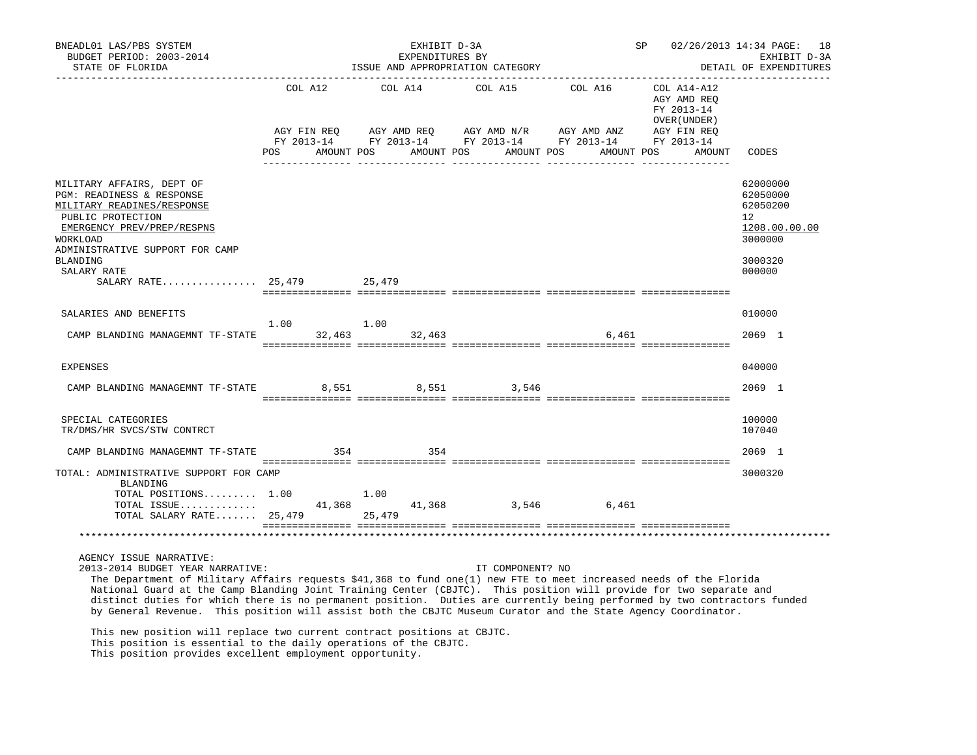| BNEADL01 LAS/PBS SYSTEM<br>BUDGET PERIOD: 2003-2014<br>STATE OF FLORIDA                                                                                                                                                                                                                                                                                                                                                                                                                                                                                                                                                         |             | EXHIBIT D-3A<br>EXPENDITURES BY | ISSUE AND APPROPRIATION CATEGORY     |                 | SP and the set of the set of the set of the set of the set of the set of the set of the set of the set of the s | 02/26/2013 14:34 PAGE:<br>18<br>EXHIBIT D-3A<br>DETAIL OF EXPENDITURES                               |
|---------------------------------------------------------------------------------------------------------------------------------------------------------------------------------------------------------------------------------------------------------------------------------------------------------------------------------------------------------------------------------------------------------------------------------------------------------------------------------------------------------------------------------------------------------------------------------------------------------------------------------|-------------|---------------------------------|--------------------------------------|-----------------|-----------------------------------------------------------------------------------------------------------------|------------------------------------------------------------------------------------------------------|
|                                                                                                                                                                                                                                                                                                                                                                                                                                                                                                                                                                                                                                 |             | COL A12 COL A14                 | POS AMOUNT POS AMOUNT POS AMOUNT POS | COL A15 COL A16 | COL A14-A12<br>AGY AMD REQ<br>FY 2013-14<br>OVER (UNDER )<br>AMOUNT POS<br>AMOUNT                               | CODES                                                                                                |
| MILITARY AFFAIRS, DEPT OF<br>PGM: READINESS & RESPONSE<br>MILITARY READINES/RESPONSE<br>PUBLIC PROTECTION<br>EMERGENCY PREV/PREP/RESPNS<br>WORKLOAD<br>ADMINISTRATIVE SUPPORT FOR CAMP<br>BLANDING<br>SALARY RATE<br>SALARY RATE 25,479 25,479                                                                                                                                                                                                                                                                                                                                                                                  |             |                                 |                                      |                 |                                                                                                                 | 62000000<br>62050000<br>62050200<br>12 <sup>°</sup><br>1208.00.00.00<br>3000000<br>3000320<br>000000 |
| SALARIES AND BENEFITS                                                                                                                                                                                                                                                                                                                                                                                                                                                                                                                                                                                                           |             |                                 |                                      |                 |                                                                                                                 | 010000                                                                                               |
| CAMP BLANDING MANAGEMNT TF-STATE 32,463 32,463                                                                                                                                                                                                                                                                                                                                                                                                                                                                                                                                                                                  | $1.00$ 1.00 |                                 |                                      | 6,461           |                                                                                                                 | 2069 1                                                                                               |
| EXPENSES                                                                                                                                                                                                                                                                                                                                                                                                                                                                                                                                                                                                                        |             |                                 |                                      |                 |                                                                                                                 | 040000                                                                                               |
| CAMP BLANDING MANAGEMNT TF-STATE 8,551 8,551 3,546                                                                                                                                                                                                                                                                                                                                                                                                                                                                                                                                                                              |             |                                 |                                      |                 |                                                                                                                 | 2069 1                                                                                               |
| SPECIAL CATEGORIES<br>TR/DMS/HR SVCS/STW CONTRCT                                                                                                                                                                                                                                                                                                                                                                                                                                                                                                                                                                                |             |                                 |                                      |                 |                                                                                                                 | 100000<br>107040                                                                                     |
| CAMP BLANDING MANAGEMNT TF-STATE                                                                                                                                                                                                                                                                                                                                                                                                                                                                                                                                                                                                | 354         | 354                             |                                      |                 |                                                                                                                 | 2069 1                                                                                               |
| TOTAL: ADMINISTRATIVE SUPPORT FOR CAMP<br>BLANDING<br>TOTAL POSITIONS $1.00$ $1.00$<br>TOTAL ISSUE<br>TOTAL SALARY RATE 25,479 25,479                                                                                                                                                                                                                                                                                                                                                                                                                                                                                           |             |                                 | 41,368 41,368 3,546                  | 6,461           |                                                                                                                 | 3000320                                                                                              |
|                                                                                                                                                                                                                                                                                                                                                                                                                                                                                                                                                                                                                                 |             |                                 |                                      |                 |                                                                                                                 |                                                                                                      |
| AGENCY ISSUE NARRATIVE:<br>2013-2014 BUDGET YEAR NARRATIVE:<br>The Department of Military Affairs requests \$41,368 to fund one(1) new FTE to meet increased needs of the Florida<br>National Guard at the Camp Blanding Joint Training Center (CBJTC). This position will provide for two separate and<br>distinct duties for which there is no permanent position. Duties are currently being performed by two contractors funded<br>by General Revenue. This position will assist both the CBJTC Museum Curator and the State Agency Coordinator.<br>This new position will replace two current contract positions at CBJTC. |             |                                 | IT COMPONENT? NO                     |                 |                                                                                                                 |                                                                                                      |
| This position is essential to the daily operations of the CBJTC.                                                                                                                                                                                                                                                                                                                                                                                                                                                                                                                                                                |             |                                 |                                      |                 |                                                                                                                 |                                                                                                      |

This position provides excellent employment opportunity.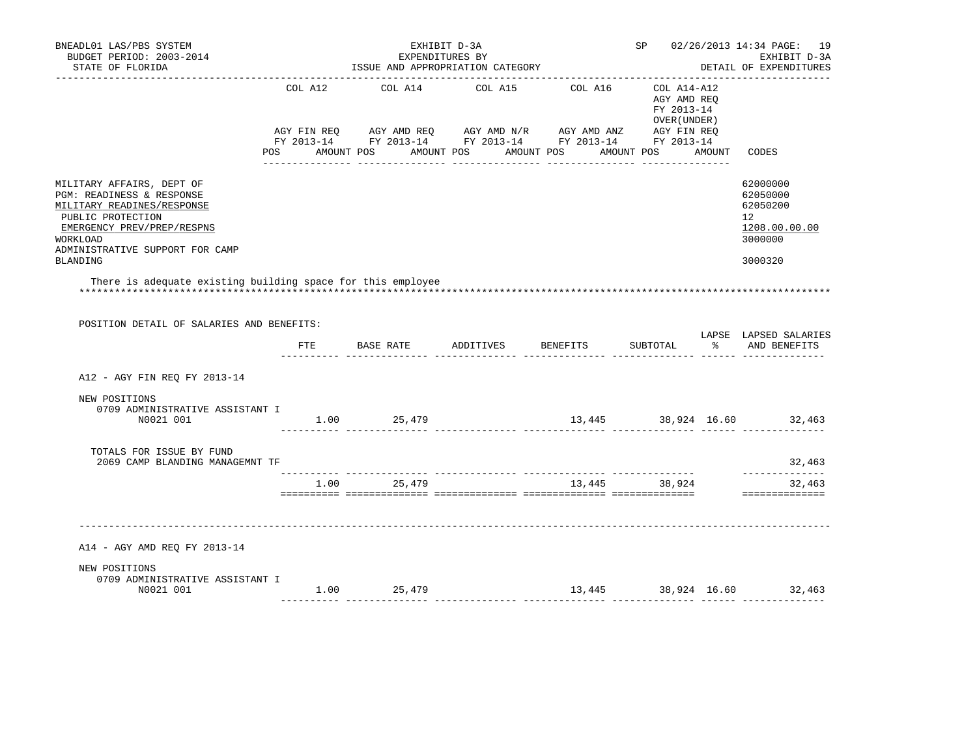| BNEADL01 LAS/PBS SYSTEM<br>BUDGET PERIOD: 2003-2014<br>STATE OF FLORIDA<br>____________________                                                                                                           |               | --------------------------------- | EXHIBIT D-3A<br>EXPENDITURES BY<br>ISSUE AND APPROPRIATION CATEGORY                                                                                                                                                      |                                    |                                                           | SP 02/26/2013 14:34 PAGE: 19<br>EXHIBIT D-3A<br>DETAIL OF EXPENDITURES        |
|-----------------------------------------------------------------------------------------------------------------------------------------------------------------------------------------------------------|---------------|-----------------------------------|--------------------------------------------------------------------------------------------------------------------------------------------------------------------------------------------------------------------------|------------------------------------|-----------------------------------------------------------|-------------------------------------------------------------------------------|
|                                                                                                                                                                                                           |               |                                   | COL A12 COL A14 COL A15 COL A16<br>AGY FIN REQ AGY AMD REQ AGY AMD N/R AGY AMD ANZ AGY FIN REQ<br>FY 2013-14 FY 2013-14 FY 2013-14 FY 2013-14 FY 2013-14<br>POS AMOUNT POS AMOUNT POS AMOUNT POS AMOUNT POS AMOUNT CODES |                                    | COL A14-A12<br>AGY AMD REO<br>FY 2013-14<br>OVER (UNDER ) |                                                                               |
| MILITARY AFFAIRS, DEPT OF<br>PGM: READINESS & RESPONSE<br>MILITARY READINES/RESPONSE<br>PUBLIC PROTECTION<br>EMERGENCY PREV/PREP/RESPNS<br>WORKLOAD<br>ADMINISTRATIVE SUPPORT FOR CAMP<br><b>BLANDING</b> |               |                                   |                                                                                                                                                                                                                          |                                    |                                                           | 62000000<br>62050000<br>62050200<br>12<br>1208.00.00.00<br>3000000<br>3000320 |
| There is adequate existing building space for this employee<br>POSITION DETAIL OF SALARIES AND BENEFITS:                                                                                                  |               |                                   | FTE BASE RATE ADDITIVES BENEFITS SUBTOTAL % AND BENEFITS                                                                                                                                                                 |                                    |                                                           | LAPSE LAPSED SALARIES                                                         |
| A12 - AGY FIN REQ FY 2013-14                                                                                                                                                                              |               |                                   |                                                                                                                                                                                                                          |                                    |                                                           |                                                                               |
| NEW POSITIONS<br>0709 ADMINISTRATIVE ASSISTANT I<br>N0021 001                                                                                                                                             |               | $1.00$ 25,479                     |                                                                                                                                                                                                                          | 13,445 38,924 16.60 32,463         |                                                           |                                                                               |
| TOTALS FOR ISSUE BY FUND<br>2069 CAMP BLANDING MANAGEMNT TF                                                                                                                                               |               |                                   |                                                                                                                                                                                                                          |                                    |                                                           | 32,463                                                                        |
|                                                                                                                                                                                                           |               | 1.00 25,479                       | 13,445 38,924                                                                                                                                                                                                            |                                    |                                                           | --------------<br>32,463<br>==============                                    |
| A14 - AGY AMD REQ FY 2013-14                                                                                                                                                                              |               |                                   |                                                                                                                                                                                                                          |                                    |                                                           |                                                                               |
| NEW POSITIONS<br>0709 ADMINISTRATIVE ASSISTANT I<br>N0021 001                                                                                                                                             | $1.00$ 25,479 |                                   |                                                                                                                                                                                                                          | $13,445$ $38,924$ $16.60$ $32,463$ |                                                           |                                                                               |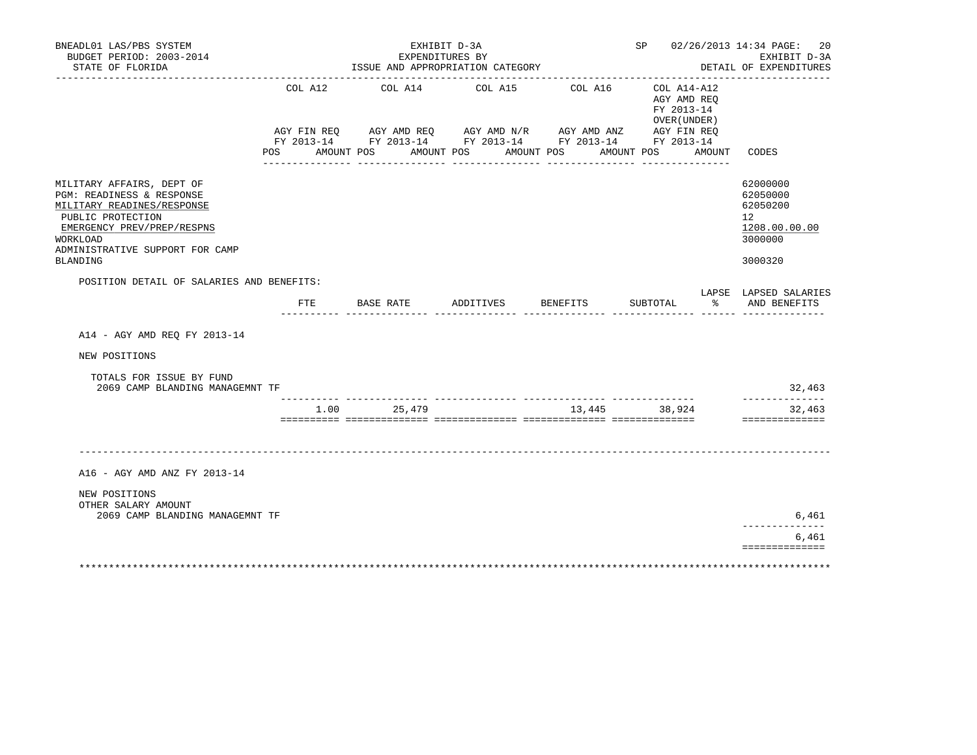| BNEADL01 LAS/PBS SYSTEM<br>BUDGET PERIOD: 2003-2014<br>STATE OF FLORIDA                                                                                                                                   |         | EXHIBIT D-3A<br>EXPENDITURES BY<br>ISSUE AND APPROPRIATION CATEGORY                                                                                      |                          |               | SP 02/26/2013 14:34 PAGE:                                | 20<br>EXHIBIT D-3A<br>DETAIL OF EXPENDITURES                                  |
|-----------------------------------------------------------------------------------------------------------------------------------------------------------------------------------------------------------|---------|----------------------------------------------------------------------------------------------------------------------------------------------------------|--------------------------|---------------|----------------------------------------------------------|-------------------------------------------------------------------------------|
|                                                                                                                                                                                                           |         | COL A12 COL A14 COL A15 COL A16<br>AGY FIN REQ AGY AMD REQ AGY AMD N/R AGY AMD ANZ AGY FIN REQ<br>FY 2013-14 FY 2013-14 FY 2013-14 FY 2013-14 FY 2013-14 |                          |               | COL A14-A12<br>AGY AMD REO<br>FY 2013-14<br>OVER (UNDER) |                                                                               |
|                                                                                                                                                                                                           | POS FOR | AMOUNT POS                                                                                                                                               | AMOUNT POS<br>AMOUNT POS |               | AMOUNT POS<br>AMOUNT                                     | CODES                                                                         |
| MILITARY AFFAIRS, DEPT OF<br>PGM: READINESS & RESPONSE<br>MILITARY READINES/RESPONSE<br>PUBLIC PROTECTION<br>EMERGENCY PREV/PREP/RESPNS<br>WORKLOAD<br>ADMINISTRATIVE SUPPORT FOR CAMP<br><b>BLANDING</b> |         |                                                                                                                                                          |                          |               |                                                          | 62000000<br>62050000<br>62050200<br>12<br>1208.00.00.00<br>3000000<br>3000320 |
| POSITION DETAIL OF SALARIES AND BENEFITS:                                                                                                                                                                 |         | FTE BASE RATE ADDITIVES BENEFITS                                                                                                                         |                          |               | SUBTOTAL                                                 | LAPSE LAPSED SALARIES<br>% AND BENEFITS                                       |
|                                                                                                                                                                                                           |         |                                                                                                                                                          |                          |               |                                                          |                                                                               |
| A14 - AGY AMD REO FY 2013-14                                                                                                                                                                              |         |                                                                                                                                                          |                          |               |                                                          |                                                                               |
| NEW POSITIONS                                                                                                                                                                                             |         |                                                                                                                                                          |                          |               |                                                          |                                                                               |
| TOTALS FOR ISSUE BY FUND<br>2069 CAMP BLANDING MANAGEMNT TF                                                                                                                                               |         |                                                                                                                                                          |                          |               |                                                          | 32,463                                                                        |
|                                                                                                                                                                                                           |         | 1.00 25,479                                                                                                                                              |                          | 13,445 38,924 |                                                          | 32,463<br>==============                                                      |
|                                                                                                                                                                                                           |         |                                                                                                                                                          |                          |               |                                                          |                                                                               |
| A16 - AGY AMD ANZ FY 2013-14                                                                                                                                                                              |         |                                                                                                                                                          |                          |               |                                                          |                                                                               |
| NEW POSITIONS                                                                                                                                                                                             |         |                                                                                                                                                          |                          |               |                                                          |                                                                               |
| OTHER SALARY AMOUNT<br>2069 CAMP BLANDING MANAGEMNT TF                                                                                                                                                    |         |                                                                                                                                                          |                          |               |                                                          | 6,461                                                                         |
|                                                                                                                                                                                                           |         |                                                                                                                                                          |                          |               |                                                          | 6,461                                                                         |
|                                                                                                                                                                                                           |         |                                                                                                                                                          |                          |               |                                                          | ==============                                                                |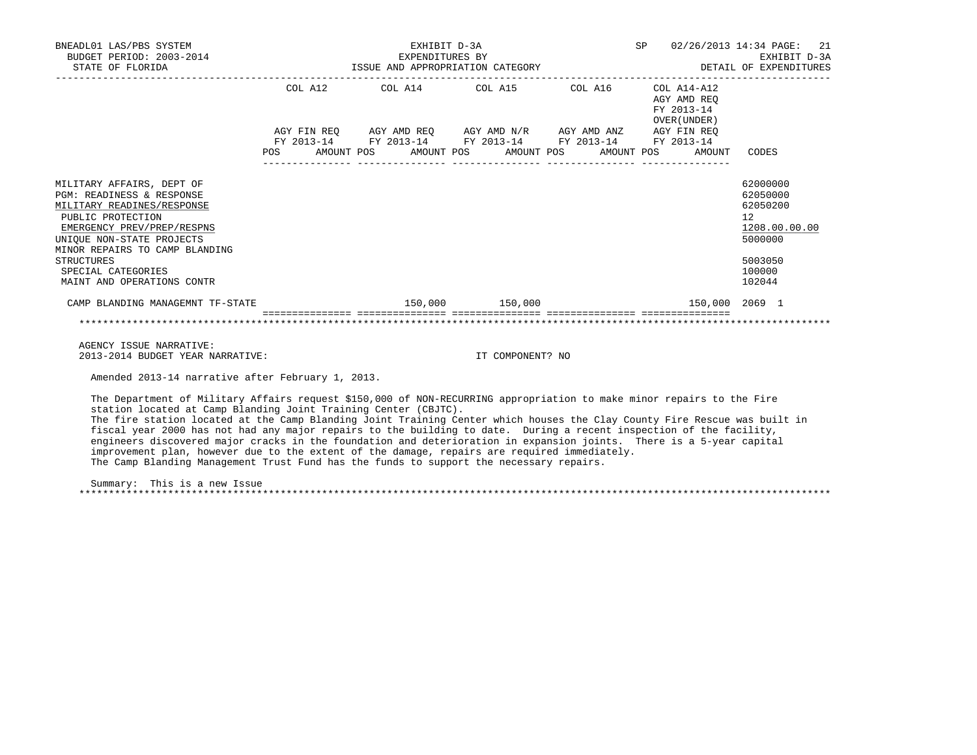| BNEADL01 LAS/PBS SYSTEM<br>BUDGET PERIOD: 2003-2014                                                                                                                                                                                                                                        |  | 2.1<br>SP 02/26/2013 14:34 PAGE:<br>EXHIBIT D-3A                                                                       |                                |                                                          |                                                                                                   |
|--------------------------------------------------------------------------------------------------------------------------------------------------------------------------------------------------------------------------------------------------------------------------------------------|--|------------------------------------------------------------------------------------------------------------------------|--------------------------------|----------------------------------------------------------|---------------------------------------------------------------------------------------------------|
|                                                                                                                                                                                                                                                                                            |  | COL A12 COL A14 COL A15 COL A16                                                                                        |                                | COL A14-A12<br>AGY AMD REO<br>FY 2013-14<br>OVER (UNDER) |                                                                                                   |
|                                                                                                                                                                                                                                                                                            |  | AGY FIN REO AGY AMD REO AGY AMD N/R AGY AMD ANZ AGY FIN REO                                                            |                                |                                                          |                                                                                                   |
|                                                                                                                                                                                                                                                                                            |  | FY 2013-14 FY 2013-14 FY 2013-14 FY 2013-14 FY 2013-14<br>POS AMOUNT POS AMOUNT POS AMOUNT POS AMOUNT POS AMOUNT CODES |                                |                                                          |                                                                                                   |
| MILITARY AFFAIRS, DEPT OF<br><b>PGM: READINESS &amp; RESPONSE</b><br>MILITARY READINES/RESPONSE<br>PUBLIC PROTECTION<br>EMERGENCY PREV/PREP/RESPNS<br>UNIOUE NON-STATE PROJECTS<br>MINOR REPAIRS TO CAMP BLANDING<br><b>STRUCTURES</b><br>SPECIAL CATEGORIES<br>MAINT AND OPERATIONS CONTR |  |                                                                                                                        |                                |                                                          | 62000000<br>62050000<br>62050200<br>12<br>1208.00.00.00<br>5000000<br>5003050<br>100000<br>102044 |
| CAMP BLANDING MANAGEMNT TF-STATE                                                                                                                                                                                                                                                           |  |                                                                                                                        | 150,000 150,000                | 150,000 2069 1                                           |                                                                                                   |
|                                                                                                                                                                                                                                                                                            |  |                                                                                                                        | .============================= |                                                          |                                                                                                   |
| AGENCY ISSUE NARRATIVE:                                                                                                                                                                                                                                                                    |  |                                                                                                                        |                                |                                                          |                                                                                                   |
| 2013-2014 BUDGET YEAR NARRATIVE:                                                                                                                                                                                                                                                           |  |                                                                                                                        | IT COMPONENT? NO               |                                                          |                                                                                                   |
| Amended 2013-14 narrative after February 1, 2013.                                                                                                                                                                                                                                          |  |                                                                                                                        |                                |                                                          |                                                                                                   |
| The Department of Military Affairs request \$150,000 of NON-RECURRING appropriation to make minor repairs to the Fire                                                                                                                                                                      |  |                                                                                                                        |                                |                                                          |                                                                                                   |

 station located at Camp Blanding Joint Training Center (CBJTC). The fire station located at the Camp Blanding Joint Training Center which houses the Clay County Fire Rescue was built in fiscal year 2000 has not had any major repairs to the building to date. During a recent inspection of the facility, engineers discovered major cracks in the foundation and deterioration in expansion joints. There is a 5-year capital improvement plan, however due to the extent of the damage, repairs are required immediately. The Camp Blanding Management Trust Fund has the funds to support the necessary repairs.

 Summary: This is a new Issue \*\*\*\*\*\*\*\*\*\*\*\*\*\*\*\*\*\*\*\*\*\*\*\*\*\*\*\*\*\*\*\*\*\*\*\*\*\*\*\*\*\*\*\*\*\*\*\*\*\*\*\*\*\*\*\*\*\*\*\*\*\*\*\*\*\*\*\*\*\*\*\*\*\*\*\*\*\*\*\*\*\*\*\*\*\*\*\*\*\*\*\*\*\*\*\*\*\*\*\*\*\*\*\*\*\*\*\*\*\*\*\*\*\*\*\*\*\*\*\*\*\*\*\*\*\*\*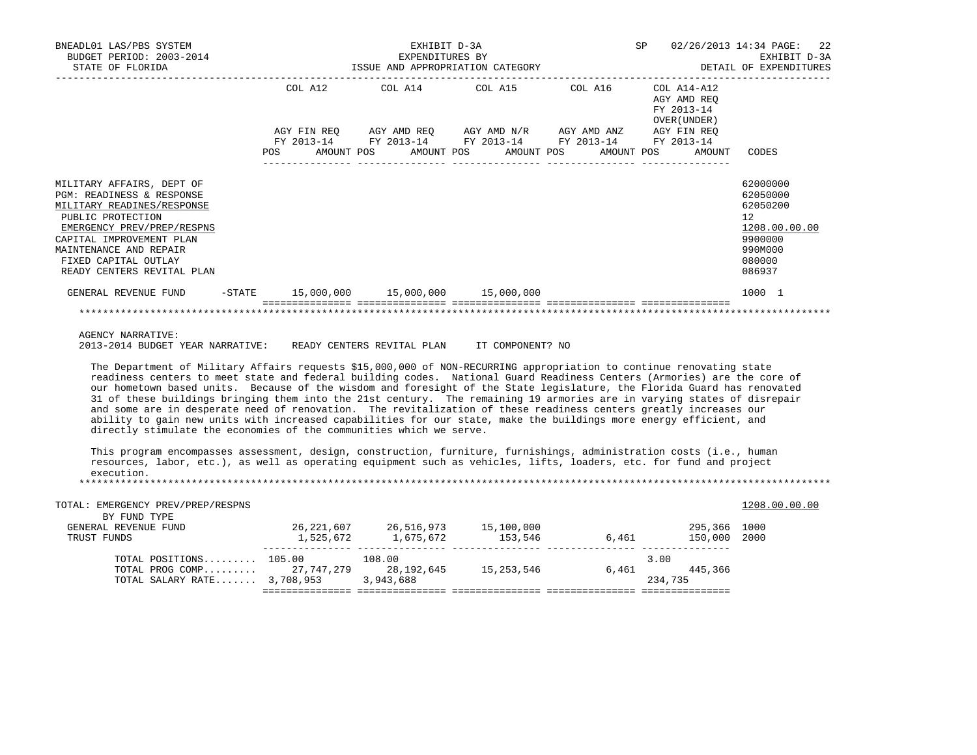| BNEADL01 LAS/PBS SYSTEM<br>BUDGET PERIOD: 2003-2014<br>STATE OF FLORIDA                                                                                                                                                                             | EXHIBIT D-3A<br>EXPENDITURES BY<br>EXPENDITURES BY<br>ISSUE AND APPROPRIATION CATEGORY THE SAME SERVED DETAIL OF EXPENDITURES |  |  |  |  |                                                                                                                  |  | SP |                                                          | 02/26/2013 14:34 PAGE: 22<br>EXHIBIT D-3A                                                         |  |
|-----------------------------------------------------------------------------------------------------------------------------------------------------------------------------------------------------------------------------------------------------|-------------------------------------------------------------------------------------------------------------------------------|--|--|--|--|------------------------------------------------------------------------------------------------------------------|--|----|----------------------------------------------------------|---------------------------------------------------------------------------------------------------|--|
|                                                                                                                                                                                                                                                     |                                                                                                                               |  |  |  |  | COL A12 COL A14 COL A15 COL A16<br>AGY FIN REQ AGY AMD REQ AGY AMD N/R AGY AMD ANZ AGY FIN REQ                   |  |    | COL A14-A12<br>AGY AMD REO<br>FY 2013-14<br>OVER (UNDER) |                                                                                                   |  |
|                                                                                                                                                                                                                                                     |                                                                                                                               |  |  |  |  | FY 2013-14 FY 2013-14 FY 2013-14 FY 2013-14 FY 2013-14<br>POS AMOUNT POS AMOUNT POS AMOUNT POS AMOUNT POS AMOUNT |  |    |                                                          | CODES                                                                                             |  |
| MILITARY AFFAIRS, DEPT OF<br>PGM: READINESS & RESPONSE<br>MILITARY READINES/RESPONSE<br>PUBLIC PROTECTION<br>EMERGENCY PREV/PREP/RESPNS<br>CAPITAL IMPROVEMENT PLAN<br>MAINTENANCE AND REPAIR<br>FIXED CAPITAL OUTLAY<br>READY CENTERS REVITAL PLAN |                                                                                                                               |  |  |  |  |                                                                                                                  |  |    |                                                          | 62000000<br>62050000<br>62050200<br>12<br>1208.00.00.00<br>9900000<br>990M000<br>080000<br>086937 |  |
| GENERAL REVENUE FUND                                                                                                                                                                                                                                |                                                                                                                               |  |  |  |  | $-$ STATE 15,000,000 15,000,000 15,000,000                                                                       |  |    |                                                          | 1000 1                                                                                            |  |
|                                                                                                                                                                                                                                                     |                                                                                                                               |  |  |  |  |                                                                                                                  |  |    |                                                          |                                                                                                   |  |

AGENCY NARRATIVE:

2013-2014 BUDGET YEAR NARRATIVE: READY CENTERS REVITAL PLAN IT COMPONENT? NO

 The Department of Military Affairs requests \$15,000,000 of NON-RECURRING appropriation to continue renovating state readiness centers to meet state and federal building codes. National Guard Readiness Centers (Armories) are the core of our hometown based units. Because of the wisdom and foresight of the State legislature, the Florida Guard has renovated 31 of these buildings bringing them into the 21st century. The remaining 19 armories are in varying states of disrepair and some are in desperate need of renovation. The revitalization of these readiness centers greatly increases our ability to gain new units with increased capabilities for our state, make the buildings more energy efficient, and directly stimulate the economies of the communities which we serve.

 This program encompasses assessment, design, construction, furniture, furnishings, administration costs (i.e., human resources, labor, etc.), as well as operating equipment such as vehicles, lifts, loaders, etc. for fund and project execution. \*\*\*\*\*\*\*\*\*\*\*\*\*\*\*\*\*\*\*\*\*\*\*\*\*\*\*\*\*\*\*\*\*\*\*\*\*\*\*\*\*\*\*\*\*\*\*\*\*\*\*\*\*\*\*\*\*\*\*\*\*\*\*\*\*\*\*\*\*\*\*\*\*\*\*\*\*\*\*\*\*\*\*\*\*\*\*\*\*\*\*\*\*\*\*\*\*\*\*\*\*\*\*\*\*\*\*\*\*\*\*\*\*\*\*\*\*\*\*\*\*\*\*\*\*\*\*

TOTAL: EMERGENCY PREV/PREP/RESPNS 1208.00.00 COLLECTED TOTAL: EMERGENCY PREV/PREP/RESPNS BY FUND TYPE<br>GENERAL REVENUE FUND GENERAL REVENUE FUND 26,221,607 26,516,973 15,100,000 295,366 1000 TRUST FUNDS 1 0.1.2 1 1,525,672 1,675,672 153,546 6,461 150,000 2000 --------------- --------------- --------------- --------------- --------------- TOTAL POSITIONS........ 105.00 108.00 TOTAL PROG COMP......... 27,747,279 28,192,645 15,253,546 6,461 445,366 461 6,461 445,366 15,253,546 6,461 445,366 TOTAL SALARY RATE....... 3,708,953 3,943,688 =============== =============== =============== =============== ===============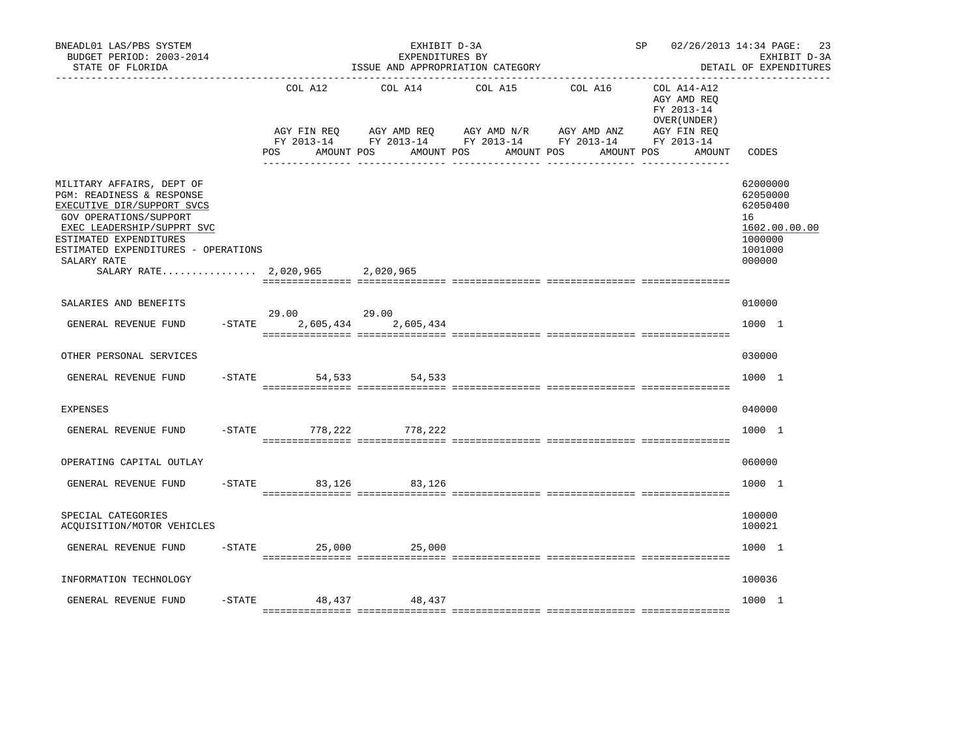| BNEADL01 LAS/PBS SYSTEM<br>BUDGET PERIOD: 2003-2014<br>STATE OF FLORIDA                                                                                                                                                                                         |                                                 | EXHIBIT D-3A<br>EXPENDITURES BY<br>ISSUE AND APPROPRIATION CATEGORY |                                                                                 | SP 02/26/2013 14:34 PAGE:            | 23<br>EXHIBIT D-3A<br>DETAIL OF EXPENDITURES                                      |                                                                                         |
|-----------------------------------------------------------------------------------------------------------------------------------------------------------------------------------------------------------------------------------------------------------------|-------------------------------------------------|---------------------------------------------------------------------|---------------------------------------------------------------------------------|--------------------------------------|-----------------------------------------------------------------------------------|-----------------------------------------------------------------------------------------|
|                                                                                                                                                                                                                                                                 | COL A12<br>AGY FIN REO<br>POS FOR<br>AMOUNT POS | COL A14<br>AGY AMD REQ AGY AMD N/R<br>AMOUNT POS                    | COL A15<br>FY 2013-14 FY 2013-14 FY 2013-14 FY 2013-14 FY 2013-14<br>AMOUNT POS | COL A16<br>AGY AMD ANZ<br>AMOUNT POS | COL A14-A12<br>AGY AMD REO<br>FY 2013-14<br>OVER (UNDER)<br>AGY FIN REO<br>AMOUNT | CODES                                                                                   |
| MILITARY AFFAIRS, DEPT OF<br>PGM: READINESS & RESPONSE<br>EXECUTIVE DIR/SUPPORT SVCS<br>GOV OPERATIONS/SUPPORT<br>EXEC LEADERSHIP/SUPPRT SVC<br>ESTIMATED EXPENDITURES<br>ESTIMATED EXPENDITURES - OPERATIONS<br>SALARY RATE<br>SALARY RATE 2,020,965 2,020,965 |                                                 |                                                                     |                                                                                 |                                      |                                                                                   | 62000000<br>62050000<br>62050400<br>16<br>1602.00.00.00<br>1000000<br>1001000<br>000000 |
| SALARIES AND BENEFITS                                                                                                                                                                                                                                           |                                                 |                                                                     |                                                                                 |                                      |                                                                                   | 010000                                                                                  |
| $-$ STATE<br>GENERAL REVENUE FUND                                                                                                                                                                                                                               | 29.00 29.00<br>2,605,434                        | 2,605,434                                                           |                                                                                 |                                      |                                                                                   | 1000 1                                                                                  |
| OTHER PERSONAL SERVICES                                                                                                                                                                                                                                         |                                                 |                                                                     |                                                                                 |                                      |                                                                                   | 030000                                                                                  |
| GENERAL REVENUE FUND<br>$-$ STATE                                                                                                                                                                                                                               | 54,533                                          | 54,533                                                              |                                                                                 |                                      |                                                                                   | 1000 1                                                                                  |
| <b>EXPENSES</b>                                                                                                                                                                                                                                                 |                                                 |                                                                     |                                                                                 |                                      |                                                                                   | 040000                                                                                  |
| GENERAL REVENUE FUND                                                                                                                                                                                                                                            | -STATE 778,222 778,222                          |                                                                     |                                                                                 |                                      |                                                                                   | 1000 1                                                                                  |
| OPERATING CAPITAL OUTLAY                                                                                                                                                                                                                                        |                                                 |                                                                     |                                                                                 |                                      |                                                                                   | 060000                                                                                  |
| GENERAL REVENUE FUND                                                                                                                                                                                                                                            | $-$ STATE 83, 126                               | 83,126                                                              |                                                                                 |                                      |                                                                                   | 1000 1                                                                                  |
| SPECIAL CATEGORIES<br>ACOUISITION/MOTOR VEHICLES                                                                                                                                                                                                                |                                                 |                                                                     |                                                                                 |                                      |                                                                                   | 100000<br>100021                                                                        |
| GENERAL REVENUE FUND                                                                                                                                                                                                                                            | $-$ STATE 25,000 25,000                         |                                                                     |                                                                                 |                                      |                                                                                   | 1000 1                                                                                  |
| INFORMATION TECHNOLOGY                                                                                                                                                                                                                                          |                                                 |                                                                     |                                                                                 |                                      |                                                                                   | 100036                                                                                  |
| $-$ STATE<br>GENERAL REVENUE FUND                                                                                                                                                                                                                               |                                                 | 48,437 48,437                                                       |                                                                                 |                                      |                                                                                   | 1000 1                                                                                  |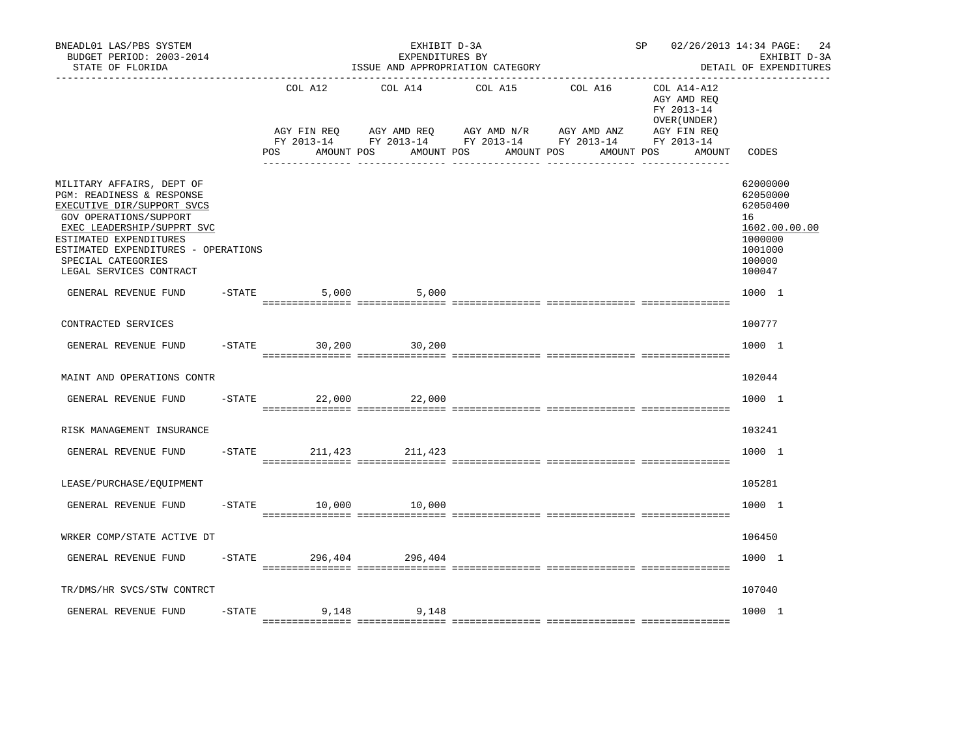| BNEADL01 LAS/PBS SYSTEM<br>BUDGET PERIOD: 2003-2014<br>STATE OF FLORIDA                                                                                                                                                                                        |           |                                                   | EXHIBIT D-3A<br>EXPENDITURES BY | ISSUE AND APPROPRIATION CATEGORY                                                                                                               | SP 02/26/2013 14:34 PAGE:                                                        | 24<br>EXHIBIT D-3A<br>DETAIL OF EXPENDITURES                                                      |
|----------------------------------------------------------------------------------------------------------------------------------------------------------------------------------------------------------------------------------------------------------------|-----------|---------------------------------------------------|---------------------------------|------------------------------------------------------------------------------------------------------------------------------------------------|----------------------------------------------------------------------------------|---------------------------------------------------------------------------------------------------|
|                                                                                                                                                                                                                                                                |           | COL A12<br>FY 2013-14<br>AMOUNT POS<br><b>POS</b> | COL A14<br>AMOUNT POS           | COL A15<br>COL A16<br>AGY FIN REQ AGY AMD REQ AGY AMD N/R AGY AMD ANZ AGY FIN REQ<br>FY 2013-14 FY 2013-14 FY 2013-14 FY 2013-14<br>AMOUNT POS | COL A14-A12<br>AGY AMD REO<br>FY 2013-14<br>OVER (UNDER)<br>AMOUNT POS<br>AMOUNT | CODES                                                                                             |
| MILITARY AFFAIRS, DEPT OF<br>PGM: READINESS & RESPONSE<br>EXECUTIVE DIR/SUPPORT SVCS<br>GOV OPERATIONS/SUPPORT<br>EXEC LEADERSHIP/SUPPRT SVC<br>ESTIMATED EXPENDITURES<br>ESTIMATED EXPENDITURES - OPERATIONS<br>SPECIAL CATEGORIES<br>LEGAL SERVICES CONTRACT |           |                                                   |                                 |                                                                                                                                                |                                                                                  | 62000000<br>62050000<br>62050400<br>16<br>1602.00.00.00<br>1000000<br>1001000<br>100000<br>100047 |
| GENERAL REVENUE FUND                                                                                                                                                                                                                                           |           | $-STATE$                                          | 5,000 5,000                     |                                                                                                                                                |                                                                                  | 1000 1                                                                                            |
| CONTRACTED SERVICES                                                                                                                                                                                                                                            |           |                                                   |                                 |                                                                                                                                                |                                                                                  | 100777                                                                                            |
| GENERAL REVENUE FUND                                                                                                                                                                                                                                           |           | $-$ STATE 30, 200                                 | 30,200                          |                                                                                                                                                |                                                                                  | 1000 1                                                                                            |
| MAINT AND OPERATIONS CONTR                                                                                                                                                                                                                                     |           |                                                   |                                 |                                                                                                                                                |                                                                                  | 102044                                                                                            |
| GENERAL REVENUE FUND                                                                                                                                                                                                                                           | $-STATE$  | 22,000                                            | 22,000                          |                                                                                                                                                |                                                                                  | 1000 1                                                                                            |
| RISK MANAGEMENT INSURANCE                                                                                                                                                                                                                                      |           |                                                   |                                 |                                                                                                                                                |                                                                                  | 103241                                                                                            |
| GENERAL REVENUE FUND                                                                                                                                                                                                                                           |           |                                                   | -STATE 211, 423 211, 423        |                                                                                                                                                |                                                                                  | 1000 1                                                                                            |
| LEASE/PURCHASE/EQUIPMENT                                                                                                                                                                                                                                       |           |                                                   |                                 |                                                                                                                                                |                                                                                  | 105281                                                                                            |
| GENERAL REVENUE FUND                                                                                                                                                                                                                                           |           | $-$ STATE 10,000                                  | 10,000                          |                                                                                                                                                |                                                                                  | 1000 1                                                                                            |
| WRKER COMP/STATE ACTIVE DT                                                                                                                                                                                                                                     |           |                                                   |                                 |                                                                                                                                                |                                                                                  | 106450                                                                                            |
| GENERAL REVENUE FUND                                                                                                                                                                                                                                           |           |                                                   | -STATE 296,404 296,404          |                                                                                                                                                |                                                                                  | 1000 1                                                                                            |
| TR/DMS/HR SVCS/STW CONTRCT                                                                                                                                                                                                                                     |           |                                                   |                                 |                                                                                                                                                |                                                                                  | 107040                                                                                            |
| GENERAL REVENUE FUND                                                                                                                                                                                                                                           | $-$ STATE |                                                   | 9,148 9,148                     |                                                                                                                                                |                                                                                  | 1000 1                                                                                            |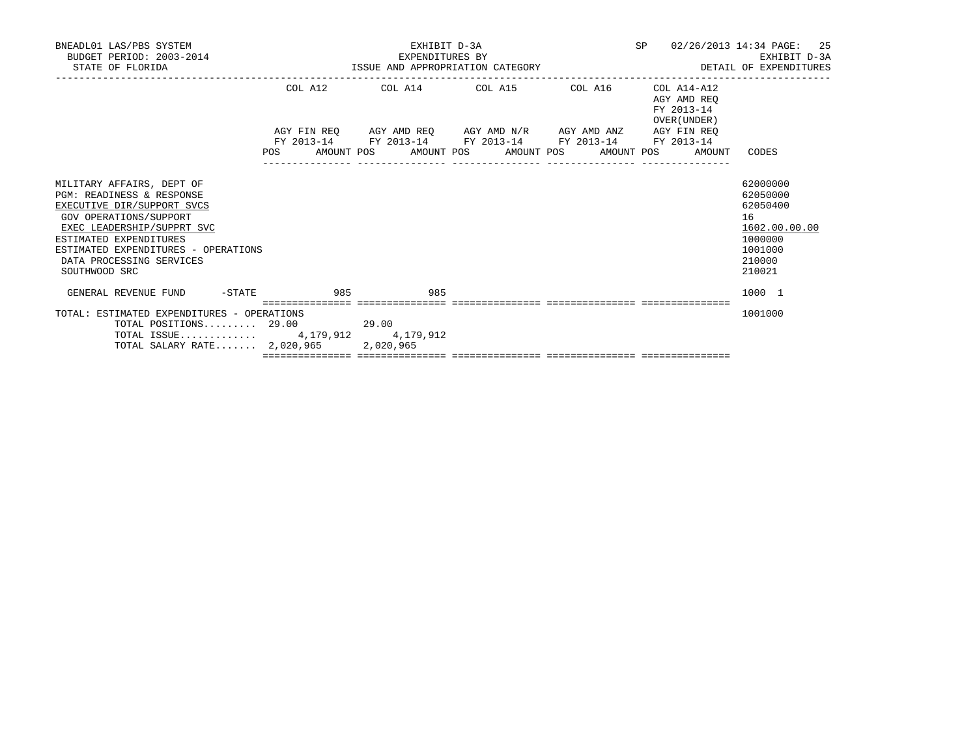| BNEADL01 LAS/PBS SYSTEM<br>BUDGET PERIOD: 2003-2014<br>STATE OF FLORIDA                                                                                                                                                                                               | EXHIBIT D-3A<br>EXPENDITURES BY<br>ISSUE AND APPROPRIATION CATEGORY | SP<br>02/26/2013 14:34 PAGE:                                                                                          | 25<br>EXHIBIT D-3A<br>DETAIL OF EXPENDITURES |                                          |                                                                                                   |
|-----------------------------------------------------------------------------------------------------------------------------------------------------------------------------------------------------------------------------------------------------------------------|---------------------------------------------------------------------|-----------------------------------------------------------------------------------------------------------------------|----------------------------------------------|------------------------------------------|---------------------------------------------------------------------------------------------------|
|                                                                                                                                                                                                                                                                       |                                                                     | COL A12 COL A14 COL A15 COL A16                                                                                       |                                              | COL A14-A12<br>AGY AMD REO<br>FY 2013-14 |                                                                                                   |
|                                                                                                                                                                                                                                                                       |                                                                     | AGY FIN REQ AGY AMD REQ AGY AMD N/R AGY AMD ANZ AGY FIN REQ<br>FY 2013-14 FY 2013-14 FY 2013-14 FY 2013-14 FY 2013-14 |                                              | OVER (UNDER)                             |                                                                                                   |
|                                                                                                                                                                                                                                                                       |                                                                     | POS AMOUNT POS AMOUNT POS AMOUNT POS AMOUNT POS                                                                       |                                              | AMOUNT                                   | CODES                                                                                             |
| MILITARY AFFAIRS, DEPT OF<br><b>PGM: READINESS &amp; RESPONSE</b><br>EXECUTIVE DIR/SUPPORT SVCS<br>GOV OPERATIONS/SUPPORT<br>EXEC LEADERSHIP/SUPPRT SVC<br>ESTIMATED EXPENDITURES<br>ESTIMATED EXPENDITURES - OPERATIONS<br>DATA PROCESSING SERVICES<br>SOUTHWOOD SRC |                                                                     |                                                                                                                       |                                              |                                          | 62000000<br>62050000<br>62050400<br>16<br>1602.00.00.00<br>1000000<br>1001000<br>210000<br>210021 |
| GENERAL REVENUE FUND -STATE 985                                                                                                                                                                                                                                       | 985                                                                 |                                                                                                                       |                                              |                                          | 1000 1                                                                                            |
| TOTAL: ESTIMATED EXPENDITURES - OPERATIONS<br>$\texttt{TOTAL}$ POSITIONS 29.00 29.00<br>TOTAL ISSUE 4, 179, 912 4, 179, 912<br>TOTAL SALARY RATE $2,020,965$                                                                                                          | 2,020,965                                                           |                                                                                                                       |                                              |                                          | 1001000                                                                                           |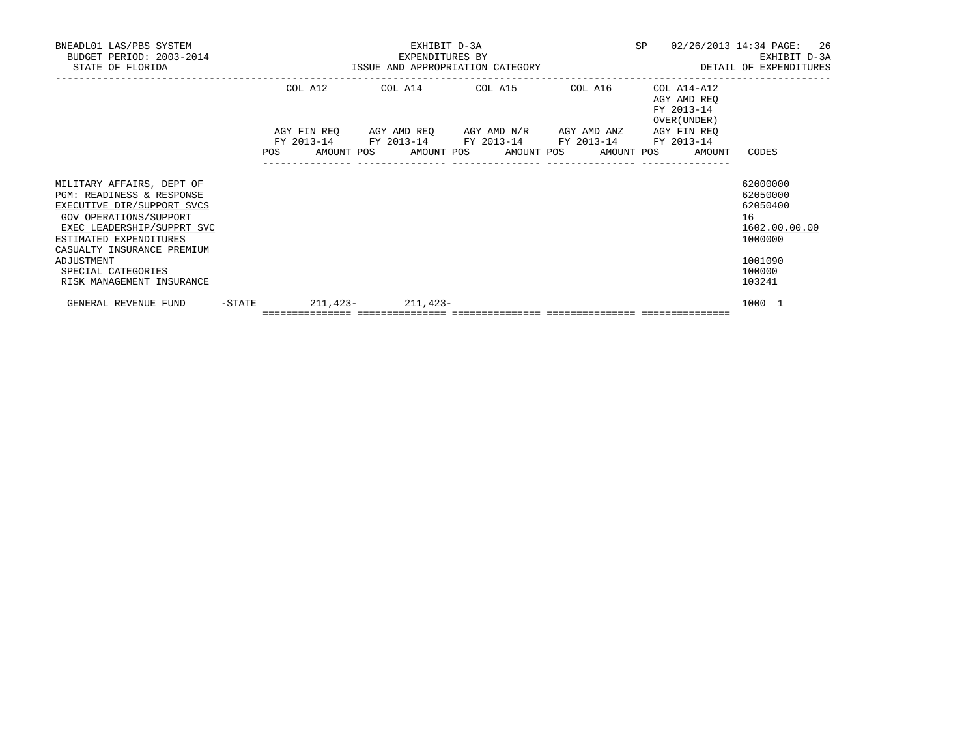| BNEADL01 LAS/PBS SYSTEM<br>BUDGET PERIOD: 2003-2014<br>STATE OF FLORIDA                                                                                                                                                                  |           | EXHIBIT D-3A<br>EXPENDITURES BY<br>U14 EXPENDITURES BY<br>ISSUE AND APPROPRIATION CATEGORY |         |  |                                                            |  |                                                                                                           |  |  | SP |                                                          | 26<br>02/26/2013 14:34 PAGE:<br>EXHIBIT D-3A<br>DETAIL OF EXPENDITURES                  |
|------------------------------------------------------------------------------------------------------------------------------------------------------------------------------------------------------------------------------------------|-----------|--------------------------------------------------------------------------------------------|---------|--|------------------------------------------------------------|--|-----------------------------------------------------------------------------------------------------------|--|--|----|----------------------------------------------------------|-----------------------------------------------------------------------------------------|
|                                                                                                                                                                                                                                          |           |                                                                                            | COL A12 |  |                                                            |  | COL A14 COL A15 COL A16<br>AGY FIN REQ AGY AMD REQ AGY AMD N/R AGY AMD ANZ AGY FIN REQ                    |  |  |    | COL A14-A12<br>AGY AMD REO<br>FY 2013-14<br>OVER (UNDER) |                                                                                         |
|                                                                                                                                                                                                                                          |           |                                                                                            |         |  |                                                            |  | FY 2013-14 FY 2013-14 FY 2013-14 FY 2013-14 FY 2013-14<br>POS AMOUNT POS AMOUNT POS AMOUNT POS AMOUNT POS |  |  |    | AMOUNT                                                   | CODES                                                                                   |
| MILITARY AFFAIRS, DEPT OF<br>PGM: READINESS & RESPONSE<br>EXECUTIVE DIR/SUPPORT SVCS<br>GOV OPERATIONS/SUPPORT<br>EXEC LEADERSHIP/SUPPRT SVC<br>ESTIMATED EXPENDITURES<br>CASUALTY INSURANCE PREMIUM<br>ADJUSTMENT<br>SPECIAL CATEGORIES |           |                                                                                            |         |  |                                                            |  |                                                                                                           |  |  |    |                                                          | 62000000<br>62050000<br>62050400<br>16<br>1602.00.00.00<br>1000000<br>1001090<br>100000 |
| RISK MANAGEMENT INSURANCE                                                                                                                                                                                                                |           |                                                                                            |         |  |                                                            |  |                                                                                                           |  |  |    |                                                          | 103241                                                                                  |
| GENERAL REVENUE FUND                                                                                                                                                                                                                     | $-$ STATE |                                                                                            |         |  | $211.423 - 211.423 -$<br>================================= |  |                                                                                                           |  |  |    |                                                          | 1000 1                                                                                  |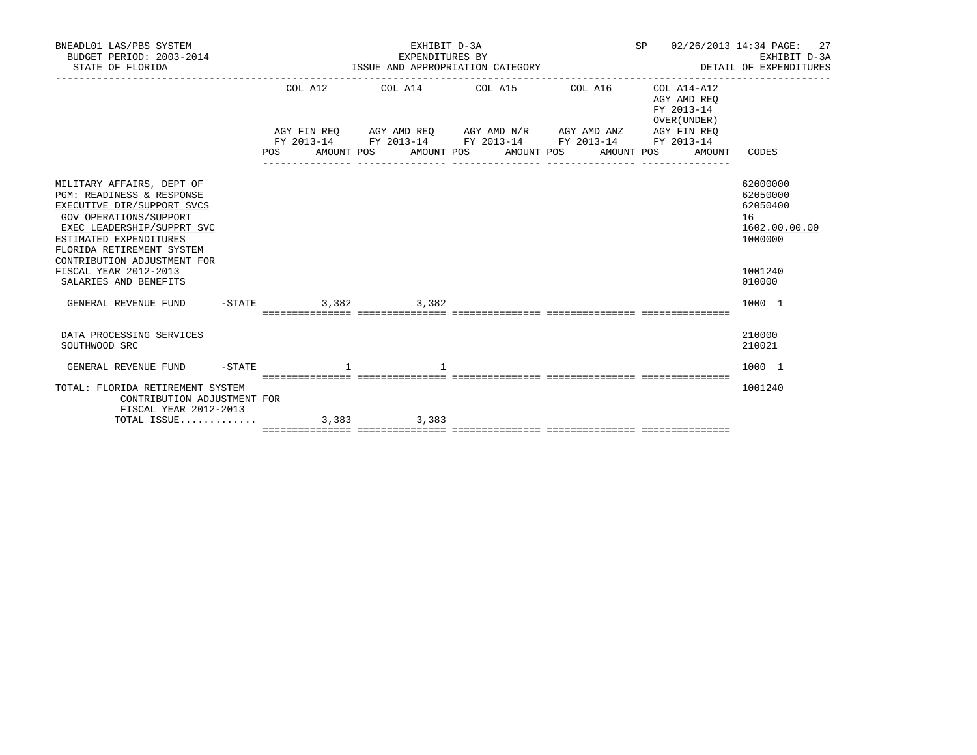| BNEADL01 LAS/PBS SYSTEM<br>BUDGET PERIOD: 2003-2014<br>STATE OF FLORIDA                                                                                                                                                                                     | EXHIBIT D-3A<br>SP 02/26/2013 14:34 PAGE:<br>EXPENDITURES BY<br>EXHIBIT D-3A<br>DETAIL OF EXPENDITURES<br>ISSUE AND APPROPRIATION CATEGORY |  |                                                                                                                                                               |  |                                                          |                                                                               |  |  |  |
|-------------------------------------------------------------------------------------------------------------------------------------------------------------------------------------------------------------------------------------------------------------|--------------------------------------------------------------------------------------------------------------------------------------------|--|---------------------------------------------------------------------------------------------------------------------------------------------------------------|--|----------------------------------------------------------|-------------------------------------------------------------------------------|--|--|--|
|                                                                                                                                                                                                                                                             |                                                                                                                                            |  | COL A12 COL A14 COL A15 COL A16                                                                                                                               |  | COL A14-A12<br>AGY AMD REO<br>FY 2013-14<br>OVER (UNDER) |                                                                               |  |  |  |
|                                                                                                                                                                                                                                                             |                                                                                                                                            |  | AGY FIN REQ AGY AMD REQ AGY AMD N/R AGY AMD ANZ AGY FIN REQ<br>FY 2013-14 FY 2013-14 FY 2013-14 FY 2013-14 FY 2013-14<br>POS AMOUNT POS AMOUNT POS AMOUNT POS |  | AMOUNT POS AMOUNT                                        | CODES                                                                         |  |  |  |
| MILITARY AFFAIRS, DEPT OF<br>PGM: READINESS & RESPONSE<br>EXECUTIVE DIR/SUPPORT SVCS<br>GOV OPERATIONS/SUPPORT<br>EXEC LEADERSHIP/SUPPRT SVC<br>ESTIMATED EXPENDITURES<br>FLORIDA RETIREMENT SYSTEM<br>CONTRIBUTION ADJUSTMENT FOR<br>FISCAL YEAR 2012-2013 |                                                                                                                                            |  |                                                                                                                                                               |  |                                                          | 62000000<br>62050000<br>62050400<br>16<br>1602.00.00.00<br>1000000<br>1001240 |  |  |  |
| SALARIES AND BENEFITS<br>GENERAL REVENUE FUND                                                                                                                                                                                                               | $-$ STATE 3, 382 3, 382                                                                                                                    |  |                                                                                                                                                               |  |                                                          | 010000<br>1000 1                                                              |  |  |  |
|                                                                                                                                                                                                                                                             |                                                                                                                                            |  |                                                                                                                                                               |  |                                                          |                                                                               |  |  |  |
| DATA PROCESSING SERVICES<br>SOUTHWOOD SRC                                                                                                                                                                                                                   |                                                                                                                                            |  |                                                                                                                                                               |  |                                                          | 210000<br>210021                                                              |  |  |  |
| GENERAL REVENUE FUND -STATE 1                                                                                                                                                                                                                               |                                                                                                                                            |  |                                                                                                                                                               |  |                                                          | 1000 1                                                                        |  |  |  |
| TOTAL: FLORIDA RETIREMENT SYSTEM<br>CONTRIBUTION ADJUSTMENT FOR<br>FISCAL YEAR 2012-2013                                                                                                                                                                    |                                                                                                                                            |  |                                                                                                                                                               |  |                                                          | 1001240                                                                       |  |  |  |
| TOTAL ISSUE 3,383 3,383                                                                                                                                                                                                                                     |                                                                                                                                            |  |                                                                                                                                                               |  |                                                          |                                                                               |  |  |  |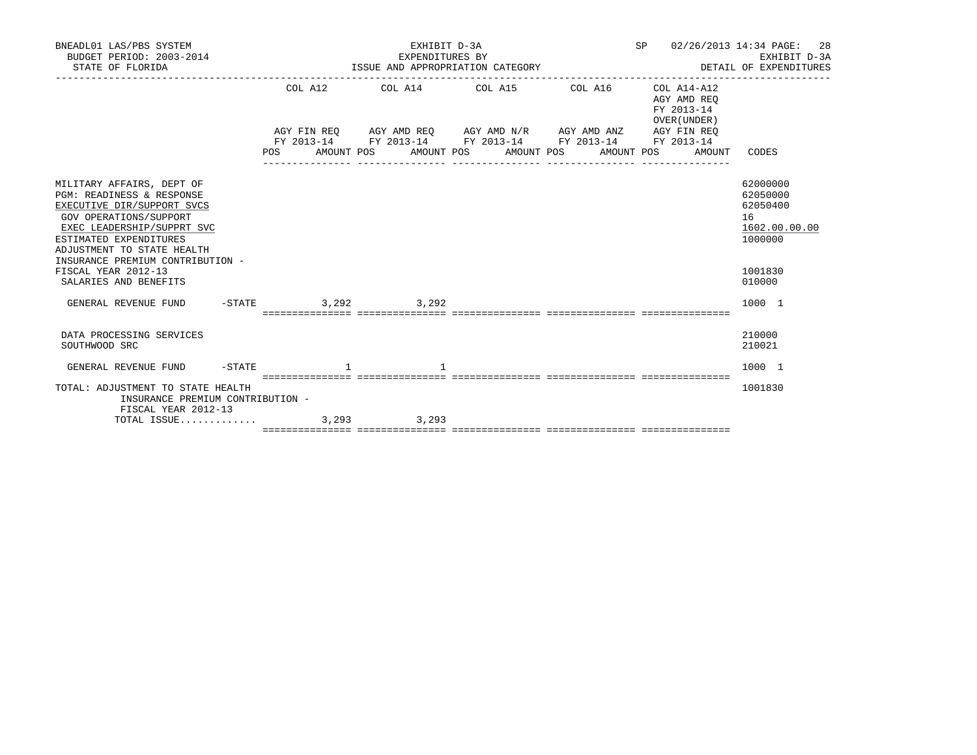| BNEADL01 LAS/PBS SYSTEM<br>BUDGET PERIOD: 2003-2014<br>STATE OF FLORIDA                                                                                                                                                                                                                  |                        | EXHIBIT D-3A<br>EXPENDITURES BY<br>ISSUE AND APPROPRIATION CATEGORY | SP 02/26/2013 14:34 PAGE:<br>EXHIBIT D-3A<br>DETAIL OF EXPENDITURES                                                                                           | 28<br>EXHIBIT D-3A                                       |                                                                                         |
|------------------------------------------------------------------------------------------------------------------------------------------------------------------------------------------------------------------------------------------------------------------------------------------|------------------------|---------------------------------------------------------------------|---------------------------------------------------------------------------------------------------------------------------------------------------------------|----------------------------------------------------------|-----------------------------------------------------------------------------------------|
|                                                                                                                                                                                                                                                                                          |                        |                                                                     | COL A12 COL A14 COL A15 COL A16                                                                                                                               | COL A14-A12<br>AGY AMD REO<br>FY 2013-14<br>OVER (UNDER) |                                                                                         |
|                                                                                                                                                                                                                                                                                          |                        |                                                                     | AGY FIN REQ AGY AMD REQ AGY AMD N/R AGY AMD ANZ AGY FIN REQ<br>FY 2013-14 FY 2013-14 FY 2013-14 FY 2013-14 FY 2013-14<br>POS AMOUNT POS AMOUNT POS AMOUNT POS | AMOUNT POS AMOUNT                                        | CODES                                                                                   |
| MILITARY AFFAIRS, DEPT OF<br>PGM: READINESS & RESPONSE<br>EXECUTIVE DIR/SUPPORT SVCS<br>GOV OPERATIONS/SUPPORT<br>EXEC LEADERSHIP/SUPPRT SVC<br>ESTIMATED EXPENDITURES<br>ADJUSTMENT TO STATE HEALTH<br>INSURANCE PREMIUM CONTRIBUTION -<br>FISCAL YEAR 2012-13<br>SALARIES AND BENEFITS |                        |                                                                     |                                                                                                                                                               |                                                          | 62000000<br>62050000<br>62050400<br>16<br>1602.00.00.00<br>1000000<br>1001830<br>010000 |
| GENERAL REVENUE FUND                                                                                                                                                                                                                                                                     | $-STATE$ 3, 292 3, 292 |                                                                     |                                                                                                                                                               |                                                          | 1000 1                                                                                  |
| DATA PROCESSING SERVICES<br>SOUTHWOOD SRC                                                                                                                                                                                                                                                |                        |                                                                     |                                                                                                                                                               |                                                          | 210000<br>210021                                                                        |
| GENERAL REVENUE FUND -STATE 1                                                                                                                                                                                                                                                            |                        |                                                                     |                                                                                                                                                               |                                                          | 1000 1                                                                                  |
| TOTAL: ADJUSTMENT TO STATE HEALTH<br>INSURANCE PREMIUM CONTRIBUTION -<br>FISCAL YEAR 2012-13                                                                                                                                                                                             |                        |                                                                     |                                                                                                                                                               |                                                          | 1001830                                                                                 |
| TOTAL ISSUE 3,293 3,293                                                                                                                                                                                                                                                                  |                        |                                                                     |                                                                                                                                                               |                                                          |                                                                                         |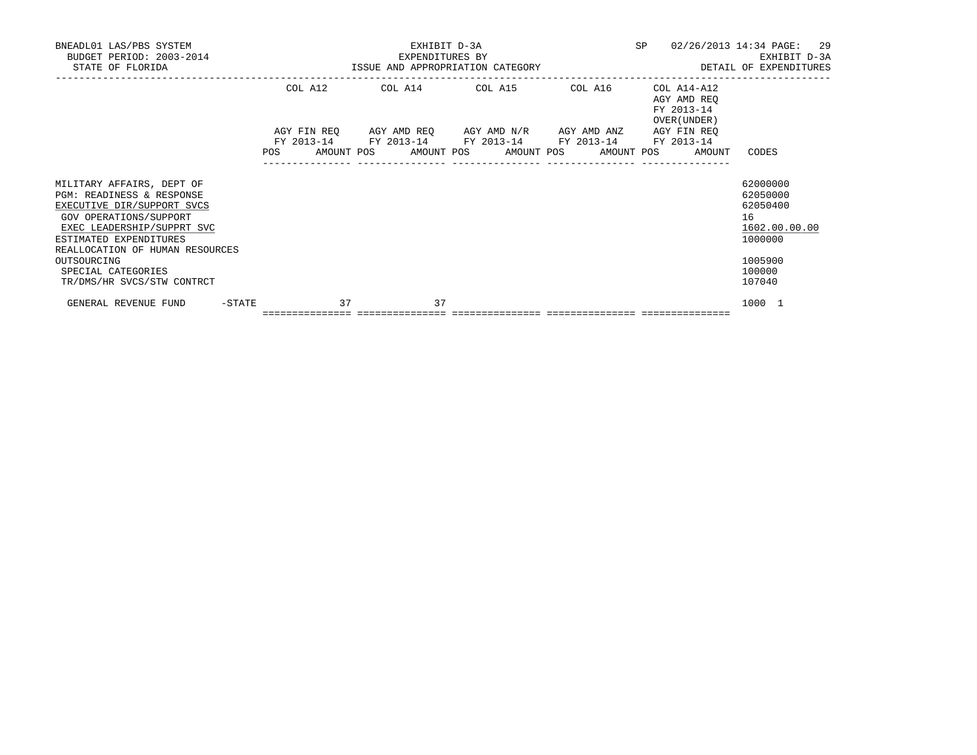| BNEADL01 LAS/PBS SYSTEM<br>BUDGET PERIOD: 2003-2014<br>STATE OF FLORIDA                                                                                                                                                                                                      |        | EXHIBIT D-3A<br>EXPENDITURES BY<br>ISSUE AND APPROPRIATION CATEGORY |         |  |                                        |  |                                                                                            |  |            | SP |                                                          | 29<br>02/26/2013 14:34 PAGE:<br>EXHIBIT D-3A<br>DETAIL OF EXPENDITURES                            |
|------------------------------------------------------------------------------------------------------------------------------------------------------------------------------------------------------------------------------------------------------------------------------|--------|---------------------------------------------------------------------|---------|--|----------------------------------------|--|--------------------------------------------------------------------------------------------|--|------------|----|----------------------------------------------------------|---------------------------------------------------------------------------------------------------|
|                                                                                                                                                                                                                                                                              |        |                                                                     | COL A12 |  |                                        |  | COL A14 COL A15 COL A16<br>AGY FIN REQ AGY AMD REQ AGY AMD N/R AGY AMD ANZ AGY FIN REQ     |  |            |    | COL A14-A12<br>AGY AMD REQ<br>FY 2013-14<br>OVER (UNDER) |                                                                                                   |
|                                                                                                                                                                                                                                                                              |        | POS FOR                                                             |         |  |                                        |  | FY 2013-14 FY 2013-14 FY 2013-14 FY 2013-14 FY 2013-14<br>AMOUNT POS AMOUNT POS AMOUNT POS |  | AMOUNT POS |    | AMOUNT                                                   | CODES                                                                                             |
| MILITARY AFFAIRS, DEPT OF<br>PGM: READINESS & RESPONSE<br>EXECUTIVE DIR/SUPPORT SVCS<br>GOV OPERATIONS/SUPPORT<br>EXEC LEADERSHIP/SUPPRT SVC<br>ESTIMATED EXPENDITURES<br>REALLOCATION OF HUMAN RESOURCES<br>OUTSOURCING<br>SPECIAL CATEGORIES<br>TR/DMS/HR SVCS/STW CONTRCT |        |                                                                     |         |  |                                        |  |                                                                                            |  |            |    |                                                          | 62000000<br>62050000<br>62050400<br>16<br>1602.00.00.00<br>1000000<br>1005900<br>100000<br>107040 |
| GENERAL REVENUE FUND                                                                                                                                                                                                                                                         | -STATE |                                                                     | 37      |  | 37<br>================================ |  |                                                                                            |  |            |    |                                                          | 1000 1                                                                                            |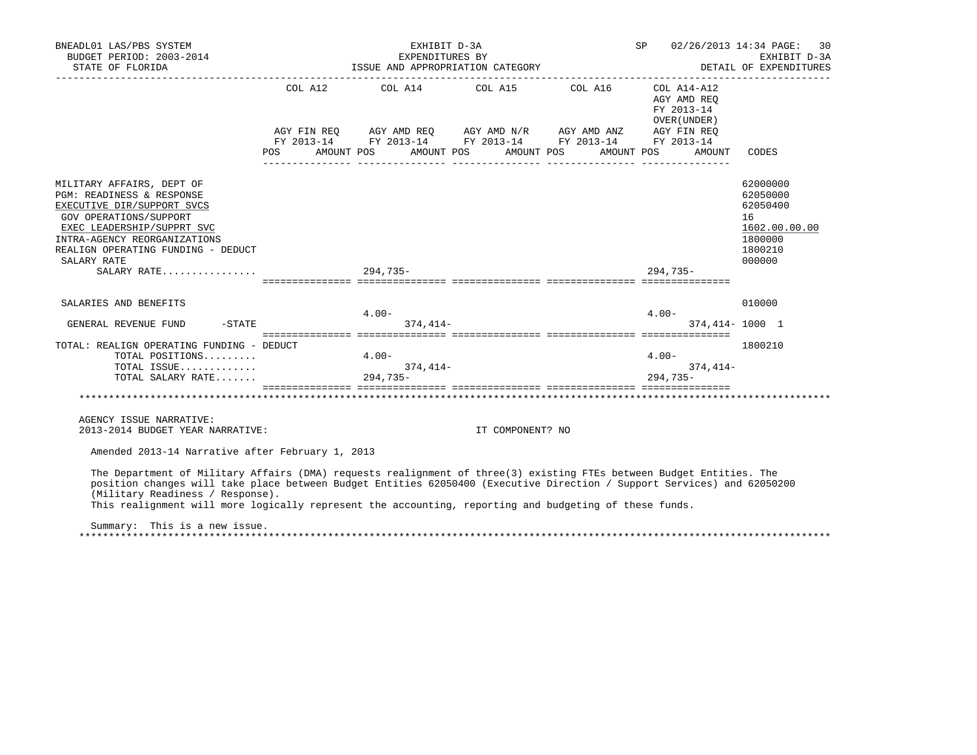| BNEADL01 LAS/PBS SYSTEM<br>BUDGET PERIOD: 2003-2014                                                                                                                                                                                                                                                                                                                                                                            |            | EXHIBIT D-3A<br>EXPENDITURES BY     |                                  | SP 02/26/2013 14:34 PAGE:                                                                                                                                            | 30<br>EXHIBIT D-3A                                                |                                                                                         |
|--------------------------------------------------------------------------------------------------------------------------------------------------------------------------------------------------------------------------------------------------------------------------------------------------------------------------------------------------------------------------------------------------------------------------------|------------|-------------------------------------|----------------------------------|----------------------------------------------------------------------------------------------------------------------------------------------------------------------|-------------------------------------------------------------------|-----------------------------------------------------------------------------------------|
| STATE OF FLORIDA                                                                                                                                                                                                                                                                                                                                                                                                               |            |                                     | ISSUE AND APPROPRIATION CATEGORY |                                                                                                                                                                      |                                                                   | DETAIL OF EXPENDITURES                                                                  |
|                                                                                                                                                                                                                                                                                                                                                                                                                                | <b>POS</b> |                                     | AMOUNT POS AMOUNT POS AMOUNT POS | COL A12 COL A14 COL A15 COL A16 COL A14-A12<br>AGY FIN REQ AGY AMD REQ AGY AMD N/R AGY AMD ANZ AGY FIN REQ<br>FY 2013-14 FY 2013-14 FY 2013-14 FY 2013-14 FY 2013-14 | AGY AMD REO<br>FY 2013-14<br>OVER (UNDER)<br>AMOUNT POS<br>AMOUNT | CODES                                                                                   |
|                                                                                                                                                                                                                                                                                                                                                                                                                                |            |                                     |                                  |                                                                                                                                                                      |                                                                   |                                                                                         |
| MILITARY AFFAIRS, DEPT OF<br>PGM: READINESS & RESPONSE<br>EXECUTIVE DIR/SUPPORT SVCS<br>GOV OPERATIONS/SUPPORT<br>EXEC LEADERSHIP/SUPPRT SVC<br>INTRA-AGENCY REORGANIZATIONS<br>REALIGN OPERATING FUNDING - DEDUCT<br>SALARY RATE                                                                                                                                                                                              |            |                                     |                                  |                                                                                                                                                                      |                                                                   | 62000000<br>62050000<br>62050400<br>16<br>1602.00.00.00<br>1800000<br>1800210<br>000000 |
| SALARY RATE                                                                                                                                                                                                                                                                                                                                                                                                                    | $294.735-$ |                                     |                                  |                                                                                                                                                                      | 294.735-                                                          |                                                                                         |
| SALARIES AND BENEFITS<br>$-STATE$<br>GENERAL REVENUE FUND                                                                                                                                                                                                                                                                                                                                                                      |            | $4.00 -$<br>$374.414-$              |                                  |                                                                                                                                                                      | $4.00 -$                                                          | 010000<br>374,414-1000 1                                                                |
| TOTAL: REALIGN OPERATING FUNDING - DEDUCT<br>TOTAL POSITIONS<br>TOTAL ISSUE<br>TOTAL SALARY RATE                                                                                                                                                                                                                                                                                                                               |            | $4.00 -$<br>$374, 414-$<br>294,735- |                                  |                                                                                                                                                                      | $4.00 -$<br>374,414-<br>$294.735-$                                | 1800210                                                                                 |
|                                                                                                                                                                                                                                                                                                                                                                                                                                |            |                                     |                                  |                                                                                                                                                                      |                                                                   |                                                                                         |
| AGENCY ISSUE NARRATIVE:<br>2013-2014 BUDGET YEAR NARRATIVE:                                                                                                                                                                                                                                                                                                                                                                    |            |                                     | IT COMPONENT? NO                 |                                                                                                                                                                      |                                                                   |                                                                                         |
| Amended 2013-14 Narrative after February 1, 2013                                                                                                                                                                                                                                                                                                                                                                               |            |                                     |                                  |                                                                                                                                                                      |                                                                   |                                                                                         |
| The Department of Military Affairs (DMA) requests realignment of three(3) existing FTEs between Budget Entities. The<br>position changes will take place between Budget Entities 62050400 (Executive Direction / Support Services) and 62050200<br>(Military Readiness / Response).<br>This realignment will more logically represent the accounting, reporting and budgeting of these funds.<br>Summary: This is a new issue. |            |                                     |                                  |                                                                                                                                                                      |                                                                   |                                                                                         |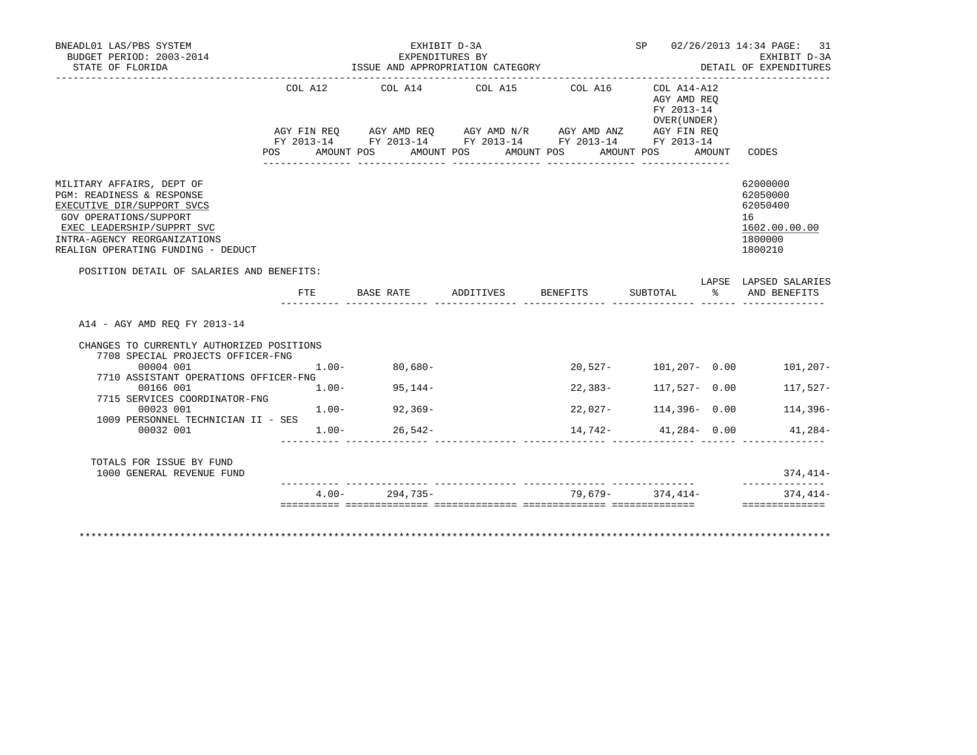| BUDGET PERIOD: 2003-2014<br>STATE OF FLORIDA                                                                                                                                                                       |                           | EXHIBIT D-3A      | EXPENDITURES BY<br>ISSUE AND APPROPRIATION CATEGORY                                                                                                                       |         |                                                                                | SP 02/26/2013 14:34 PAGE: 31<br>EXHIBIT D-3A<br>DETAIL OF EXPENDITURES        |
|--------------------------------------------------------------------------------------------------------------------------------------------------------------------------------------------------------------------|---------------------------|-------------------|---------------------------------------------------------------------------------------------------------------------------------------------------------------------------|---------|--------------------------------------------------------------------------------|-------------------------------------------------------------------------------|
|                                                                                                                                                                                                                    | COL A12<br>POS AMOUNT POS |                   | COL A14 COL A15 COL A16<br>AGY FIN REQ AGY AMD REQ AGY AMD N/R AGY AMD ANZ AGY FIN REQ<br>FY 2013-14 FY 2013-14 FY 2013-14 FY 2013-14 FY 2013-14<br>AMOUNT POS AMOUNT POS |         | COL A14-A12<br>AGY AMD REO<br>FY 2013-14<br>OVER (UNDER )<br>AMOUNT POS AMOUNT | CODES                                                                         |
| MILITARY AFFAIRS, DEPT OF<br>PGM: READINESS & RESPONSE<br>EXECUTIVE DIR/SUPPORT SVCS<br>GOV OPERATIONS/SUPPORT<br>EXEC LEADERSHIP/SUPPRT SVC<br>INTRA-AGENCY REORGANIZATIONS<br>REALIGN OPERATING FUNDING - DEDUCT |                           |                   |                                                                                                                                                                           |         |                                                                                | 62000000<br>62050000<br>62050400<br>16<br>1602.00.00.00<br>1800000<br>1800210 |
| POSITION DETAIL OF SALARIES AND BENEFITS:                                                                                                                                                                          |                           |                   |                                                                                                                                                                           |         |                                                                                |                                                                               |
|                                                                                                                                                                                                                    | $_{\rm FTE}$              |                   | BASE RATE             ADDITIVES           BENEFITS            SUBTOTAL                               AND  BENEFITS                                                        |         |                                                                                | LAPSE LAPSED SALARIES                                                         |
|                                                                                                                                                                                                                    |                           |                   |                                                                                                                                                                           |         | <u>aadaa aadaadaadaadaa aadaad</u>                                             |                                                                               |
| A14 - AGY AMD REO FY 2013-14                                                                                                                                                                                       |                           |                   |                                                                                                                                                                           |         |                                                                                |                                                                               |
| CHANGES TO CURRENTLY AUTHORIZED POSITIONS<br>7708 SPECIAL PROJECTS OFFICER-FNG                                                                                                                                     |                           |                   |                                                                                                                                                                           |         |                                                                                |                                                                               |
| 00004 001                                                                                                                                                                                                          | $1.00 -$                  | $80.680 -$        |                                                                                                                                                                           |         |                                                                                | 20,527- 101,207- 0.00 101,207-                                                |
| 7710 ASSISTANT OPERATIONS OFFICER-FNG<br>00166 001                                                                                                                                                                 |                           | $1.00 - 95.144 -$ |                                                                                                                                                                           | 22,383- | 117,527- 0.00                                                                  | 117,527-                                                                      |
| 7715 SERVICES COORDINATOR-FNG<br>00023 001                                                                                                                                                                         | $1.00-$                   | $92,369-$         |                                                                                                                                                                           |         | 22,027- 114,396- 0.00                                                          | 114,396-                                                                      |
| 1009 PERSONNEL TECHNICIAN II - SES<br>00032 001                                                                                                                                                                    |                           | $1.00 - 26,542 -$ |                                                                                                                                                                           |         |                                                                                | $14,742-41,284-0.00$ $41,284-$                                                |
|                                                                                                                                                                                                                    |                           |                   |                                                                                                                                                                           |         |                                                                                |                                                                               |
| TOTALS FOR ISSUE BY FUND<br>1000 GENERAL REVENUE FUND                                                                                                                                                              |                           |                   |                                                                                                                                                                           |         |                                                                                | $374,414-$                                                                    |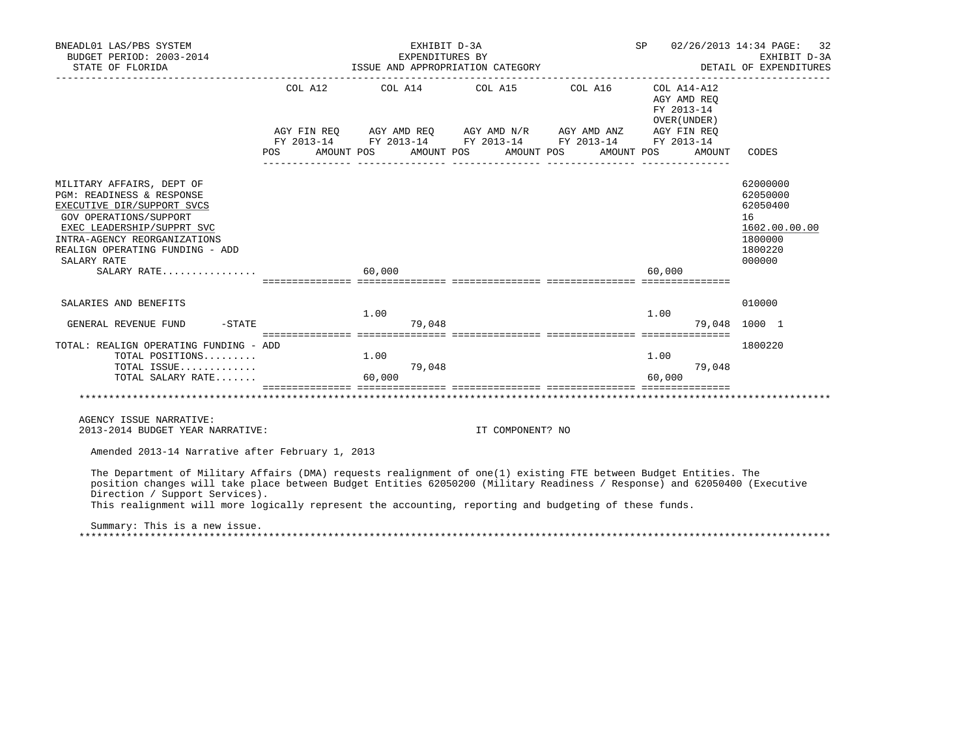| BNEADL01 LAS/PBS SYSTEM<br>BUDGET PERIOD: 2003-2014<br>STATE OF FLORIDA                                                                                                                                                                                                                                                                                                                                                     | EXHIBIT D-3A<br>EXPENDITURES BY<br>ISSUE AND APPROPRIATION CATEGORY |                  |                                                                                                                                                                                                                                           | SP 02/26/2013 14:34 PAGE:<br>32<br>EXHIBIT D-3A<br>DETAIL OF EXPENDITURES |        |                                                                                         |
|-----------------------------------------------------------------------------------------------------------------------------------------------------------------------------------------------------------------------------------------------------------------------------------------------------------------------------------------------------------------------------------------------------------------------------|---------------------------------------------------------------------|------------------|-------------------------------------------------------------------------------------------------------------------------------------------------------------------------------------------------------------------------------------------|---------------------------------------------------------------------------|--------|-----------------------------------------------------------------------------------------|
|                                                                                                                                                                                                                                                                                                                                                                                                                             |                                                                     |                  | COL A12 COL A14 COL A15 COL A16 COL A14-A12<br>AGY FIN REQ AGY AMD REQ AGY AMD N/R AGY AMD ANZ AGY FIN REQ<br>FY 2013-14 FY 2013-14 FY 2013-14 FY 2013-14 FY 2013-14<br>POS AMOUNT POS AMOUNT POS AMOUNT POS AMOUNT POS AMOUNT POS AMOUNT | AGY AMD REO<br>FY 2013-14<br>OVER (UNDER)                                 | AMOUNT | CODES                                                                                   |
| MILITARY AFFAIRS, DEPT OF<br>PGM: READINESS & RESPONSE<br>EXECUTIVE DIR/SUPPORT SVCS<br>GOV OPERATIONS/SUPPORT<br>EXEC LEADERSHIP/SUPPRT SVC<br>INTRA-AGENCY REORGANIZATIONS<br>REALIGN OPERATING FUNDING - ADD<br>SALARY RATE<br>SALARY RATE                                                                                                                                                                               | 60.000                                                              |                  |                                                                                                                                                                                                                                           | 60,000                                                                    |        | 62000000<br>62050000<br>62050400<br>16<br>1602.00.00.00<br>1800000<br>1800220<br>000000 |
| SALARIES AND BENEFITS<br>$-STATE$<br>GENERAL REVENUE FUND                                                                                                                                                                                                                                                                                                                                                                   | 1.00<br>79,048                                                      |                  |                                                                                                                                                                                                                                           | 1.00                                                                      |        | 010000<br>79,048 1000 1                                                                 |
| TOTAL: REALIGN OPERATING FUNDING - ADD<br>TOTAL POSITIONS $1.00$<br>TOTAL ISSUE<br>TOTAL SALARY RATE                                                                                                                                                                                                                                                                                                                        | 79,048<br>60,000                                                    |                  |                                                                                                                                                                                                                                           | 1.00<br>60,000                                                            | 79,048 | 1800220                                                                                 |
| AGENCY ISSUE NARRATIVE:<br>2013-2014 BUDGET YEAR NARRATIVE:                                                                                                                                                                                                                                                                                                                                                                 |                                                                     | IT COMPONENT? NO |                                                                                                                                                                                                                                           |                                                                           |        |                                                                                         |
| Amended 2013-14 Narrative after February 1, 2013                                                                                                                                                                                                                                                                                                                                                                            |                                                                     |                  |                                                                                                                                                                                                                                           |                                                                           |        |                                                                                         |
| The Department of Military Affairs (DMA) requests realignment of one(1) existing FTE between Budget Entities. The<br>position changes will take place between Budget Entities 62050200 (Military Readiness / Response) and 62050400 (Executive<br>Direction / Support Services).<br>This realignment will more logically represent the accounting, reporting and budgeting of these funds.<br>Summary: This is a new issue. |                                                                     |                  |                                                                                                                                                                                                                                           |                                                                           |        |                                                                                         |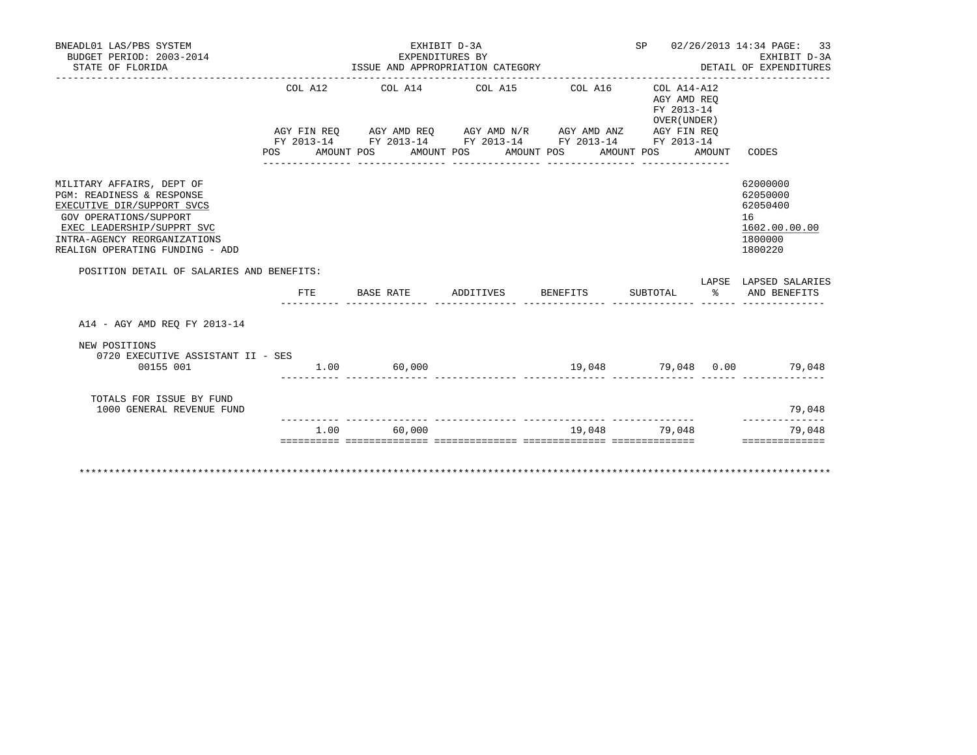| BNEADL01 LAS/PBS SYSTEM<br>BUDGET PERIOD: 2003-2014<br>STATE OF FLORIDA                                                                                                                                         | ISSUE AND APPROPRIATION CATEGORY | SP 02/26/2013 14:34 PAGE: 33<br>EXHIBIT D-3A<br>EXHIBII D-SA<br>DETAIL OF EXPENDITURES |  |                                                                         |  |                                           |                                                                               |
|-----------------------------------------------------------------------------------------------------------------------------------------------------------------------------------------------------------------|----------------------------------|----------------------------------------------------------------------------------------|--|-------------------------------------------------------------------------|--|-------------------------------------------|-------------------------------------------------------------------------------|
|                                                                                                                                                                                                                 |                                  |                                                                                        |  | COL A12 COL A14 COL A15 COL A16 COL A14-A12                             |  | AGY AMD REO<br>FY 2013-14<br>OVER (UNDER) |                                                                               |
|                                                                                                                                                                                                                 |                                  |                                                                                        |  | POS AMOUNT POS AMOUNT POS AMOUNT POS AMOUNT POS AMOUNT                  |  |                                           | CODES                                                                         |
| MILITARY AFFAIRS, DEPT OF<br>PGM: READINESS & RESPONSE<br>EXECUTIVE DIR/SUPPORT SVCS<br>GOV OPERATIONS/SUPPORT<br>EXEC LEADERSHIP/SUPPRT SVC<br>INTRA-AGENCY REORGANIZATIONS<br>REALIGN OPERATING FUNDING - ADD |                                  |                                                                                        |  |                                                                         |  |                                           | 62000000<br>62050000<br>62050400<br>16<br>1602.00.00.00<br>1800000<br>1800220 |
| POSITION DETAIL OF SALARIES AND BENEFITS:                                                                                                                                                                       |                                  |                                                                                        |  |                                                                         |  |                                           | LAPSE LAPSED SALARIES                                                         |
|                                                                                                                                                                                                                 |                                  |                                                                                        |  | FTE BASE RATE ADDITIVES BENEFITS SUBTOTAL %                             |  |                                           | AND BENEFITS                                                                  |
| A14 - AGY AMD REO FY 2013-14                                                                                                                                                                                    |                                  |                                                                                        |  |                                                                         |  |                                           |                                                                               |
| NEW POSITIONS<br>0720 EXECUTIVE ASSISTANT II - SES<br>00155 001                                                                                                                                                 | $1.00$ 60,000                    |                                                                                        |  |                                                                         |  |                                           | $19,048$ $79,048$ $0.00$ $79,048$                                             |
| TOTALS FOR ISSUE BY FUND<br>1000 GENERAL REVENUE FUND                                                                                                                                                           |                                  |                                                                                        |  |                                                                         |  |                                           | 79,048                                                                        |
|                                                                                                                                                                                                                 | 1.00                             | 60,000                                                                                 |  |                                                                         |  | 19,048 79,048                             | 79,048                                                                        |
|                                                                                                                                                                                                                 |                                  |                                                                                        |  | <u> socococo coocococococo coocococococo coocococococo coocococococ</u> |  |                                           | ==============                                                                |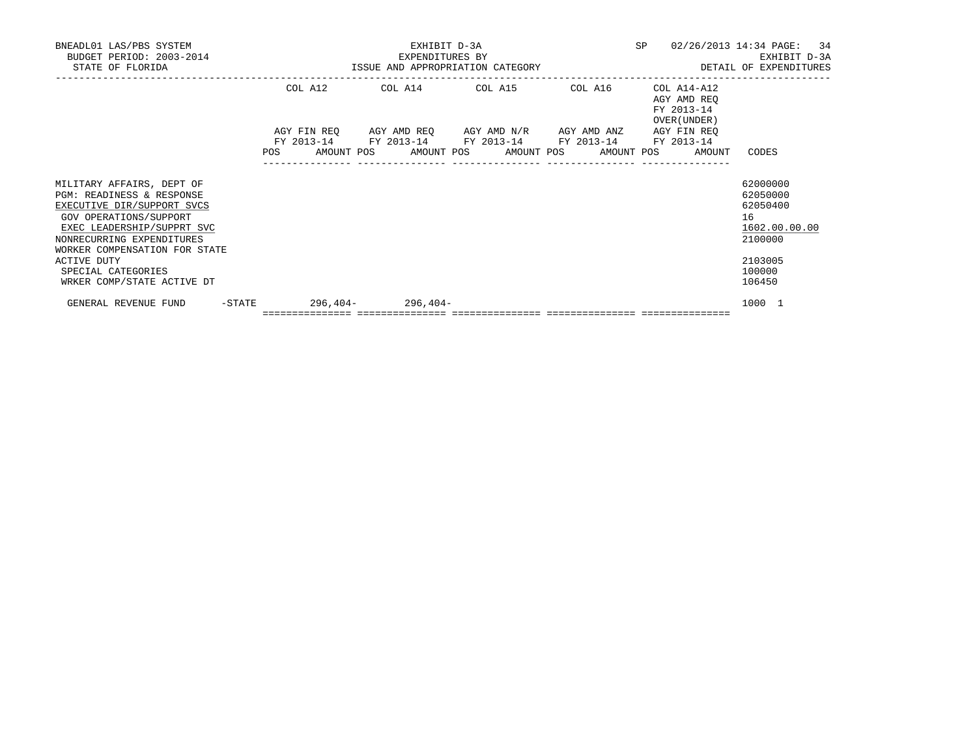| BNEADL01 LAS/PBS SYSTEM<br>BUDGET PERIOD: 2003-2014<br>STATE OF FLORIDA                                                                                                                                                                                                       |            | EXHIBIT D-3A<br>EXPENDITURES BY                                                                       | SP<br>ISSUE AND APPROPRIATION CATEGORY <b>And SET ALL SETT AND APPROPRIATION</b> CATEGORY | 02/26/2013 14:34 PAGE: 34<br>EXHIBIT D-3A                |                                                                                                   |
|-------------------------------------------------------------------------------------------------------------------------------------------------------------------------------------------------------------------------------------------------------------------------------|------------|-------------------------------------------------------------------------------------------------------|-------------------------------------------------------------------------------------------|----------------------------------------------------------|---------------------------------------------------------------------------------------------------|
|                                                                                                                                                                                                                                                                               | COL A12    | COL A14 COL A15 COL A16<br>AGY FIN REQ AGY AMD REQ AGY AMD N/R AGY AMD ANZ AGY FIN REQ                |                                                                                           | COL A14-A12<br>AGY AMD REO<br>FY 2013-14<br>OVER (UNDER) |                                                                                                   |
|                                                                                                                                                                                                                                                                               | <b>POS</b> | FY 2013-14 FY 2013-14 FY 2013-14 FY 2013-14 FY 2013-14<br>AMOUNT POS AMOUNT POS AMOUNT POS AMOUNT POS |                                                                                           | AMOUNT                                                   | CODES                                                                                             |
| MILITARY AFFAIRS, DEPT OF<br>PGM: READINESS & RESPONSE<br>EXECUTIVE DIR/SUPPORT SVCS<br>GOV OPERATIONS/SUPPORT<br>EXEC LEADERSHIP/SUPPRT SVC<br>NONRECURRING EXPENDITURES<br>WORKER COMPENSATION FOR STATE<br>ACTIVE DUTY<br>SPECIAL CATEGORIES<br>WRKER COMP/STATE ACTIVE DT |            |                                                                                                       |                                                                                           |                                                          | 62000000<br>62050000<br>62050400<br>16<br>1602.00.00.00<br>2100000<br>2103005<br>100000<br>106450 |
| $-$ STATE<br>GENERAL REVENUE FUND                                                                                                                                                                                                                                             |            | $296,404 - 296,404 -$<br>=================================                                            |                                                                                           |                                                          | 1000 1                                                                                            |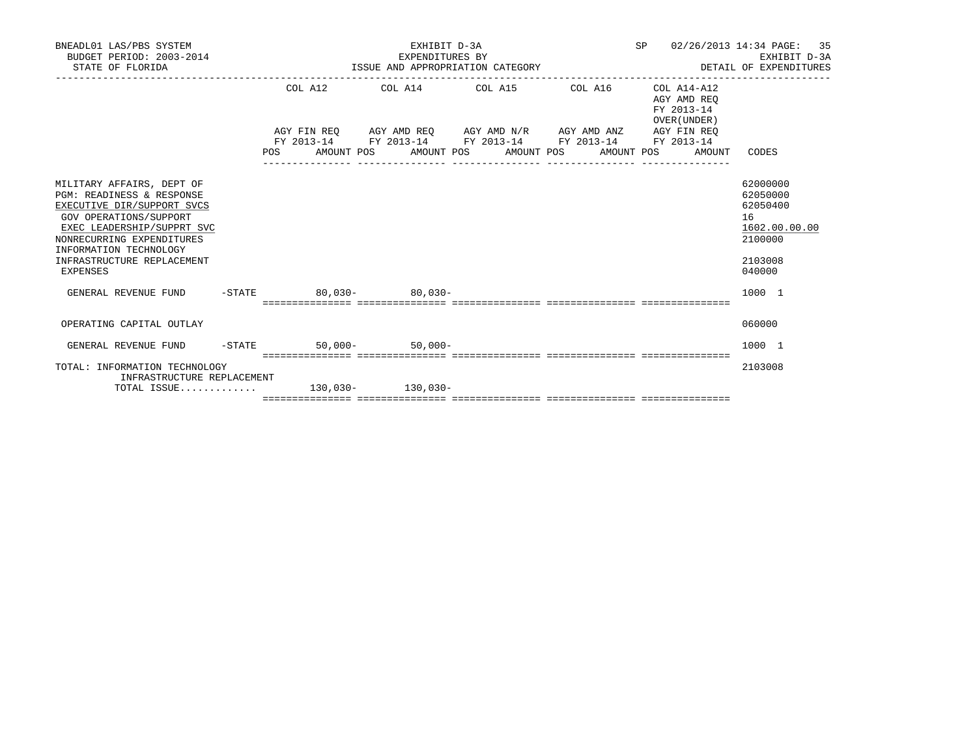| BNEADL01 LAS/PBS SYSTEM<br>BUDGET PERIOD: 2003-2014<br>STATE OF FLORIDA                                                                                                                                                                                  | EXHIBIT D-3A<br>EXPENDITURES BY<br>ISSUE AND APPROPRIATION CATEGORY |  |  |  |  |  |                                                                                                                  |                                           |  | 35<br>SP 02/26/2013 14:34 PAGE:<br>EXHIBIT D-3A<br>DETAIL OF EXPENDITURES               |
|----------------------------------------------------------------------------------------------------------------------------------------------------------------------------------------------------------------------------------------------------------|---------------------------------------------------------------------|--|--|--|--|--|------------------------------------------------------------------------------------------------------------------|-------------------------------------------|--|-----------------------------------------------------------------------------------------|
|                                                                                                                                                                                                                                                          | COL A12                                                             |  |  |  |  |  | $COL A14$ $COL A15$ $COL A16$ $COL A14-A12$                                                                      | AGY AMD REO<br>FY 2013-14<br>OVER (UNDER) |  |                                                                                         |
|                                                                                                                                                                                                                                                          |                                                                     |  |  |  |  |  | AGY FIN REQ AGY AMD REQ AGY AMD N/R AGY AMD ANZ AGY FIN REQ                                                      |                                           |  |                                                                                         |
|                                                                                                                                                                                                                                                          |                                                                     |  |  |  |  |  | FY 2013-14 FY 2013-14 FY 2013-14 FY 2013-14 FY 2013-14<br>POS AMOUNT POS AMOUNT POS AMOUNT POS AMOUNT POS AMOUNT |                                           |  | CODES                                                                                   |
| MILITARY AFFAIRS, DEPT OF<br><b>PGM: READINESS &amp; RESPONSE</b><br>EXECUTIVE DIR/SUPPORT SVCS<br>GOV OPERATIONS/SUPPORT<br>EXEC LEADERSHIP/SUPPRT SVC<br>NONRECURRING EXPENDITURES<br>INFORMATION TECHNOLOGY<br>INFRASTRUCTURE REPLACEMENT<br>EXPENSES |                                                                     |  |  |  |  |  |                                                                                                                  |                                           |  | 62000000<br>62050000<br>62050400<br>16<br>1602.00.00.00<br>2100000<br>2103008<br>040000 |
| GENERAL REVENUE FUND -STATE 80,030- 80.030-                                                                                                                                                                                                              |                                                                     |  |  |  |  |  |                                                                                                                  |                                           |  | 1000 1                                                                                  |
|                                                                                                                                                                                                                                                          |                                                                     |  |  |  |  |  |                                                                                                                  |                                           |  |                                                                                         |
| OPERATING CAPITAL OUTLAY                                                                                                                                                                                                                                 |                                                                     |  |  |  |  |  |                                                                                                                  |                                           |  | 060000                                                                                  |
| GENERAL REVENUE FUND -STATE 50,000- 50,000-                                                                                                                                                                                                              |                                                                     |  |  |  |  |  |                                                                                                                  |                                           |  | 1000 1                                                                                  |
| TOTAL: INFORMATION TECHNOLOGY<br>INFRASTRUCTURE REPLACEMENT                                                                                                                                                                                              |                                                                     |  |  |  |  |  |                                                                                                                  |                                           |  | 2103008                                                                                 |
| TOTAL ISSUE 130,030- 130,030-                                                                                                                                                                                                                            |                                                                     |  |  |  |  |  |                                                                                                                  |                                           |  |                                                                                         |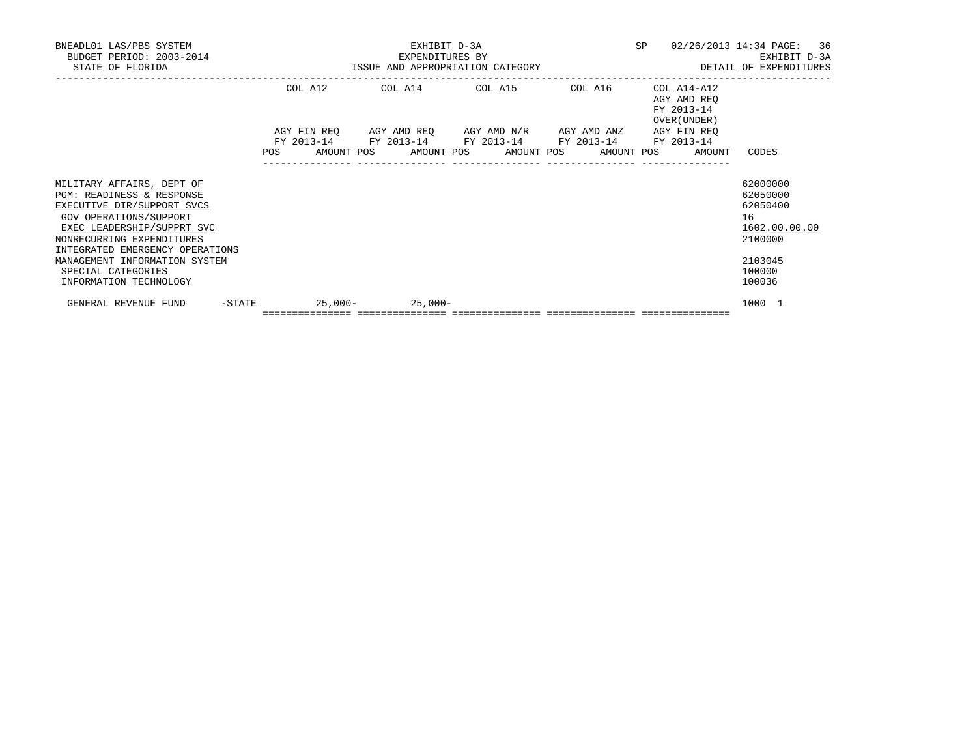| BNEADL01 LAS/PBS SYSTEM<br>BUDGET PERIOD: 2003-2014<br>STATE OF FLORIDA                                                                                                                                                                                             |         | EXHIBIT D-3A<br>EXPENDITURES BY<br>EXPENDITURES BY<br>ISSUE AND APPROPRIATION CATEGORY                    | SP | 02/26/2013 14:34 PAGE: 36<br>EXHIBIT D-3A<br>DETAIL OF EXPENDITURES |                                                                                         |
|---------------------------------------------------------------------------------------------------------------------------------------------------------------------------------------------------------------------------------------------------------------------|---------|-----------------------------------------------------------------------------------------------------------|----|---------------------------------------------------------------------|-----------------------------------------------------------------------------------------|
|                                                                                                                                                                                                                                                                     | COL A12 | COL A14 COL A15 COL A16<br>AGY FIN REQ AGY AMD REQ AGY AMD N/R AGY AMD ANZ AGY FIN REQ                    |    | COL A14-A12<br>AGY AMD REQ<br>FY 2013-14<br>OVER (UNDER)            |                                                                                         |
|                                                                                                                                                                                                                                                                     |         | FY 2013-14 FY 2013-14 FY 2013-14 FY 2013-14 FY 2013-14<br>POS AMOUNT POS AMOUNT POS AMOUNT POS AMOUNT POS |    | AMOUNT                                                              | CODES                                                                                   |
| MILITARY AFFAIRS, DEPT OF<br>PGM: READINESS & RESPONSE<br>EXECUTIVE DIR/SUPPORT SVCS<br>GOV OPERATIONS/SUPPORT<br>EXEC LEADERSHIP/SUPPRT SVC<br>NONRECURRING EXPENDITURES<br>INTEGRATED EMERGENCY OPERATIONS<br>MANAGEMENT INFORMATION SYSTEM<br>SPECIAL CATEGORIES |         |                                                                                                           |    |                                                                     | 62000000<br>62050000<br>62050400<br>16<br>1602.00.00.00<br>2100000<br>2103045<br>100000 |
| INFORMATION TECHNOLOGY<br>$-$ STATE<br>GENERAL REVENUE FUND                                                                                                                                                                                                         |         | $25.000 - 25.000 -$                                                                                       |    |                                                                     | 100036<br>1000 1                                                                        |
|                                                                                                                                                                                                                                                                     |         | =================================                                                                         |    |                                                                     |                                                                                         |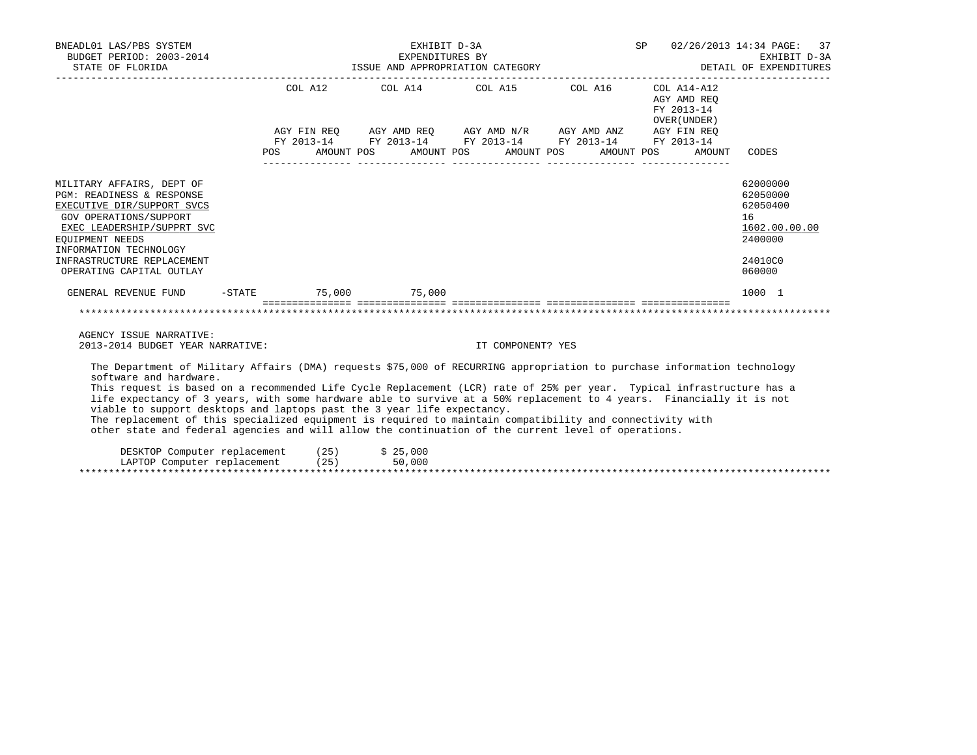| BNEADL01 LAS/PBS SYSTEM                                                                                                                                                                                                                                                                                                                                                                                                                                                                                                                                                                                                                                                                               |                                                                                    | EXHIBIT D-3A |                                                                                                                       | SP 02/26/2013 14:34 PAGE: 37                                 |                                                                                         |
|-------------------------------------------------------------------------------------------------------------------------------------------------------------------------------------------------------------------------------------------------------------------------------------------------------------------------------------------------------------------------------------------------------------------------------------------------------------------------------------------------------------------------------------------------------------------------------------------------------------------------------------------------------------------------------------------------------|------------------------------------------------------------------------------------|--------------|-----------------------------------------------------------------------------------------------------------------------|--------------------------------------------------------------|-----------------------------------------------------------------------------------------|
|                                                                                                                                                                                                                                                                                                                                                                                                                                                                                                                                                                                                                                                                                                       |                                                                                    |              | COL A12 COL A14 COL A15 COL A16 COL A14-A12                                                                           | AGY AMD REO<br>FY 2013-14<br>OVER (UNDER)                    |                                                                                         |
|                                                                                                                                                                                                                                                                                                                                                                                                                                                                                                                                                                                                                                                                                                       |                                                                                    |              | AGY FIN REQ AGY AMD REQ AGY AMD N/R AGY AMD ANZ AGY FIN REQ<br>FY 2013-14 FY 2013-14 FY 2013-14 FY 2013-14 FY 2013-14 | POS AMOUNT POS AMOUNT POS AMOUNT POS AMOUNT POS AMOUNT CODES |                                                                                         |
| MILITARY AFFAIRS, DEPT OF<br>PGM: READINESS & RESPONSE<br>EXECUTIVE DIR/SUPPORT SVCS<br>GOV OPERATIONS/SUPPORT<br>EXEC LEADERSHIP/SUPPRT SVC<br>EOUIPMENT NEEDS<br>INFORMATION TECHNOLOGY<br>INFRASTRUCTURE REPLACEMENT<br>OPERATING CAPITAL OUTLAY                                                                                                                                                                                                                                                                                                                                                                                                                                                   |                                                                                    |              |                                                                                                                       |                                                              | 62000000<br>62050000<br>62050400<br>16<br>1602.00.00.00<br>2400000<br>24010C0<br>060000 |
| GENERAL REVENUE FUND                                                                                                                                                                                                                                                                                                                                                                                                                                                                                                                                                                                                                                                                                  | -STATE 75,000 75,000                                                               |              |                                                                                                                       |                                                              | 1000 1                                                                                  |
| AGENCY ISSUE NARRATIVE:<br>2013-2014 BUDGET YEAR NARRATIVE:                                                                                                                                                                                                                                                                                                                                                                                                                                                                                                                                                                                                                                           | <u> socologoologo socologoologo alaitatiologool alaitatiologoologoologoologool</u> |              | IT COMPONENT? YES                                                                                                     |                                                              |                                                                                         |
| The Department of Military Affairs (DMA) requests \$75,000 of RECURRING appropriation to purchase information technology<br>software and hardware.<br>This request is based on a recommended Life Cycle Replacement (LCR) rate of 25% per year. Typical infrastructure has a<br>life expectancy of 3 years, with some hardware able to survive at a 50% replacement to 4 years. Financially it is not<br>viable to support desktops and laptops past the 3 year life expectancy.<br>The replacement of this specialized equipment is required to maintain compatibility and connectivity with<br>other state and federal agencies and will allow the continuation of the current level of operations. |                                                                                    |              |                                                                                                                       |                                                              |                                                                                         |

 DESKTOP Computer replacement (25) \$ 25,000 LAPTOP Computer replacement (25) 50,000 \*\*\*\*\*\*\*\*\*\*\*\*\*\*\*\*\*\*\*\*\*\*\*\*\*\*\*\*\*\*\*\*\*\*\*\*\*\*\*\*\*\*\*\*\*\*\*\*\*\*\*\*\*\*\*\*\*\*\*\*\*\*\*\*\*\*\*\*\*\*\*\*\*\*\*\*\*\*\*\*\*\*\*\*\*\*\*\*\*\*\*\*\*\*\*\*\*\*\*\*\*\*\*\*\*\*\*\*\*\*\*\*\*\*\*\*\*\*\*\*\*\*\*\*\*\*\*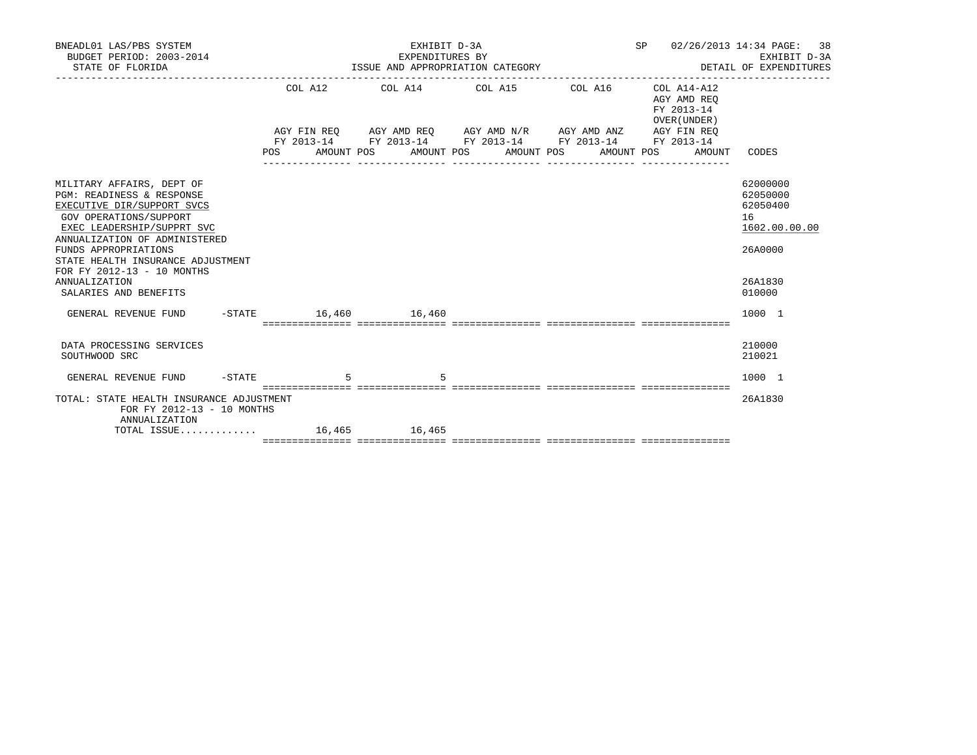| BNEADL01 LAS/PBS SYSTEM<br>BUDGET PERIOD: 2003-2014<br>STATE OF FLORIDA                                                                                                                                                                                                                                                   |                        | EXHIBIT D-3A<br>EXPENDITURES BY | EXPENDITURES BY<br>ISSUE AND APPROPRIATION CATEGORY                                                                                                                                           |            | SP <sub>2</sub>                                     | 02/26/2013 14:34 PAGE:<br>38<br>EXHIBIT D-3A<br>DETAIL OF EXPENDITURES                  |
|---------------------------------------------------------------------------------------------------------------------------------------------------------------------------------------------------------------------------------------------------------------------------------------------------------------------------|------------------------|---------------------------------|-----------------------------------------------------------------------------------------------------------------------------------------------------------------------------------------------|------------|-----------------------------------------------------|-----------------------------------------------------------------------------------------|
|                                                                                                                                                                                                                                                                                                                           | POS FOR                | AMOUNT POS                      | COL A12 COL A14 COL A15 COL A16 COL A14-A12<br>AGY FIN REO AGY AMD REO AGY AMD N/R AGY AMD ANZ AGY FIN REO<br>FY 2013-14 FY 2013-14 FY 2013-14 FY 2013-14 FY 2013-14<br>AMOUNT POS AMOUNT POS | AMOUNT POS | AGY AMD REO<br>FY 2013-14<br>OVER (UNDER)<br>AMOUNT | CODES                                                                                   |
| MILITARY AFFAIRS, DEPT OF<br>PGM: READINESS & RESPONSE<br>EXECUTIVE DIR/SUPPORT SVCS<br>GOV OPERATIONS/SUPPORT<br>EXEC LEADERSHIP/SUPPRT SVC<br>ANNUALIZATION OF ADMINISTERED<br>FUNDS APPROPRIATIONS<br>STATE HEALTH INSURANCE ADJUSTMENT<br>FOR FY 2012-13 - 10 MONTHS<br><b>ANNUALIZATION</b><br>SALARIES AND BENEFITS |                        |                                 |                                                                                                                                                                                               |            |                                                     | 62000000<br>62050000<br>62050400<br>16<br>1602.00.00.00<br>26A0000<br>26A1830<br>010000 |
| GENERAL REVENUE FUND                                                                                                                                                                                                                                                                                                      | $-STATE$ 16,460 16,460 |                                 |                                                                                                                                                                                               |            |                                                     | 1000 1                                                                                  |
| DATA PROCESSING SERVICES<br>SOUTHWOOD SRC                                                                                                                                                                                                                                                                                 |                        |                                 |                                                                                                                                                                                               |            |                                                     | 210000<br>210021                                                                        |
| GENERAL REVENUE FUND                                                                                                                                                                                                                                                                                                      | $-STATE$               |                                 |                                                                                                                                                                                               |            |                                                     | 1000 1                                                                                  |
| TOTAL: STATE HEALTH INSURANCE ADJUSTMENT<br>FOR FY 2012-13 - 10 MONTHS<br>ANNUALIZATION<br>TOTAL ISSUE 16,465 16,465                                                                                                                                                                                                      |                        |                                 |                                                                                                                                                                                               |            |                                                     | 26A1830                                                                                 |
|                                                                                                                                                                                                                                                                                                                           |                        |                                 |                                                                                                                                                                                               |            |                                                     |                                                                                         |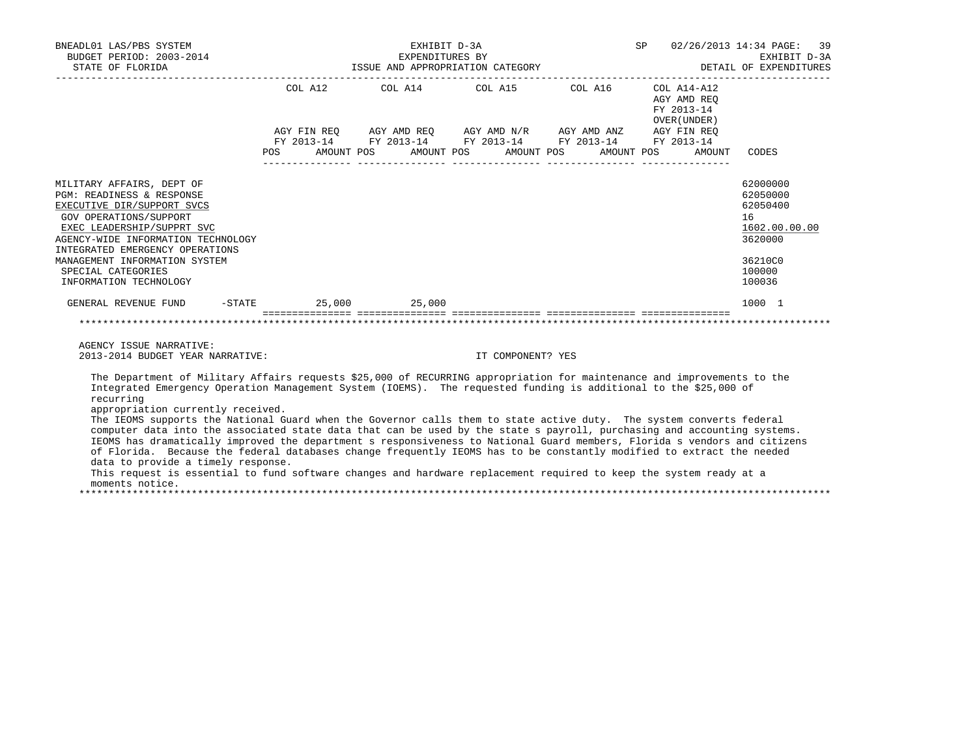| BNEADL01 LAS/PBS SYSTEM<br>BUDGET PERIOD: 2003-2014<br>STATE OF FLORIDA                                                                                                                                                                                                                                                                                                                                                                                                                                                                                                                                                                                                                                                                                                                                                                                                                                                                                                                |             |            | EXHIBIT D-3A | EXPENDITURES BY       | ISSUE AND APPROPRIATION CATEGORY                       |            |                                                   | SP 02/26/2013 14:34 PAGE: 39<br>EXHIBIT D-3A<br>DETAIL OF EXPENDITURES                                      |
|----------------------------------------------------------------------------------------------------------------------------------------------------------------------------------------------------------------------------------------------------------------------------------------------------------------------------------------------------------------------------------------------------------------------------------------------------------------------------------------------------------------------------------------------------------------------------------------------------------------------------------------------------------------------------------------------------------------------------------------------------------------------------------------------------------------------------------------------------------------------------------------------------------------------------------------------------------------------------------------|-------------|------------|--------------|-----------------------|--------------------------------------------------------|------------|---------------------------------------------------|-------------------------------------------------------------------------------------------------------------|
|                                                                                                                                                                                                                                                                                                                                                                                                                                                                                                                                                                                                                                                                                                                                                                                                                                                                                                                                                                                        | COL A12     |            | COL A14      |                       | COL A15 COL A16 COL A14-A12                            |            | AGY AMD REO<br>FY 2013-14<br>OVER (UNDER)         |                                                                                                             |
|                                                                                                                                                                                                                                                                                                                                                                                                                                                                                                                                                                                                                                                                                                                                                                                                                                                                                                                                                                                        | AGY FIN REQ |            |              |                       | FY 2013-14 FY 2013-14 FY 2013-14 FY 2013-14 FY 2013-14 |            | AGY AMD REQ AGY AMD $N/R$ AGY AMD ANZ AGY FIN REQ |                                                                                                             |
|                                                                                                                                                                                                                                                                                                                                                                                                                                                                                                                                                                                                                                                                                                                                                                                                                                                                                                                                                                                        | POS FOR     | AMOUNT POS |              | AMOUNT POS AMOUNT POS |                                                        | AMOUNT POS |                                                   | AMOUNT CODES                                                                                                |
| MILITARY AFFAIRS, DEPT OF<br>PGM: READINESS & RESPONSE<br>EXECUTIVE DIR/SUPPORT SVCS<br>GOV OPERATIONS/SUPPORT<br>EXEC LEADERSHIP/SUPPRT SVC<br>AGENCY-WIDE INFORMATION TECHNOLOGY<br>INTEGRATED EMERGENCY OPERATIONS<br>MANAGEMENT INFORMATION SYSTEM<br>SPECIAL CATEGORIES<br>INFORMATION TECHNOLOGY<br>GENERAL REVENUE FUND -STATE 25,000 25,000                                                                                                                                                                                                                                                                                                                                                                                                                                                                                                                                                                                                                                    |             |            |              |                       |                                                        |            |                                                   | 62000000<br>62050000<br>62050400<br>16<br>1602.00.00.00<br>3620000<br>36210C0<br>100000<br>100036<br>1000 1 |
|                                                                                                                                                                                                                                                                                                                                                                                                                                                                                                                                                                                                                                                                                                                                                                                                                                                                                                                                                                                        |             |            |              |                       |                                                        |            |                                                   |                                                                                                             |
| AGENCY ISSUE NARRATIVE:<br>2013-2014 BUDGET YEAR NARRATIVE:                                                                                                                                                                                                                                                                                                                                                                                                                                                                                                                                                                                                                                                                                                                                                                                                                                                                                                                            |             |            |              |                       | IT COMPONENT? YES                                      |            |                                                   |                                                                                                             |
| The Department of Military Affairs requests \$25,000 of RECURRING appropriation for maintenance and improvements to the<br>Integrated Emergency Operation Management System (IOEMS). The requested funding is additional to the \$25,000 of<br>recurring<br>appropriation currently received.<br>The IEOMS supports the National Guard when the Governor calls them to state active duty. The system converts federal<br>computer data into the associated state data that can be used by the state s payroll, purchasing and accounting systems.<br>IEOMS has dramatically improved the department s responsiveness to National Guard members, Florida s vendors and citizens<br>of Florida. Because the federal databases change frequently IEOMS has to be constantly modified to extract the needed<br>data to provide a timely response.<br>This request is essential to fund software changes and hardware replacement required to keep the system ready at a<br>moments notice. |             |            |              |                       |                                                        |            |                                                   |                                                                                                             |

\*\*\*\*\*\*\*\*\*\*\*\*\*\*\*\*\*\*\*\*\*\*\*\*\*\*\*\*\*\*\*\*\*\*\*\*\*\*\*\*\*\*\*\*\*\*\*\*\*\*\*\*\*\*\*\*\*\*\*\*\*\*\*\*\*\*\*\*\*\*\*\*\*\*\*\*\*\*\*\*\*\*\*\*\*\*\*\*\*\*\*\*\*\*\*\*\*\*\*\*\*\*\*\*\*\*\*\*\*\*\*\*\*\*\*\*\*\*\*\*\*\*\*\*\*\*\*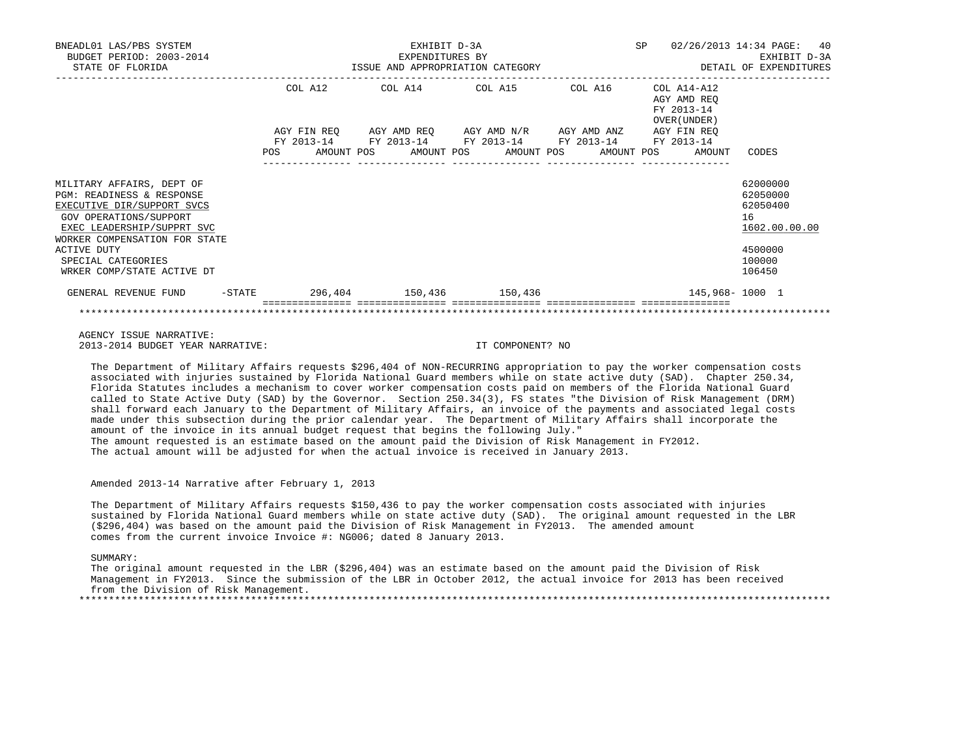| BNEADL01 LAS/PBS SYSTEM<br>BUDGET PERIOD: 2003-2014<br>STATE OF FLORIDA                                                                                                                                                   |         | EXHIBIT D-3A<br>EXPENDITURES BY |                                                                                                           |  | SP |                                                          | 02/26/2013 14:34 PAGE:<br>40<br>EXHIBIT D-3A<br>ISSUE AND APPROPRIATION CATEGORY THE SERIES OF DETAIL OF EXPENDITURES |
|---------------------------------------------------------------------------------------------------------------------------------------------------------------------------------------------------------------------------|---------|---------------------------------|-----------------------------------------------------------------------------------------------------------|--|----|----------------------------------------------------------|-----------------------------------------------------------------------------------------------------------------------|
|                                                                                                                                                                                                                           | COL A12 |                                 | COL A14 COL A15 COL A16<br>AGY FIN REQ AGY AMD REQ AGY AMD N/R AGY AMD ANZ AGY FIN REQ                    |  |    | COL A14-A12<br>AGY AMD REO<br>FY 2013-14<br>OVER (UNDER) |                                                                                                                       |
|                                                                                                                                                                                                                           |         |                                 | FY 2013-14 FY 2013-14 FY 2013-14 FY 2013-14 FY 2013-14<br>POS AMOUNT POS AMOUNT POS AMOUNT POS AMOUNT POS |  |    | AMOUNT                                                   | CODES                                                                                                                 |
| MILITARY AFFAIRS, DEPT OF<br>PGM: READINESS & RESPONSE<br>EXECUTIVE DIR/SUPPORT SVCS<br>GOV OPERATIONS/SUPPORT<br>EXEC LEADERSHIP/SUPPRT SVC<br>WORKER COMPENSATION FOR STATE<br><b>ACTIVE DUTY</b><br>SPECIAL CATEGORIES |         |                                 |                                                                                                           |  |    |                                                          | 62000000<br>62050000<br>62050400<br>16<br>1602.00.00.00<br>4500000<br>100000<br>106450                                |
| WRKER COMP/STATE ACTIVE DT<br>GENERAL REVENUE FUND                                                                                                                                                                        |         |                                 | $-$ STATE 296, 404 150, 436 150, 436                                                                      |  |    | 145,968–1000 1                                           |                                                                                                                       |
|                                                                                                                                                                                                                           |         |                                 |                                                                                                           |  |    |                                                          |                                                                                                                       |

 AGENCY ISSUE NARRATIVE: 2013-2014 BUDGET YEAR NARRATIVE: IT COMPONENT? NO

 The Department of Military Affairs requests \$296,404 of NON-RECURRING appropriation to pay the worker compensation costs associated with injuries sustained by Florida National Guard members while on state active duty (SAD). Chapter 250.34, Florida Statutes includes a mechanism to cover worker compensation costs paid on members of the Florida National Guard called to State Active Duty (SAD) by the Governor. Section 250.34(3), FS states "the Division of Risk Management (DRM) shall forward each January to the Department of Military Affairs, an invoice of the payments and associated legal costs made under this subsection during the prior calendar year. The Department of Military Affairs shall incorporate the amount of the invoice in its annual budget request that begins the following July." The amount requested is an estimate based on the amount paid the Division of Risk Management in FY2012. The actual amount will be adjusted for when the actual invoice is received in January 2013.

Amended 2013-14 Narrative after February 1, 2013

 The Department of Military Affairs requests \$150,436 to pay the worker compensation costs associated with injuries sustained by Florida National Guard members while on state active duty (SAD). The original amount requested in the LBR (\$296,404) was based on the amount paid the Division of Risk Management in FY2013. The amended amount comes from the current invoice Invoice #: NG006; dated 8 January 2013.

SUMMARY:

 The original amount requested in the LBR (\$296,404) was an estimate based on the amount paid the Division of Risk Management in FY2013. Since the submission of the LBR in October 2012, the actual invoice for 2013 has been received from the Division of Risk Management. \*\*\*\*\*\*\*\*\*\*\*\*\*\*\*\*\*\*\*\*\*\*\*\*\*\*\*\*\*\*\*\*\*\*\*\*\*\*\*\*\*\*\*\*\*\*\*\*\*\*\*\*\*\*\*\*\*\*\*\*\*\*\*\*\*\*\*\*\*\*\*\*\*\*\*\*\*\*\*\*\*\*\*\*\*\*\*\*\*\*\*\*\*\*\*\*\*\*\*\*\*\*\*\*\*\*\*\*\*\*\*\*\*\*\*\*\*\*\*\*\*\*\*\*\*\*\*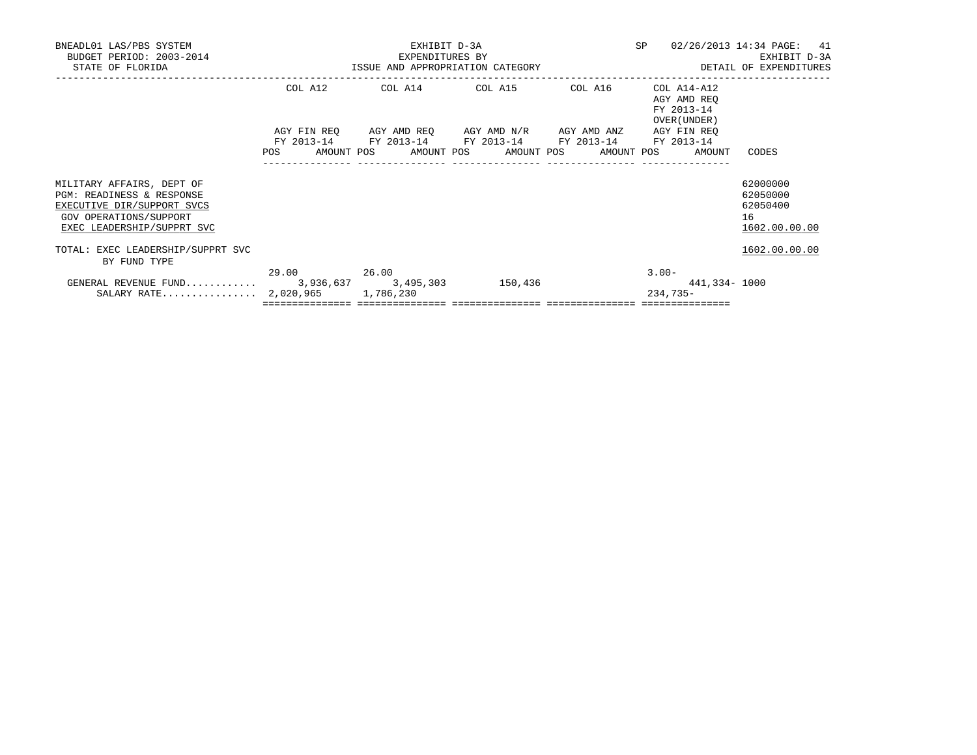| BNEADL01 LAS/PBS SYSTEM<br>BUDGET PERIOD: 2003-2014<br>STATE OF FLORIDA                                                                      |             | EXHIBIT D-3A<br>EXPENDITURES BY<br>ISSUE AND APPROPRIATION CATEGORY                                                                                       | SP | 02/26/2013 14:34 PAGE: 41<br>EXHIBIT D-3A<br>DETAIL OF EXPENDITURES |                                                         |
|----------------------------------------------------------------------------------------------------------------------------------------------|-------------|-----------------------------------------------------------------------------------------------------------------------------------------------------------|----|---------------------------------------------------------------------|---------------------------------------------------------|
|                                                                                                                                              | COL A12     | COL A14 COL A15 COL A16                                                                                                                                   |    | COL A14-A12<br>AGY AMD REO<br>FY 2013-14<br>OVER (UNDER)            |                                                         |
|                                                                                                                                              | POS         | AGY FIN REO AGY AMD REO AGY AMD N/R AGY AMD ANZ AGY FIN REO<br>FY 2013-14 FY 2013-14 FY 2013-14 FY 2013-14 FY 2013-14<br>AMOUNT POS AMOUNT POS AMOUNT POS |    | AMOUNT POS<br>AMOUNT                                                | CODES                                                   |
| MILITARY AFFAIRS, DEPT OF<br>PGM: READINESS & RESPONSE<br>EXECUTIVE DIR/SUPPORT SVCS<br>GOV OPERATIONS/SUPPORT<br>EXEC LEADERSHIP/SUPPRT SVC |             |                                                                                                                                                           |    |                                                                     | 62000000<br>62050000<br>62050400<br>16<br>1602.00.00.00 |
| TOTAL: EXEC LEADERSHIP/SUPPRT SVC<br>BY FUND TYPE                                                                                            |             |                                                                                                                                                           |    |                                                                     | 1602.00.00.00                                           |
| GENERAL REVENUE FUND 3,936,637 3,495,303 150,436<br>SALARY RATE 2,020,965 1,786,230                                                          | 29.00 26.00 |                                                                                                                                                           |    | $3.00 -$<br>441,334- 1000<br>$234,735-$                             |                                                         |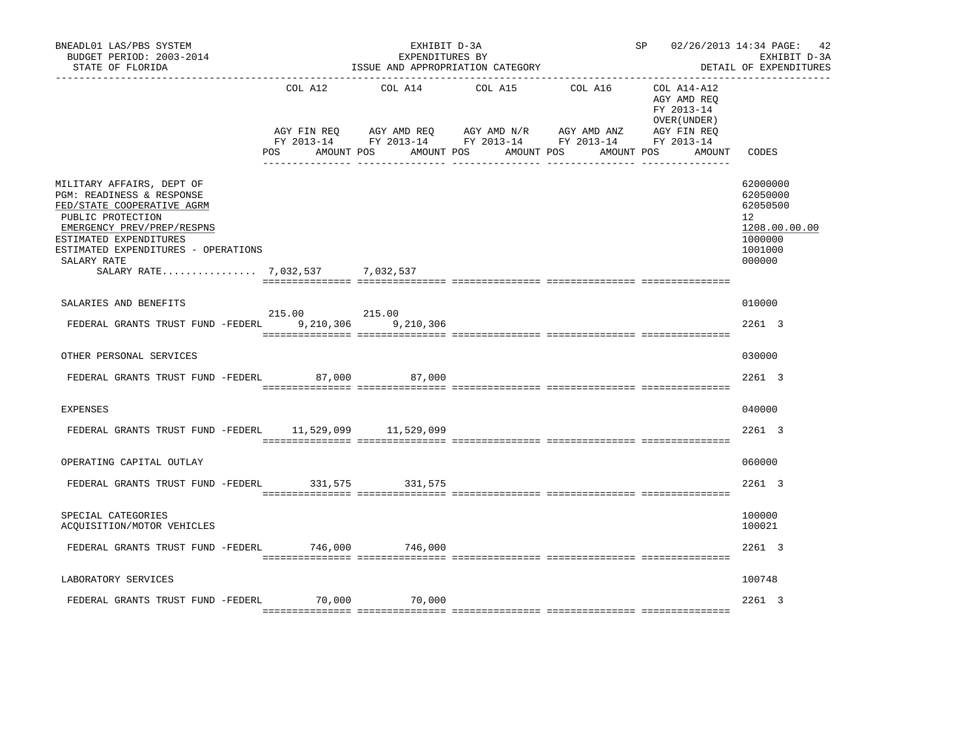| BNEADL01 LAS/PBS SYSTEM<br>BUDGET PERIOD: 2003-2014<br>STATE OF FLORIDA                                                                                                                                                                                    |                                   | EXHIBIT D-3A<br>EXPENDITURES BY<br>ISSUE AND APPROPRIATION CATEGORY |                                                                                               | SP 02/26/2013 14:34 PAGE: 42         | EXHIBIT D-3A<br>DETAIL OF EXPENDITURES                                  |                                                                                         |
|------------------------------------------------------------------------------------------------------------------------------------------------------------------------------------------------------------------------------------------------------------|-----------------------------------|---------------------------------------------------------------------|-----------------------------------------------------------------------------------------------|--------------------------------------|-------------------------------------------------------------------------|-----------------------------------------------------------------------------------------|
|                                                                                                                                                                                                                                                            | COL A12<br>AGY FIN REO<br>POS FOR | COL A14<br>AGY AMD REQ AGY AMD N/R<br>AMOUNT POS                    | COL A15<br>FY 2013-14 FY 2013-14 FY 2013-14 FY 2013-14 FY 2013-14<br>AMOUNT POS<br>AMOUNT POS | COL A16<br>AGY AMD ANZ<br>AMOUNT POS | COL A14-A12<br>AGY AMD REO<br>FY 2013-14<br>OVER (UNDER)<br>AGY FIN REO | AMOUNT CODES                                                                            |
| MILITARY AFFAIRS, DEPT OF<br>PGM: READINESS & RESPONSE<br>FED/STATE COOPERATIVE AGRM<br>PUBLIC PROTECTION<br>EMERGENCY PREV/PREP/RESPNS<br>ESTIMATED EXPENDITURES<br>ESTIMATED EXPENDITURES - OPERATIONS<br>SALARY RATE<br>SALARY RATE 7,032,537 7,032,537 |                                   |                                                                     |                                                                                               |                                      |                                                                         | 62000000<br>62050000<br>62050500<br>12<br>1208.00.00.00<br>1000000<br>1001000<br>000000 |
| SALARIES AND BENEFITS                                                                                                                                                                                                                                      |                                   |                                                                     |                                                                                               |                                      |                                                                         | 010000                                                                                  |
| FEDERAL GRANTS TRUST FUND -FEDERL 9,210,306 9,210,306                                                                                                                                                                                                      | 215.00 215.00                     |                                                                     |                                                                                               |                                      |                                                                         | 2261 3                                                                                  |
| OTHER PERSONAL SERVICES                                                                                                                                                                                                                                    |                                   |                                                                     |                                                                                               |                                      |                                                                         | 030000                                                                                  |
| FEDERAL GRANTS TRUST FUND -FEDERL 87,000                                                                                                                                                                                                                   |                                   | 87,000                                                              |                                                                                               |                                      |                                                                         | 2261 3                                                                                  |
| <b>EXPENSES</b>                                                                                                                                                                                                                                            |                                   |                                                                     |                                                                                               |                                      |                                                                         | 040000                                                                                  |
| FEDERAL GRANTS TRUST FUND -FEDERL 11,529,099 11,529,099                                                                                                                                                                                                    |                                   |                                                                     |                                                                                               |                                      |                                                                         | 2261 3                                                                                  |
| OPERATING CAPITAL OUTLAY                                                                                                                                                                                                                                   |                                   |                                                                     |                                                                                               |                                      |                                                                         | 060000                                                                                  |
| FEDERAL GRANTS TRUST FUND -FEDERL 331,575                                                                                                                                                                                                                  |                                   | 331,575                                                             |                                                                                               |                                      |                                                                         | 2261 3                                                                                  |
| SPECIAL CATEGORIES<br>ACOUISITION/MOTOR VEHICLES                                                                                                                                                                                                           |                                   |                                                                     |                                                                                               |                                      |                                                                         | 100000<br>100021                                                                        |
| FEDERAL GRANTS TRUST FUND -FEDERL 746,000 746,000                                                                                                                                                                                                          |                                   |                                                                     |                                                                                               |                                      |                                                                         | 2261 3                                                                                  |
| LABORATORY SERVICES                                                                                                                                                                                                                                        |                                   |                                                                     |                                                                                               |                                      |                                                                         | 100748                                                                                  |
| FEDERAL GRANTS TRUST FUND -FEDERL 70,000 70,000                                                                                                                                                                                                            |                                   |                                                                     |                                                                                               |                                      |                                                                         | 2261 3                                                                                  |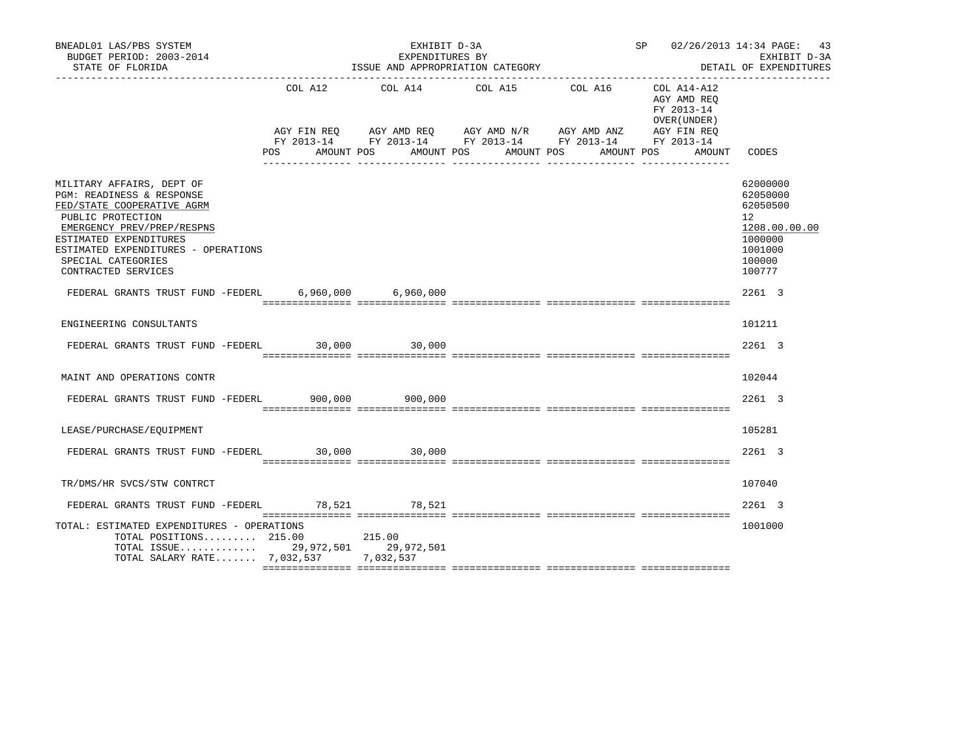| BNEADL01 LAS/PBS SYSTEM<br>BUDGET PERIOD: 2003-2014<br>STATE OF FLORIDA                                                                                                                                                                               |         | EXHIBIT D-3A<br>EXPENDITURES BY<br>ISSUE AND APPROPRIATION CATEGORY | SP 02/26/2013 14:34 PAGE: 43                                                                                                                                                             | EXHIBIT D-3A<br>DETAIL OF EXPENDITURES                                        |                                                                                                   |
|-------------------------------------------------------------------------------------------------------------------------------------------------------------------------------------------------------------------------------------------------------|---------|---------------------------------------------------------------------|------------------------------------------------------------------------------------------------------------------------------------------------------------------------------------------|-------------------------------------------------------------------------------|---------------------------------------------------------------------------------------------------|
|                                                                                                                                                                                                                                                       | COL A12 |                                                                     | COL A14 COL A15 COL A16<br>AGY FIN REQ AGY AMD REQ AGY AMD N/R AGY AMD ANZ AGY FIN REQ<br>FY 2013-14 FY 2013-14 FY 2013-14 FY 2013-14 FY 2013-14<br>POS AMOUNT POS AMOUNT POS AMOUNT POS | COL A14-A12<br>AGY AMD REQ<br>FY 2013-14<br>OVER (UNDER)<br>AMOUNT POS AMOUNT | CODES                                                                                             |
| MILITARY AFFAIRS, DEPT OF<br>PGM: READINESS & RESPONSE<br>FED/STATE COOPERATIVE AGRM<br>PUBLIC PROTECTION<br>EMERGENCY PREV/PREP/RESPNS<br>ESTIMATED EXPENDITURES<br>ESTIMATED EXPENDITURES - OPERATIONS<br>SPECIAL CATEGORIES<br>CONTRACTED SERVICES |         |                                                                     |                                                                                                                                                                                          |                                                                               | 62000000<br>62050000<br>62050500<br>12<br>1208.00.00.00<br>1000000<br>1001000<br>100000<br>100777 |
| FEDERAL GRANTS TRUST FUND -FEDERL 6,960,000 6,960,000                                                                                                                                                                                                 |         |                                                                     |                                                                                                                                                                                          |                                                                               | 2261 3                                                                                            |
| ENGINEERING CONSULTANTS<br>FEDERAL GRANTS TRUST FUND -FEDERL 30,000 30,000                                                                                                                                                                            |         |                                                                     |                                                                                                                                                                                          |                                                                               | 101211<br>2261 3                                                                                  |
| MAINT AND OPERATIONS CONTR                                                                                                                                                                                                                            |         |                                                                     |                                                                                                                                                                                          |                                                                               | 102044                                                                                            |
| FEDERAL GRANTS TRUST FUND -FEDERL 900,000 900,000                                                                                                                                                                                                     |         |                                                                     |                                                                                                                                                                                          |                                                                               | 2261 3                                                                                            |
| LEASE/PURCHASE/EOUIPMENT                                                                                                                                                                                                                              |         |                                                                     |                                                                                                                                                                                          |                                                                               | 105281                                                                                            |
| FEDERAL GRANTS TRUST FUND -FEDERL 30,000 30,000                                                                                                                                                                                                       |         |                                                                     |                                                                                                                                                                                          |                                                                               | 2261 3                                                                                            |
| TR/DMS/HR SVCS/STW CONTRCT                                                                                                                                                                                                                            |         |                                                                     |                                                                                                                                                                                          |                                                                               | 107040                                                                                            |
| FEDERAL GRANTS TRUST FUND -FEDERL 78,521 78,521                                                                                                                                                                                                       |         |                                                                     |                                                                                                                                                                                          |                                                                               | 2261 3                                                                                            |
| TOTAL: ESTIMATED EXPENDITURES - OPERATIONS<br>TOTAL POSITIONS 215.00 215.00<br>TOTAL ISSUE 29,972,501 29,972,501<br>TOTAL SALARY RATE 7,032,537 7,032,537                                                                                             |         |                                                                     |                                                                                                                                                                                          |                                                                               | 1001000                                                                                           |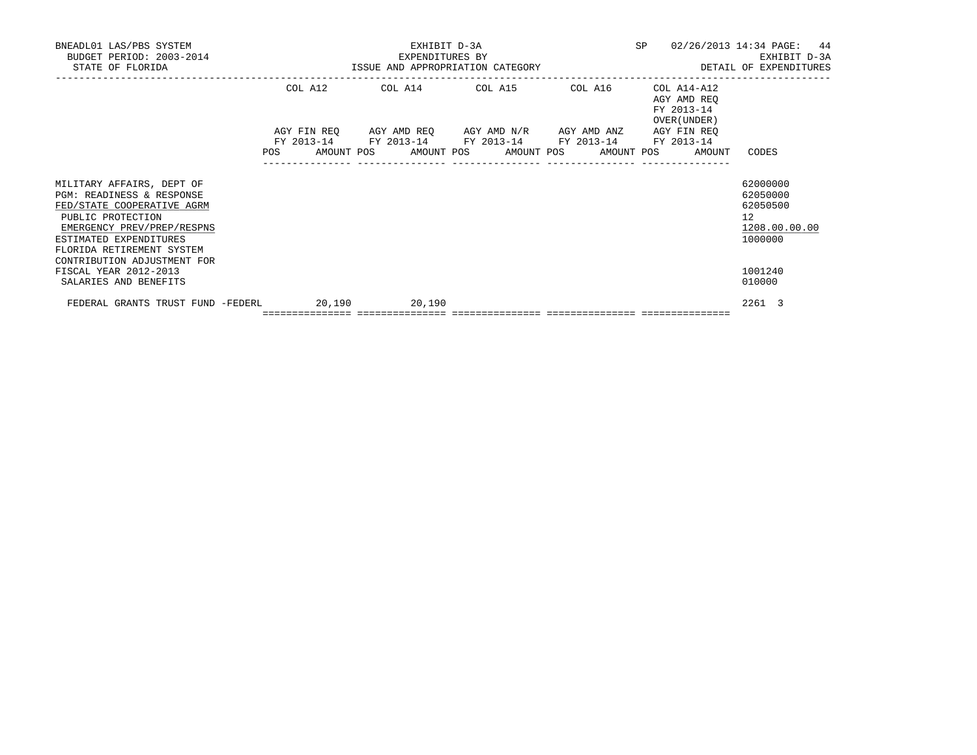| BNEADL01 LAS/PBS SYSTEM<br>BUDGET PERIOD: 2003-2014<br>STATE OF FLORIDA                                                                                                                        |  |         | EXHIBIT D-3A<br>EXPENDITURES BY            | EXPENDITURES BY<br>ISSUE AND APPROPRIATION CATEGORY                                                       |  | SP |                                                          | 02/26/2013 14:34 PAGE: 44<br>EXHIBIT D-3A<br>DETAIL OF EXPENDITURES             |
|------------------------------------------------------------------------------------------------------------------------------------------------------------------------------------------------|--|---------|--------------------------------------------|-----------------------------------------------------------------------------------------------------------|--|----|----------------------------------------------------------|---------------------------------------------------------------------------------|
|                                                                                                                                                                                                |  | COL A12 |                                            | COL A14 COL A15 COL A16<br>AGY FIN REO AGY AMD REO AGY AMD N/R AGY AMD ANZ AGY FIN REO                    |  |    | COL A14-A12<br>AGY AMD REQ<br>FY 2013-14<br>OVER (UNDER) |                                                                                 |
|                                                                                                                                                                                                |  |         |                                            | FY 2013-14 FY 2013-14 FY 2013-14 FY 2013-14 FY 2013-14<br>POS AMOUNT POS AMOUNT POS AMOUNT POS AMOUNT POS |  |    | AMOUNT                                                   | CODES                                                                           |
| MILITARY AFFAIRS, DEPT OF<br>PGM: READINESS & RESPONSE<br>FED/STATE COOPERATIVE AGRM<br>PUBLIC PROTECTION<br>EMERGENCY PREV/PREP/RESPNS<br>ESTIMATED EXPENDITURES<br>FLORIDA RETIREMENT SYSTEM |  |         |                                            |                                                                                                           |  |    |                                                          | 62000000<br>62050000<br>62050500<br>12 <sup>°</sup><br>1208.00.00.00<br>1000000 |
| CONTRIBUTION ADJUSTMENT FOR<br>FISCAL YEAR 2012-2013<br>SALARIES AND BENEFITS                                                                                                                  |  |         |                                            |                                                                                                           |  |    |                                                          | 1001240<br>010000                                                               |
| FEDERAL GRANTS TRUST FUND -FEDERL                                                                                                                                                              |  | 20,190  | 20,190<br>================================ |                                                                                                           |  |    |                                                          | 2261 3                                                                          |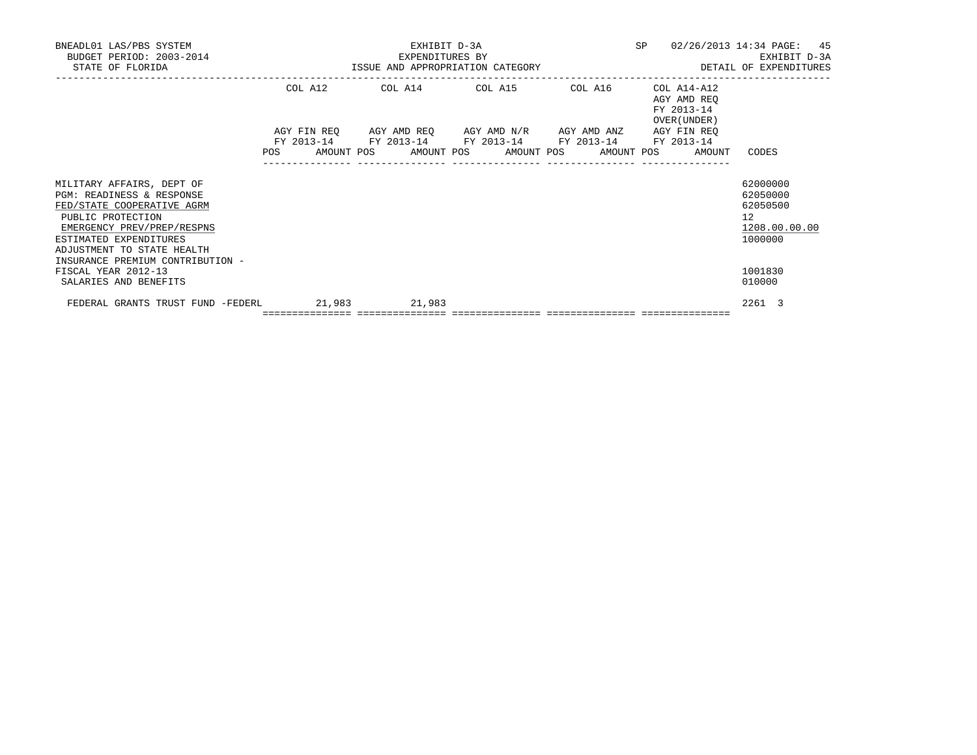| BNEADL01 LAS/PBS SYSTEM<br>BUDGET PERIOD: 2003-2014<br>STATE OF FLORIDA                                                                                                                         |         | EXHIBIT D-3A<br>EXPENDITURES BY            | EXPENDITURES BY<br>ISSUE AND APPROPRIATION CATEGORY                                                       | SP                                                       | 02/26/2013 14:34 PAGE: 45<br>EXHIBIT D-3A<br>DETAIL OF EXPENDITURES             |
|-------------------------------------------------------------------------------------------------------------------------------------------------------------------------------------------------|---------|--------------------------------------------|-----------------------------------------------------------------------------------------------------------|----------------------------------------------------------|---------------------------------------------------------------------------------|
|                                                                                                                                                                                                 | COL A12 |                                            | COL A14 COL A15 COL A16<br>AGY FIN REQ AGY AMD REQ AGY AMD N/R AGY AMD ANZ AGY FIN REQ                    | COL A14-A12<br>AGY AMD REQ<br>FY 2013-14<br>OVER (UNDER) |                                                                                 |
|                                                                                                                                                                                                 |         |                                            | FY 2013-14 FY 2013-14 FY 2013-14 FY 2013-14 FY 2013-14<br>POS AMOUNT POS AMOUNT POS AMOUNT POS AMOUNT POS | AMOUNT                                                   | CODES                                                                           |
| MILITARY AFFAIRS, DEPT OF<br>PGM: READINESS & RESPONSE<br>FED/STATE COOPERATIVE AGRM<br>PUBLIC PROTECTION<br>EMERGENCY PREV/PREP/RESPNS<br>ESTIMATED EXPENDITURES<br>ADJUSTMENT TO STATE HEALTH |         |                                            |                                                                                                           |                                                          | 62000000<br>62050000<br>62050500<br>12 <sup>°</sup><br>1208.00.00.00<br>1000000 |
| INSURANCE PREMIUM CONTRIBUTION -<br>FISCAL YEAR 2012-13<br>SALARIES AND BENEFITS                                                                                                                |         |                                            |                                                                                                           |                                                          | 1001830<br>010000                                                               |
| FEDERAL GRANTS TRUST FUND -FEDERL                                                                                                                                                               | 21,983  | 21,983<br>================================ |                                                                                                           |                                                          | 2261 3                                                                          |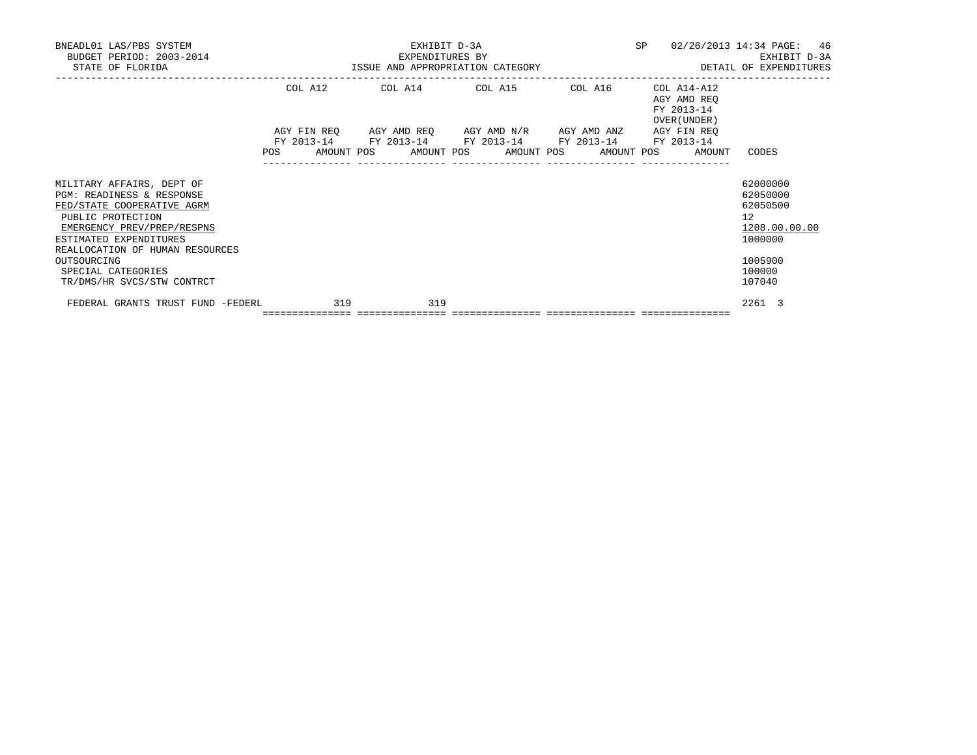| BNEADL01 LAS/PBS SYSTEM<br>BUDGET PERIOD: 2003-2014<br>STATE OF FLORIDA                                                                                                                                                                                                 |         |                                   | EXHIBIT D-3A<br>EXPENDITURES BY  | ISSUE AND APPROPRIATION CATEGORY                                                       | SP                                                       | 02/26/2013 14:34 PAGE: 46<br>EXHIBIT D-3A<br>DETAIL OF EXPENDITURES                                            |
|-------------------------------------------------------------------------------------------------------------------------------------------------------------------------------------------------------------------------------------------------------------------------|---------|-----------------------------------|----------------------------------|----------------------------------------------------------------------------------------|----------------------------------------------------------|----------------------------------------------------------------------------------------------------------------|
|                                                                                                                                                                                                                                                                         | COL A12 |                                   |                                  | COL A14 COL A15 COL A16<br>AGY FIN REQ AGY AMD REQ AGY AMD N/R AGY AMD ANZ AGY FIN REQ | COL A14-A12<br>AGY AMD REQ<br>FY 2013-14<br>OVER (UNDER) |                                                                                                                |
|                                                                                                                                                                                                                                                                         | POS FOR |                                   | AMOUNT POS AMOUNT POS AMOUNT POS | FY 2013-14 FY 2013-14 FY 2013-14 FY 2013-14 FY 2013-14                                 | AMOUNT POS<br>AMOUNT                                     | CODES                                                                                                          |
| MILITARY AFFAIRS, DEPT OF<br>PGM: READINESS & RESPONSE<br>FED/STATE COOPERATIVE AGRM<br>PUBLIC PROTECTION<br>EMERGENCY PREV/PREP/RESPNS<br>ESTIMATED EXPENDITURES<br>REALLOCATION OF HUMAN RESOURCES<br>OUTSOURCING<br>SPECIAL CATEGORIES<br>TR/DMS/HR SVCS/STW CONTRCT |         |                                   |                                  |                                                                                        |                                                          | 62000000<br>62050000<br>62050500<br>12 <sup>°</sup><br>1208.00.00.00<br>1000000<br>1005900<br>100000<br>107040 |
| FEDERAL GRANTS TRUST FUND -FEDERL                                                                                                                                                                                                                                       | 319     | ================================= | 319                              |                                                                                        |                                                          | 2261 3                                                                                                         |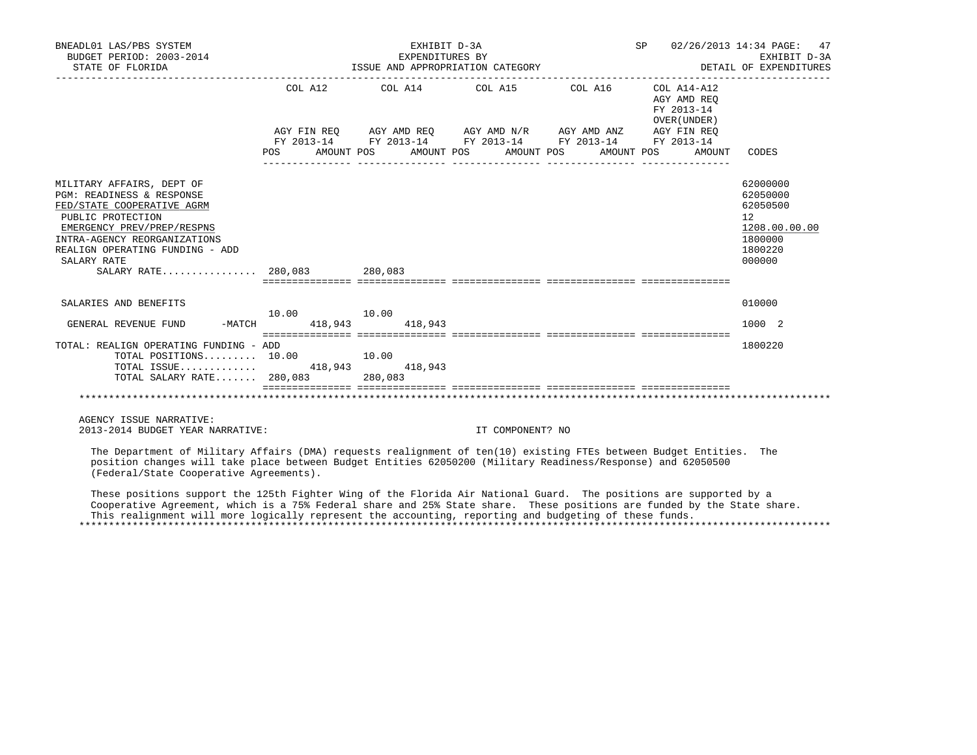| BNEADL01 LAS/PBS SYSTEM<br>BUDGET PERIOD: 2003-2014<br>STATE OF FLORIDA                                                                                                                                                                                                        |                           | EXHIBIT D-3A<br>EXPENDITURES BY<br>ISSUE AND APPROPRIATION CATEGORY                                                                                                                                                                                                                                                                                    |                       |            | SP 02/26/2013 14:34 PAGE: 47<br>DETAIL OF EXPENDITURES | EXHIBIT D-3A                                                                            |
|--------------------------------------------------------------------------------------------------------------------------------------------------------------------------------------------------------------------------------------------------------------------------------|---------------------------|--------------------------------------------------------------------------------------------------------------------------------------------------------------------------------------------------------------------------------------------------------------------------------------------------------------------------------------------------------|-----------------------|------------|--------------------------------------------------------|-----------------------------------------------------------------------------------------|
|                                                                                                                                                                                                                                                                                | COL A12<br>POS AMOUNT POS | COL A14 $\phantom{000}$ COL A15 $\phantom{000}$ COL A16 $\phantom{000}$ COL A14-A12<br>$AGY\text{ }\text{FIN }REQ \qquad \text{AGY }AMP \text{ }\text{REG} \qquad \text{AGY }AMP \text{ }\text{N/R} \qquad \text{AGY }AMP \text{ }\text{AND } AND \qquad \text{AGY } FIN \text{ }\text{REQ}$<br>FY 2013-14 FY 2013-14 FY 2013-14 FY 2013-14 FY 2013-14 | AMOUNT POS AMOUNT POS | AMOUNT POS | AGY AMD REO<br>FY 2013-14<br>OVER (UNDER)              | AMOUNT CODES                                                                            |
| MILITARY AFFAIRS, DEPT OF<br><b>PGM: READINESS &amp; RESPONSE</b><br>FED/STATE COOPERATIVE AGRM<br>PUBLIC PROTECTION<br>EMERGENCY PREV/PREP/RESPNS<br>INTRA-AGENCY REORGANIZATIONS<br>REALIGN OPERATING FUNDING - ADD<br>SALARY RATE                                           |                           |                                                                                                                                                                                                                                                                                                                                                        |                       |            |                                                        | 62000000<br>62050000<br>62050500<br>12<br>1208.00.00.00<br>1800000<br>1800220<br>000000 |
| SALARIES AND BENEFITS                                                                                                                                                                                                                                                          | 10.00    10.00            |                                                                                                                                                                                                                                                                                                                                                        |                       |            |                                                        | 010000                                                                                  |
| GENERAL REVENUE FUND                                                                                                                                                                                                                                                           | -MATCH 418,943 418,943    |                                                                                                                                                                                                                                                                                                                                                        |                       |            |                                                        | 1000 2                                                                                  |
| TOTAL: REALIGN OPERATING FUNDING - ADD<br>TOTAL POSITIONS $10.00$ 10.00<br>TOTAL ISSUE 418,943 418,943<br>TOTAL SALARY RATE 280,083 280,083                                                                                                                                    |                           |                                                                                                                                                                                                                                                                                                                                                        |                       |            |                                                        | 1800220                                                                                 |
|                                                                                                                                                                                                                                                                                |                           | --------------- ----------------                                                                                                                                                                                                                                                                                                                       |                       |            |                                                        |                                                                                         |
|                                                                                                                                                                                                                                                                                |                           |                                                                                                                                                                                                                                                                                                                                                        |                       |            |                                                        |                                                                                         |
| AGENCY ISSUE NARRATIVE:<br>2013-2014 BUDGET YEAR NARRATIVE:                                                                                                                                                                                                                    |                           |                                                                                                                                                                                                                                                                                                                                                        | IT COMPONENT? NO      |            |                                                        |                                                                                         |
| The Department of Military Affairs (DMA) requests realignment of ten(10) existing FTEs between Budget Entities. The<br>position changes will take place between Budget Entities 62050200 (Military Readiness/Response) and 62050500<br>(Federal/State Cooperative Agreements). |                           |                                                                                                                                                                                                                                                                                                                                                        |                       |            |                                                        |                                                                                         |

 These positions support the 125th Fighter Wing of the Florida Air National Guard. The positions are supported by a Cooperative Agreement, which is a 75% Federal share and 25% State share. These positions are funded by the State share. This realignment will more logically represent the accounting, reporting and budgeting of these funds. \*\*\*\*\*\*\*\*\*\*\*\*\*\*\*\*\*\*\*\*\*\*\*\*\*\*\*\*\*\*\*\*\*\*\*\*\*\*\*\*\*\*\*\*\*\*\*\*\*\*\*\*\*\*\*\*\*\*\*\*\*\*\*\*\*\*\*\*\*\*\*\*\*\*\*\*\*\*\*\*\*\*\*\*\*\*\*\*\*\*\*\*\*\*\*\*\*\*\*\*\*\*\*\*\*\*\*\*\*\*\*\*\*\*\*\*\*\*\*\*\*\*\*\*\*\*\*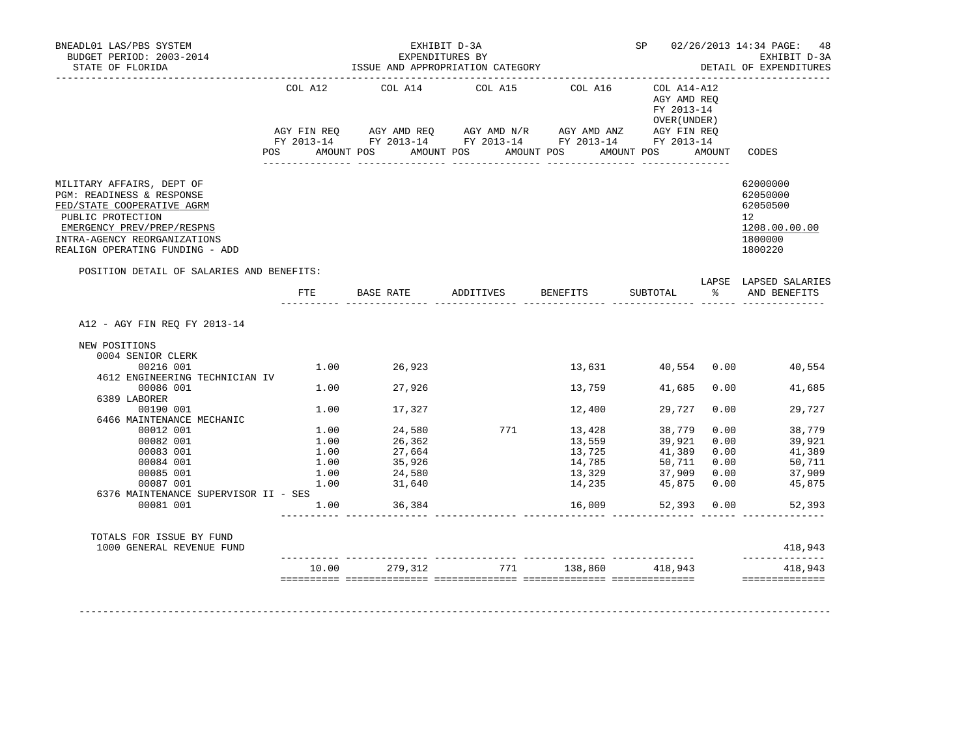| BNEADL01 LAS/PBS SYSTEM<br>BUDGET PERIOD: 2003-2014<br>STATE OF FLORIDA                                                                                                                                                                                                                                                     |                              | ___________________________________                                                              | EXHIBIT D-3A<br>EXPENDITURES BY<br>ISSUE AND APPROPRIATION CATEGORY                                                                                                                                                                        |                                                                                          |                                                               |                                                            | SP 02/26/2013 14:34 PAGE: 48<br>EXHIBIT D-3A<br>DETAIL OF EXPENDITURES                                                    |
|-----------------------------------------------------------------------------------------------------------------------------------------------------------------------------------------------------------------------------------------------------------------------------------------------------------------------------|------------------------------|--------------------------------------------------------------------------------------------------|--------------------------------------------------------------------------------------------------------------------------------------------------------------------------------------------------------------------------------------------|------------------------------------------------------------------------------------------|---------------------------------------------------------------|------------------------------------------------------------|---------------------------------------------------------------------------------------------------------------------------|
|                                                                                                                                                                                                                                                                                                                             | COL A12                      | COL A14                                                                                          | COL A15                                                                                                                                                                                                                                    | COL A16                                                                                  | COL A14-A12<br>AGY AMD REO<br>FY 2013-14<br>OVER (UNDER )     |                                                            |                                                                                                                           |
|                                                                                                                                                                                                                                                                                                                             |                              |                                                                                                  | AGY FIN REQ       AGY AMD REQ       AGY AMD N/R       AGY AMD ANZ        AGY FIN REQ<br>FY 2013-14        FY 2013-14        FY 2013-14        FY 2013-14        FY 2013-14<br>POS AMOUNT POS AMOUNT POS AMOUNT POS AMOUNT POS AMOUNT CODES |                                                                                          |                                                               |                                                            |                                                                                                                           |
| MILITARY AFFAIRS, DEPT OF<br>PGM: READINESS & RESPONSE<br>FED/STATE COOPERATIVE AGRM<br>PUBLIC PROTECTION<br>EMERGENCY PREV/PREP/RESPNS<br>INTRA-AGENCY REORGANIZATIONS<br>REALIGN OPERATING FUNDING - ADD                                                                                                                  |                              |                                                                                                  |                                                                                                                                                                                                                                            |                                                                                          |                                                               |                                                            | 62000000<br>62050000<br>62050500<br>12<br>1208.00.00.00<br>1800000<br>1800220                                             |
| POSITION DETAIL OF SALARIES AND BENEFITS:                                                                                                                                                                                                                                                                                   | $_{\rm FTE}$                 |                                                                                                  | BASE RATE 6 ADDITIVES BENEFITS SUBTOTAL 8 AND BENEFITS                                                                                                                                                                                     |                                                                                          |                                                               |                                                            | LAPSE LAPSED SALARIES                                                                                                     |
| A12 - AGY FIN REO FY 2013-14<br>NEW POSITIONS<br>0004 SENIOR CLERK<br>00216 001<br>4612 ENGINEERING TECHNICIAN IV<br>00086 001<br>6389 LABORER<br>00190 001<br>6466 MAINTENANCE MECHANIC<br>00012 001<br>00082 001<br>00083 001<br>00084 001<br>00085 001<br>00087 001<br>6376 MAINTENANCE SUPERVISOR II - SES<br>00081 001 | 1.00<br>1.00<br>1.00<br>1.00 | 1.00 26,923<br>1.00 27,926<br>17,327<br>27,664<br>35,926<br>24,580<br>1.00 31,640<br>1.00 36,384 | $1.00$ $24,580$ $771$ $13,428$<br>$1.00$ $26,362$ $13,559$                                                                                                                                                                                 | 13,631 40,554 0.00<br>13,759<br>12,400<br>13,725<br>14,785<br>13,329<br>14,235<br>16,009 | 41,685<br>29,727<br>38,779<br>39,921<br>41,389<br>45,875 0.00 | 0.00<br>0.00<br>0.00<br>0.00<br>37,909 0.00<br>52,393 0.00 | 40,554<br>0.00<br>41,685<br>29,727<br>38,779<br>39,921<br>41,389<br>$50,711$ 0.00<br>50,711<br>37,909<br>45,875<br>52,393 |
| TOTALS FOR ISSUE BY FUND<br>1000 GENERAL REVENUE FUND                                                                                                                                                                                                                                                                       |                              |                                                                                                  |                                                                                                                                                                                                                                            |                                                                                          |                                                               |                                                            | 418,943                                                                                                                   |
|                                                                                                                                                                                                                                                                                                                             | 10.00                        | 279,312                                                                                          | 771                                                                                                                                                                                                                                        | 138,860                                                                                  | 418,943                                                       |                                                            | 418,943<br>==============                                                                                                 |

-------------------------------------------------------------------------------------------------------------------------------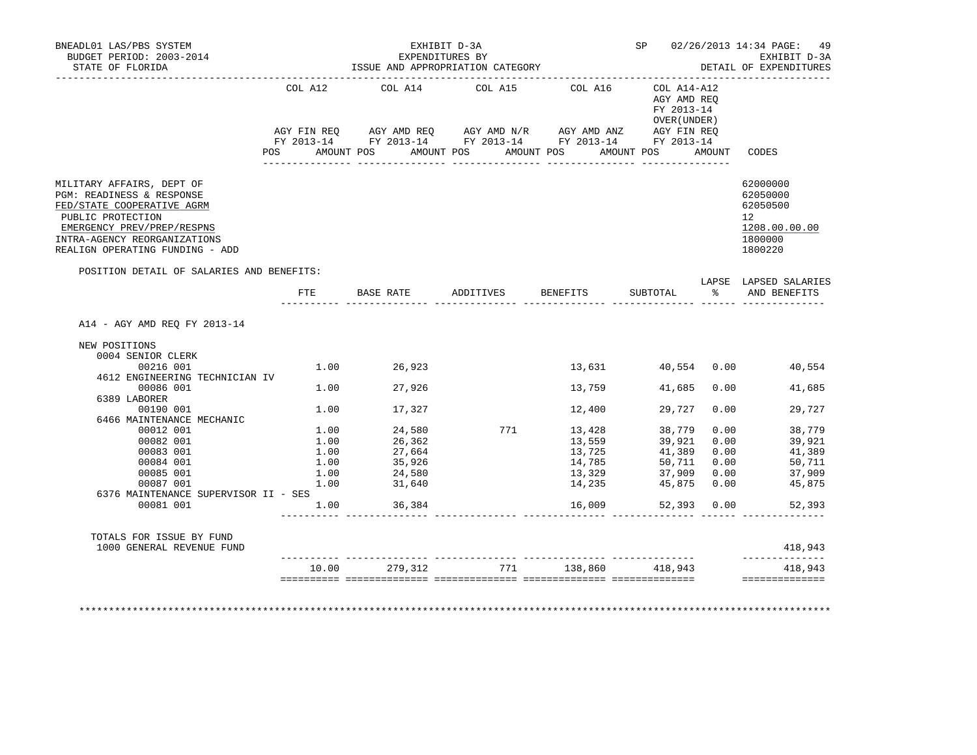| BNEADL01 LAS/PBS SYSTEM<br>BUDGET PERIOD: 2003-2014<br>STATE OF FLORIDA                                                                                                                                                                                 |                                      | EXHIBIT D-3A<br>EXPENDITURES BY<br>LAPENDITORES BI<br>ISSUE AND APPROPRIATION CATEGORY |                             |                                                          |                                                                                   |                                              | SP 02/26/2013 14:34 PAGE: 49<br>EXHIBIT D-3A<br>DETAIL OF EXPENDITURES                      |
|---------------------------------------------------------------------------------------------------------------------------------------------------------------------------------------------------------------------------------------------------------|--------------------------------------|----------------------------------------------------------------------------------------|-----------------------------|----------------------------------------------------------|-----------------------------------------------------------------------------------|----------------------------------------------|---------------------------------------------------------------------------------------------|
|                                                                                                                                                                                                                                                         | COL A12                              | COL A14<br>POS AMOUNT POS AMOUNT POS AMOUNT POS AMOUNT POS AMOUNT<br>________________  | COL A15<br>________________ | COL A16<br>________________                              | $COL A14 - A12$<br>AGY AMD REQ<br>FY 2013-14<br>OVER (UNDER )<br>________________ |                                              | CODES                                                                                       |
| MILITARY AFFAIRS, DEPT OF<br>PGM: READINESS & RESPONSE<br>FED/STATE COOPERATIVE AGRM<br>PUBLIC PROTECTION<br>EMERGENCY PREV/PREP/RESPNS<br>INTRA-AGENCY REORGANIZATIONS<br>REALIGN OPERATING FUNDING - ADD<br>POSITION DETAIL OF SALARIES AND BENEFITS: |                                      |                                                                                        |                             |                                                          |                                                                                   |                                              | 62000000<br>62050000<br>62050500<br>12 <sup>12</sup><br>1208.00.00.00<br>1800000<br>1800220 |
|                                                                                                                                                                                                                                                         | FTE                                  | BASE RATE ADDITIVES                                                                    |                             | BENEFITS                                                 | SUBTOTAL                                                                          | $\approx$                                    | LAPSE LAPSED SALARIES<br>AND BENEFITS<br>_________ _____ __________________                 |
| A14 - AGY AMD REO FY 2013-14<br>NEW POSITIONS<br>0004 SENIOR CLERK<br>00216 001                                                                                                                                                                         | 1.00                                 | 26,923                                                                                 |                             |                                                          | 13,631 40,554 0.00                                                                |                                              | 40,554                                                                                      |
| 4612 ENGINEERING TECHNICIAN IV<br>00086 001                                                                                                                                                                                                             |                                      | 1.00 27,926                                                                            |                             | 13,759                                                   | 41,685                                                                            | 0.00                                         | 41,685                                                                                      |
| 6389 LABORER<br>00190 001<br>6466 MAINTENANCE MECHANIC                                                                                                                                                                                                  | 1.00                                 | 17,327                                                                                 |                             | 12,400                                                   | 29,727                                                                            | 0.00                                         | 29,727                                                                                      |
| 00012 001<br>00082 001<br>00083 001<br>00084 001<br>00085 001<br>00087 001<br>6376 MAINTENANCE SUPERVISOR II - SES                                                                                                                                      | 1.00<br>1.00<br>1.00<br>1.00<br>1.00 | 1.00 24,580<br>26,362<br>27,664<br>35,926<br>24,580<br>31,640                          | 771                         | 13,428<br>13,559<br>13,725<br>14,785<br>13,329<br>14,235 | 38,779<br>39,921<br>41,389<br>50,711<br>37,909<br>45,875                          | 0.00<br>0.00<br>0.00<br>0.00<br>0.00<br>0.00 | 38,779<br>39,921<br>41,389<br>50,711<br>37,909<br>45,875                                    |
| 00081 001                                                                                                                                                                                                                                               | 1.00                                 | 36,384                                                                                 |                             | 16,009                                                   |                                                                                   | 52,393 0.00                                  | 52,393                                                                                      |
| TOTALS FOR ISSUE BY FUND                                                                                                                                                                                                                                |                                      |                                                                                        |                             |                                                          |                                                                                   |                                              | 418,943                                                                                     |
| 1000 GENERAL REVENUE FUND                                                                                                                                                                                                                               |                                      |                                                                                        |                             |                                                          |                                                                                   |                                              | --------------                                                                              |

\*\*\*\*\*\*\*\*\*\*\*\*\*\*\*\*\*\*\*\*\*\*\*\*\*\*\*\*\*\*\*\*\*\*\*\*\*\*\*\*\*\*\*\*\*\*\*\*\*\*\*\*\*\*\*\*\*\*\*\*\*\*\*\*\*\*\*\*\*\*\*\*\*\*\*\*\*\*\*\*\*\*\*\*\*\*\*\*\*\*\*\*\*\*\*\*\*\*\*\*\*\*\*\*\*\*\*\*\*\*\*\*\*\*\*\*\*\*\*\*\*\*\*\*\*\*\*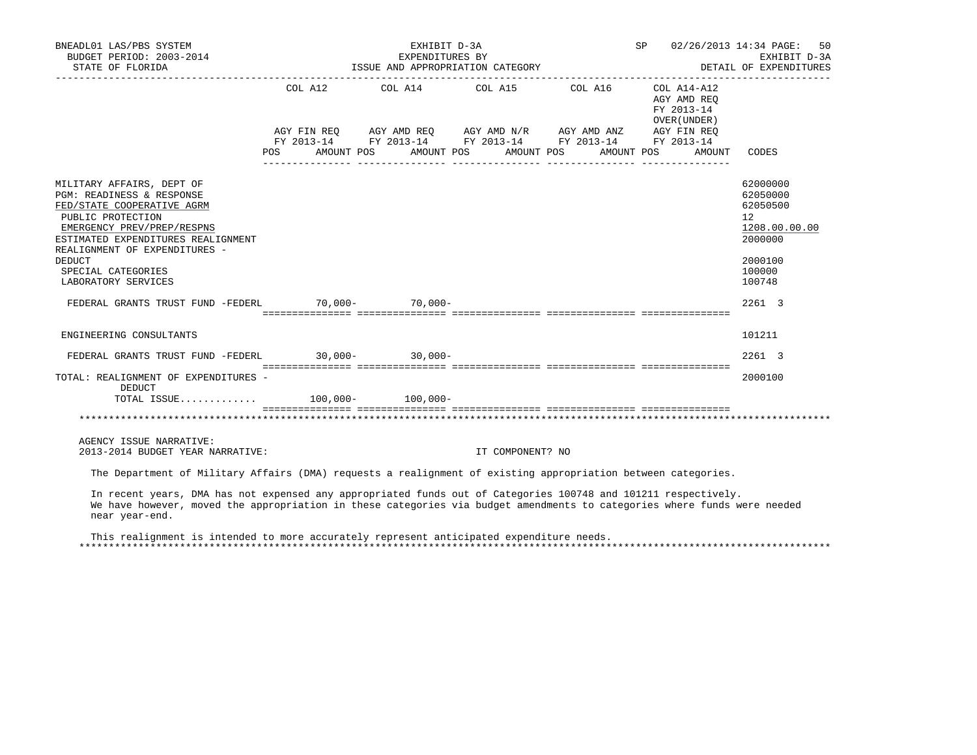| BNEADL01 LAS/PBS SYSTEM<br>BUDGET PERIOD: 2003-2014<br>STATE OF FLORIDA                                                                                                                                                                                                                                                           |         | EXHIBIT D-3A<br>ISSUE AND APPROPRIATION CATEGORY | EXPENDITURES BY  |                                                                                                                                                          | SP 02/26/2013 14:34 PAGE:                                                        | 50<br>EXHIBIT D-3A<br>DETAIL OF EXPENDITURES                                                                |
|-----------------------------------------------------------------------------------------------------------------------------------------------------------------------------------------------------------------------------------------------------------------------------------------------------------------------------------|---------|--------------------------------------------------|------------------|----------------------------------------------------------------------------------------------------------------------------------------------------------|----------------------------------------------------------------------------------|-------------------------------------------------------------------------------------------------------------|
|                                                                                                                                                                                                                                                                                                                                   | POS FOR | AMOUNT POS AMOUNT POS AMOUNT POS                 |                  | COL A12 COL A14 COL A15 COL A16<br>AGY FIN REQ AGY AMD REQ AGY AMD N/R AGY AMD ANZ AGY FIN REQ<br>FY 2013-14 FY 2013-14 FY 2013-14 FY 2013-14 FY 2013-14 | COL A14-A12<br>AGY AMD REO<br>FY 2013-14<br>OVER (UNDER)<br>AMOUNT POS<br>AMOUNT | CODES                                                                                                       |
| MILITARY AFFAIRS, DEPT OF<br>PGM: READINESS & RESPONSE<br>FED/STATE COOPERATIVE AGRM<br>PUBLIC PROTECTION<br>EMERGENCY PREV/PREP/RESPNS<br>ESTIMATED EXPENDITURES REALIGNMENT<br>REALIGNMENT OF EXPENDITURES -<br><b>DEDUCT</b><br>SPECIAL CATEGORIES<br>LABORATORY SERVICES<br>FEDERAL GRANTS TRUST FUND -FEDERL 70,000- 70,000- |         |                                                  |                  |                                                                                                                                                          |                                                                                  | 62000000<br>62050000<br>62050500<br>12<br>1208.00.00.00<br>2000000<br>2000100<br>100000<br>100748<br>2261 3 |
| ENGINEERING CONSULTANTS                                                                                                                                                                                                                                                                                                           |         |                                                  |                  |                                                                                                                                                          |                                                                                  | 101211                                                                                                      |
| FEDERAL GRANTS TRUST FUND -FEDERL 30,000-30,000-30,000-                                                                                                                                                                                                                                                                           |         |                                                  |                  |                                                                                                                                                          |                                                                                  | 2261 3                                                                                                      |
| TOTAL: REALIGNMENT OF EXPENDITURES -<br>DEDUCT<br>TOTAL ISSUE 100,000- 100,000-                                                                                                                                                                                                                                                   |         |                                                  |                  |                                                                                                                                                          |                                                                                  | 2000100                                                                                                     |
| AGENCY ISSUE NARRATIVE:<br>2013-2014 BUDGET YEAR NARRATIVE:                                                                                                                                                                                                                                                                       |         |                                                  | IT COMPONENT? NO |                                                                                                                                                          |                                                                                  |                                                                                                             |
| The Department of Military Affairs (DMA) requests a realignment of existing appropriation between categories.                                                                                                                                                                                                                     |         |                                                  |                  |                                                                                                                                                          |                                                                                  |                                                                                                             |
| In recent years, DMA has not expensed any appropriated funds out of Categories 100748 and 101211 respectively.<br>We have however, moved the appropriation in these categories via budget amendments to categories where funds were needed<br>near year-end.                                                                      |         |                                                  |                  |                                                                                                                                                          |                                                                                  |                                                                                                             |

 This realignment is intended to more accurately represent anticipated expenditure needs. \*\*\*\*\*\*\*\*\*\*\*\*\*\*\*\*\*\*\*\*\*\*\*\*\*\*\*\*\*\*\*\*\*\*\*\*\*\*\*\*\*\*\*\*\*\*\*\*\*\*\*\*\*\*\*\*\*\*\*\*\*\*\*\*\*\*\*\*\*\*\*\*\*\*\*\*\*\*\*\*\*\*\*\*\*\*\*\*\*\*\*\*\*\*\*\*\*\*\*\*\*\*\*\*\*\*\*\*\*\*\*\*\*\*\*\*\*\*\*\*\*\*\*\*\*\*\*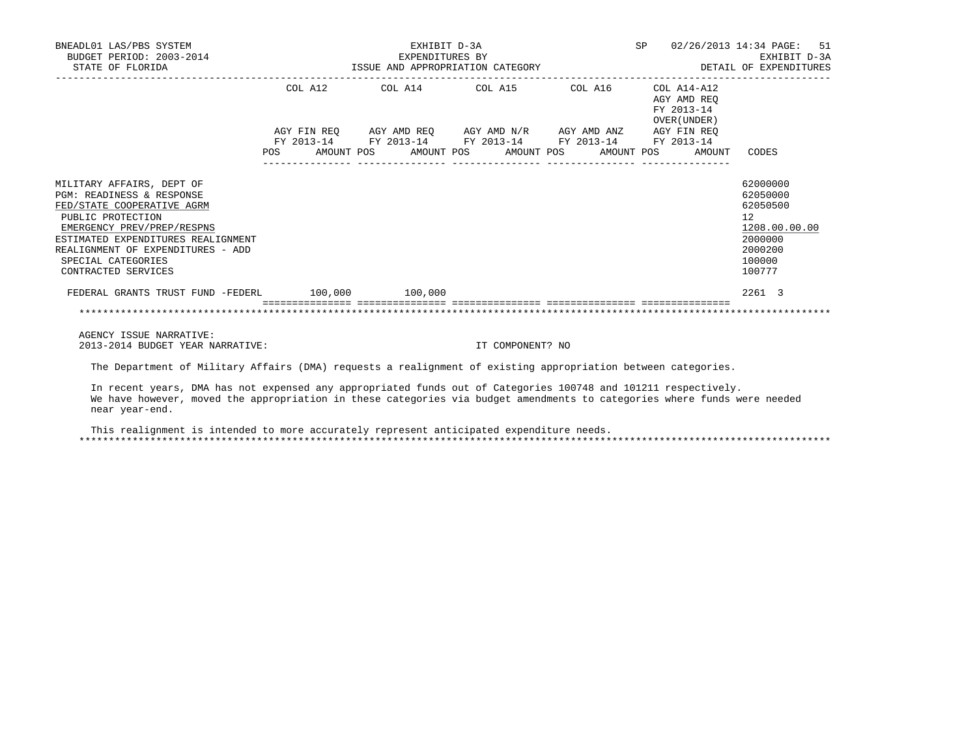| BNEADL01 LAS/PBS SYSTEM<br>BUDGET PERIOD: 2003-2014<br>STATE OF FLORIDA                                                                                                                                                                                                    | EXHIBIT D-3A<br>EXHIBIT D-3A<br>EXPENDITURES BY EXHIBIT D-3A<br>ISSUE AND APPROPRIATION CATEGORY STARBED AND APPROPRIATION CATEGORY | SP               | 02/26/2013 14:34 PAGE: 51 |                                           |                                                                                                   |
|----------------------------------------------------------------------------------------------------------------------------------------------------------------------------------------------------------------------------------------------------------------------------|-------------------------------------------------------------------------------------------------------------------------------------|------------------|---------------------------|-------------------------------------------|---------------------------------------------------------------------------------------------------|
|                                                                                                                                                                                                                                                                            | COL A12 COL A14 COL A15 COL A16 COL A14-A12                                                                                         |                  |                           | AGY AMD REO<br>FY 2013-14<br>OVER (UNDER) |                                                                                                   |
|                                                                                                                                                                                                                                                                            | AGY FIN REQ AGY AMD REQ AGY AMD N/R AGY AMD ANZ AGY FIN REQ                                                                         |                  |                           |                                           |                                                                                                   |
|                                                                                                                                                                                                                                                                            | FY 2013-14 FY 2013-14 FY 2013-14 FY 2013-14 FY 2013-14<br>POS AMOUNT POS AMOUNT POS AMOUNT POS AMOUNT POS                           |                  |                           | AMOUNT                                    | CODES                                                                                             |
| MILITARY AFFAIRS, DEPT OF<br><b>PGM: READINESS &amp; RESPONSE</b><br>FED/STATE COOPERATIVE AGRM<br>PUBLIC PROTECTION<br>EMERGENCY PREV/PREP/RESPNS<br>ESTIMATED EXPENDITURES REALIGNMENT<br>REALIGNMENT OF EXPENDITURES - ADD<br>SPECIAL CATEGORIES<br>CONTRACTED SERVICES |                                                                                                                                     |                  |                           |                                           | 62000000<br>62050000<br>62050500<br>12<br>1208.00.00.00<br>2000000<br>2000200<br>100000<br>100777 |
| FEDERAL GRANTS TRUST FUND -FEDERL 100,000 100,000                                                                                                                                                                                                                          |                                                                                                                                     |                  |                           |                                           | 2261 3                                                                                            |
|                                                                                                                                                                                                                                                                            |                                                                                                                                     |                  |                           |                                           |                                                                                                   |
| AGENCY ISSUE NARRATIVE:<br>2013-2014 BUDGET YEAR NARRATIVE:                                                                                                                                                                                                                |                                                                                                                                     | IT COMPONENT? NO |                           |                                           |                                                                                                   |

The Department of Military Affairs (DMA) requests a realignment of existing appropriation between categories.

 In recent years, DMA has not expensed any appropriated funds out of Categories 100748 and 101211 respectively. We have however, moved the appropriation in these categories via budget amendments to categories where funds were needed near year-end.

 This realignment is intended to more accurately represent anticipated expenditure needs. \*\*\*\*\*\*\*\*\*\*\*\*\*\*\*\*\*\*\*\*\*\*\*\*\*\*\*\*\*\*\*\*\*\*\*\*\*\*\*\*\*\*\*\*\*\*\*\*\*\*\*\*\*\*\*\*\*\*\*\*\*\*\*\*\*\*\*\*\*\*\*\*\*\*\*\*\*\*\*\*\*\*\*\*\*\*\*\*\*\*\*\*\*\*\*\*\*\*\*\*\*\*\*\*\*\*\*\*\*\*\*\*\*\*\*\*\*\*\*\*\*\*\*\*\*\*\*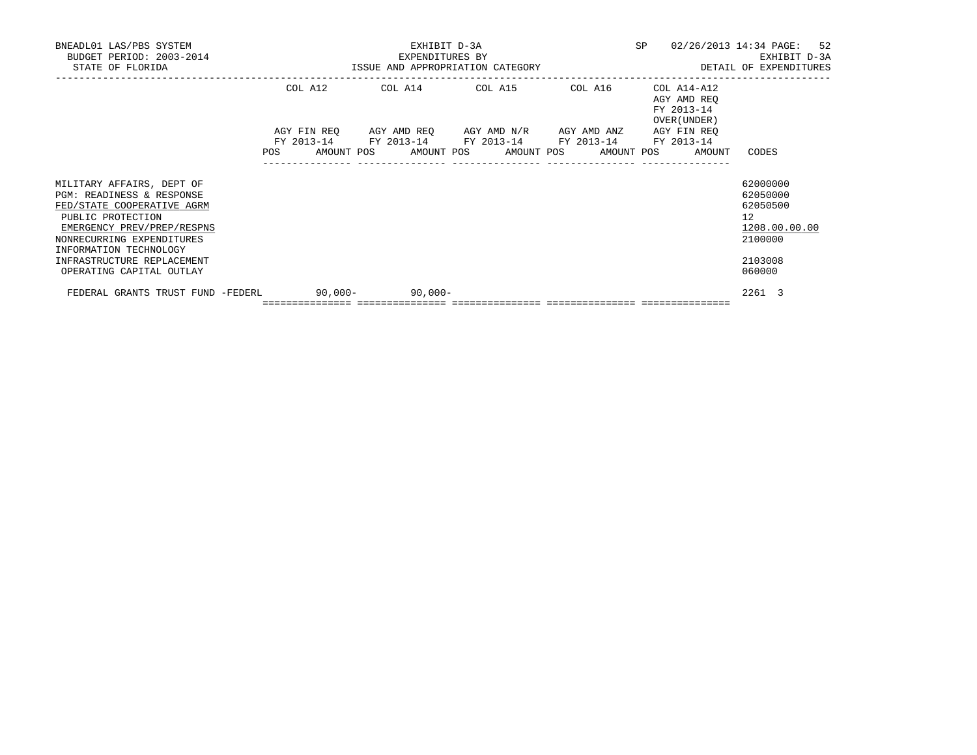| BNEADL01 LAS/PBS SYSTEM<br>BUDGET PERIOD: 2003-2014<br>STATE OF FLORIDA                                                                                                                        | EXHIBIT D-3A<br>EXPENDITURES BY<br>ISSUE AND APPROPRIATION CATEGORY THE SERIES OF DETAIL OF EXPENDITURES |         |  |                                   |  |  | SP |                                                                                                                                                                                 | 02/26/2013 14:34 PAGE: 52 |                            | EXHIBIT D-3A               |                                                                |               |  |
|------------------------------------------------------------------------------------------------------------------------------------------------------------------------------------------------|----------------------------------------------------------------------------------------------------------|---------|--|-----------------------------------|--|--|----|---------------------------------------------------------------------------------------------------------------------------------------------------------------------------------|---------------------------|----------------------------|----------------------------|----------------------------------------------------------------|---------------|--|
|                                                                                                                                                                                                |                                                                                                          | COL A12 |  |                                   |  |  |    | COL A14 COL A15 COL A16                                                                                                                                                         |                           | FY 2013-14<br>OVER (UNDER) | COL A14-A12<br>AGY AMD REO |                                                                |               |  |
|                                                                                                                                                                                                |                                                                                                          |         |  |                                   |  |  |    | AGY FIN REO AGY AMD REO AGY AMD N/R AGY AMD ANZ AGY FIN REO<br>FY 2013-14 FY 2013-14 FY 2013-14 FY 2013-14 FY 2013-14<br>POS AMOUNT POS AMOUNT POS AMOUNT POS AMOUNT POS AMOUNT |                           |                            |                            | CODES                                                          |               |  |
| MILITARY AFFAIRS, DEPT OF<br>PGM: READINESS & RESPONSE<br>FED/STATE COOPERATIVE AGRM<br>PUBLIC PROTECTION<br>EMERGENCY PREV/PREP/RESPNS<br>NONRECURRING EXPENDITURES<br>INFORMATION TECHNOLOGY |                                                                                                          |         |  |                                   |  |  |    |                                                                                                                                                                                 |                           |                            |                            | 62000000<br>62050000<br>62050500<br>12 <sup>°</sup><br>2100000 | 1208.00.00.00 |  |
| INFRASTRUCTURE REPLACEMENT<br>OPERATING CAPITAL OUTLAY                                                                                                                                         |                                                                                                          |         |  |                                   |  |  |    |                                                                                                                                                                                 |                           |                            |                            | 2103008<br>060000                                              |               |  |
| -90,000 90,000 FEDERL 90,000 90,000                                                                                                                                                            |                                                                                                          |         |  | ================================= |  |  |    |                                                                                                                                                                                 |                           |                            |                            | 2261 3                                                         |               |  |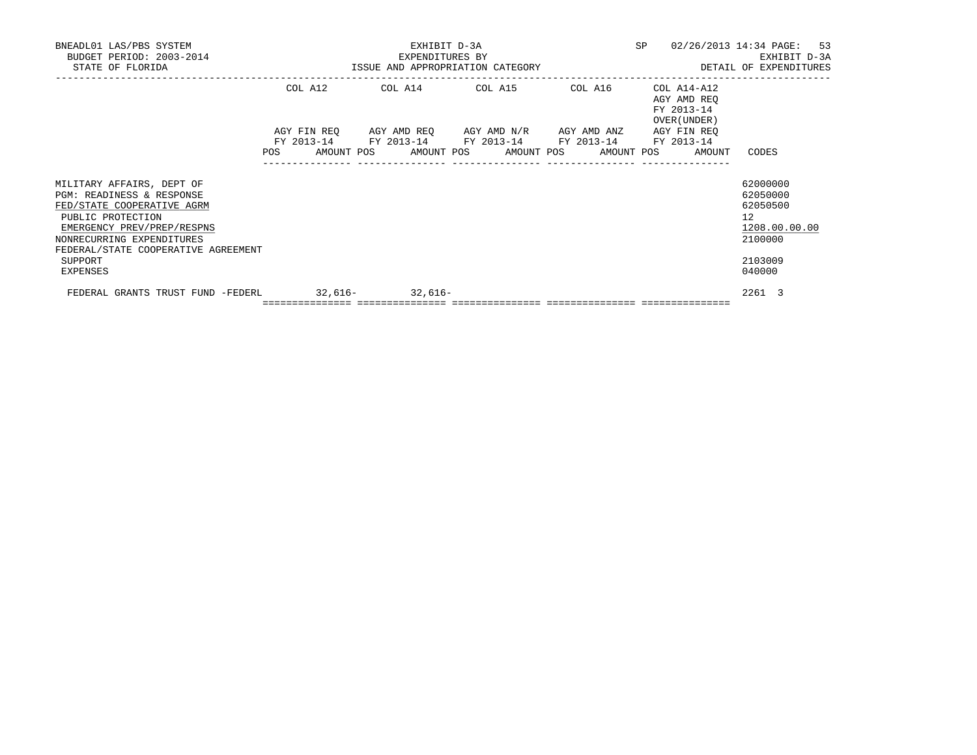| BNEADL01 LAS/PBS SYSTEM<br>BUDGET PERIOD: 2003-2014<br>STATE OF FLORIDA                                                                                                                                     | EXHIBIT D-3A<br>EXPENDITURES BY                                                                                                                                                 | SP | 02/26/2013 14:34 PAGE: 53<br>EXHIBIT D-3A<br>ISSUE AND APPROPRIATION CATEGORY <b>ALL SECONS</b> DETAIL OF EXPENDITURES |                                                                                 |
|-------------------------------------------------------------------------------------------------------------------------------------------------------------------------------------------------------------|---------------------------------------------------------------------------------------------------------------------------------------------------------------------------------|----|------------------------------------------------------------------------------------------------------------------------|---------------------------------------------------------------------------------|
|                                                                                                                                                                                                             | COL A12 COL A14 COL A15 COL A16                                                                                                                                                 |    | COL A14-A12<br>AGY AMD REO<br>FY 2013-14<br>OVER (UNDER)                                                               |                                                                                 |
|                                                                                                                                                                                                             | AGY FIN REO AGY AMD REO AGY AMD N/R AGY AMD ANZ AGY FIN REO<br>FY 2013-14 FY 2013-14 FY 2013-14 FY 2013-14 FY 2013-14<br>POS AMOUNT POS AMOUNT POS AMOUNT POS AMOUNT POS AMOUNT |    |                                                                                                                        | CODES                                                                           |
| MILITARY AFFAIRS, DEPT OF<br>PGM: READINESS & RESPONSE<br>FED/STATE COOPERATIVE AGRM<br>PUBLIC PROTECTION<br>EMERGENCY PREV/PREP/RESPNS<br>NONRECURRING EXPENDITURES<br>FEDERAL/STATE COOPERATIVE AGREEMENT |                                                                                                                                                                                 |    |                                                                                                                        | 62000000<br>62050000<br>62050500<br>12 <sup>°</sup><br>1208.00.00.00<br>2100000 |
| SUPPORT<br>EXPENSES                                                                                                                                                                                         |                                                                                                                                                                                 |    |                                                                                                                        | 2103009<br>040000                                                               |
| FEDERAL GRANTS TRUST FUND -FEDERL 32,616- 32,616-                                                                                                                                                           | =================================                                                                                                                                               |    |                                                                                                                        | 2261 3                                                                          |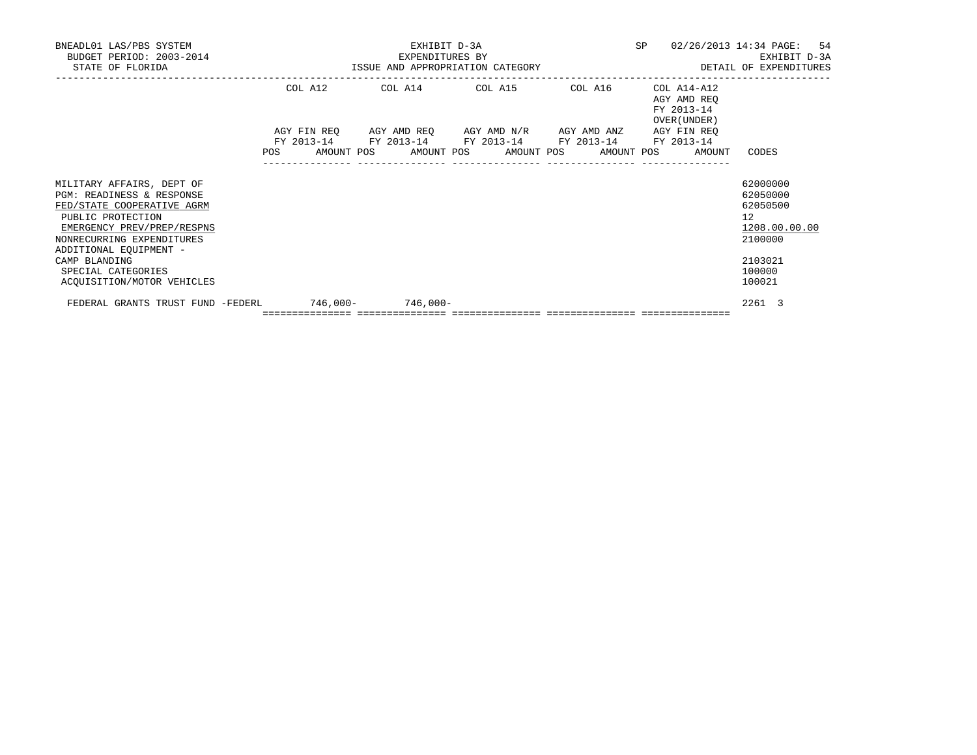| BNEADL01 LAS/PBS SYSTEM<br>BUDGET PERIOD: 2003-2014<br>STATE OF FLORIDA                                                                                                                                                               | EXHIBIT D-3A<br>EXPENDITURES BY<br>ISSUE AND APPROPRIATION CATEGORY |         |  |  |  |                                                                                            |  | SP         |  | 02/26/2013 14:34 PAGE: 54<br>EXHIBIT D-3A<br>DETAIL OF EXPENDITURES |                                                                                         |  |
|---------------------------------------------------------------------------------------------------------------------------------------------------------------------------------------------------------------------------------------|---------------------------------------------------------------------|---------|--|--|--|--------------------------------------------------------------------------------------------|--|------------|--|---------------------------------------------------------------------|-----------------------------------------------------------------------------------------|--|
|                                                                                                                                                                                                                                       |                                                                     | COL A12 |  |  |  | COL A14 COL A15 COL A16<br>AGY FIN REQ AGY AMD REQ AGY AMD N/R AGY AMD ANZ AGY FIN REQ     |  |            |  | COL A14-A12<br>AGY AMD REO<br>FY 2013-14<br>OVER (UNDER)            |                                                                                         |  |
|                                                                                                                                                                                                                                       | <b>POS</b>                                                          |         |  |  |  | FY 2013-14 FY 2013-14 FY 2013-14 FY 2013-14 FY 2013-14<br>AMOUNT POS AMOUNT POS AMOUNT POS |  | AMOUNT POS |  | AMOUNT                                                              | CODES                                                                                   |  |
| MILITARY AFFAIRS, DEPT OF<br>PGM: READINESS & RESPONSE<br>FED/STATE COOPERATIVE AGRM<br>PUBLIC PROTECTION<br>EMERGENCY PREV/PREP/RESPNS<br>NONRECURRING EXPENDITURES<br>ADDITIONAL EQUIPMENT -<br>CAMP BLANDING<br>SPECIAL CATEGORIES |                                                                     |         |  |  |  |                                                                                            |  |            |  |                                                                     | 62000000<br>62050000<br>62050500<br>12<br>1208.00.00.00<br>2100000<br>2103021<br>100000 |  |
| ACOUISITION/MOTOR VEHICLES                                                                                                                                                                                                            |                                                                     |         |  |  |  |                                                                                            |  |            |  |                                                                     | 100021                                                                                  |  |
| FEDERAL GRANTS TRUST FUND -FEDERL 746,000- 746,000-                                                                                                                                                                                   |                                                                     |         |  |  |  |                                                                                            |  |            |  |                                                                     | 2261 3                                                                                  |  |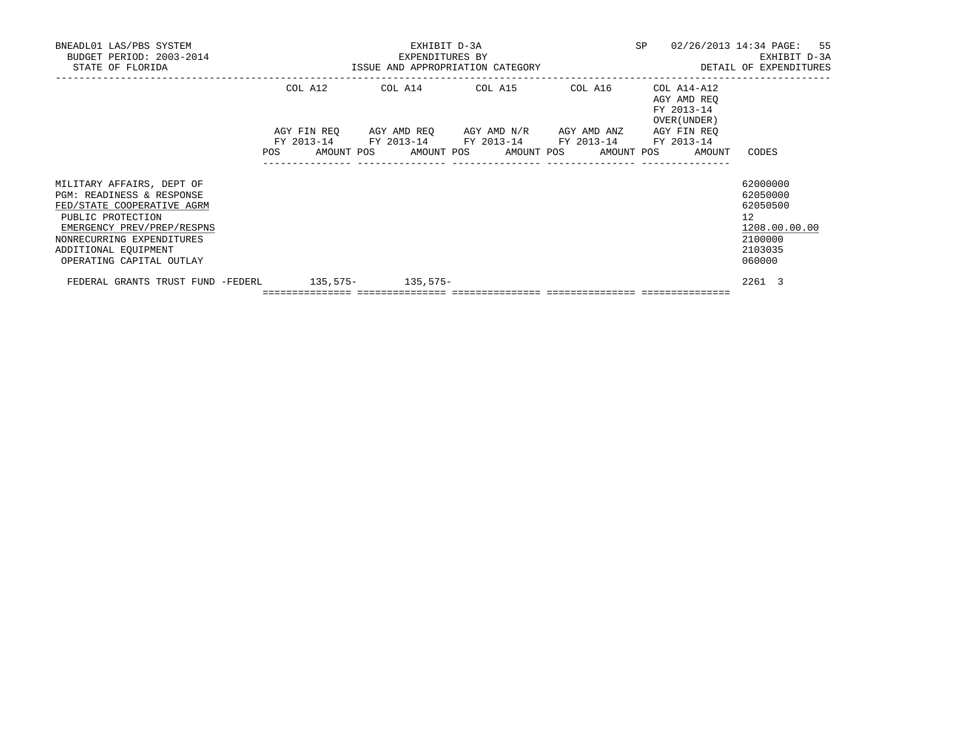| BNEADL01 LAS/PBS SYSTEM<br>BUDGET PERIOD: 2003-2014<br>STATE OF FLORIDA                                                                                                                                                  | EXHIBIT D-3A<br>EXPENDITURES BY<br>ISSUE AND APPROPRIATION CATEGORY |  |                                                                                                                       |  |  |  | SP | 02/26/2013 14:34 PAGE: 55<br>DETAIL OF EXPENDITURES |                                                          | EXHIBIT D-3A                                                           |               |  |
|--------------------------------------------------------------------------------------------------------------------------------------------------------------------------------------------------------------------------|---------------------------------------------------------------------|--|-----------------------------------------------------------------------------------------------------------------------|--|--|--|----|-----------------------------------------------------|----------------------------------------------------------|------------------------------------------------------------------------|---------------|--|
|                                                                                                                                                                                                                          |                                                                     |  | COL A12 COL A14 COL A15 COL A16                                                                                       |  |  |  |    |                                                     | COL A14-A12<br>AGY AMD REO<br>FY 2013-14<br>OVER (UNDER) |                                                                        |               |  |
|                                                                                                                                                                                                                          |                                                                     |  | AGY FIN REO AGY AMD REO AGY AMD N/R AGY AMD ANZ AGY FIN REO<br>FY 2013-14 FY 2013-14 FY 2013-14 FY 2013-14 FY 2013-14 |  |  |  |    |                                                     | POS AMOUNT POS AMOUNT POS AMOUNT POS AMOUNT POS AMOUNT   | CODES                                                                  |               |  |
| MILITARY AFFAIRS, DEPT OF<br>PGM: READINESS & RESPONSE<br>FED/STATE COOPERATIVE AGRM<br>PUBLIC PROTECTION<br>EMERGENCY PREV/PREP/RESPNS<br>NONRECURRING EXPENDITURES<br>ADDITIONAL EQUIPMENT<br>OPERATING CAPITAL OUTLAY |                                                                     |  |                                                                                                                       |  |  |  |    |                                                     |                                                          | 62000000<br>62050000<br>62050500<br>12<br>2100000<br>2103035<br>060000 | 1208.00.00.00 |  |
| FEDERAL GRANTS TRUST FUND -FEDERL 135,575- 135,575-                                                                                                                                                                      |                                                                     |  | =================================                                                                                     |  |  |  |    |                                                     |                                                          | 2261 3                                                                 |               |  |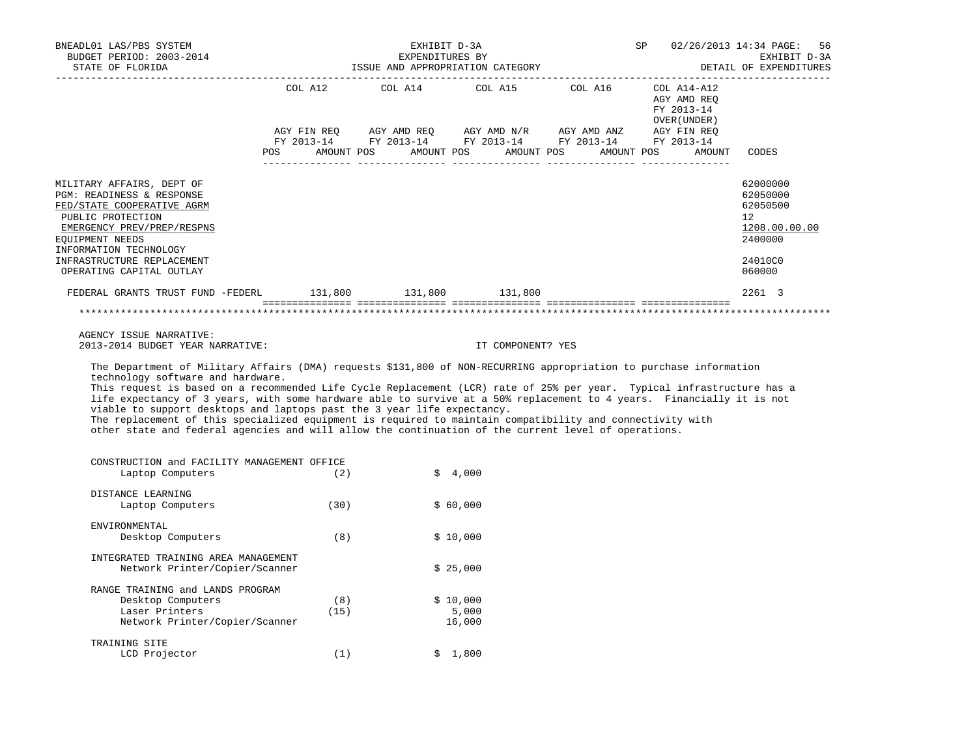| BNEADL01 LAS/PBS SYSTEM<br>BUDGET PERIOD: 2003-2014<br>STATE OF FLORIDA                                                                                                                                                                                                                                                                                                                                                                                                                                                                                                                                                                                                                                    |      | EXHIBIT D-3A | EXPENDITURES BY<br>ISSUE AND APPROPRIATION CATEGORY | SP                                                     |                            | 02/26/2013 14:34 PAGE: 56<br>EXHIBIT D-3A<br>DETAIL OF EXPENDITURES                     |
|------------------------------------------------------------------------------------------------------------------------------------------------------------------------------------------------------------------------------------------------------------------------------------------------------------------------------------------------------------------------------------------------------------------------------------------------------------------------------------------------------------------------------------------------------------------------------------------------------------------------------------------------------------------------------------------------------------|------|--------------|-----------------------------------------------------|--------------------------------------------------------|----------------------------|-----------------------------------------------------------------------------------------|
|                                                                                                                                                                                                                                                                                                                                                                                                                                                                                                                                                                                                                                                                                                            |      |              |                                                     | POS AMOUNT POS AMOUNT POS AMOUNT POS AMOUNT POS AMOUNT | FY 2013-14<br>OVER (UNDER) | CODES                                                                                   |
| MILITARY AFFAIRS, DEPT OF<br>PGM: READINESS & RESPONSE<br>FED/STATE COOPERATIVE AGRM<br>PUBLIC PROTECTION<br>EMERGENCY PREV/PREP/RESPNS<br>EQUIPMENT NEEDS<br>INFORMATION TECHNOLOGY<br>INFRASTRUCTURE REPLACEMENT<br>OPERATING CAPITAL OUTLAY                                                                                                                                                                                                                                                                                                                                                                                                                                                             |      |              |                                                     |                                                        |                            | 62000000<br>62050000<br>62050500<br>12<br>1208.00.00.00<br>2400000<br>24010C0<br>060000 |
| FEDERAL GRANTS TRUST FUND -FEDERL 131,800 131,800 131,800                                                                                                                                                                                                                                                                                                                                                                                                                                                                                                                                                                                                                                                  |      |              |                                                     |                                                        |                            | 2261 3                                                                                  |
|                                                                                                                                                                                                                                                                                                                                                                                                                                                                                                                                                                                                                                                                                                            |      |              |                                                     |                                                        |                            |                                                                                         |
| AGENCY ISSUE NARRATIVE:<br>2013-2014 BUDGET YEAR NARRATIVE:                                                                                                                                                                                                                                                                                                                                                                                                                                                                                                                                                                                                                                                |      |              | IT COMPONENT? YES                                   |                                                        |                            |                                                                                         |
| The Department of Military Affairs (DMA) requests \$131,800 of NON-RECURRING appropriation to purchase information<br>technology software and hardware.<br>This request is based on a recommended Life Cycle Replacement (LCR) rate of 25% per year. Typical infrastructure has a<br>life expectancy of 3 years, with some hardware able to survive at a 50% replacement to 4 years. Financially it is not<br>viable to support desktops and laptops past the 3 year life expectancy.<br>The replacement of this specialized equipment is required to maintain compatibility and connectivity with<br>other state and federal agencies and will allow the continuation of the current level of operations. |      |              |                                                     |                                                        |                            |                                                                                         |
| CONSTRUCTION and FACILITY MANAGEMENT OFFICE<br>Laptop Computers                                                                                                                                                                                                                                                                                                                                                                                                                                                                                                                                                                                                                                            | (2)  |              | \$4,000                                             |                                                        |                            |                                                                                         |
|                                                                                                                                                                                                                                                                                                                                                                                                                                                                                                                                                                                                                                                                                                            |      |              |                                                     |                                                        |                            |                                                                                         |
| DISTANCE LEARNING<br>Laptop Computers                                                                                                                                                                                                                                                                                                                                                                                                                                                                                                                                                                                                                                                                      | (30) |              | \$60,000                                            |                                                        |                            |                                                                                         |
| ENVIRONMENTAL<br>Desktop Computers                                                                                                                                                                                                                                                                                                                                                                                                                                                                                                                                                                                                                                                                         | (8)  |              | \$10,000                                            |                                                        |                            |                                                                                         |
| INTEGRATED TRAINING AREA MANAGEMENT                                                                                                                                                                                                                                                                                                                                                                                                                                                                                                                                                                                                                                                                        |      |              | $\theta$ $\theta$ $\theta$ $\theta$ $\theta$        |                                                        |                            |                                                                                         |

| Network Printer/Copier/Scanner   |      | \$25.000 |
|----------------------------------|------|----------|
| RANGE TRAINING and LANDS PROGRAM |      |          |
| Desktop Computers                | (8)  | \$10,000 |
| Laser Printers                   | (15) | 5,000    |
| Network Printer/Copier/Scanner   |      | 16,000   |
| TRAINING SITE                    |      |          |
| LCD Projector                    | '1)  | 1,800    |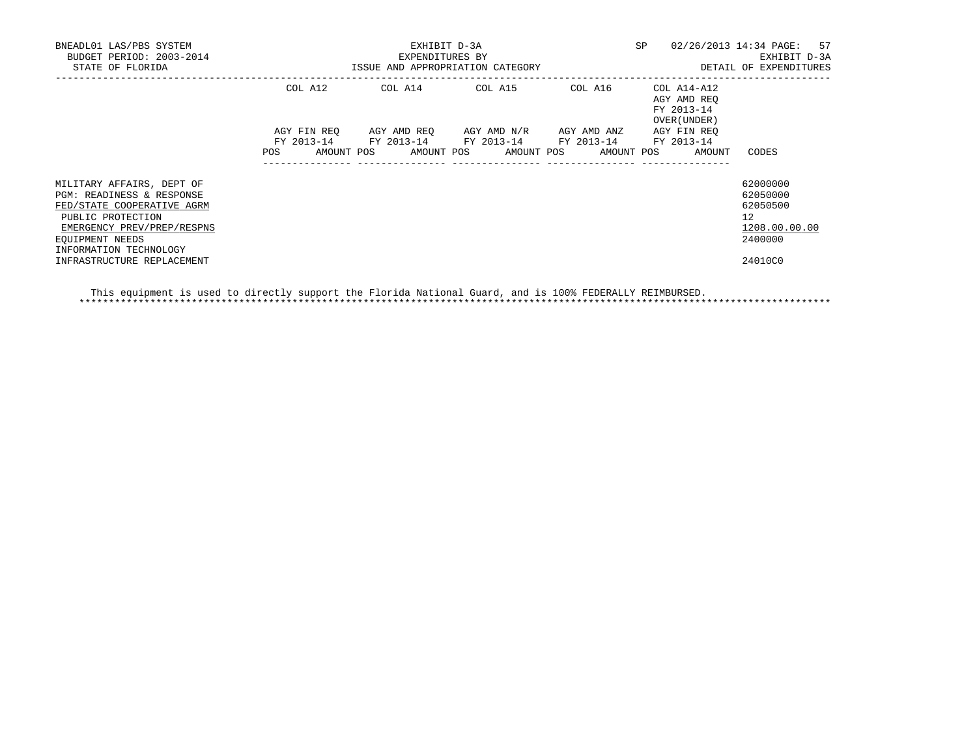| BNEADL01 LAS/PBS SYSTEM<br>BUDGET PERIOD: 2003-2014<br>STATE OF FLORIDA                                                                                                              | ISSUE AND APPROPRIATION CATEGORY | EXHIBIT D-3A<br>EXPENDITURES BY                                                                           | SP                    | 02/26/2013 14:34 PAGE: 57<br>EXHIBIT D-3A<br>DETAIL OF EXPENDITURES |                                                          |                                                                    |
|--------------------------------------------------------------------------------------------------------------------------------------------------------------------------------------|----------------------------------|-----------------------------------------------------------------------------------------------------------|-----------------------|---------------------------------------------------------------------|----------------------------------------------------------|--------------------------------------------------------------------|
|                                                                                                                                                                                      | COL A12                          | COL A14 COL A15 COL A16                                                                                   |                       |                                                                     | COL A14-A12<br>AGY AMD REO<br>FY 2013-14<br>OVER (UNDER) |                                                                    |
|                                                                                                                                                                                      |                                  | AGY FIN REO AGY AMD REO AGY AMD N/R AGY AMD ANZ<br>FY 2013-14 FY 2013-14 FY 2013-14 FY 2013-14 FY 2013-14 |                       |                                                                     | AGY FIN REO                                              |                                                                    |
|                                                                                                                                                                                      | POS                              | AMOUNT POS                                                                                                | AMOUNT POS AMOUNT POS |                                                                     | AMOUNT POS<br>AMOUNT                                     | CODES                                                              |
| MILITARY AFFAIRS, DEPT OF<br>PGM: READINESS & RESPONSE<br>FED/STATE COOPERATIVE AGRM<br>PUBLIC PROTECTION<br>EMERGENCY PREV/PREP/RESPNS<br>EQUIPMENT NEEDS<br>INFORMATION TECHNOLOGY |                                  |                                                                                                           |                       |                                                                     |                                                          | 62000000<br>62050000<br>62050500<br>12<br>1208.00.00.00<br>2400000 |
| INFRASTRUCTURE REPLACEMENT                                                                                                                                                           |                                  |                                                                                                           |                       |                                                                     |                                                          | 24010C0                                                            |

 This equipment is used to directly support the Florida National Guard, and is 100% FEDERALLY REIMBURSED. \*\*\*\*\*\*\*\*\*\*\*\*\*\*\*\*\*\*\*\*\*\*\*\*\*\*\*\*\*\*\*\*\*\*\*\*\*\*\*\*\*\*\*\*\*\*\*\*\*\*\*\*\*\*\*\*\*\*\*\*\*\*\*\*\*\*\*\*\*\*\*\*\*\*\*\*\*\*\*\*\*\*\*\*\*\*\*\*\*\*\*\*\*\*\*\*\*\*\*\*\*\*\*\*\*\*\*\*\*\*\*\*\*\*\*\*\*\*\*\*\*\*\*\*\*\*\*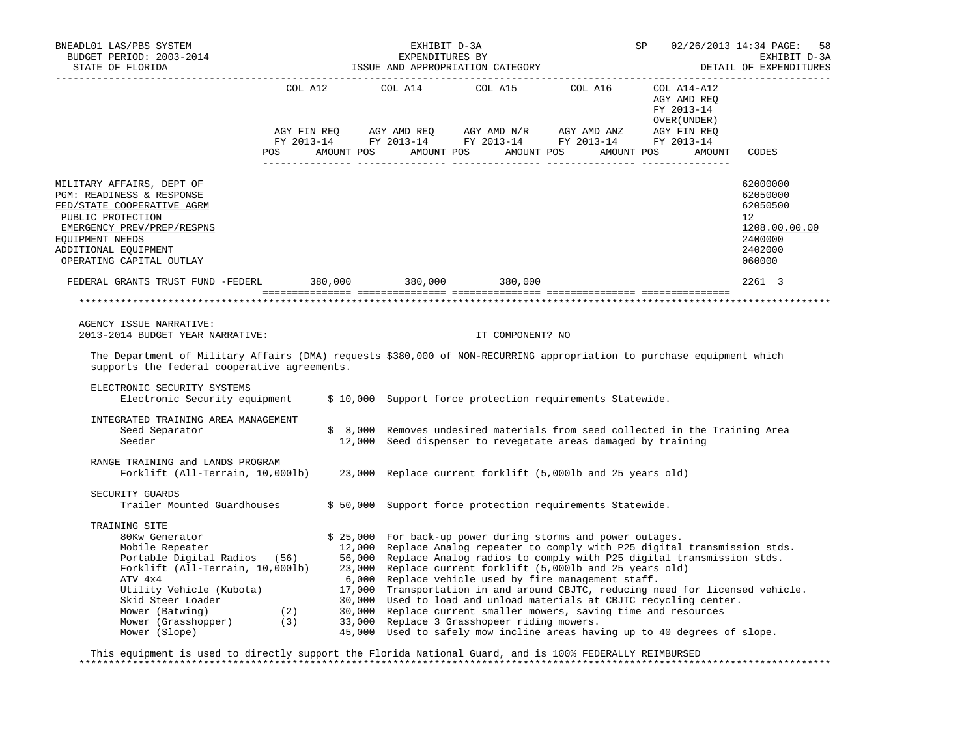| BNEADL01 LAS/PBS SYSTEM<br>EXPENDITURES BY<br>SUDGET PERIOD: 2003-2014<br>STATE OF FLORIDA STATE OF FLORIDA<br>BUDGET PERIOD: 2003-2014                                                                                                                                                             |                                                                     | EXHIBIT D-3A                                                                                                                                                                                                                                                                                                                                                                                                                                                                                                                                                  | SP | 02/26/2013 14:34 PAGE:<br>58<br>EXHIBIT D-3A<br>DETAIL OF EXPENDITURES                  |
|-----------------------------------------------------------------------------------------------------------------------------------------------------------------------------------------------------------------------------------------------------------------------------------------------------|---------------------------------------------------------------------|---------------------------------------------------------------------------------------------------------------------------------------------------------------------------------------------------------------------------------------------------------------------------------------------------------------------------------------------------------------------------------------------------------------------------------------------------------------------------------------------------------------------------------------------------------------|----|-----------------------------------------------------------------------------------------|
|                                                                                                                                                                                                                                                                                                     |                                                                     | $\begin{tabular}{lllllllllll} \multicolumn{2}{l}{{\text{COL}}}\  \, \texttt{A12}\qquad \qquad &\multicolumn{2}{l}{\text{COL}}\  \, \texttt{A15}\qquad \qquad &\multicolumn{2}{l}{\text{COL}}\  \, \texttt{A16}\qquad \qquad &\multicolumn{2}{l}{\text{COL}}\  \, \texttt{A14-A12} \end{tabular}$<br>POS AMOUNT POS AMOUNT POS AMOUNT POS AMOUNT POS AMOUNT                                                                                                                                                                                                    |    | AGY AMD REQ<br>FY 2013-14<br>OVER (UNDER )<br>CODES                                     |
| MILITARY AFFAIRS, DEPT OF<br>PGM: READINESS & RESPONSE<br>FED/STATE COOPERATIVE AGRM<br>PUBLIC PROTECTION<br>EMERGENCY PREV/PREP/RESPNS<br>EOUIPMENT NEEDS<br>ADDITIONAL EQUIPMENT<br>OPERATING CAPITAL OUTLAY                                                                                      |                                                                     |                                                                                                                                                                                                                                                                                                                                                                                                                                                                                                                                                               |    | 62000000<br>62050000<br>62050500<br>12<br>1208.00.00.00<br>2400000<br>2402000<br>060000 |
| FEDERAL GRANTS TRUST FUND -FEDERL 380,000 380,000 380,000 380,000                                                                                                                                                                                                                                   |                                                                     |                                                                                                                                                                                                                                                                                                                                                                                                                                                                                                                                                               |    | 2261 3                                                                                  |
|                                                                                                                                                                                                                                                                                                     |                                                                     |                                                                                                                                                                                                                                                                                                                                                                                                                                                                                                                                                               |    | *********************                                                                   |
| AGENCY ISSUE NARRATIVE:<br>2013-2014 BUDGET YEAR NARRATIVE:<br>The Department of Military Affairs (DMA) requests \$380,000 of NON-RECURRING appropriation to purchase equipment which<br>supports the federal cooperative agreements.                                                               |                                                                     | IT COMPONENT? NO                                                                                                                                                                                                                                                                                                                                                                                                                                                                                                                                              |    |                                                                                         |
| ELECTRONIC SECURITY SYSTEMS<br>Electronic Security equipment                                                                                                                                                                                                                                        |                                                                     | \$ 10,000 Support force protection requirements Statewide.                                                                                                                                                                                                                                                                                                                                                                                                                                                                                                    |    |                                                                                         |
| INTEGRATED TRAINING AREA MANAGEMENT<br>Seed Separator<br>Seeder                                                                                                                                                                                                                                     |                                                                     | \$ 8,000 Removes undesired materials from seed collected in the Training Area<br>12,000 Seed dispenser to revegetate areas damaged by training                                                                                                                                                                                                                                                                                                                                                                                                                |    |                                                                                         |
| RANGE TRAINING and LANDS PROGRAM<br>Forklift (All-Terrain, 10,000lb)                                                                                                                                                                                                                                |                                                                     | 23,000 Replace current forklift (5,000lb and 25 years old)                                                                                                                                                                                                                                                                                                                                                                                                                                                                                                    |    |                                                                                         |
| SECURITY GUARDS<br>Trailer Mounted Guardhouses                                                                                                                                                                                                                                                      |                                                                     | \$50,000 Support force protection requirements Statewide.                                                                                                                                                                                                                                                                                                                                                                                                                                                                                                     |    |                                                                                         |
| TRAINING SITE<br>ssaw senerator<br>Mobile Repeater<br>Portabl<br>Portable Digital Radios (56) 56,000<br>Forklift (All-Terrain, 10,000lb) 23,000<br>ATV 4x4<br>Utility Vehicle (Kubota)<br>Skid Steer Loader<br>Mower (Batwing) (2)<br>Mower (Grasshopper) (3)<br>Mower (Slope) (3)<br>Mower (Slope) | \$25,000<br>12,000<br>6,000<br>17,000<br>30,000<br>30,000<br>33,000 | For back-up power during storms and power outages.<br>Replace Analog repeater to comply with P25 digital transmission stds.<br>Replace Analog radios to comply with P25 digital transmission stds.<br>Replace current forklift (5,000lb and 25 years old)<br>Replace vehicle used by fire management staff.<br>Used to load and unload materials at CBJTC recycling center.<br>Replace current smaller mowers, saving time and resources<br>Replace 3 Grasshopeer riding mowers.<br>45,000 Used to safely mow incline areas having up to 40 degrees of slope. |    | Transportation in and around CBJTC, reducing need for licensed vehicle.                 |

 This equipment is used to directly support the Florida National Guard, and is 100% FEDERALLY REIMBURSED \*\*\*\*\*\*\*\*\*\*\*\*\*\*\*\*\*\*\*\*\*\*\*\*\*\*\*\*\*\*\*\*\*\*\*\*\*\*\*\*\*\*\*\*\*\*\*\*\*\*\*\*\*\*\*\*\*\*\*\*\*\*\*\*\*\*\*\*\*\*\*\*\*\*\*\*\*\*\*\*\*\*\*\*\*\*\*\*\*\*\*\*\*\*\*\*\*\*\*\*\*\*\*\*\*\*\*\*\*\*\*\*\*\*\*\*\*\*\*\*\*\*\*\*\*\*\*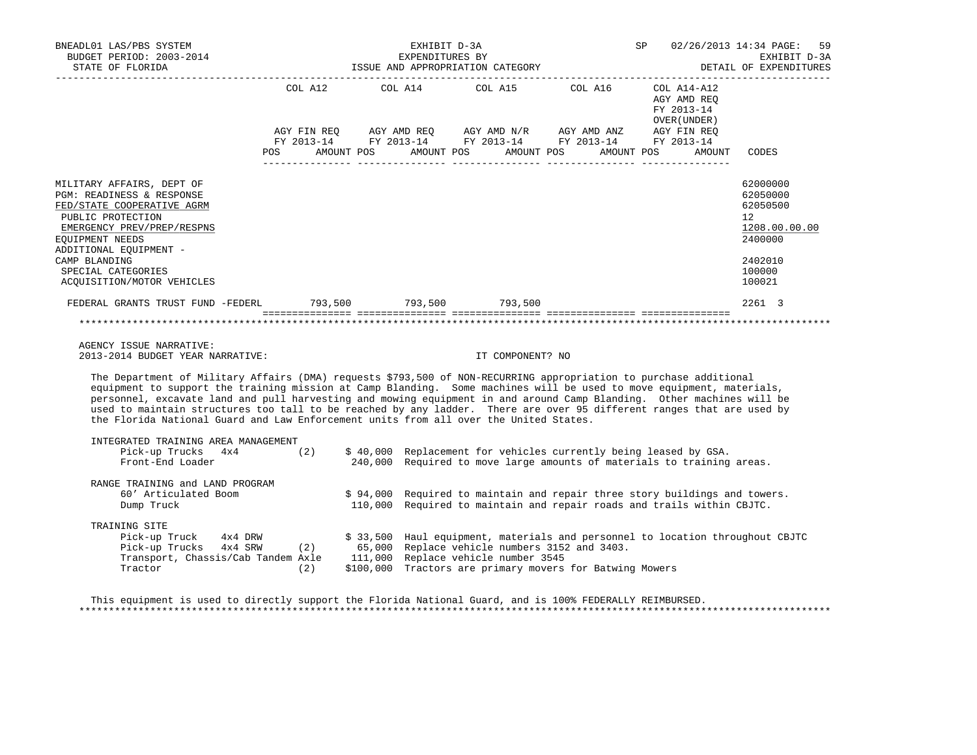| BNEADL01 LAS/PBS SYSTEM<br>BUDGET PERIOD: 2003-2014 EXPENDITURES BY BEXHIBIT D-3A EXHIBIT D-3A EXHIBIT D-3A EXHIBIT D-3A EXHIBIT D-3A EXHIBIT D-3A                                                                                                                                                                                                                                                                                                                                                                                                                                   |                                      | EXHIBIT D-3A      |                  | <b>SP</b>                                                                                                             |                                                                                                                                                      | 02/26/2013 14:34 PAGE:<br>59                                                                                |
|--------------------------------------------------------------------------------------------------------------------------------------------------------------------------------------------------------------------------------------------------------------------------------------------------------------------------------------------------------------------------------------------------------------------------------------------------------------------------------------------------------------------------------------------------------------------------------------|--------------------------------------|-------------------|------------------|-----------------------------------------------------------------------------------------------------------------------|------------------------------------------------------------------------------------------------------------------------------------------------------|-------------------------------------------------------------------------------------------------------------|
|                                                                                                                                                                                                                                                                                                                                                                                                                                                                                                                                                                                      |                                      |                   |                  | COL A12 COL A14 COL A15 COL A16 COL A14-A12                                                                           | AGY AMD REQ<br>FY 2013-14<br>OVER (UNDER )                                                                                                           |                                                                                                             |
|                                                                                                                                                                                                                                                                                                                                                                                                                                                                                                                                                                                      | POS AMOUNT POS AMOUNT POS AMOUNT POS | --------- ------- |                  | AGY FIN REQ AGY AMD REQ AGY AMD N/R AGY AMD ANZ AGY FIN REQ<br>FY 2013-14 FY 2013-14 FY 2013-14 FY 2013-14 FY 2013-14 | AMOUNT POS<br>AMOUNT                                                                                                                                 | CODES                                                                                                       |
| MILITARY AFFAIRS, DEPT OF<br>PGM: READINESS & RESPONSE<br>FED/STATE COOPERATIVE AGRM<br>PUBLIC PROTECTION<br>EMERGENCY PREV/PREP/RESPNS<br>EQUIPMENT NEEDS<br>ADDITIONAL EQUIPMENT -<br>CAMP BLANDING<br>SPECIAL CATEGORIES<br>ACQUISITION/MOTOR VEHICLES                                                                                                                                                                                                                                                                                                                            |                                      |                   |                  |                                                                                                                       |                                                                                                                                                      | 62000000<br>62050000<br>62050500<br>$12^{\circ}$<br>1208.00.00.00<br>2400000<br>2402010<br>100000<br>100021 |
| FEDERAL GRANTS TRUST FUND -FEDERL 793,500 793,500 793,500 793,500                                                                                                                                                                                                                                                                                                                                                                                                                                                                                                                    |                                      |                   |                  |                                                                                                                       |                                                                                                                                                      | 2261 3                                                                                                      |
|                                                                                                                                                                                                                                                                                                                                                                                                                                                                                                                                                                                      |                                      |                   |                  |                                                                                                                       |                                                                                                                                                      |                                                                                                             |
| AGENCY ISSUE NARRATIVE:<br>2013-2014 BUDGET YEAR NARRATIVE:                                                                                                                                                                                                                                                                                                                                                                                                                                                                                                                          |                                      |                   | IT COMPONENT? NO |                                                                                                                       |                                                                                                                                                      |                                                                                                             |
| The Department of Military Affairs (DMA) requests \$793,500 of NON-RECURRING appropriation to purchase additional<br>equipment to support the training mission at Camp Blanding. Some machines will be used to move equipment, materials,<br>personnel, excavate land and pull harvesting and mowing equipment in and around Camp Blanding. Other machines will be<br>used to maintain structures too tall to be reached by any ladder. There are over 95 different ranges that are used by<br>the Florida National Guard and Law Enforcement units from all over the United States. |                                      |                   |                  |                                                                                                                       |                                                                                                                                                      |                                                                                                             |
| INTEGRATED TRAINING AREA MANAGEMENT<br>Pick-up Trucks $4x4$ (2)<br>Front-End Loader                                                                                                                                                                                                                                                                                                                                                                                                                                                                                                  |                                      |                   |                  |                                                                                                                       | \$ 40,000 Replacement for vehicles currently being leased by GSA.<br>240,000 Required to move large amounts of materials to training areas.          |                                                                                                             |
| RANGE TRAINING and LAND PROGRAM<br>60' Articulated Boom<br>Dump Truck                                                                                                                                                                                                                                                                                                                                                                                                                                                                                                                |                                      |                   |                  |                                                                                                                       | \$94,000 Required to maintain and repair three story buildings and towers.<br>110,000 Required to maintain and repair roads and trails within CBJTC. |                                                                                                             |
| TRAINING SITE<br>Pick-up Truck 4x4 DRW \$33,500 Haul equipment, materials and personnel<br>Pick-up Trucks 4x4 SRW (2) 65,000 Replace vehicle numbers 3152 and 3403.<br>Transport, Chassis/Cab Tandem Axle 111,000 Replace vehicle number 3545<br>Tractor                                                                                                                                                                                                                                                                                                                             | (2)                                  |                   |                  | \$100,000 Tractors are primary movers for Batwing Mowers                                                              | \$ 33,500 Haul equipment, materials and personnel to location throughout CBJTC                                                                       |                                                                                                             |

 This equipment is used to directly support the Florida National Guard, and is 100% FEDERALLY REIMBURSED. \*\*\*\*\*\*\*\*\*\*\*\*\*\*\*\*\*\*\*\*\*\*\*\*\*\*\*\*\*\*\*\*\*\*\*\*\*\*\*\*\*\*\*\*\*\*\*\*\*\*\*\*\*\*\*\*\*\*\*\*\*\*\*\*\*\*\*\*\*\*\*\*\*\*\*\*\*\*\*\*\*\*\*\*\*\*\*\*\*\*\*\*\*\*\*\*\*\*\*\*\*\*\*\*\*\*\*\*\*\*\*\*\*\*\*\*\*\*\*\*\*\*\*\*\*\*\*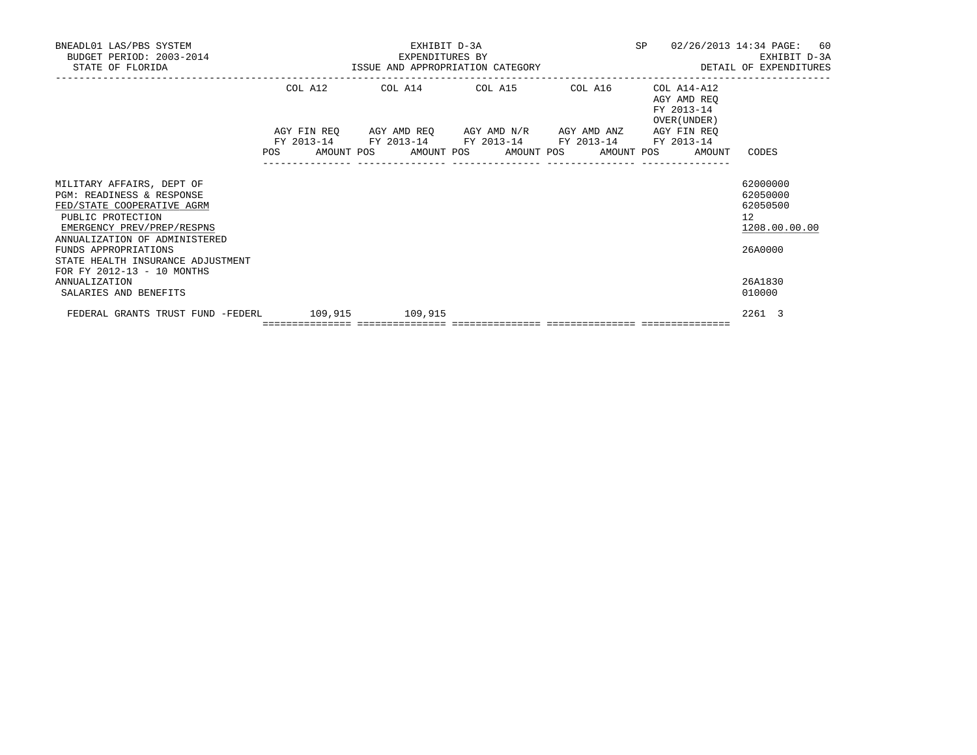| BNEADL01 LAS/PBS SYSTEM<br>BUDGET PERIOD: 2003-2014<br>STATE OF FLORIDA                                                                                                                                                                                             |                                                              |  | EXPENDITURES BY | EXHIBIT D-3A                                                                                                          |  |                                            | SP 02/26/2013 14:34 PAGE: 60<br>EXHIBIT D-3A<br>EXHIBIT D-3A EXHENDITURES BY<br>ISSUE AND APPROPRIATION CATEGORY THE SAME OF EXPENDITURES |
|---------------------------------------------------------------------------------------------------------------------------------------------------------------------------------------------------------------------------------------------------------------------|--------------------------------------------------------------|--|-----------------|-----------------------------------------------------------------------------------------------------------------------|--|--------------------------------------------|-------------------------------------------------------------------------------------------------------------------------------------------|
|                                                                                                                                                                                                                                                                     |                                                              |  |                 | COL A12 COL A14 COL A15 COL A16 COL A14-A12                                                                           |  | AGY AMD REO<br>FY 2013-14<br>OVER (UNDER ) |                                                                                                                                           |
|                                                                                                                                                                                                                                                                     | POS AMOUNT POS AMOUNT POS AMOUNT POS AMOUNT POS AMOUNT CODES |  |                 | AGY FIN REQ AGY AMD REQ AGY AMD N/R AGY AMD ANZ AGY FIN REQ<br>FY 2013-14 FY 2013-14 FY 2013-14 FY 2013-14 FY 2013-14 |  |                                            |                                                                                                                                           |
| MILITARY AFFAIRS, DEPT OF<br>PGM: READINESS & RESPONSE<br>FED/STATE COOPERATIVE AGRM<br>PUBLIC PROTECTION<br>EMERGENCY PREV/PREP/RESPNS<br>ANNUALIZATION OF ADMINISTERED<br>FUNDS APPROPRIATIONS<br>STATE HEALTH INSURANCE ADJUSTMENT<br>FOR FY 2012-13 - 10 MONTHS |                                                              |  |                 |                                                                                                                       |  |                                            | 62000000<br>62050000<br>62050500<br>12<br>1208.00.00.00<br>26A0000                                                                        |
| <b>ANNUALIZATION</b><br>SALARIES AND BENEFITS                                                                                                                                                                                                                       |                                                              |  |                 |                                                                                                                       |  |                                            | 26A1830<br>010000                                                                                                                         |
| FEDERAL GRANTS TRUST FUND -FEDERL 109,915 109,915                                                                                                                                                                                                                   |                                                              |  |                 |                                                                                                                       |  |                                            | 2261 3                                                                                                                                    |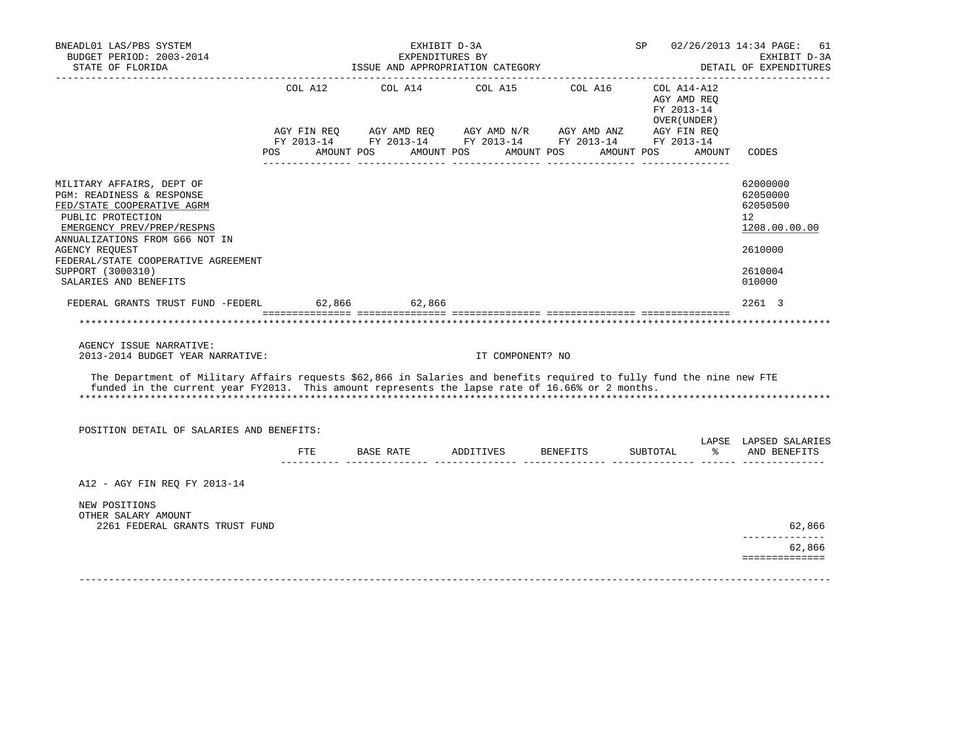| BNEADL01 LAS/PBS SYSTEM<br>BUDGET PERIOD: 2003-2014<br>STATE OF FLORIDA<br>___________________                                                                                                                                                                                          |         | ISSUE AND APPROPRIATION CATEGORY                | EXHIBIT D-3A<br>EXPENDITURES BY |                                                                                                                                                                                                                                                                          |                                                                        |        | SP 02/26/2013 14:34 PAGE:<br>61<br>EXHIBIT D-3A<br>DETAIL OF EXPENDITURES               |
|-----------------------------------------------------------------------------------------------------------------------------------------------------------------------------------------------------------------------------------------------------------------------------------------|---------|-------------------------------------------------|---------------------------------|--------------------------------------------------------------------------------------------------------------------------------------------------------------------------------------------------------------------------------------------------------------------------|------------------------------------------------------------------------|--------|-----------------------------------------------------------------------------------------|
|                                                                                                                                                                                                                                                                                         | COL A12 | COL A14<br>POS AMOUNT POS AMOUNT POS AMOUNT POS | COL A15                         | COL A16<br>$AGY\text{ }\text{FIN }REQ \qquad \text{AGY }AMD\text{ }\text{REQ} \qquad \text{AGY }AMD\text{ }\text{N/R} \qquad \text{AGY } AMD\text{ }\text{AND } ANZ \qquad \text{AGY } FIN \text{ }\text{REQ}$<br>FY 2013-14 FY 2013-14 FY 2013-14 FY 2013-14 FY 2013-14 | COL A14-A12<br>AGY AMD REQ<br>FY 2013-14<br>OVER (UNDER)<br>AMOUNT POS | AMOUNT | CODES                                                                                   |
|                                                                                                                                                                                                                                                                                         |         |                                                 |                                 |                                                                                                                                                                                                                                                                          |                                                                        |        |                                                                                         |
| MILITARY AFFAIRS, DEPT OF<br>PGM: READINESS & RESPONSE<br>FED/STATE COOPERATIVE AGRM<br>PUBLIC PROTECTION<br>EMERGENCY PREV/PREP/RESPNS<br>ANNUALIZATIONS FROM G66 NOT IN<br><b>AGENCY REQUEST</b><br>FEDERAL/STATE COOPERATIVE AGREEMENT<br>SUPPORT (3000310)<br>SALARIES AND BENEFITS |         |                                                 |                                 |                                                                                                                                                                                                                                                                          |                                                                        |        | 62000000<br>62050000<br>62050500<br>12<br>1208.00.00.00<br>2610000<br>2610004<br>010000 |
| FEDERAL GRANTS TRUST FUND -FEDERL 62,866 62,866                                                                                                                                                                                                                                         |         |                                                 |                                 |                                                                                                                                                                                                                                                                          |                                                                        |        | 2261 3                                                                                  |
|                                                                                                                                                                                                                                                                                         |         |                                                 |                                 |                                                                                                                                                                                                                                                                          |                                                                        |        | *********************                                                                   |
| AGENCY ISSUE NARRATIVE:<br>2013-2014 BUDGET YEAR NARRATIVE:<br>The Department of Military Affairs requests \$62,866 in Salaries and benefits required to fully fund the nine new FTE<br>funded in the current year FY2013. This amount represents the lapse rate of 16.66% or 2 months. |         |                                                 | IT COMPONENT? NO                |                                                                                                                                                                                                                                                                          |                                                                        |        |                                                                                         |
|                                                                                                                                                                                                                                                                                         |         |                                                 |                                 |                                                                                                                                                                                                                                                                          |                                                                        |        |                                                                                         |
| POSITION DETAIL OF SALARIES AND BENEFITS:                                                                                                                                                                                                                                               |         |                                                 |                                 |                                                                                                                                                                                                                                                                          |                                                                        |        | LAPSE LAPSED SALARIES                                                                   |
|                                                                                                                                                                                                                                                                                         |         |                                                 |                                 | FTE BASE RATE ADDITIVES BENEFITS<br>.com concerterente concerterente concerterente concerterente contro concerte                                                                                                                                                         | SUBTOTAL                                                               | ႜႜႜႜ႙  | AND BENEFITS                                                                            |
| A12 - AGY FIN REO FY 2013-14<br>NEW POSITIONS                                                                                                                                                                                                                                           |         |                                                 |                                 |                                                                                                                                                                                                                                                                          |                                                                        |        |                                                                                         |
| OTHER SALARY AMOUNT                                                                                                                                                                                                                                                                     |         |                                                 |                                 |                                                                                                                                                                                                                                                                          |                                                                        |        |                                                                                         |
| 2261 FEDERAL GRANTS TRUST FUND                                                                                                                                                                                                                                                          |         |                                                 |                                 |                                                                                                                                                                                                                                                                          |                                                                        |        | 62,866<br>_____________                                                                 |
|                                                                                                                                                                                                                                                                                         |         |                                                 |                                 |                                                                                                                                                                                                                                                                          |                                                                        |        | 62,866<br>==============                                                                |
|                                                                                                                                                                                                                                                                                         |         |                                                 |                                 |                                                                                                                                                                                                                                                                          |                                                                        |        |                                                                                         |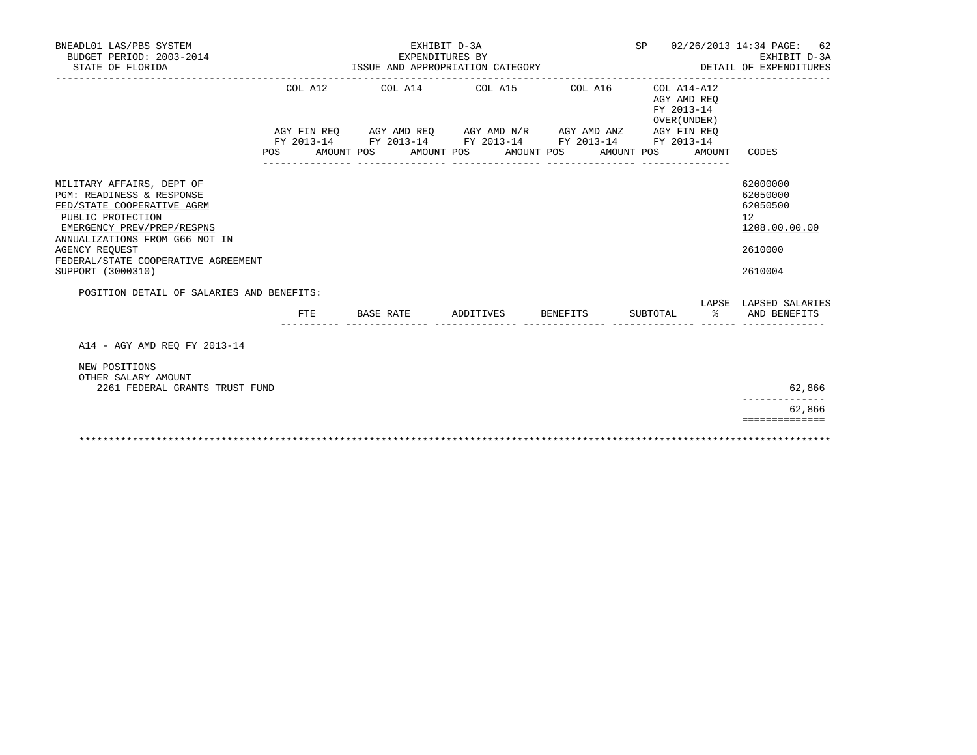| BNEADL01 LAS/PBS SYSTEM<br>BUDGET PERIOD: 2003-2014<br>STATE OF FLORIDA                                                                      | EXHIBIT D-3A<br>EXPENDITURES BY<br>ISSUE AND APPROPRIATION CATEGORY |  |           |  |           |                                                                                                                                                                           |                 |            | SP 02/26/2013 14:34 PAGE:<br>62<br>EXHIBIT D-3A<br>DETAIL OF EXPENDITURES |                                                                    |                                                       |
|----------------------------------------------------------------------------------------------------------------------------------------------|---------------------------------------------------------------------|--|-----------|--|-----------|---------------------------------------------------------------------------------------------------------------------------------------------------------------------------|-----------------|------------|---------------------------------------------------------------------------|--------------------------------------------------------------------|-------------------------------------------------------|
|                                                                                                                                              | COL A12<br>POS AMOUNT POS                                           |  |           |  |           | COL A14 COL A15 COL A16<br>AGY FIN REQ AGY AMD REQ AGY AMD N/R AGY AMD ANZ AGY FIN REQ<br>FY 2013-14 FY 2013-14 FY 2013-14 FY 2013-14 FY 2013-14<br>AMOUNT POS AMOUNT POS |                 | AMOUNT POS |                                                                           | COL A14-A12<br>AGY AMD REO<br>FY 2013-14<br>OVER (UNDER)<br>AMOUNT | CODES                                                 |
| MILITARY AFFAIRS, DEPT OF                                                                                                                    |                                                                     |  |           |  |           |                                                                                                                                                                           |                 |            |                                                                           |                                                                    | 62000000                                              |
| PGM: READINESS & RESPONSE<br>FED/STATE COOPERATIVE AGRM<br>PUBLIC PROTECTION<br>EMERGENCY PREV/PREP/RESPNS<br>ANNUALIZATIONS FROM G66 NOT IN |                                                                     |  |           |  |           |                                                                                                                                                                           |                 |            |                                                                           |                                                                    | 62050000<br>62050500<br>$12^{\circ}$<br>1208.00.00.00 |
| <b>AGENCY REOUEST</b><br>FEDERAL/STATE COOPERATIVE AGREEMENT<br>SUPPORT (3000310)                                                            |                                                                     |  |           |  |           |                                                                                                                                                                           |                 |            |                                                                           |                                                                    | 2610000<br>2610004                                    |
| POSITION DETAIL OF SALARIES AND BENEFITS:                                                                                                    |                                                                     |  |           |  |           |                                                                                                                                                                           |                 |            |                                                                           |                                                                    |                                                       |
|                                                                                                                                              | FTE                                                                 |  | BASE RATE |  | ADDITIVES |                                                                                                                                                                           | <b>BENEFITS</b> |            | SUBTOTAL                                                                  | ွေ                                                                 | LAPSE LAPSED SALARIES<br>AND BENEFITS                 |
| A14 - AGY AMD REO FY 2013-14                                                                                                                 |                                                                     |  |           |  |           |                                                                                                                                                                           |                 |            |                                                                           |                                                                    |                                                       |
| NEW POSITIONS<br>OTHER SALARY AMOUNT<br>2261 FEDERAL GRANTS TRUST FUND                                                                       |                                                                     |  |           |  |           |                                                                                                                                                                           |                 |            |                                                                           |                                                                    | 62,866                                                |
|                                                                                                                                              |                                                                     |  |           |  |           |                                                                                                                                                                           |                 |            |                                                                           |                                                                    | 62,866                                                |
|                                                                                                                                              |                                                                     |  |           |  |           |                                                                                                                                                                           |                 |            |                                                                           |                                                                    | ==============                                        |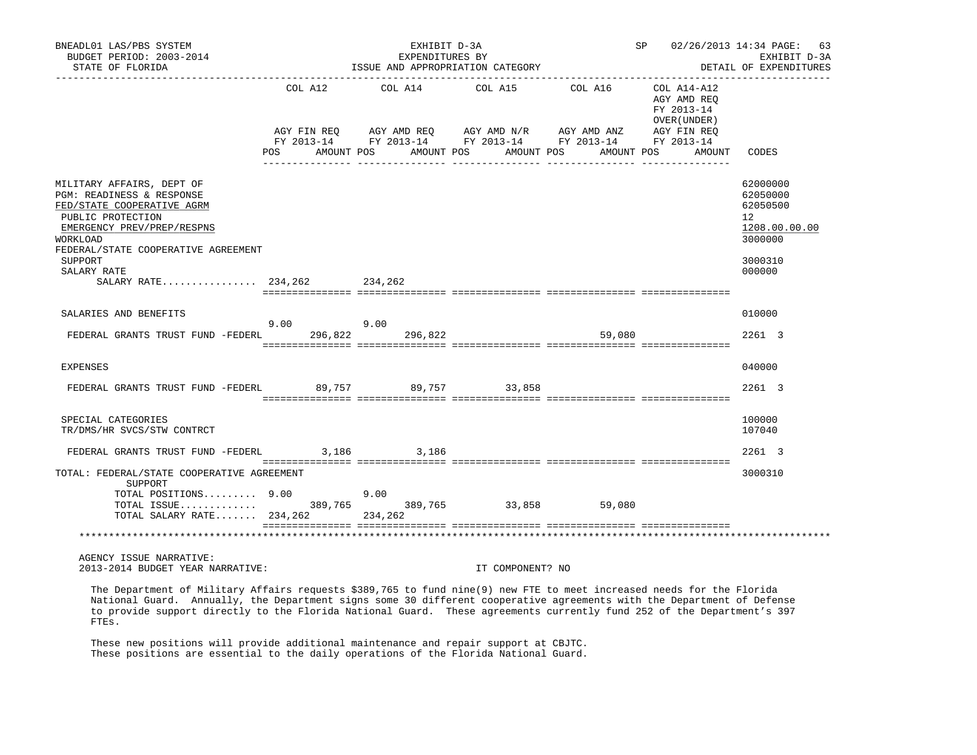| BNEADL01 LAS/PBS SYSTEM<br>BUDGET PERIOD: 2003-2014<br>STATE OF FLORIDA                                                                                                                    |         | EXHIBIT D-3A<br>EXPENDITURES BY<br>ISSUE AND APPROPRIATION CATEGORY |                                                                                                                                                        |                     | SP 02/26/2013 14:34 PAGE: 63<br>EXHIBIT D-3A<br>DETAIL OF EXPENDITURES |                                                                    |
|--------------------------------------------------------------------------------------------------------------------------------------------------------------------------------------------|---------|---------------------------------------------------------------------|--------------------------------------------------------------------------------------------------------------------------------------------------------|---------------------|------------------------------------------------------------------------|--------------------------------------------------------------------|
|                                                                                                                                                                                            | COL A12 | COL A14                                                             | COL A15                                                                                                                                                | COL A16 COL A14-A12 | AGY AMD REO<br>FY 2013-14<br>OVER (UNDER)                              |                                                                    |
|                                                                                                                                                                                            | POS FOR | AMOUNT POS                                                          | AGY FIN REQ AGY AMD REQ AGY AMD N/R AGY AMD ANZ AGY FIN REQ FY 2013-14 FY 2013-14 FY 2013-14<br>AMOUNT POS AMOUNT POS<br>__ ________________ _________ |                     | AMOUNT POS<br>AMOUNT                                                   | CODES                                                              |
| MILITARY AFFAIRS, DEPT OF<br>PGM: READINESS & RESPONSE<br>FED/STATE COOPERATIVE AGRM<br>PUBLIC PROTECTION<br>EMERGENCY PREV/PREP/RESPNS<br>WORKLOAD<br>FEDERAL/STATE COOPERATIVE AGREEMENT |         |                                                                     |                                                                                                                                                        |                     |                                                                        | 62000000<br>62050000<br>62050500<br>12<br>1208.00.00.00<br>3000000 |
| SUPPORT<br>SALARY RATE<br>SALARY RATE 234,262 234,262                                                                                                                                      |         |                                                                     |                                                                                                                                                        |                     |                                                                        | 3000310<br>000000                                                  |
| SALARIES AND BENEFITS                                                                                                                                                                      |         |                                                                     |                                                                                                                                                        |                     |                                                                        | 010000                                                             |
| FEDERAL GRANTS TRUST FUND -FEDERL 296,822                                                                                                                                                  | 9.00    | 9.00<br>296,822                                                     |                                                                                                                                                        | 59,080              |                                                                        | 2261 3                                                             |
| <b>EXPENSES</b>                                                                                                                                                                            |         |                                                                     |                                                                                                                                                        |                     |                                                                        | 040000                                                             |
| FEDERAL GRANTS TRUST FUND -FEDERL 89,757 89,757 33,858                                                                                                                                     |         |                                                                     |                                                                                                                                                        |                     |                                                                        | 2261 3                                                             |
| SPECIAL CATEGORIES<br>TR/DMS/HR SVCS/STW CONTRCT                                                                                                                                           |         |                                                                     |                                                                                                                                                        |                     |                                                                        | 100000<br>107040                                                   |
| FEDERAL GRANTS TRUST FUND -FEDERL                                                                                                                                                          |         | 3,186 3,186                                                         |                                                                                                                                                        |                     |                                                                        | 2261 3                                                             |
| TOTAL: FEDERAL/STATE COOPERATIVE AGREEMENT<br>SUPPORT                                                                                                                                      |         |                                                                     |                                                                                                                                                        |                     |                                                                        | 3000310                                                            |
| TOTAL POSITIONS 9.00<br>TOTAL ISSUE 389,765 389,765 33,858 59,080<br>TOTAL SALARY RATE 234,262 234,262                                                                                     |         | 9.00                                                                |                                                                                                                                                        |                     |                                                                        |                                                                    |
|                                                                                                                                                                                            |         |                                                                     |                                                                                                                                                        |                     |                                                                        |                                                                    |
| AGENCY ISSUE NARRATIVE:<br>2013-2014 BUDGET YEAR NARRATIVE:                                                                                                                                |         |                                                                     | IT COMPONENT? NO                                                                                                                                       |                     |                                                                        |                                                                    |
| The Department of Military Affairs requests \$389,765 to fund pine(9) new FTF to meet ingressed needs for the Florida                                                                      |         |                                                                     |                                                                                                                                                        |                     |                                                                        |                                                                    |

 The Department of Military Affairs requests \$389,765 to fund nine(9) new FTE to meet increased needs for the Florida National Guard. Annually, the Department signs some 30 different cooperative agreements with the Department of Defense to provide support directly to the Florida National Guard. These agreements currently fund 252 of the Department's 397 FTEs.

 These new positions will provide additional maintenance and repair support at CBJTC. These positions are essential to the daily operations of the Florida National Guard.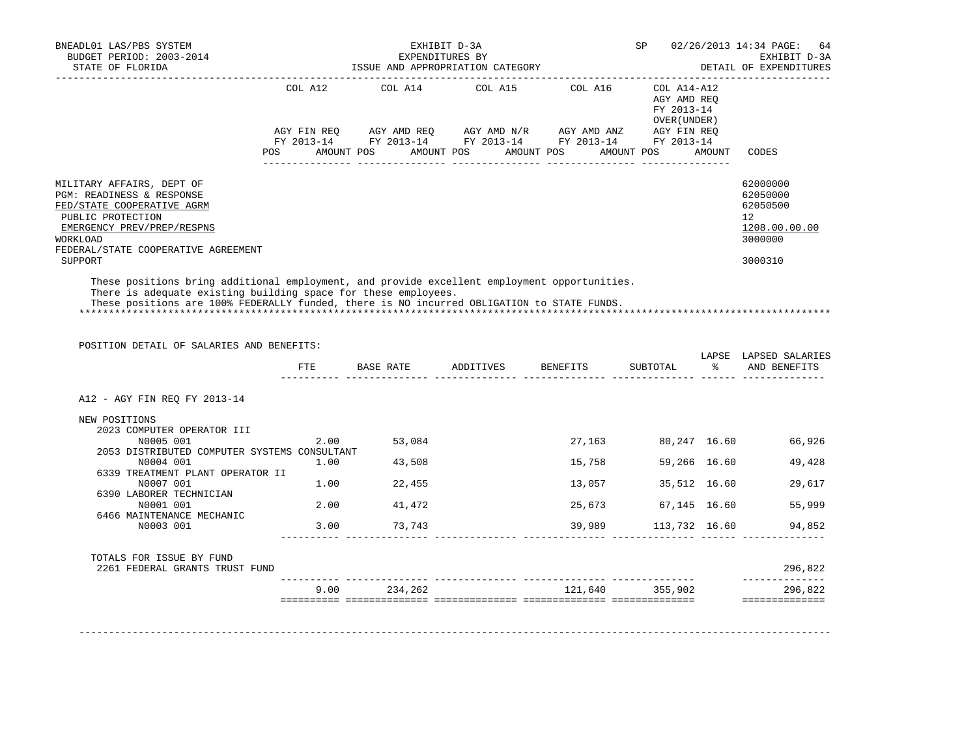| BNEADL01 LAS/PBS SYSTEM<br>BUDGET PERIOD: 2003-2014<br>STATE OF FLORIDA                                                                                        | EXHIBIT D-3A<br>EXPENDITURES BY<br>ISSUE AND APPROPRIATION CATEGORY |            |  |  |  |                                                                                                                         |  |            | SP |                                                          | 02/26/2013 14:34 PAGE: 64<br>EXHIBIT D-3A<br>DETAIL OF EXPENDITURES          |  |
|----------------------------------------------------------------------------------------------------------------------------------------------------------------|---------------------------------------------------------------------|------------|--|--|--|-------------------------------------------------------------------------------------------------------------------------|--|------------|----|----------------------------------------------------------|------------------------------------------------------------------------------|--|
|                                                                                                                                                                |                                                                     | COL A12    |  |  |  | COL A14 COL A15                                                                                                         |  | COL A16    |    | COL A14-A12<br>AGY AMD REO<br>FY 2013-14<br>OVER (UNDER) |                                                                              |  |
|                                                                                                                                                                | POS                                                                 | AMOUNT POS |  |  |  | AGY FIN REO AGY AMD REO AGY AMD N/R AGY AMD ANZ<br>FY 2013-14 FY 2013-14 FY 2013-14 FY 2013-14<br>AMOUNT POS AMOUNT POS |  | AMOUNT POS |    | AGY FIN REO<br>FY 2013-14<br>AMOUNT                      | CODES                                                                        |  |
| MILITARY AFFAIRS, DEPT OF<br>PGM: READINESS & RESPONSE<br>FED/STATE COOPERATIVE AGRM<br>PUBLIC PROTECTION<br>EMERGENCY PREV/PREP/RESPNS<br>WORKLOAD            |                                                                     |            |  |  |  |                                                                                                                         |  |            |    |                                                          | 62000000<br>62050000<br>62050500<br>$12^{\circ}$<br>1208.00.00.00<br>3000000 |  |
| FEDERAL/STATE COOPERATIVE AGREEMENT<br>SUPPORT                                                                                                                 |                                                                     |            |  |  |  |                                                                                                                         |  |            |    |                                                          | 3000310                                                                      |  |
| These positions bring additional employment, and provide excellent employment opportunities.<br>There is adequate existing building space for these employees. |                                                                     |            |  |  |  |                                                                                                                         |  |            |    |                                                          |                                                                              |  |

These positions are 100% FEDERALLY funded, there is NO incurred OBLIGATION to STATE FUNDS.

\*\*\*\*\*\*\*\*\*\*\*\*\*\*\*\*\*\*\*\*\*\*\*\*\*\*\*\*\*\*\*\*\*\*\*\*\*\*\*\*\*\*\*\*\*\*\*\*\*\*\*\*\*\*\*\*\*\*\*\*\*\*\*\*\*\*\*\*\*\*\*\*\*\*\*\*\*\*\*\*\*\*\*\*\*\*\*\*\*\*\*\*\*\*\*\*\*\*\*\*\*\*\*\*\*\*\*\*\*\*\*\*\*\*\*\*\*\*\*\*\*\*\*\*\*\*\*

POSITION DETAIL OF SALARIES AND BENEFITS:

|                                              | FTE  | BASE RATE | ADDITIVES | BENEFITS | SUBTOTAL                    | LAPSE<br>ႜႜ  | LAPSED SALARIES<br>AND BENEFITS |
|----------------------------------------------|------|-----------|-----------|----------|-----------------------------|--------------|---------------------------------|
|                                              |      |           |           |          |                             |              |                                 |
| A12 - AGY FIN REQ FY 2013-14                 |      |           |           |          |                             |              |                                 |
| NEW POSITIONS                                |      |           |           |          |                             |              |                                 |
| 2023 COMPUTER OPERATOR III                   |      |           |           |          |                             |              |                                 |
| N0005 001                                    | 2.00 | 53,084    |           | 27,163   | 80,247 16.60                |              | 66,926                          |
| 2053 DISTRIBUTED COMPUTER SYSTEMS CONSULTANT |      |           |           |          |                             |              |                                 |
| N0004 001                                    | 1.00 | 43,508    |           | 15,758   |                             | 59,266 16.60 | 49,428                          |
| 6339 TREATMENT PLANT OPERATOR II             |      |           |           |          |                             |              |                                 |
| N0007 001                                    | 1.00 | 22,455    |           | 13,057   | 35,512 16.60                |              | 29,617                          |
| 6390 LABORER TECHNICIAN                      |      |           |           |          |                             |              |                                 |
| N0001 001                                    | 2.00 | 41,472    |           | 25,673   | 67,145 16.60                |              | 55,999                          |
| 6466 MAINTENANCE MECHANIC                    |      |           |           |          |                             |              |                                 |
| N0003 001                                    | 3.00 | 73,743    |           |          | 39,989 113,732 16.60 94,852 |              |                                 |
| TOTALS FOR ISSUE BY FUND                     |      |           |           |          |                             |              |                                 |
| 2261 FEDERAL GRANTS TRUST FUND               |      |           |           |          |                             |              | 296,822                         |
|                                              | 9.00 | 234,262   |           | 121,640  | 355,902                     |              | 296,822                         |

-------------------------------------------------------------------------------------------------------------------------------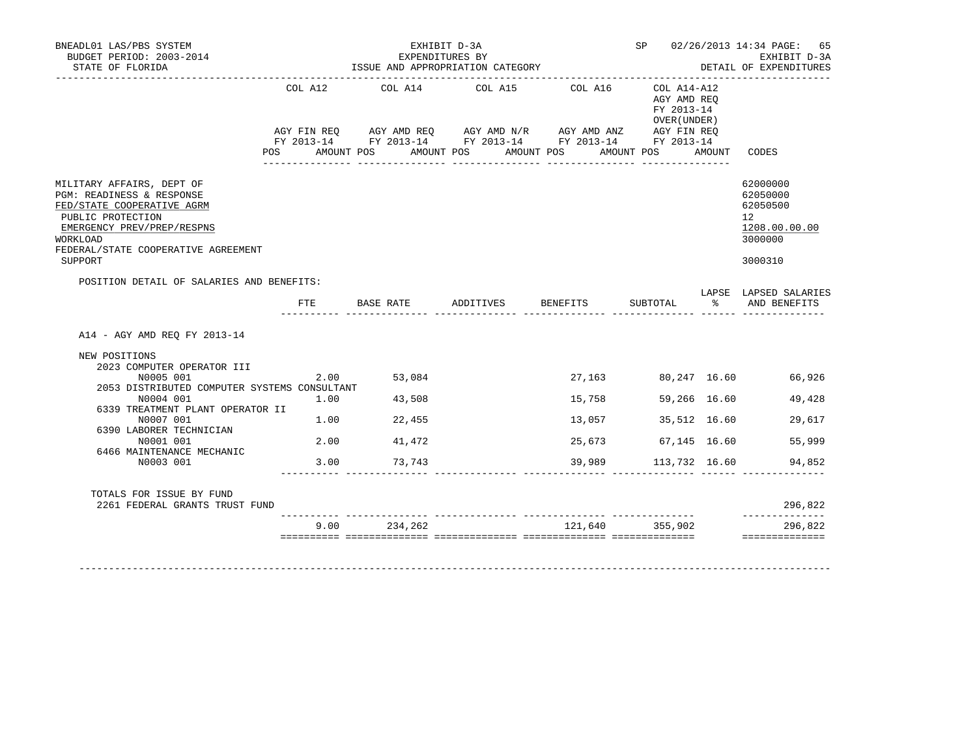| COL A12      | COL A14 COL A15                                                                                                               |                                                                                                                     |         |                                                            |                             |                                                                                                                                                                                                                                                                             |
|--------------|-------------------------------------------------------------------------------------------------------------------------------|---------------------------------------------------------------------------------------------------------------------|---------|------------------------------------------------------------|-----------------------------|-----------------------------------------------------------------------------------------------------------------------------------------------------------------------------------------------------------------------------------------------------------------------------|
|              |                                                                                                                               |                                                                                                                     | COL A16 | COL A14-A12<br>AGY AMD REQ<br>FY 2013-14<br>OVER ( UNDER ) |                             | CODES                                                                                                                                                                                                                                                                       |
|              |                                                                                                                               |                                                                                                                     |         |                                                            |                             | 62000000<br>62050000<br>62050500<br>12 <sup>°</sup><br>1208.00.00.00<br>3000000<br>3000310                                                                                                                                                                                  |
| $_{\rm FTE}$ |                                                                                                                               |                                                                                                                     |         |                                                            |                             | LAPSE LAPSED SALARIES                                                                                                                                                                                                                                                       |
|              |                                                                                                                               |                                                                                                                     |         |                                                            |                             |                                                                                                                                                                                                                                                                             |
|              |                                                                                                                               |                                                                                                                     |         |                                                            |                             |                                                                                                                                                                                                                                                                             |
|              |                                                                                                                               |                                                                                                                     |         |                                                            |                             |                                                                                                                                                                                                                                                                             |
|              | 43,508                                                                                                                        |                                                                                                                     | 15,758  |                                                            |                             | 49,428                                                                                                                                                                                                                                                                      |
|              |                                                                                                                               |                                                                                                                     |         |                                                            |                             | 29,617                                                                                                                                                                                                                                                                      |
|              | 41,472                                                                                                                        |                                                                                                                     | 25,673  |                                                            |                             | 55,999                                                                                                                                                                                                                                                                      |
|              |                                                                                                                               |                                                                                                                     |         |                                                            |                             | 94,852                                                                                                                                                                                                                                                                      |
|              |                                                                                                                               |                                                                                                                     |         |                                                            |                             |                                                                                                                                                                                                                                                                             |
|              |                                                                                                                               |                                                                                                                     |         |                                                            |                             | 296,822<br>______________                                                                                                                                                                                                                                                   |
|              | 234,262                                                                                                                       |                                                                                                                     |         |                                                            |                             | 296,822<br>==============                                                                                                                                                                                                                                                   |
|              | <b>POS</b><br>POSITION DETAIL OF SALARIES AND BENEFITS:<br>6339 TREATMENT PLANT OPERATOR II<br>2261 FEDERAL GRANTS TRUST FUND | 2.00 53,084<br>2053 DISTRIBUTED COMPUTER SYSTEMS CONSULTANT<br>1.00<br>$1.00$ 22,455<br>2.00<br>3.00 73,743<br>9.00 |         |                                                            | 27, 163<br>13,057<br>39,989 | AMOUNT POS AMOUNT POS AMOUNT POS AMOUNT POS AMOUNT<br>BASE RATE            ADDITIVES           BENEFITS           SUBTOTAL                         AND  BENEFITS<br>80,247 16.60 66,926<br>59,266 16.60<br>35,512 16.60<br>67,145 16.60<br>113,732 16.60<br>121,640 355,902 |

-------------------------------------------------------------------------------------------------------------------------------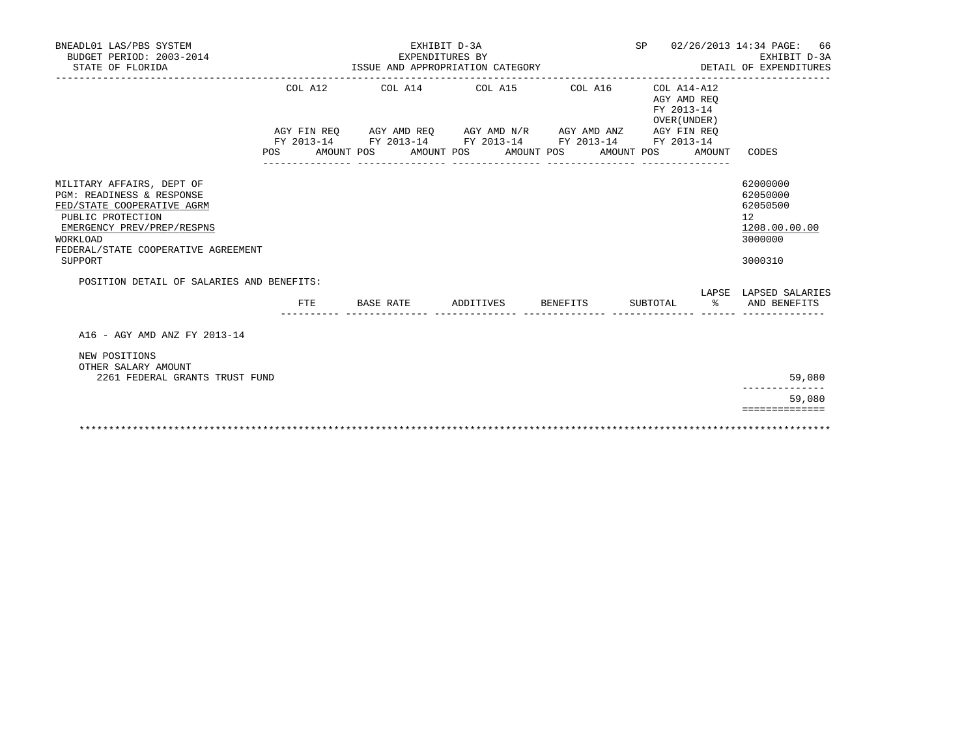| BNEADL01 LAS/PBS SYSTEM<br>BUDGET PERIOD: 2003-2014<br>STATE OF FLORIDA                                                                             |         | EXPENDITURES BY                  | EXHIBIT D-3A       |                                                                                                                  |                                                          | SP 02/26/2013 14:34 PAGE: 66<br>EXHIBIT D-3A<br>DETAIL OF EXPENDITURES |
|-----------------------------------------------------------------------------------------------------------------------------------------------------|---------|----------------------------------|--------------------|------------------------------------------------------------------------------------------------------------------|----------------------------------------------------------|------------------------------------------------------------------------|
|                                                                                                                                                     |         | ISSUE AND APPROPRIATION CATEGORY |                    |                                                                                                                  |                                                          | __________________________________                                     |
|                                                                                                                                                     | COL A12 |                                  |                    | COL A14 COL A15 COL A16                                                                                          | COL A14-A12<br>AGY AMD REO<br>FY 2013-14<br>OVER (UNDER) |                                                                        |
|                                                                                                                                                     |         |                                  |                    | AGY FIN REQ AGY AMD REQ AGY AMD N/R AGY AMD ANZ AGY FIN REQ                                                      |                                                          |                                                                        |
|                                                                                                                                                     |         |                                  |                    | FY 2013-14 FY 2013-14 FY 2013-14 FY 2013-14 FY 2013-14<br>POS AMOUNT POS AMOUNT POS AMOUNT POS AMOUNT POS AMOUNT |                                                          | CODES                                                                  |
|                                                                                                                                                     |         |                                  |                    |                                                                                                                  |                                                          | 62000000                                                               |
| MILITARY AFFAIRS, DEPT OF<br>PGM: READINESS & RESPONSE<br>FED/STATE COOPERATIVE AGRM<br>PUBLIC PROTECTION<br>EMERGENCY PREV/PREP/RESPNS<br>WORKLOAD |         |                                  |                    |                                                                                                                  |                                                          | 62050000<br>62050500<br>12<br>1208.00.00.00<br>3000000                 |
| FEDERAL/STATE COOPERATIVE AGREEMENT<br>SUPPORT                                                                                                      |         |                                  |                    |                                                                                                                  |                                                          | 3000310                                                                |
| POSITION DETAIL OF SALARIES AND BENEFITS:                                                                                                           |         |                                  |                    |                                                                                                                  |                                                          |                                                                        |
|                                                                                                                                                     | FTE.    | BASE RATE                        | ADDITIVES BENEFITS |                                                                                                                  | SUBTOTAL %                                               | LAPSE LAPSED SALARIES<br>AND BENEFITS                                  |
| A16 - AGY AMD ANZ FY 2013-14                                                                                                                        |         |                                  |                    |                                                                                                                  |                                                          |                                                                        |
| NEW POSITIONS<br>OTHER SALARY AMOUNT<br>2261 FEDERAL GRANTS TRUST FUND                                                                              |         |                                  |                    |                                                                                                                  |                                                          | 59,080                                                                 |
|                                                                                                                                                     |         |                                  |                    |                                                                                                                  |                                                          |                                                                        |
|                                                                                                                                                     |         |                                  |                    |                                                                                                                  |                                                          | 59,080                                                                 |
|                                                                                                                                                     |         |                                  |                    |                                                                                                                  |                                                          | ==============                                                         |
|                                                                                                                                                     |         |                                  |                    |                                                                                                                  |                                                          |                                                                        |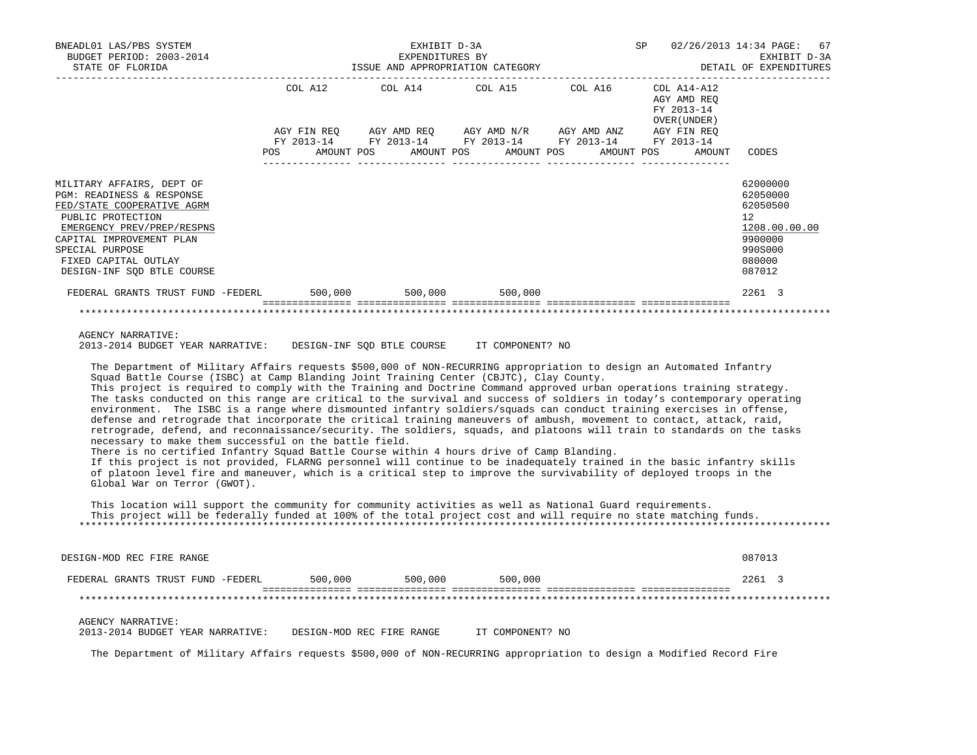| BNEADL01 LAS/PBS SYSTEM<br>BUDGET PERIOD: 2003-2014                                                                                                                                                                                                                                                                                                                                                                                                                                                                                                                                                                                                                                                                                                                                                                                                                                                                                                                                                                                                                                                                                                                                                                                                                                          |  | SP 02/26/2013 14:34 PAGE: 67<br>EXPENDITURES BY EXEMPLE EXPENDITURES BY EXHIBIT D-3A SISUE AND APPROPRIATION CATEGORY                                                                       |                             |                                                      |                                                                                                                |
|----------------------------------------------------------------------------------------------------------------------------------------------------------------------------------------------------------------------------------------------------------------------------------------------------------------------------------------------------------------------------------------------------------------------------------------------------------------------------------------------------------------------------------------------------------------------------------------------------------------------------------------------------------------------------------------------------------------------------------------------------------------------------------------------------------------------------------------------------------------------------------------------------------------------------------------------------------------------------------------------------------------------------------------------------------------------------------------------------------------------------------------------------------------------------------------------------------------------------------------------------------------------------------------------|--|---------------------------------------------------------------------------------------------------------------------------------------------------------------------------------------------|-----------------------------|------------------------------------------------------|----------------------------------------------------------------------------------------------------------------|
|                                                                                                                                                                                                                                                                                                                                                                                                                                                                                                                                                                                                                                                                                                                                                                                                                                                                                                                                                                                                                                                                                                                                                                                                                                                                                              |  | COL A12 COL A14<br>AGY FIN REQ AGY AMD REQ AGY AMD N/R AGY AMD ANZ AGY FIN REQ<br>FY 2013-14 FY 2013-14 FY 2013-14 FY 2013-14 FY 2013-14<br>POS AMOUNT POS AMOUNT POS AMOUNT POS AMOUNT POS | COL A15 COL A16 COL A14-A12 | AGY AMD REQ<br>FY 2013-14<br>OVER (UNDER )<br>AMOUNT | CODES                                                                                                          |
| MILITARY AFFAIRS, DEPT OF<br>PGM: READINESS & RESPONSE<br>FED/STATE COOPERATIVE AGRM<br>PUBLIC PROTECTION<br>EMERGENCY PREV/PREP/RESPNS<br>CAPITAL IMPROVEMENT PLAN<br>SPECIAL PURPOSE<br>FIXED CAPITAL OUTLAY<br>DESIGN-INF SQD BTLE COURSE                                                                                                                                                                                                                                                                                                                                                                                                                                                                                                                                                                                                                                                                                                                                                                                                                                                                                                                                                                                                                                                 |  |                                                                                                                                                                                             |                             |                                                      | 62000000<br>62050000<br>62050500<br>12 <sup>7</sup><br>1208.00.00.00<br>9900000<br>990S000<br>080000<br>087012 |
| FEDERAL GRANTS TRUST FUND -FEDERL 500,000 500,000 500,000 500,000                                                                                                                                                                                                                                                                                                                                                                                                                                                                                                                                                                                                                                                                                                                                                                                                                                                                                                                                                                                                                                                                                                                                                                                                                            |  |                                                                                                                                                                                             |                             |                                                      | 2261 3                                                                                                         |
|                                                                                                                                                                                                                                                                                                                                                                                                                                                                                                                                                                                                                                                                                                                                                                                                                                                                                                                                                                                                                                                                                                                                                                                                                                                                                              |  |                                                                                                                                                                                             |                             |                                                      |                                                                                                                |
| AGENCY NARRATIVE:<br>2013-2014 BUDGET YEAR NARRATIVE: DESIGN-INF SQD BTLE COURSE IT COMPONENT? NO                                                                                                                                                                                                                                                                                                                                                                                                                                                                                                                                                                                                                                                                                                                                                                                                                                                                                                                                                                                                                                                                                                                                                                                            |  |                                                                                                                                                                                             |                             |                                                      |                                                                                                                |
| The Department of Military Affairs requests \$500,000 of NON-RECURRING appropriation to design an Automated Infantry<br>Squad Battle Course (ISBC) at Camp Blanding Joint Training Center (CBJTC), Clay County.<br>This project is required to comply with the Training and Doctrine Command approved urban operations training strategy.<br>The tasks conducted on this range are critical to the survival and success of soldiers in today's contemporary operating<br>environment. The ISBC is a range where dismounted infantry soldiers/squads can conduct training exercises in offense,<br>defense and retrograde that incorporate the critical training maneuvers of ambush, movement to contact, attack, raid,<br>retrograde, defend, and reconnaissance/security. The soldiers, squads, and platoons will train to standards on the tasks<br>necessary to make them successful on the battle field.<br>There is no certified Infantry Squad Battle Course within 4 hours drive of Camp Blanding.<br>If this project is not provided, FLARNG personnel will continue to be inadequately trained in the basic infantry skills<br>of platoon level fire and maneuver, which is a critical step to improve the survivability of deployed troops in the<br>Global War on Terror (GWOT). |  |                                                                                                                                                                                             |                             |                                                      |                                                                                                                |
| This location will support the community for community activities as well as National Guard requirements.<br>This project will be federally funded at 100% of the total project cost and will require no state matching funds.                                                                                                                                                                                                                                                                                                                                                                                                                                                                                                                                                                                                                                                                                                                                                                                                                                                                                                                                                                                                                                                               |  |                                                                                                                                                                                             |                             |                                                      |                                                                                                                |

DESIGN-MOD REC FIRE RANGE 087013 FEDERAL GRANTS TRUST FUND -FEDERL 500,000 500,000 500,000 2261 3 =============== =============== =============== =============== =============== \*\*\*\*\*\*\*\*\*\*\*\*\*\*\*\*\*\*\*\*\*\*\*\*\*\*\*\*\*\*\*\*\*\*\*\*\*\*\*\*\*\*\*\*\*\*\*\*\*\*\*\*\*\*\*\*\*\*\*\*\*\*\*\*\*\*\*\*\*\*\*\*\*\*\*\*\*\*\*\*\*\*\*\*\*\*\*\*\*\*\*\*\*\*\*\*\*\*\*\*\*\*\*\*\*\*\*\*\*\*\*\*\*\*\*\*\*\*\*\*\*\*\*\*\*\*\* AGENCY NARRATIVE: 2013-2014 BUDGET YEAR NARRATIVE: DESIGN-MOD REC FIRE RANGE IT COMPONENT? NO

\*\*\*\*\*\*\*\*\*\*\*\*\*\*\*\*\*\*\*\*\*\*\*\*\*\*\*\*\*\*\*\*\*\*\*\*\*\*\*\*\*\*\*\*\*\*\*\*\*\*\*\*\*\*\*\*\*\*\*\*\*\*\*\*\*\*\*\*\*\*\*\*\*\*\*\*\*\*\*\*\*\*\*\*\*\*\*\*\*\*\*\*\*\*\*\*\*\*\*\*\*\*\*\*\*\*\*\*\*\*\*\*\*\*\*\*\*\*\*\*\*\*\*\*\*\*\*

The Department of Military Affairs requests \$500,000 of NON-RECURRING appropriation to design a Modified Record Fire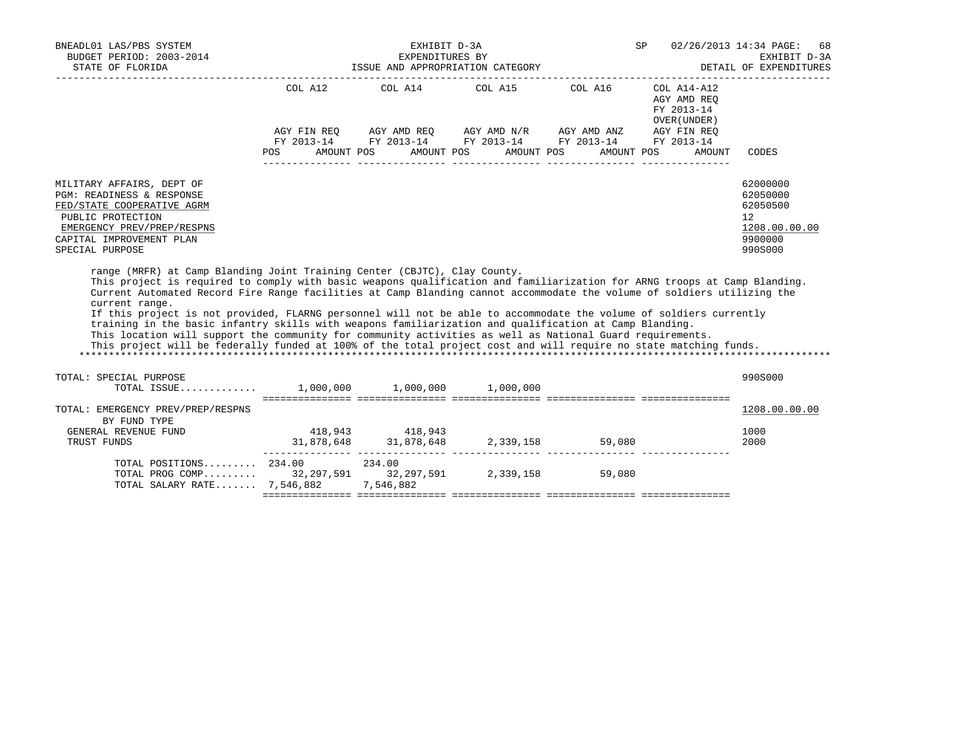| BNEADL01 LAS/PBS SYSTEM<br>BUDGET PERIOD: 2003-2014<br>STATE OF FLORIDA                                                                                                                                                                                                                                                                                                                                                                                                                                                                                                                                                                                                                                                                                                                                               |                                                 | EXHIBIT D-3A<br>EXPENDITURES BY | ISSUE AND APPROPRIATION CATEGORY                                                                                                                                                                 | SP 02/26/2013 14:34 PAGE: 68                        | EXHIBIT D-3A<br>DETAIL OF EXPENDITURES                                                  |
|-----------------------------------------------------------------------------------------------------------------------------------------------------------------------------------------------------------------------------------------------------------------------------------------------------------------------------------------------------------------------------------------------------------------------------------------------------------------------------------------------------------------------------------------------------------------------------------------------------------------------------------------------------------------------------------------------------------------------------------------------------------------------------------------------------------------------|-------------------------------------------------|---------------------------------|--------------------------------------------------------------------------------------------------------------------------------------------------------------------------------------------------|-----------------------------------------------------|-----------------------------------------------------------------------------------------|
|                                                                                                                                                                                                                                                                                                                                                                                                                                                                                                                                                                                                                                                                                                                                                                                                                       | POS AMOUNT POS AMOUNT POS AMOUNT POS AMOUNT POS |                                 | COL A12 COL A14 COL A15 COL A16 COL A14-A12<br>AGY FIN REQ        AGY AMD REQ        AGY AMD N/R        AGY AMD ANZ        AGY FIN REQ<br>FY 2013-14 FY 2013-14 FY 2013-14 FY 2013-14 FY 2013-14 | AGY AMD REQ<br>FY 2013-14<br>OVER (UNDER)<br>AMOUNT | CODES                                                                                   |
| MILITARY AFFAIRS, DEPT OF<br>PGM: READINESS & RESPONSE<br>FED/STATE COOPERATIVE AGRM<br>PUBLIC PROTECTION<br>EMERGENCY PREV/PREP/RESPNS<br>CAPITAL IMPROVEMENT PLAN<br>SPECIAL PURPOSE                                                                                                                                                                                                                                                                                                                                                                                                                                                                                                                                                                                                                                |                                                 |                                 |                                                                                                                                                                                                  |                                                     | 62000000<br>62050000<br>62050500<br>$12^{\circ}$<br>1208.00.00.00<br>9900000<br>990S000 |
| range (MRFR) at Camp Blanding Joint Training Center (CBJTC), Clay County.<br>This project is required to comply with basic weapons qualification and familiarization for ARNG troops at Camp Blanding.<br>Current Automated Record Fire Range facilities at Camp Blanding cannot accommodate the volume of soldiers utilizing the<br>current range.<br>If this project is not provided, FLARNG personnel will not be able to accommodate the volume of soldiers currently<br>training in the basic infantry skills with weapons familiarization and qualification at Camp Blanding.<br>This location will support the community for community activities as well as National Guard requirements.<br>This project will be federally funded at 100% of the total project cost and will require no state matching funds. |                                                 |                                 |                                                                                                                                                                                                  |                                                     |                                                                                         |
| TOTAL: SPECIAL PURPOSE<br>TOTAL ISSUE 1,000,000 1,000,000 1,000,000                                                                                                                                                                                                                                                                                                                                                                                                                                                                                                                                                                                                                                                                                                                                                   |                                                 |                                 |                                                                                                                                                                                                  |                                                     | 990S000                                                                                 |
| TOTAL: EMERGENCY PREV/PREP/RESPNS<br>BY FUND TYPE                                                                                                                                                                                                                                                                                                                                                                                                                                                                                                                                                                                                                                                                                                                                                                     |                                                 |                                 |                                                                                                                                                                                                  |                                                     | 1208.00.00.00                                                                           |
| GENERAL REVENUE FUND<br>TRUST FUNDS                                                                                                                                                                                                                                                                                                                                                                                                                                                                                                                                                                                                                                                                                                                                                                                   |                                                 | 418,943 418,943                 | $31,878,648$ $31,878,648$ $2,339,158$ 59,080                                                                                                                                                     |                                                     | 1000<br>2000                                                                            |
| TOTAL POSITIONS 234.00 234.00<br>TOTAL PROG COMP 32,297,591 32,297,591 2,339,158 59,080<br>TOTAL SALARY RATE 7,546,882 7,546,882                                                                                                                                                                                                                                                                                                                                                                                                                                                                                                                                                                                                                                                                                      |                                                 |                                 |                                                                                                                                                                                                  |                                                     |                                                                                         |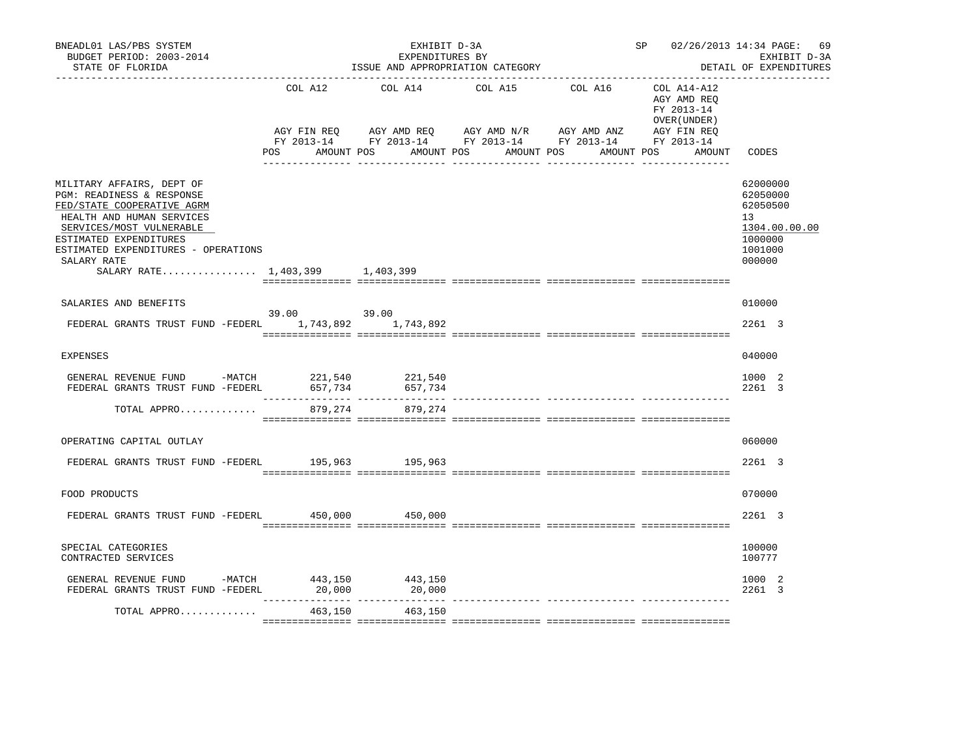| BNEADL01 LAS/PBS SYSTEM<br>BUDGET PERIOD: 2003-2014<br>STATE OF FLORIDA                                                                                                                                                                                          |             | EXHIBIT D-3A<br>EXPENDITURES BY | ISSUE AND APPROPRIATION CATEGORY                                                                                                                                                 | SP 02/26/2013 14:34 PAGE:                                          | 69<br>EXHIBIT D-3A<br>DETAIL OF EXPENDITURES                                            |
|------------------------------------------------------------------------------------------------------------------------------------------------------------------------------------------------------------------------------------------------------------------|-------------|---------------------------------|----------------------------------------------------------------------------------------------------------------------------------------------------------------------------------|--------------------------------------------------------------------|-----------------------------------------------------------------------------------------|
|                                                                                                                                                                                                                                                                  | POS         | COL A12 COL A14<br>AMOUNT POS   | COL A15 COL A16 COL A14-A12<br>AGY FIN REQ AGY AMD REQ AGY AMD N/R AGY AMD ANZ AGY FIN REQ<br>FY 2013-14 FY 2013-14 FY 2013-14 FY 2013-14 FY 2013-14<br>AMOUNT POS<br>AMOUNT POS | AGY AMD REO<br>FY 2013-14<br>OVER (UNDER )<br>AMOUNT POS<br>AMOUNT | CODES                                                                                   |
| MILITARY AFFAIRS, DEPT OF<br>PGM: READINESS & RESPONSE<br>FED/STATE COOPERATIVE AGRM<br>HEALTH AND HUMAN SERVICES<br>SERVICES/MOST VULNERABLE<br>ESTIMATED EXPENDITURES<br>ESTIMATED EXPENDITURES - OPERATIONS<br>SALARY RATE<br>SALARY RATE 1,403,399 1,403,399 |             |                                 |                                                                                                                                                                                  |                                                                    | 62000000<br>62050000<br>62050500<br>13<br>1304.00.00.00<br>1000000<br>1001000<br>000000 |
| SALARIES AND BENEFITS<br>FEDERAL GRANTS TRUST FUND -FEDERL 1,743,892 1,743,892                                                                                                                                                                                   | 39.00 39.00 |                                 |                                                                                                                                                                                  |                                                                    | 010000<br>2261 3                                                                        |
| <b>EXPENSES</b>                                                                                                                                                                                                                                                  |             |                                 |                                                                                                                                                                                  |                                                                    | 040000                                                                                  |
|                                                                                                                                                                                                                                                                  |             |                                 |                                                                                                                                                                                  |                                                                    | 1000 2<br>$2261$ 3                                                                      |
| TOTAL APPRO                                                                                                                                                                                                                                                      |             | 879, 274 879, 274               |                                                                                                                                                                                  |                                                                    |                                                                                         |
| OPERATING CAPITAL OUTLAY                                                                                                                                                                                                                                         |             |                                 |                                                                                                                                                                                  |                                                                    | 060000                                                                                  |
| FEDERAL GRANTS TRUST FUND -FEDERL 195,963 195,963                                                                                                                                                                                                                |             |                                 |                                                                                                                                                                                  |                                                                    | 2261 3                                                                                  |
| FOOD PRODUCTS                                                                                                                                                                                                                                                    |             |                                 |                                                                                                                                                                                  |                                                                    | 070000                                                                                  |
| FEDERAL GRANTS TRUST FUND -FEDERL 450,000 450,000                                                                                                                                                                                                                |             |                                 |                                                                                                                                                                                  |                                                                    | 2261 3                                                                                  |
| SPECIAL CATEGORIES<br>CONTRACTED SERVICES                                                                                                                                                                                                                        |             |                                 |                                                                                                                                                                                  |                                                                    | 100000<br>100777                                                                        |
| GENERAL REVENUE FUND -MATCH 443,150 443,150<br>FEDERAL GRANTS TRUST FUND -FEDERL                                                                                                                                                                                 |             | 20,000 20,000                   |                                                                                                                                                                                  |                                                                    | 1000 2<br>$2261 \quad 3$                                                                |
| TOTAL APPRO                                                                                                                                                                                                                                                      | 463,150     | 463,150                         |                                                                                                                                                                                  |                                                                    |                                                                                         |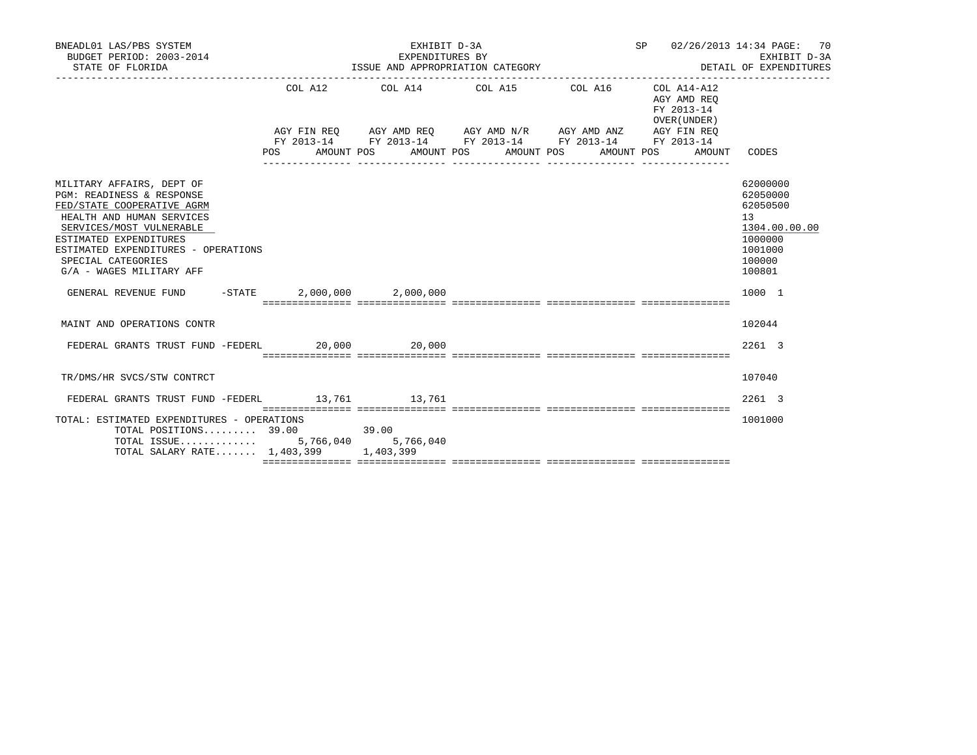| BNEADL01 LAS/PBS SYSTEM<br>BUDGET PERIOD: 2003-2014<br>STATE OF FLORIDA                                                                                                                                                                                          |                                      | EXHIBIT D-3A<br>EXPENDITURES BY | ISSUE AND APPROPRIATION CATEGORY                                                                                                                                     | SP 02/26/2013 14:34 PAGE: 70<br>DETAIL OF EXPENDITURES         | EXHIBIT D-3A                                                                                      |
|------------------------------------------------------------------------------------------------------------------------------------------------------------------------------------------------------------------------------------------------------------------|--------------------------------------|---------------------------------|----------------------------------------------------------------------------------------------------------------------------------------------------------------------|----------------------------------------------------------------|---------------------------------------------------------------------------------------------------|
|                                                                                                                                                                                                                                                                  | POS AMOUNT POS AMOUNT POS AMOUNT POS |                                 | COL A12 COL A14 COL A15 COL A16 COL A14-A12<br>AGY FIN REQ AGY AMD REQ AGY AMD N/R AGY AMD ANZ AGY FIN REQ<br>FY 2013-14 FY 2013-14 FY 2013-14 FY 2013-14 FY 2013-14 | AGY AMD REO<br>FY 2013-14<br>OVER (UNDER)<br>AMOUNT POS AMOUNT | CODES                                                                                             |
| MILITARY AFFAIRS, DEPT OF<br>PGM: READINESS & RESPONSE<br>FED/STATE COOPERATIVE AGRM<br>HEALTH AND HUMAN SERVICES<br>SERVICES/MOST VULNERABLE<br>ESTIMATED EXPENDITURES<br>ESTIMATED EXPENDITURES - OPERATIONS<br>SPECIAL CATEGORIES<br>G/A - WAGES MILITARY AFF |                                      |                                 |                                                                                                                                                                      |                                                                | 62000000<br>62050000<br>62050500<br>13<br>1304.00.00.00<br>1000000<br>1001000<br>100000<br>100801 |
| GENERAL REVENUE FUND -STATE 2,000,000 2,000,000                                                                                                                                                                                                                  |                                      |                                 |                                                                                                                                                                      |                                                                | 1000 1                                                                                            |
| MAINT AND OPERATIONS CONTR                                                                                                                                                                                                                                       |                                      |                                 |                                                                                                                                                                      |                                                                | 102044                                                                                            |
| FEDERAL GRANTS TRUST FUND -FEDERL 20,000 20,000                                                                                                                                                                                                                  |                                      |                                 |                                                                                                                                                                      |                                                                | $2261 \quad 3$                                                                                    |
| TR/DMS/HR SVCS/STW CONTRCT                                                                                                                                                                                                                                       |                                      |                                 |                                                                                                                                                                      |                                                                | 107040                                                                                            |
| FEDERAL GRANTS TRUST FUND -FEDERL 13,761 13,761                                                                                                                                                                                                                  |                                      |                                 |                                                                                                                                                                      |                                                                | $2261 \quad 3$                                                                                    |
| TOTAL: ESTIMATED EXPENDITURES - OPERATIONS<br>$\texttt{TOTAL}$ POSITIONS 39.00 39.00<br>TOTAL ISSUE 5,766,040 5,766,040<br>TOTAL SALARY RATE 1,403,399 1,403,399                                                                                                 |                                      |                                 |                                                                                                                                                                      |                                                                | 1001000                                                                                           |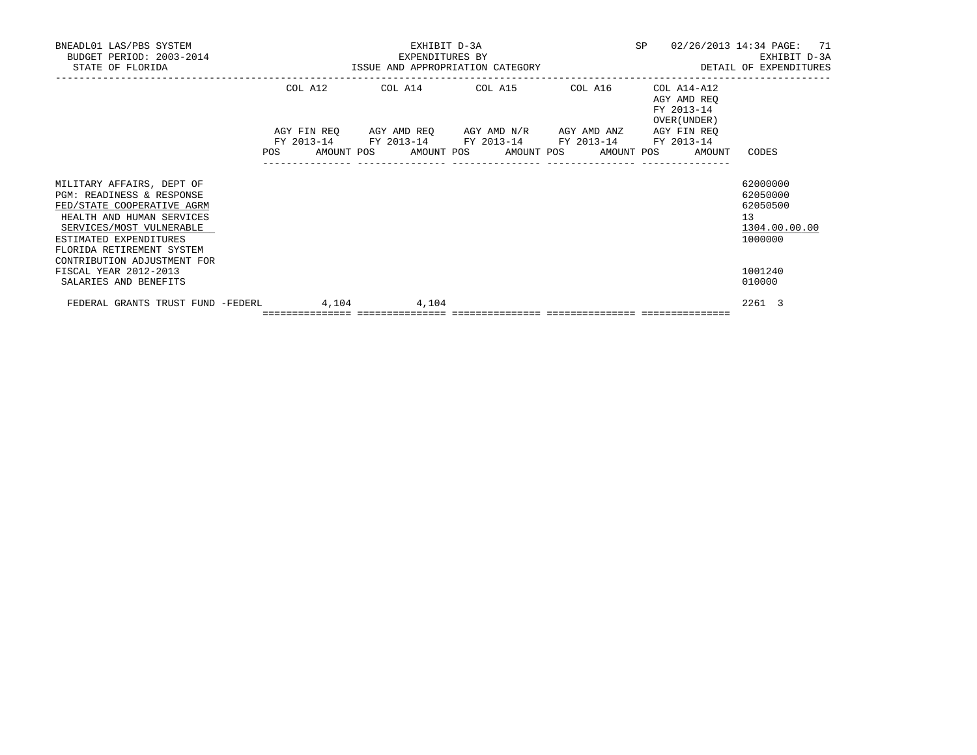| BNEADL01 LAS/PBS SYSTEM<br>BUDGET PERIOD: 2003-2014<br>STATE OF FLORIDA                                                                                                                              |  | EXHIBIT D-3A<br>EXPENDITURES BY<br>EXPENDITURES BY<br>ISSUE AND APPROPRIATION CATEGORY |       |  |       |                                                                                        |                                                                                                           |  |  |                                                          |        | 02/26/2013 14:34 PAGE: 71<br>EXHIBIT D-3A<br>DETAIL OF EXPENDITURES |
|------------------------------------------------------------------------------------------------------------------------------------------------------------------------------------------------------|--|----------------------------------------------------------------------------------------|-------|--|-------|----------------------------------------------------------------------------------------|-----------------------------------------------------------------------------------------------------------|--|--|----------------------------------------------------------|--------|---------------------------------------------------------------------|
|                                                                                                                                                                                                      |  | COL A12                                                                                |       |  |       | COL A14 COL A15 COL A16<br>AGY FIN REO AGY AMD REO AGY AMD N/R AGY AMD ANZ AGY FIN REO |                                                                                                           |  |  | COL A14-A12<br>AGY AMD REQ<br>FY 2013-14<br>OVER (UNDER) |        |                                                                     |
|                                                                                                                                                                                                      |  |                                                                                        |       |  |       |                                                                                        | FY 2013-14 FY 2013-14 FY 2013-14 FY 2013-14 FY 2013-14<br>POS AMOUNT POS AMOUNT POS AMOUNT POS AMOUNT POS |  |  |                                                          | AMOUNT | CODES                                                               |
| MILITARY AFFAIRS, DEPT OF<br>PGM: READINESS & RESPONSE<br>FED/STATE COOPERATIVE AGRM<br>HEALTH AND HUMAN SERVICES<br>SERVICES/MOST VULNERABLE<br>ESTIMATED EXPENDITURES<br>FLORIDA RETIREMENT SYSTEM |  |                                                                                        |       |  |       |                                                                                        |                                                                                                           |  |  |                                                          |        | 62000000<br>62050000<br>62050500<br>13<br>1304.00.00.00<br>1000000  |
| CONTRIBUTION ADJUSTMENT FOR<br>FISCAL YEAR 2012-2013<br>SALARIES AND BENEFITS                                                                                                                        |  |                                                                                        |       |  |       |                                                                                        |                                                                                                           |  |  |                                                          |        | 1001240<br>010000                                                   |
| FEDERAL GRANTS TRUST FUND -FEDERL                                                                                                                                                                    |  |                                                                                        | 4,104 |  | 4,104 |                                                                                        |                                                                                                           |  |  |                                                          |        | 2261 3                                                              |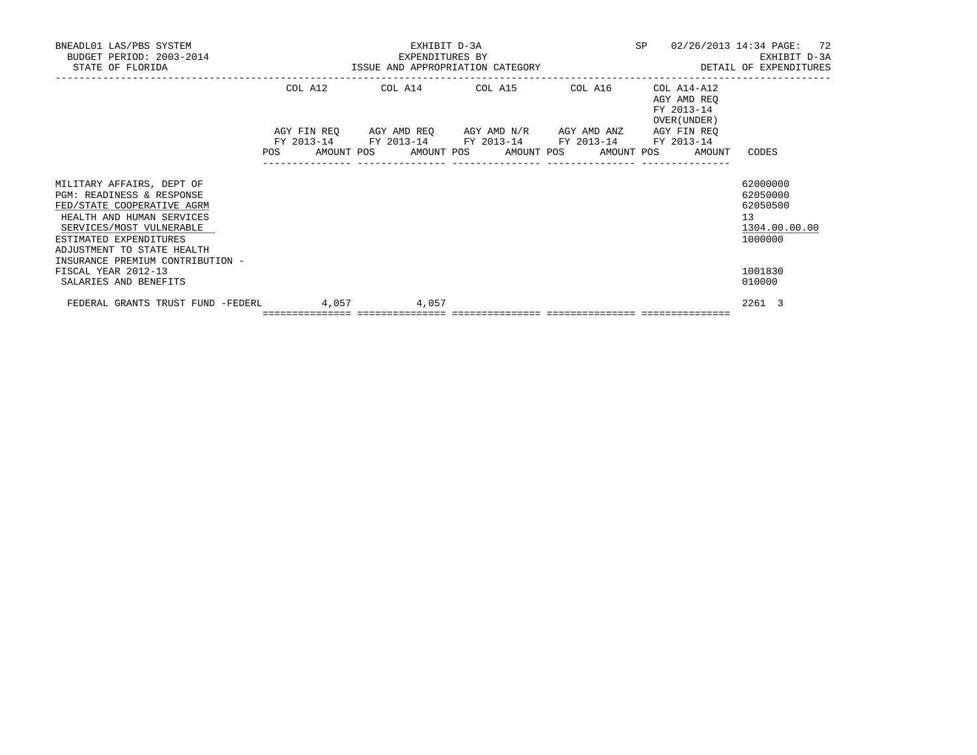| BNEADL01 LAS/PBS SYSTEM<br>BUDGET PERIOD: 2003-2014<br>STATE OF FLORIDA                                                                                                                               |         | EXHIBIT D-3A<br>EXPENDITURES BY<br>EXPENDITURES BY<br>ISSUE AND APPROPRIATION CATEGORY | SP                                                                                                        | 02/26/2013 14:34 PAGE: 72<br>EXHIBIT D-3A<br>DETAIL OF EXPENDITURES |                                                          |                                                                    |
|-------------------------------------------------------------------------------------------------------------------------------------------------------------------------------------------------------|---------|----------------------------------------------------------------------------------------|-----------------------------------------------------------------------------------------------------------|---------------------------------------------------------------------|----------------------------------------------------------|--------------------------------------------------------------------|
|                                                                                                                                                                                                       | COL A12 |                                                                                        | COL A14 COL A15 COL A16<br>AGY FIN REO AGY AMD REO AGY AMD N/R AGY AMD ANZ AGY FIN REO                    |                                                                     | COL A14-A12<br>AGY AMD REQ<br>FY 2013-14<br>OVER (UNDER) |                                                                    |
|                                                                                                                                                                                                       |         |                                                                                        | FY 2013-14 FY 2013-14 FY 2013-14 FY 2013-14 FY 2013-14<br>POS AMOUNT POS AMOUNT POS AMOUNT POS AMOUNT POS |                                                                     | AMOUNT                                                   | CODES                                                              |
| MILITARY AFFAIRS, DEPT OF<br>PGM: READINESS & RESPONSE<br>FED/STATE COOPERATIVE AGRM<br>HEALTH AND HUMAN SERVICES<br>SERVICES/MOST VULNERABLE<br>ESTIMATED EXPENDITURES<br>ADJUSTMENT TO STATE HEALTH |         |                                                                                        |                                                                                                           |                                                                     |                                                          | 62000000<br>62050000<br>62050500<br>13<br>1304.00.00.00<br>1000000 |
| INSURANCE PREMIUM CONTRIBUTION -<br>FISCAL YEAR 2012-13<br>SALARIES AND BENEFITS                                                                                                                      |         |                                                                                        |                                                                                                           |                                                                     |                                                          | 1001830<br>010000                                                  |
| FEDERAL GRANTS TRUST FUND -FEDERL                                                                                                                                                                     | 4,057   | 4,057<br>================================                                              |                                                                                                           |                                                                     |                                                          | 2261 3                                                             |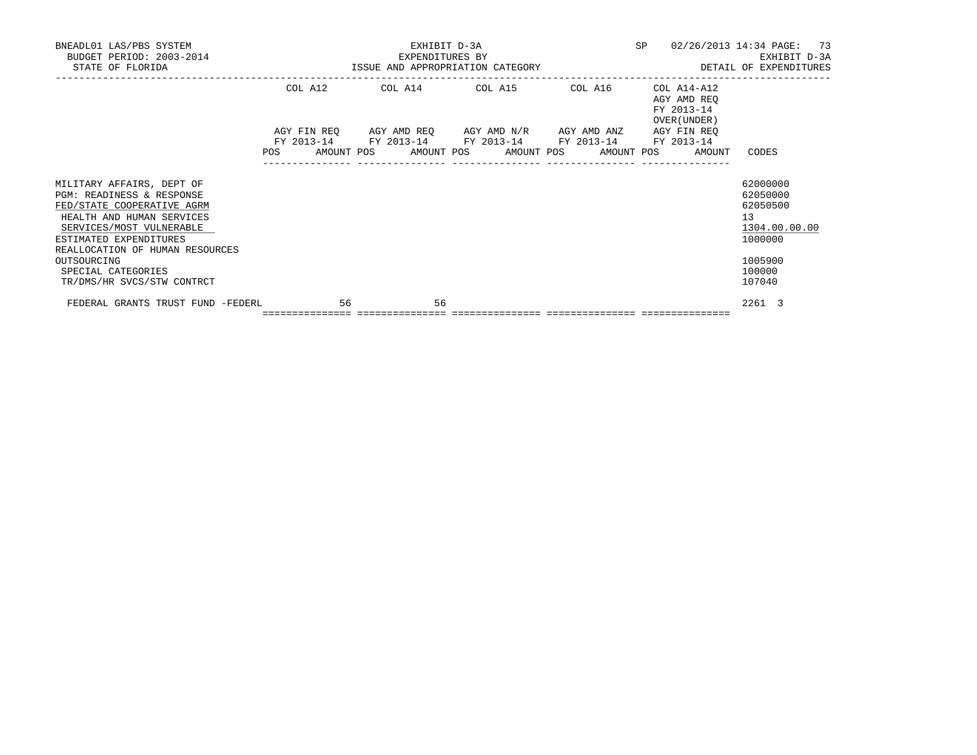| BNEADL01 LAS/PBS SYSTEM<br>BUDGET PERIOD: 2003-2014<br>STATE OF FLORIDA                                                                                                                                                                                                       | U14 EXPENDITURES BY<br>ISSUE AND APPROPRIATION CATEGORY | EXHIBIT D-3A<br>EXPENDITURES BY                                                                |  | SP                                                       | 02/26/2013 14:34 PAGE: 73<br>EXHIBIT D-3A<br>DETAIL OF EXPENDITURES                               |
|-------------------------------------------------------------------------------------------------------------------------------------------------------------------------------------------------------------------------------------------------------------------------------|---------------------------------------------------------|------------------------------------------------------------------------------------------------|--|----------------------------------------------------------|---------------------------------------------------------------------------------------------------|
|                                                                                                                                                                                                                                                                               | COL A12                                                 | COL A14 COL A15 COL A16<br>AGY FIN REQ AGY AMD REQ AGY AMD N/R AGY AMD ANZ AGY FIN REQ         |  | COL A14-A12<br>AGY AMD REQ<br>FY 2013-14<br>OVER (UNDER) |                                                                                                   |
|                                                                                                                                                                                                                                                                               |                                                         | FY 2013-14 FY 2013-14 FY 2013-14 FY 2013-14 FY 2013-14<br>POS AMOUNT POS AMOUNT POS AMOUNT POS |  | AMOUNT POS<br>AMOUNT                                     | CODES                                                                                             |
| MILITARY AFFAIRS, DEPT OF<br>PGM: READINESS & RESPONSE<br>FED/STATE COOPERATIVE AGRM<br>HEALTH AND HUMAN SERVICES<br>SERVICES/MOST VULNERABLE<br>ESTIMATED EXPENDITURES<br>REALLOCATION OF HUMAN RESOURCES<br>OUTSOURCING<br>SPECIAL CATEGORIES<br>TR/DMS/HR SVCS/STW CONTRCT |                                                         |                                                                                                |  |                                                          | 62000000<br>62050000<br>62050500<br>13<br>1304.00.00.00<br>1000000<br>1005900<br>100000<br>107040 |
| FEDERAL GRANTS TRUST FUND -FEDERL                                                                                                                                                                                                                                             | 56                                                      | 56<br>================================                                                         |  |                                                          | 2261 3                                                                                            |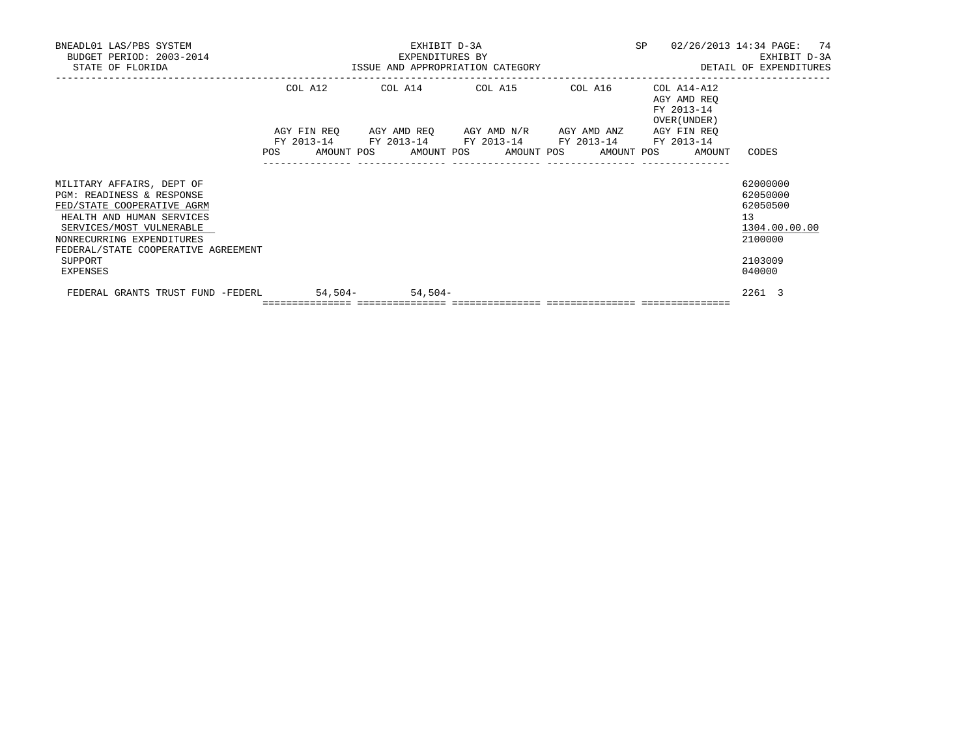| BNEADL01 LAS/PBS SYSTEM<br>BUDGET PERIOD: 2003-2014<br>STATE OF FLORIDA                                                                       | EXPENDITURES BY                                                                                                       | EXHIBIT D-3A | SP<br>ISSUE AND APPROPRIATION CATEGORY <b>ALL SECONS</b> DETAIL OF EXPENDITURES | 02/26/2013 14:34 PAGE: 74<br>EXHIBIT D-3A               |
|-----------------------------------------------------------------------------------------------------------------------------------------------|-----------------------------------------------------------------------------------------------------------------------|--------------|---------------------------------------------------------------------------------|---------------------------------------------------------|
|                                                                                                                                               | COL A12 COL A14 COL A15 COL A16                                                                                       |              | COL A14-A12<br>AGY AMD REO<br>FY 2013-14<br>OVER (UNDER)                        |                                                         |
|                                                                                                                                               | AGY FIN REO AGY AMD REO AGY AMD N/R AGY AMD ANZ AGY FIN REO<br>FY 2013-14 FY 2013-14 FY 2013-14 FY 2013-14 FY 2013-14 |              | POS AMOUNT POS AMOUNT POS AMOUNT POS AMOUNT POS AMOUNT                          | CODES                                                   |
| MILITARY AFFAIRS, DEPT OF<br>PGM: READINESS & RESPONSE<br>FED/STATE COOPERATIVE AGRM<br>HEALTH AND HUMAN SERVICES<br>SERVICES/MOST VULNERABLE |                                                                                                                       |              |                                                                                 | 62000000<br>62050000<br>62050500<br>13<br>1304.00.00.00 |
| NONRECURRING EXPENDITURES<br>FEDERAL/STATE COOPERATIVE AGREEMENT<br>SUPPORT<br>EXPENSES                                                       |                                                                                                                       |              |                                                                                 | 2100000<br>2103009<br>040000                            |
| FEDERAL GRANTS TRUST FUND -FEDERL 54,504- 54,504-                                                                                             | =================================                                                                                     |              |                                                                                 | 2261 3                                                  |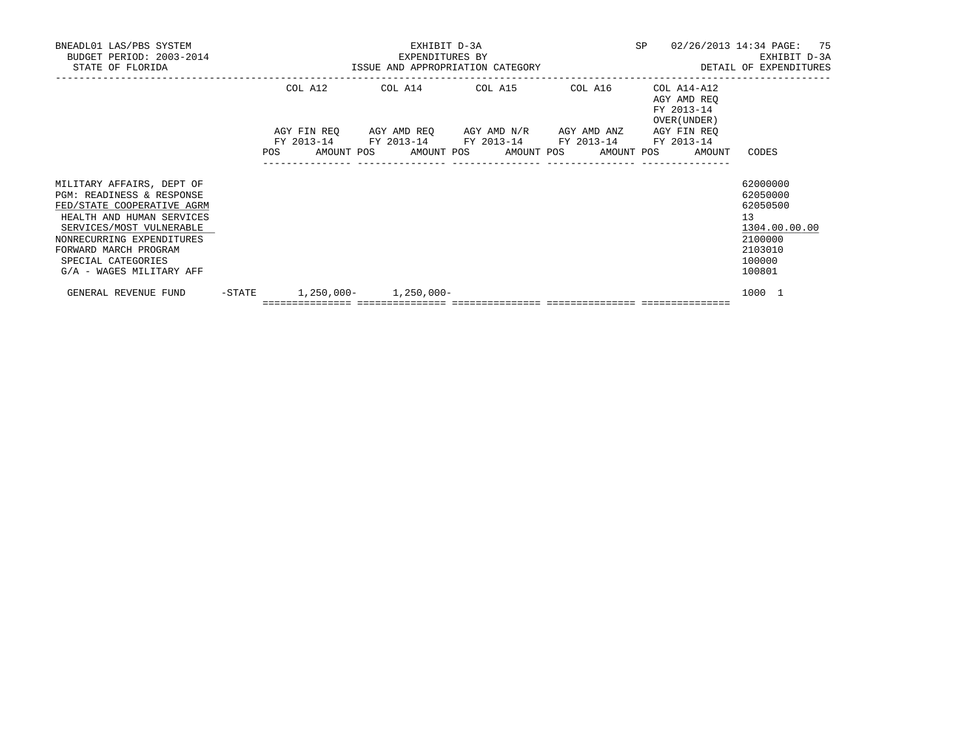| BNEADL01 LAS/PBS SYSTEM<br>BUDGET PERIOD: 2003-2014<br>STATE OF FLORIDA                                                                                                                                                                               |  |         | EXPENDITURES BY                 | EXHIBIT D-3A |  |                                                                                                                       | SP | 02/26/2013 14:34 PAGE: 75<br>ISSUE AND APPROPRIATION CATEGORY THE SERIES OF DETAIL OF EXPENDITURES |    | EXHIBIT D-3A                                                                                |  |
|-------------------------------------------------------------------------------------------------------------------------------------------------------------------------------------------------------------------------------------------------------|--|---------|---------------------------------|--------------|--|-----------------------------------------------------------------------------------------------------------------------|----|----------------------------------------------------------------------------------------------------|----|---------------------------------------------------------------------------------------------|--|
|                                                                                                                                                                                                                                                       |  | COL A12 |                                 |              |  | COL A14 COL A15 COL A16                                                                                               |    | COL A14-A12<br>AGY AMD REO<br>FY 2013-14<br>OVER (UNDER)                                           |    |                                                                                             |  |
|                                                                                                                                                                                                                                                       |  |         |                                 |              |  | AGY FIN REO AGY AMD REO AGY AMD N/R AGY AMD ANZ AGY FIN REO<br>FY 2013-14 FY 2013-14 FY 2013-14 FY 2013-14 FY 2013-14 |    | POS AMOUNT POS AMOUNT POS AMOUNT POS AMOUNT POS AMOUNT                                             |    | CODES                                                                                       |  |
| MILITARY AFFAIRS, DEPT OF<br>PGM: READINESS & RESPONSE<br>FED/STATE COOPERATIVE AGRM<br>HEALTH AND HUMAN SERVICES<br>SERVICES/MOST VULNERABLE<br>NONRECURRING EXPENDITURES<br>FORWARD MARCH PROGRAM<br>SPECIAL CATEGORIES<br>G/A - WAGES MILITARY AFF |  |         |                                 |              |  |                                                                                                                       |    |                                                                                                    | 13 | 62000000<br>62050000<br>62050500<br>1304.00.00.00<br>2100000<br>2103010<br>100000<br>100801 |  |
| GENERAL REVENUE FUND                                                                                                                                                                                                                                  |  |         | $-$ STATE 1,250,000- 1,250,000- |              |  |                                                                                                                       |    |                                                                                                    |    | 1000 1                                                                                      |  |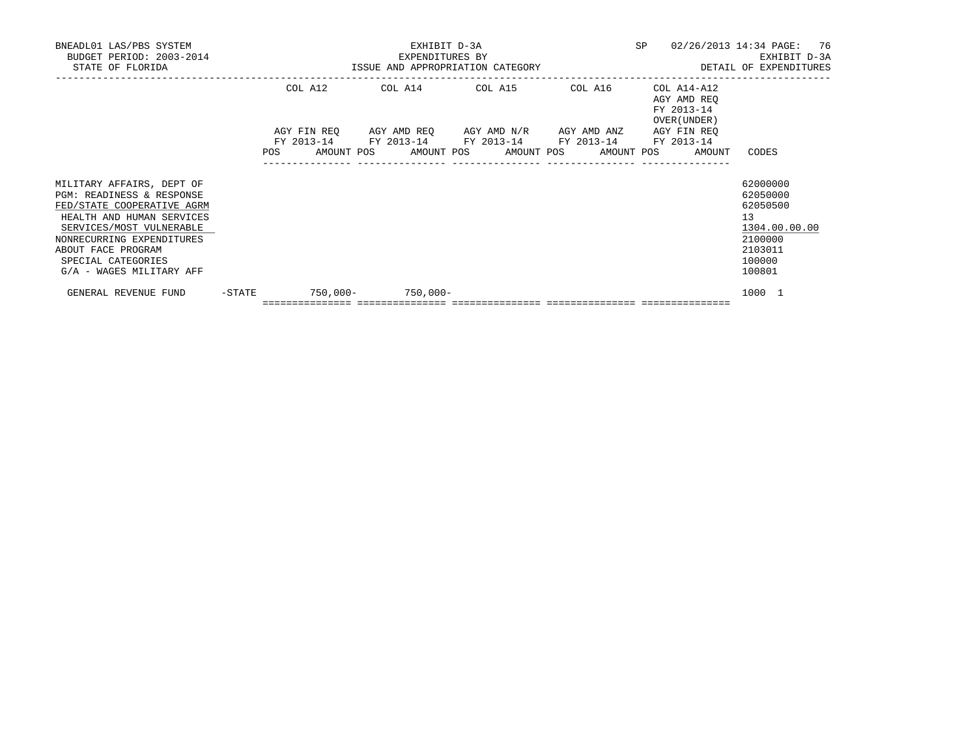| BNEADL01 LAS/PBS SYSTEM<br>BUDGET PERIOD: 2003-2014<br>STATE OF FLORIDA                                                                                                                                                                            |        |         | EXHIBIT D-3A<br>EXPENDITURES BY                                                                                       |  |  | SP | 02/26/2013 14:34 PAGE: 76<br>ISSUE AND APPROPRIATION CATEGORY THE SERIES OF DETAIL OF EXPENDITURES |                                                                                  | EXHIBIT D-3A  |  |
|----------------------------------------------------------------------------------------------------------------------------------------------------------------------------------------------------------------------------------------------------|--------|---------|-----------------------------------------------------------------------------------------------------------------------|--|--|----|----------------------------------------------------------------------------------------------------|----------------------------------------------------------------------------------|---------------|--|
|                                                                                                                                                                                                                                                    |        | COL A12 | COL A14 COL A15 COL A16                                                                                               |  |  |    | COL A14-A12<br>AGY AMD REO<br>FY 2013-14<br>OVER (UNDER)                                           |                                                                                  |               |  |
|                                                                                                                                                                                                                                                    |        |         | AGY FIN REO AGY AMD REO AGY AMD N/R AGY AMD ANZ AGY FIN REO<br>FY 2013-14 FY 2013-14 FY 2013-14 FY 2013-14 FY 2013-14 |  |  |    | POS AMOUNT POS AMOUNT POS AMOUNT POS AMOUNT POS AMOUNT                                             | CODES                                                                            |               |  |
| MILITARY AFFAIRS, DEPT OF<br>PGM: READINESS & RESPONSE<br>FED/STATE COOPERATIVE AGRM<br>HEALTH AND HUMAN SERVICES<br>SERVICES/MOST VULNERABLE<br>NONRECURRING EXPENDITURES<br>ABOUT FACE PROGRAM<br>SPECIAL CATEGORIES<br>G/A - WAGES MILITARY AFF |        |         |                                                                                                                       |  |  |    |                                                                                                    | 62000000<br>62050000<br>62050500<br>13<br>2100000<br>2103011<br>100000<br>100801 | 1304.00.00.00 |  |
| GENERAL REVENUE FUND                                                                                                                                                                                                                               | -STATE |         | $750.000 - 750.000 -$<br>=================================                                                            |  |  |    |                                                                                                    | 1000 1                                                                           |               |  |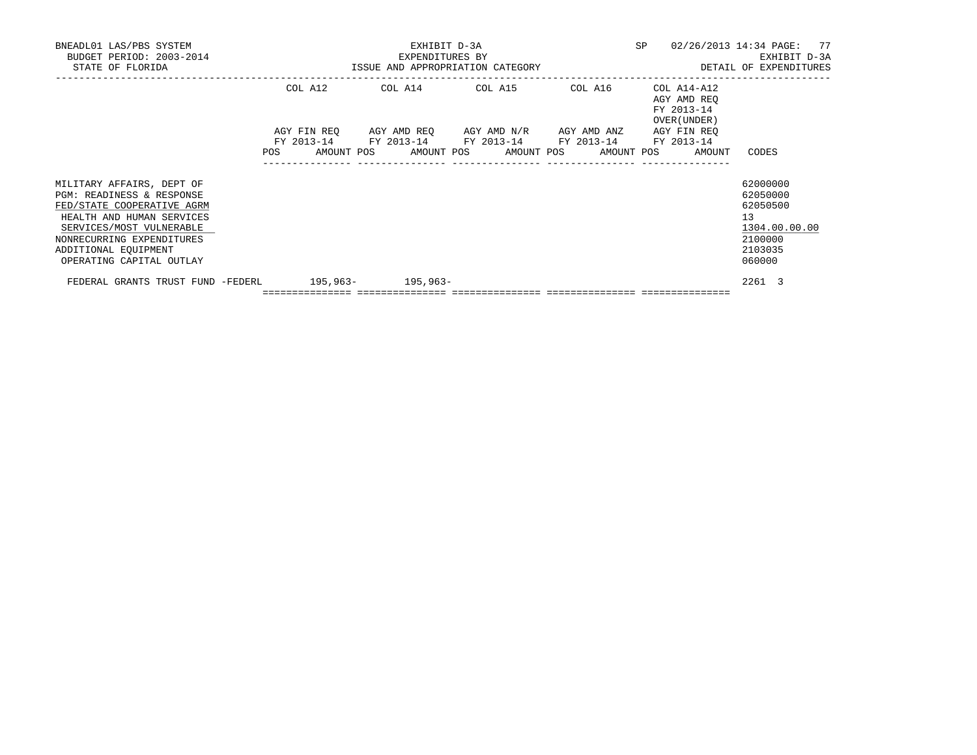| BNEADL01 LAS/PBS SYSTEM<br>BUDGET PERIOD: 2003-2014<br>STATE OF FLORIDA                                                                                                                                                        |  |  | EXPENDITURES BY                    | EXHIBIT D-3A |  | ISSUE AND APPROPRIATION CATEGORY | SP | 02/26/2013 14:34 PAGE: 77                                                                                                                                                       |                                                                        | EXHIBIT D-3A<br>DETAIL OF EXPENDITURES |  |
|--------------------------------------------------------------------------------------------------------------------------------------------------------------------------------------------------------------------------------|--|--|------------------------------------|--------------|--|----------------------------------|----|---------------------------------------------------------------------------------------------------------------------------------------------------------------------------------|------------------------------------------------------------------------|----------------------------------------|--|
|                                                                                                                                                                                                                                |  |  |                                    |              |  | COL A12 COL A14 COL A15 COL A16  |    | COL A14-A12<br>AGY AMD REO<br>FY 2013-14<br>OVER (UNDER)                                                                                                                        |                                                                        |                                        |  |
|                                                                                                                                                                                                                                |  |  |                                    |              |  |                                  |    | AGY FIN REO AGY AMD REO AGY AMD N/R AGY AMD ANZ AGY FIN REO<br>FY 2013-14 FY 2013-14 FY 2013-14 FY 2013-14 FY 2013-14<br>POS AMOUNT POS AMOUNT POS AMOUNT POS AMOUNT POS AMOUNT | CODES                                                                  |                                        |  |
| MILITARY AFFAIRS, DEPT OF<br>PGM: READINESS & RESPONSE<br>FED/STATE COOPERATIVE AGRM<br>HEALTH AND HUMAN SERVICES<br>SERVICES/MOST VULNERABLE<br>NONRECURRING EXPENDITURES<br>ADDITIONAL EQUIPMENT<br>OPERATING CAPITAL OUTLAY |  |  |                                    |              |  |                                  |    |                                                                                                                                                                                 | 62000000<br>62050000<br>62050500<br>13<br>2100000<br>2103035<br>060000 | 1304.00.00.00                          |  |
| FEDERAL GRANTS TRUST FUND -FEDERL 195,963- 195,963-                                                                                                                                                                            |  |  | ================================== |              |  |                                  |    |                                                                                                                                                                                 | 2261 3                                                                 |                                        |  |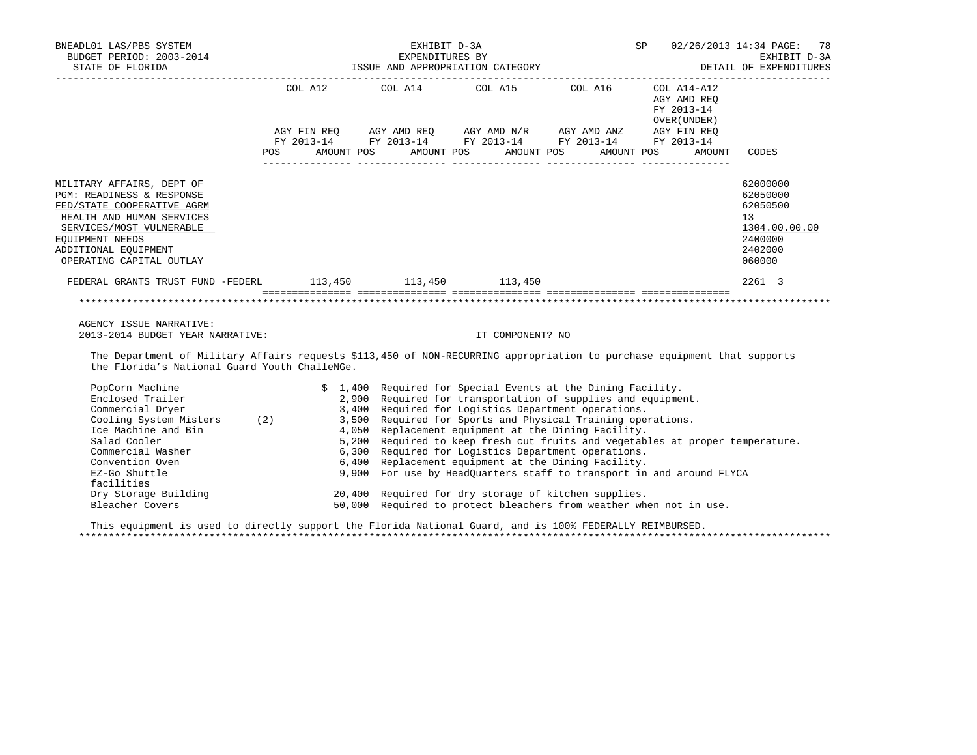| BNEADL01 LAS/PBS SYSTEM ${\tt ENEADD-3A} \hspace{1.5cm} {\tt SPP} \hspace{1.5cm} {\tt 02/26/2013} \hspace{1.9cm} 14:34 \hspace{1.9cm} {\tt PGEI} \hspace{1.9cm} {\tt EKHIBIT} \hspace{1.9cm} {\tt D-3A} \hspace{1.9cm} {\tt EXHIBIT} \hspace{1.9cm} {\tt D-3A} \hspace{1.9cm} {\tt EXHENDITURES} \hspace{1.9cm} {\tt SPP} \hspace{1.9cm} {\tt D2/26/2013} \$                                                                                                                                                                                                                                                                                      |                                                                                                                                                                                  |                                                                                                                                                                                                                                                                                                                                                                          |                  |                                                                      |                                                                                         |
|---------------------------------------------------------------------------------------------------------------------------------------------------------------------------------------------------------------------------------------------------------------------------------------------------------------------------------------------------------------------------------------------------------------------------------------------------------------------------------------------------------------------------------------------------------------------------------------------------------------------------------------------------|----------------------------------------------------------------------------------------------------------------------------------------------------------------------------------|--------------------------------------------------------------------------------------------------------------------------------------------------------------------------------------------------------------------------------------------------------------------------------------------------------------------------------------------------------------------------|------------------|----------------------------------------------------------------------|-----------------------------------------------------------------------------------------|
|                                                                                                                                                                                                                                                                                                                                                                                                                                                                                                                                                                                                                                                   | AGYFINREQ AGYAMDREQ AGYAMDN/R AGYAMDANZ AGYFINREQ<br>FY2013-14 FY2013-14 FY2013-14 FY2013-14 FY2013-14 FY2013-14<br>POS AMOUNT POS AMOUNT POS AMOUNT POS AMOUNT POS AMOUNT CODES | COL A12 COL A14 COL A15 COL A16 COL A14-A12                                                                                                                                                                                                                                                                                                                              |                  | AGY AMD REQ<br>FY 2013-14<br>OVER (UNDER)                            |                                                                                         |
| MILITARY AFFAIRS, DEPT OF<br>PGM: READINESS & RESPONSE<br>FED/STATE COOPERATIVE AGRM<br>HEALTH AND HUMAN SERVICES<br>SERVICES/MOST VULNERABLE<br>EOUIPMENT NEEDS<br>ADDITIONAL EQUIPMENT<br>OPERATING CAPITAL OUTLAY                                                                                                                                                                                                                                                                                                                                                                                                                              |                                                                                                                                                                                  |                                                                                                                                                                                                                                                                                                                                                                          |                  |                                                                      | 62000000<br>62050000<br>62050500<br>13<br>1304.00.00.00<br>2400000<br>2402000<br>060000 |
| FEDERAL GRANTS TRUST FUND -FEDERL 113,450 113,450 113,450                                                                                                                                                                                                                                                                                                                                                                                                                                                                                                                                                                                         |                                                                                                                                                                                  |                                                                                                                                                                                                                                                                                                                                                                          |                  |                                                                      | 2261 3                                                                                  |
|                                                                                                                                                                                                                                                                                                                                                                                                                                                                                                                                                                                                                                                   |                                                                                                                                                                                  |                                                                                                                                                                                                                                                                                                                                                                          |                  |                                                                      |                                                                                         |
| AGENCY ISSUE NARRATIVE:                                                                                                                                                                                                                                                                                                                                                                                                                                                                                                                                                                                                                           |                                                                                                                                                                                  |                                                                                                                                                                                                                                                                                                                                                                          |                  |                                                                      |                                                                                         |
| 2013-2014 BUDGET YEAR NARRATIVE:                                                                                                                                                                                                                                                                                                                                                                                                                                                                                                                                                                                                                  |                                                                                                                                                                                  |                                                                                                                                                                                                                                                                                                                                                                          | IT COMPONENT? NO |                                                                      |                                                                                         |
| The Department of Military Affairs requests \$113,450 of NON-RECURRING appropriation to purchase equipment that supports<br>the Florida's National Guard Youth ChalleNGe.                                                                                                                                                                                                                                                                                                                                                                                                                                                                         |                                                                                                                                                                                  |                                                                                                                                                                                                                                                                                                                                                                          |                  |                                                                      |                                                                                         |
| PopCorn Machine<br>Enclosed Trailer 2,900 Required for transportation of supplies and equipment.<br>Commercial Dryer 3,400 Required for Logistics Department operations.<br>Cooling System Misters (2) 3,500 Required for Sports and Physical Training<br>The Machine and Bin Theory of the 4,050 Replacement equipment at the Dining Factive.<br>Ice Machine and Bin 1999 S,200 Required to keep fresh cut fruits and vegetables at proper temperature.<br>Commercial Washer 6,300 Required for Logistics Department operations.<br>Convention Oven<br>EZ-Go Shuttle<br>facilities<br>Dry Storage Building<br>Plaashox Covers<br>Bleacher Covers |                                                                                                                                                                                  | \$ 1,400 Required for Special Events at the Dining Facility.<br>2,900 Required for transportation of supplies and equipment.<br>3,400 Required for Logistics Department operations.<br>6,400 Replacement equipment at the Dining Facility.<br>20,400 Required for dry storage of kitchen supplies.<br>50,000 Required to protect bleachers from weather when not in use. |                  | 9,900 For use by HeadQuarters staff to transport in and around FLYCA |                                                                                         |

 This equipment is used to directly support the Florida National Guard, and is 100% FEDERALLY REIMBURSED. \*\*\*\*\*\*\*\*\*\*\*\*\*\*\*\*\*\*\*\*\*\*\*\*\*\*\*\*\*\*\*\*\*\*\*\*\*\*\*\*\*\*\*\*\*\*\*\*\*\*\*\*\*\*\*\*\*\*\*\*\*\*\*\*\*\*\*\*\*\*\*\*\*\*\*\*\*\*\*\*\*\*\*\*\*\*\*\*\*\*\*\*\*\*\*\*\*\*\*\*\*\*\*\*\*\*\*\*\*\*\*\*\*\*\*\*\*\*\*\*\*\*\*\*\*\*\*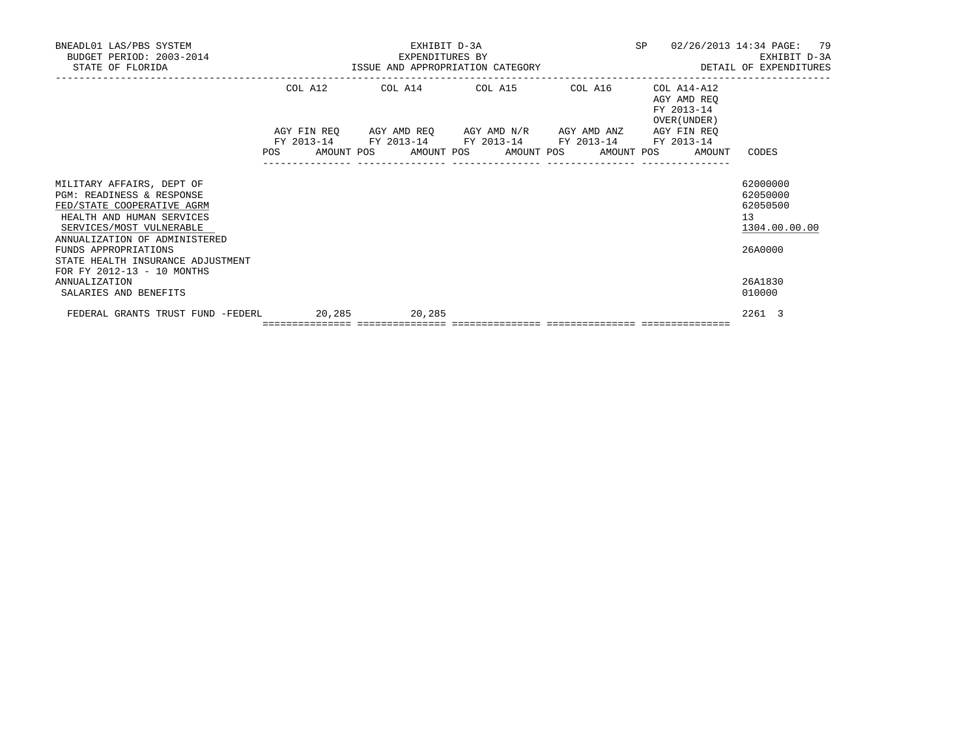| BNEADL01 LAS/PBS SYSTEM<br>BUDGET PERIOD: 2003-2014<br>STATE OF FLORIDA                                                                                                                                                                                                   |                                                              |         | EXPENDITURES BY | EXHIBIT D-3A                                                                                                          |  |            |                              | SP 02/26/2013 14:34 PAGE: 79<br>EXHIBIT D-3A<br>EXHIBIT D-3A EXHIBIT D-3A EXHIBIT D-3A EXHIBIT D-3A EXHIBIT D-3A EXHIBIT D-3A EXHIBIT D-3A EXHIBIT D-3A |
|---------------------------------------------------------------------------------------------------------------------------------------------------------------------------------------------------------------------------------------------------------------------------|--------------------------------------------------------------|---------|-----------------|-----------------------------------------------------------------------------------------------------------------------|--|------------|------------------------------|---------------------------------------------------------------------------------------------------------------------------------------------------------|
|                                                                                                                                                                                                                                                                           |                                                              |         |                 | COL A12 COL A14 COL A15 COL A16 COL A14-A12                                                                           |  | FY 2013-14 | AGY AMD REO<br>OVER (UNDER ) |                                                                                                                                                         |
|                                                                                                                                                                                                                                                                           | POS AMOUNT POS AMOUNT POS AMOUNT POS AMOUNT POS AMOUNT CODES |         |                 | AGY FIN REQ AGY AMD REQ AGY AMD N/R AGY AMD ANZ AGY FIN REQ<br>FY 2013-14 FY 2013-14 FY 2013-14 FY 2013-14 FY 2013-14 |  |            |                              |                                                                                                                                                         |
| MILITARY AFFAIRS, DEPT OF<br>PGM: READINESS & RESPONSE<br>FED/STATE COOPERATIVE AGRM<br>HEALTH AND HUMAN SERVICES<br>SERVICES/MOST VULNERABLE<br>ANNUALIZATION OF ADMINISTERED<br>FUNDS APPROPRIATIONS<br>STATE HEALTH INSURANCE ADJUSTMENT<br>FOR FY 2012-13 - 10 MONTHS |                                                              |         |                 |                                                                                                                       |  |            |                              | 62000000<br>62050000<br>62050500<br>13 <sup>°</sup><br>1304.00.00.00<br>26A0000                                                                         |
| <b>ANNUALIZATION</b><br>SALARIES AND BENEFITS                                                                                                                                                                                                                             |                                                              |         |                 |                                                                                                                       |  |            |                              | 26A1830<br>010000                                                                                                                                       |
| FEDERAL GRANTS TRUST FUND -FEDERL 20,285                                                                                                                                                                                                                                  |                                                              | 20, 285 |                 |                                                                                                                       |  |            |                              | 2261 3                                                                                                                                                  |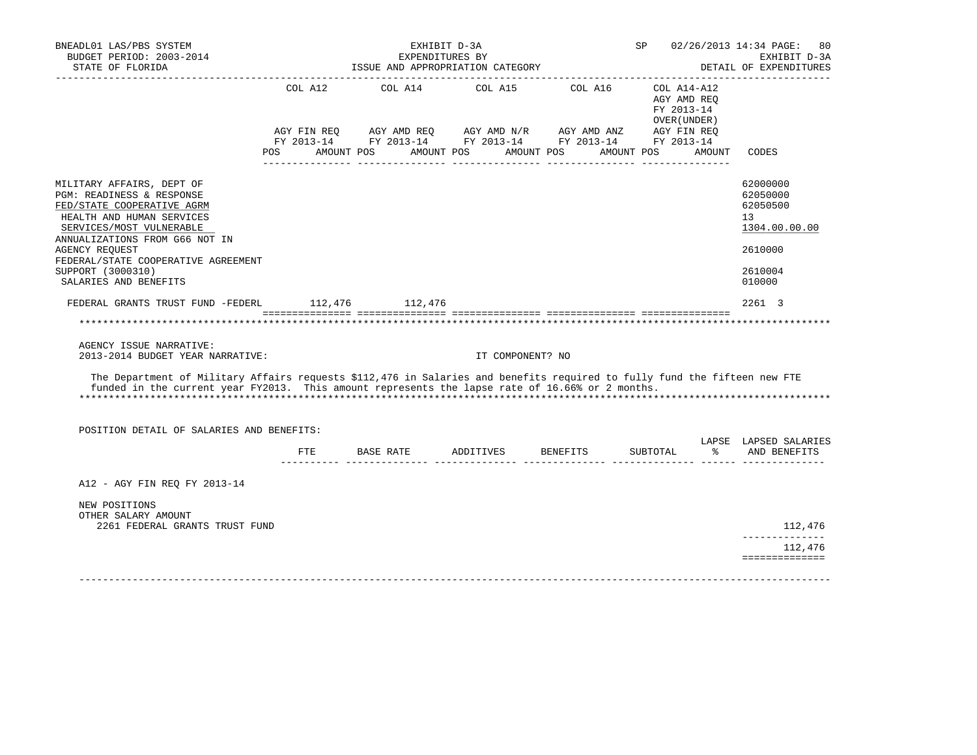| BNEADL01 LAS/PBS SYSTEM<br>BUDGET PERIOD: 2003-2014<br>STATE OF FLORIDA                                                                                                                                                      |         | EXHIBIT D-3A<br>EXPENDITURES BY<br>ISSUE AND APPROPRIATION CATEGORY |                                      |                                                                                                                       | SP 02/26/2013 14:34 PAGE:<br>80<br>EXHIBIT D-3A<br>DETAIL OF EXPENDITURES |                                                            |                                                         |
|------------------------------------------------------------------------------------------------------------------------------------------------------------------------------------------------------------------------------|---------|---------------------------------------------------------------------|--------------------------------------|-----------------------------------------------------------------------------------------------------------------------|---------------------------------------------------------------------------|------------------------------------------------------------|---------------------------------------------------------|
|                                                                                                                                                                                                                              | COL A12 |                                                                     |                                      | COL A14 COL A15 COL A16                                                                                               |                                                                           | $COLA14- A12$<br>AGY AMD REO<br>FY 2013-14<br>OVER (UNDER) | ________________                                        |
|                                                                                                                                                                                                                              |         |                                                                     | POS AMOUNT POS AMOUNT POS AMOUNT POS | AGY FIN REQ AGY AMD REQ AGY AMD N/R AGY AMD ANZ AGY FIN REQ<br>FY 2013-14 FY 2013-14 FY 2013-14 FY 2013-14 FY 2013-14 | AMOUNT POS                                                                | AMOUNT                                                     | CODES                                                   |
| MILITARY AFFAIRS, DEPT OF<br>PGM: READINESS & RESPONSE<br>FED/STATE COOPERATIVE AGRM<br>HEALTH AND HUMAN SERVICES<br>SERVICES/MOST VULNERABLE<br>ANNUALIZATIONS FROM G66 NOT IN                                              |         |                                                                     |                                      |                                                                                                                       |                                                                           |                                                            | 62000000<br>62050000<br>62050500<br>13<br>1304.00.00.00 |
| AGENCY REOUEST<br>FEDERAL/STATE COOPERATIVE AGREEMENT                                                                                                                                                                        |         |                                                                     |                                      |                                                                                                                       |                                                                           |                                                            | 2610000                                                 |
| SUPPORT (3000310)<br>SALARIES AND BENEFITS                                                                                                                                                                                   |         |                                                                     |                                      |                                                                                                                       |                                                                           |                                                            | 2610004<br>010000                                       |
| FEDERAL GRANTS TRUST FUND -FEDERL 112,476 112,476                                                                                                                                                                            |         |                                                                     |                                      |                                                                                                                       |                                                                           |                                                            | 2261 3                                                  |
|                                                                                                                                                                                                                              |         |                                                                     |                                      |                                                                                                                       |                                                                           |                                                            | **********************                                  |
| AGENCY ISSUE NARRATIVE:<br>2013-2014 BUDGET YEAR NARRATIVE:                                                                                                                                                                  |         |                                                                     | IT COMPONENT? NO                     |                                                                                                                       |                                                                           |                                                            |                                                         |
| The Department of Military Affairs requests \$112,476 in Salaries and benefits required to fully fund the fifteen new FTE<br>funded in the current year FY2013. This amount represents the lapse rate of 16.66% or 2 months. |         |                                                                     |                                      |                                                                                                                       |                                                                           |                                                            |                                                         |
| POSITION DETAIL OF SALARIES AND BENEFITS:                                                                                                                                                                                    |         |                                                                     |                                      |                                                                                                                       |                                                                           |                                                            |                                                         |
|                                                                                                                                                                                                                              | ETE     |                                                                     |                                      | BASE RATE 6 ADDITIVES BENEFITS SUBTOTAL                                                                               |                                                                           | $\approx$                                                  | LAPSE LAPSED SALARIES<br>AND BENEFITS                   |
| A12 - AGY FIN REQ FY 2013-14                                                                                                                                                                                                 |         |                                                                     |                                      |                                                                                                                       |                                                                           |                                                            |                                                         |
| NEW POSITIONS<br>OTHER SALARY AMOUNT                                                                                                                                                                                         |         |                                                                     |                                      |                                                                                                                       |                                                                           |                                                            |                                                         |
| 2261 FEDERAL GRANTS TRUST FUND                                                                                                                                                                                               |         |                                                                     |                                      |                                                                                                                       |                                                                           |                                                            | 112,476<br>______________                               |
|                                                                                                                                                                                                                              |         |                                                                     |                                      |                                                                                                                       |                                                                           |                                                            | 112,476<br>==============                               |
|                                                                                                                                                                                                                              |         |                                                                     |                                      |                                                                                                                       |                                                                           |                                                            |                                                         |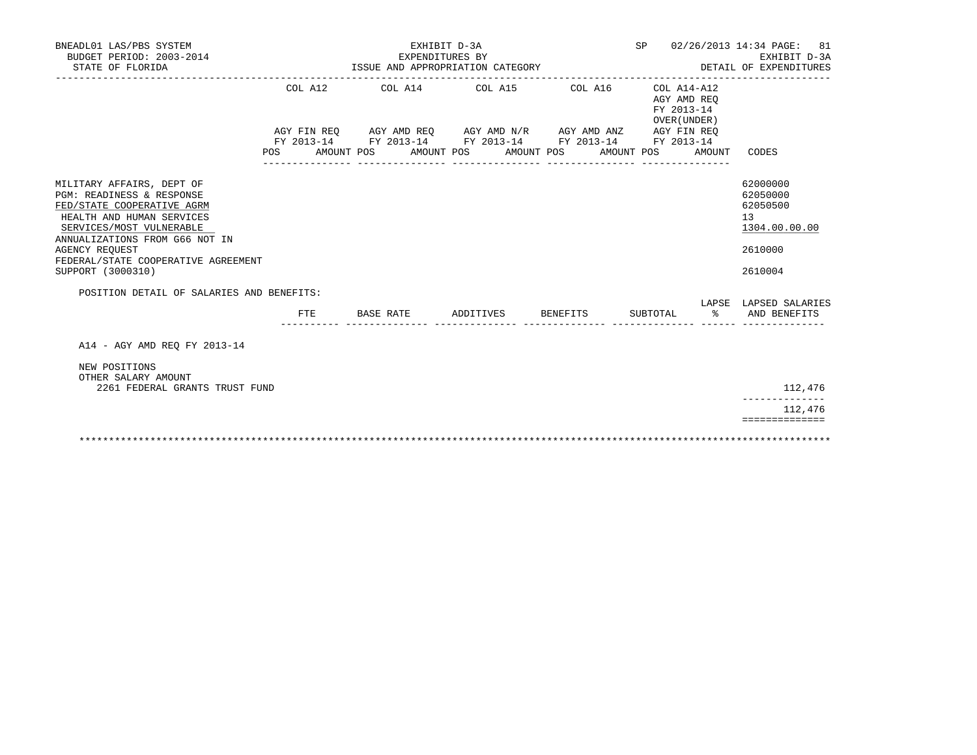| BNEADL01 LAS/PBS SYSTEM<br>BUDGET PERIOD: 2003-2014<br>STATE OF FLORIDA                                                                                                                                                                                              | ISSUE AND APPROPRIATION CATEGORY | 02/26/2013 14:34 PAGE:<br>81<br>EXHIBIT D-3A<br>DETAIL OF EXPENDITURES |                       |                                                                                                                                                                |                                           |                       |                                                                               |
|----------------------------------------------------------------------------------------------------------------------------------------------------------------------------------------------------------------------------------------------------------------------|----------------------------------|------------------------------------------------------------------------|-----------------------|----------------------------------------------------------------------------------------------------------------------------------------------------------------|-------------------------------------------|-----------------------|-------------------------------------------------------------------------------|
|                                                                                                                                                                                                                                                                      | COL A12<br><b>POS</b>            | AMOUNT POS                                                             | AMOUNT POS AMOUNT POS | COL A14 COL A15 COL A16<br>AGY FIN REQ AGY AMD REQ AGY AMD N/R AGY AMD ANZ AGY FIN REQ<br>FY 2013-14 FY 2013-14 FY 2013-14 FY 2013-14 FY 2013-14<br>AMOUNT POS | AGY AMD REO<br>FY 2013-14<br>OVER (UNDER) | COL A14-A12<br>AMOUNT | CODES                                                                         |
| MILITARY AFFAIRS, DEPT OF<br>PGM: READINESS & RESPONSE<br>FED/STATE COOPERATIVE AGRM<br>HEALTH AND HUMAN SERVICES<br>SERVICES/MOST VULNERABLE<br>ANNUALIZATIONS FROM G66 NOT IN<br><b>AGENCY REOUEST</b><br>FEDERAL/STATE COOPERATIVE AGREEMENT<br>SUPPORT (3000310) |                                  |                                                                        |                       |                                                                                                                                                                |                                           |                       | 62000000<br>62050000<br>62050500<br>13<br>1304.00.00.00<br>2610000<br>2610004 |
| POSITION DETAIL OF SALARIES AND BENEFITS:                                                                                                                                                                                                                            |                                  |                                                                        |                       |                                                                                                                                                                |                                           |                       | LAPSE LAPSED SALARIES                                                         |
|                                                                                                                                                                                                                                                                      | FTE                              | BASE RATE                                                              | ADDITIVES             | <b>BENEFITS</b>                                                                                                                                                | SUBTOTAL                                  | $\approx$             | AND BENEFITS                                                                  |
| A14 - AGY AMD REO FY 2013-14                                                                                                                                                                                                                                         |                                  |                                                                        |                       |                                                                                                                                                                |                                           |                       |                                                                               |
| NEW POSITIONS<br>OTHER SALARY AMOUNT<br>2261 FEDERAL GRANTS TRUST FUND                                                                                                                                                                                               |                                  |                                                                        |                       |                                                                                                                                                                |                                           |                       | 112,476                                                                       |
|                                                                                                                                                                                                                                                                      |                                  |                                                                        |                       |                                                                                                                                                                |                                           |                       | 112,476                                                                       |
|                                                                                                                                                                                                                                                                      |                                  |                                                                        |                       |                                                                                                                                                                |                                           |                       | ==============                                                                |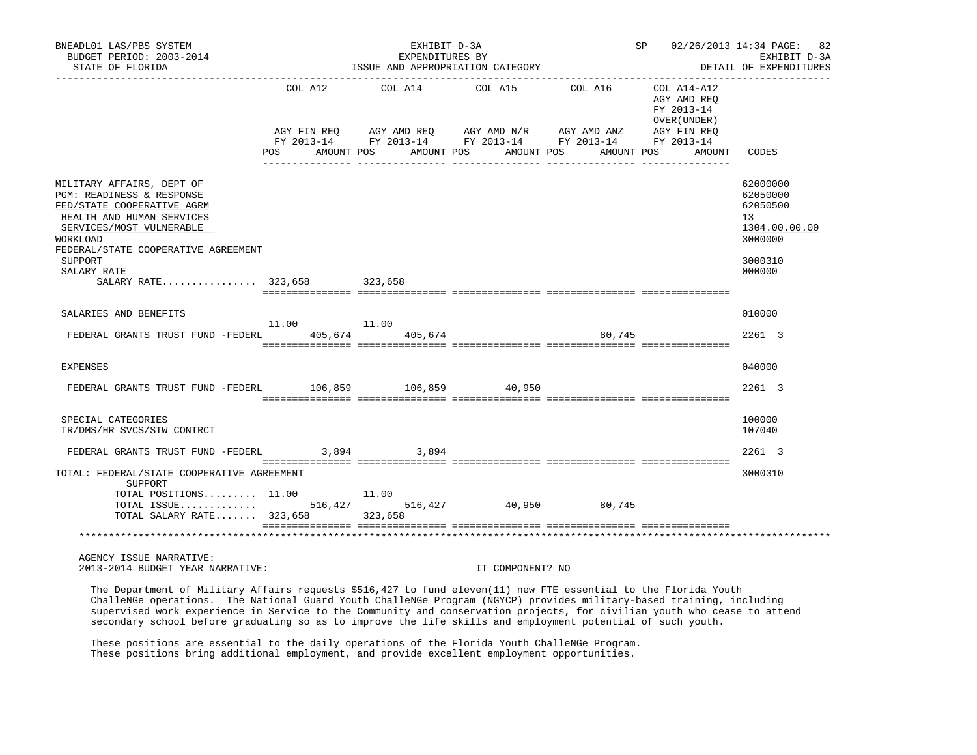| BNEADL01 LAS/PBS SYSTEM<br>BUDGET PERIOD: 2003-2014<br>STATE OF FLORIDA                                                                                                                                                    |         | EXHIBIT D-3A<br>EXPENDITURES BY | ISSUE AND APPROPRIATION CATEGORY                                                                                      |         | SP 02/26/2013 14:34 PAGE:                                | 82<br>EXHIBIT D-3A<br>DETAIL OF EXPENDITURES                                            |
|----------------------------------------------------------------------------------------------------------------------------------------------------------------------------------------------------------------------------|---------|---------------------------------|-----------------------------------------------------------------------------------------------------------------------|---------|----------------------------------------------------------|-----------------------------------------------------------------------------------------|
|                                                                                                                                                                                                                            | COL A12 | COL A14                         | COL A15                                                                                                               | COL A16 | COL A14-A12<br>AGY AMD REO<br>FY 2013-14<br>OVER (UNDER) |                                                                                         |
|                                                                                                                                                                                                                            |         |                                 | AGY FIN REQ AGY AMD REQ AGY AMD N/R AGY AMD ANZ AGY FIN REQ<br>FY 2013-14 FY 2013-14 FY 2013-14 FY 2013-14 FY 2013-14 |         |                                                          |                                                                                         |
|                                                                                                                                                                                                                            | POS     | AMOUNT POS                      | AMOUNT POS<br>AMOUNT POS                                                                                              |         | AMOUNT POS<br>AMOUNT                                     | CODES                                                                                   |
| MILITARY AFFAIRS, DEPT OF<br>PGM: READINESS & RESPONSE<br>FED/STATE COOPERATIVE AGRM<br>HEALTH AND HUMAN SERVICES<br>SERVICES/MOST VULNERABLE<br>WORKLOAD<br>FEDERAL/STATE COOPERATIVE AGREEMENT<br>SUPPORT<br>SALARY RATE |         |                                 |                                                                                                                       |         |                                                          | 62000000<br>62050000<br>62050500<br>13<br>1304.00.00.00<br>3000000<br>3000310<br>000000 |
| SALARY RATE 323,658                                                                                                                                                                                                        |         | 323,658                         |                                                                                                                       |         |                                                          |                                                                                         |
| SALARIES AND BENEFITS                                                                                                                                                                                                      | 11.00   | 11.00                           |                                                                                                                       |         |                                                          | 010000                                                                                  |
| FEDERAL GRANTS TRUST FUND -FEDERL                                                                                                                                                                                          | 405,674 | 405,674                         |                                                                                                                       | 80,745  |                                                          | 2261 3                                                                                  |
| EXPENSES                                                                                                                                                                                                                   |         |                                 |                                                                                                                       |         |                                                          | 040000                                                                                  |
| FEDERAL GRANTS TRUST FUND -FEDERL 106,859 106,859 40,950                                                                                                                                                                   |         |                                 |                                                                                                                       |         |                                                          | 2261 3                                                                                  |
| SPECIAL CATEGORIES<br>TR/DMS/HR SVCS/STW CONTRCT                                                                                                                                                                           |         |                                 |                                                                                                                       |         |                                                          | 100000<br>107040                                                                        |
| FEDERAL GRANTS TRUST FUND -FEDERL 3,894 3,894                                                                                                                                                                              |         |                                 |                                                                                                                       |         |                                                          | 2261 3                                                                                  |
| TOTAL: FEDERAL/STATE COOPERATIVE AGREEMENT<br>SUPPORT                                                                                                                                                                      |         |                                 |                                                                                                                       |         |                                                          | 3000310                                                                                 |
| TOTAL POSITIONS $11.00$<br>TOTAL ISSUE 516,427 516,427 40,950 80,745<br>TOTAL SALARY RATE 323,658 323,658                                                                                                                  |         | 11.00                           |                                                                                                                       |         |                                                          |                                                                                         |
|                                                                                                                                                                                                                            |         |                                 |                                                                                                                       |         |                                                          |                                                                                         |
| AGENCY ISSUE NARRATIVE:<br>2013-2014 BUDGET YEAR NARRATIVE:                                                                                                                                                                |         |                                 | IT COMPONENT? NO                                                                                                      |         |                                                          |                                                                                         |

 The Department of Military Affairs requests \$516,427 to fund eleven(11) new FTE essential to the Florida Youth ChalleNGe operations. The National Guard Youth ChalleNGe Program (NGYCP) provides military-based training, including supervised work experience in Service to the Community and conservation projects, for civilian youth who cease to attend secondary school before graduating so as to improve the life skills and employment potential of such youth.

 These positions are essential to the daily operations of the Florida Youth ChalleNGe Program. These positions bring additional employment, and provide excellent employment opportunities.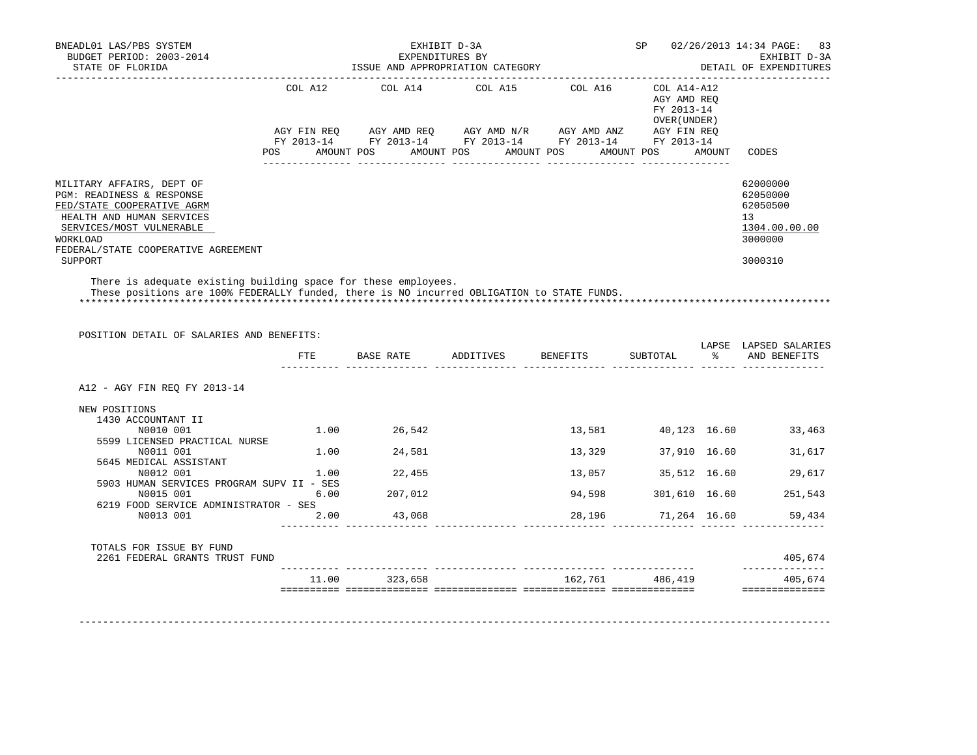| STATE OF FLORIDA                                                                                                                                                                                        |     |               | EXHIBIT D-3A<br>EXPENDITURES BY<br>ISSUE AND APPROPRIATION CATEGORY |                                  |                                           |           | SP 02/26/2013 14:34 PAGE:<br>83<br>EXHIBIT D-3A<br>DETAIL OF EXPENDITURES       |
|---------------------------------------------------------------------------------------------------------------------------------------------------------------------------------------------------------|-----|---------------|---------------------------------------------------------------------|----------------------------------|-------------------------------------------|-----------|---------------------------------------------------------------------------------|
|                                                                                                                                                                                                         |     |               | FY 2013-14 FY 2013-14 FY 2013-14 FY 2013-14 FY 2013-14              |                                  | AGY AMD REQ<br>FY 2013-14<br>OVER (UNDER) |           |                                                                                 |
|                                                                                                                                                                                                         | POS |               | AMOUNT POS AMOUNT POS AMOUNT POS AMOUNT POS AMOUNT                  |                                  |                                           |           | CODES                                                                           |
| MILITARY AFFAIRS, DEPT OF<br>PGM: READINESS & RESPONSE<br>FED/STATE COOPERATIVE AGRM<br>HEALTH AND HUMAN SERVICES<br>SERVICES/MOST VULNERABLE<br><b>WORKLOAD</b><br>FEDERAL/STATE COOPERATIVE AGREEMENT |     |               |                                                                     |                                  |                                           |           | 62000000<br>62050000<br>62050500<br>13 <sup>°</sup><br>1304.00.00.00<br>3000000 |
| SUPPORT                                                                                                                                                                                                 |     |               |                                                                     |                                  |                                           |           | 3000310                                                                         |
| POSITION DETAIL OF SALARIES AND BENEFITS:                                                                                                                                                               |     |               |                                                                     |                                  |                                           |           | LAPSE LAPSED SALARIES                                                           |
|                                                                                                                                                                                                         |     |               |                                                                     | FTE BASE RATE ADDITIVES BENEFITS | SUBTOTAL                                  | $\approx$ | AND BENEFITS                                                                    |
| A12 - AGY FIN REO FY 2013-14                                                                                                                                                                            |     |               |                                                                     |                                  |                                           |           |                                                                                 |
| NEW POSITIONS<br>1430 ACCOUNTANT II<br>N0010 001<br>5599 LICENSED PRACTICAL NURSE                                                                                                                       |     | 1.00 26,542   |                                                                     | 13,581                           | 40,123 16.60                              |           | 33,463                                                                          |
| N0011 001                                                                                                                                                                                               |     | 1.00 24,581   |                                                                     | 13,329                           | 37,910 16.60                              |           | 31,617                                                                          |
| 5645 MEDICAL ASSISTANT<br>N0012 001                                                                                                                                                                     |     | $1.00$ 22,455 |                                                                     |                                  | 13,057 35,512 16.60                       |           | 29,617                                                                          |
| 5903 HUMAN SERVICES PROGRAM SUPV II - SES<br>N0015 001 6.00                                                                                                                                             |     | 207,012       |                                                                     |                                  | 94,598 301,610 16.60                      |           | 251,543                                                                         |
| 6219 FOOD SERVICE ADMINISTRATOR - SES<br>NOO13 001 2.00 43,068                                                                                                                                          |     |               |                                                                     |                                  |                                           |           | 28,196 71,264 16.60 59,434                                                      |
| TOTALS FOR ISSUE BY FUND<br>2261 FEDERAL GRANTS TRUST FUND                                                                                                                                              |     |               |                                                                     |                                  |                                           |           | 405,674                                                                         |
|                                                                                                                                                                                                         |     |               | 11.00 323,658 162,761 486,419                                       |                                  |                                           |           | ______________<br>405,674                                                       |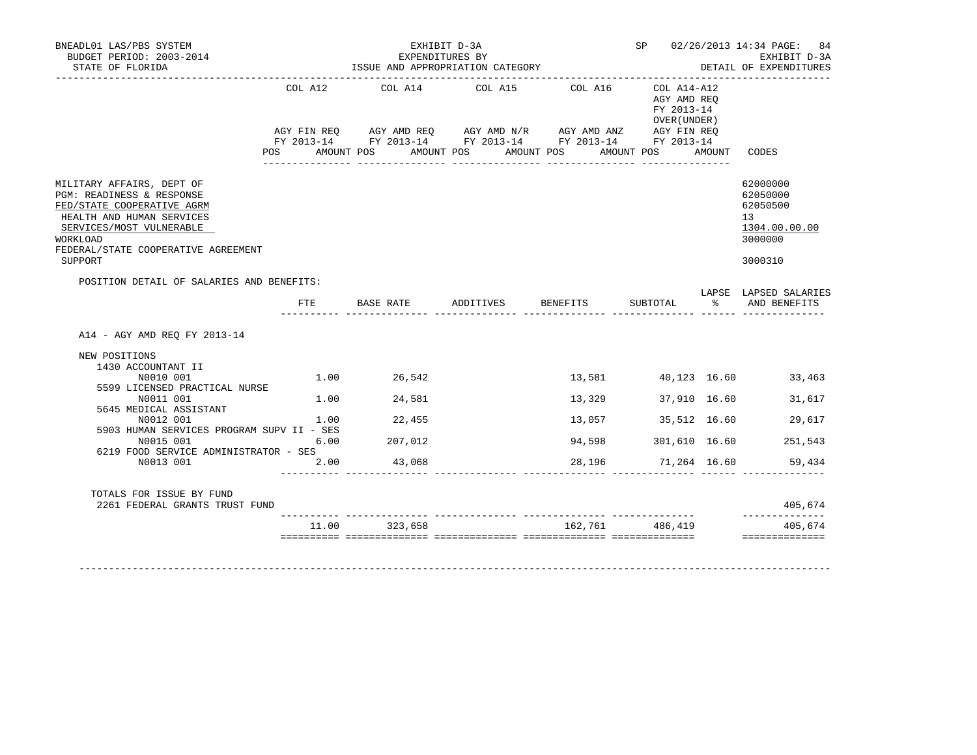| BUDGET PERIOD: 2003-2014<br>STATE OF FLORIDA                                                                                                                                                                |            | EXHIBIT D-3A | EXPENDITURES BY<br>ISSUE AND APPROPRIATION CATEGORY                                                          |        | ___________________________________                        | SP 02/26/2013 14:34 PAGE: 84<br>EXHIBIT D-3A<br>DETAIL OF EXPENDITURES                     |
|-------------------------------------------------------------------------------------------------------------------------------------------------------------------------------------------------------------|------------|--------------|--------------------------------------------------------------------------------------------------------------|--------|------------------------------------------------------------|--------------------------------------------------------------------------------------------|
|                                                                                                                                                                                                             | <b>POS</b> |              | COL A12 COL A14 COL A15 COL A16<br>AMOUNT POS AMOUNT POS AMOUNT POS AMOUNT POS AMOUNT                        |        | COL A14-A12<br>AGY AMD REQ<br>FY 2013-14<br>OVER ( UNDER ) | CODES                                                                                      |
| MILITARY AFFAIRS, DEPT OF<br>PGM: READINESS & RESPONSE<br>FED/STATE COOPERATIVE AGRM<br>HEALTH AND HUMAN SERVICES<br>SERVICES/MOST VULNERABLE<br>WORKLOAD<br>FEDERAL/STATE COOPERATIVE AGREEMENT<br>SUPPORT |            |              |                                                                                                              |        |                                                            | 62000000<br>62050000<br>62050500<br>13 <sup>°</sup><br>1304.00.00.00<br>3000000<br>3000310 |
| POSITION DETAIL OF SALARIES AND BENEFITS:                                                                                                                                                                   |            |              |                                                                                                              |        |                                                            | LAPSE LAPSED SALARIES                                                                      |
|                                                                                                                                                                                                             | FTE        |              | BASE RATE            ADDITIVES           BENEFITS            SUBTOTAL                          AND  BENEFITS |        |                                                            |                                                                                            |
| A14 - AGY AMD REO FY 2013-14                                                                                                                                                                                |            |              |                                                                                                              |        |                                                            |                                                                                            |
|                                                                                                                                                                                                             |            |              |                                                                                                              |        |                                                            |                                                                                            |
| NEW POSITIONS<br>1430 ACCOUNTANT II                                                                                                                                                                         |            |              |                                                                                                              |        |                                                            |                                                                                            |
| N0010 001<br>5599 LICENSED PRACTICAL NURSE                                                                                                                                                                  |            | 1.00 26,542  |                                                                                                              | 13,581 |                                                            | 40,123 16.60 33,463                                                                        |
| N0011 001                                                                                                                                                                                                   | 1.00       | 24,581       |                                                                                                              | 13,329 | 37,910 16.60                                               | 31,617                                                                                     |
| 5645 MEDICAL ASSISTANT<br>N0012 001                                                                                                                                                                         |            | 1.00 22,455  |                                                                                                              | 13,057 | 35,512 16.60                                               | 29,617                                                                                     |
| 5903 HUMAN SERVICES PROGRAM SUPV II - SES<br>N0015 001                                                                                                                                                      | 6.00       | 207,012      |                                                                                                              | 94,598 | 301,610 16.60                                              | 251,543                                                                                    |
| 6219 FOOD SERVICE ADMINISTRATOR - SES<br>N0013 001                                                                                                                                                          | 2.00       | 43,068       |                                                                                                              |        |                                                            | 28,196 71,264 16.60 59,434                                                                 |
| TOTALS FOR ISSUE BY FUND                                                                                                                                                                                    |            |              |                                                                                                              |        |                                                            |                                                                                            |
| 2261 FEDERAL GRANTS TRUST FUND                                                                                                                                                                              |            |              |                                                                                                              |        |                                                            | 405,674<br>--------------                                                                  |

-------------------------------------------------------------------------------------------------------------------------------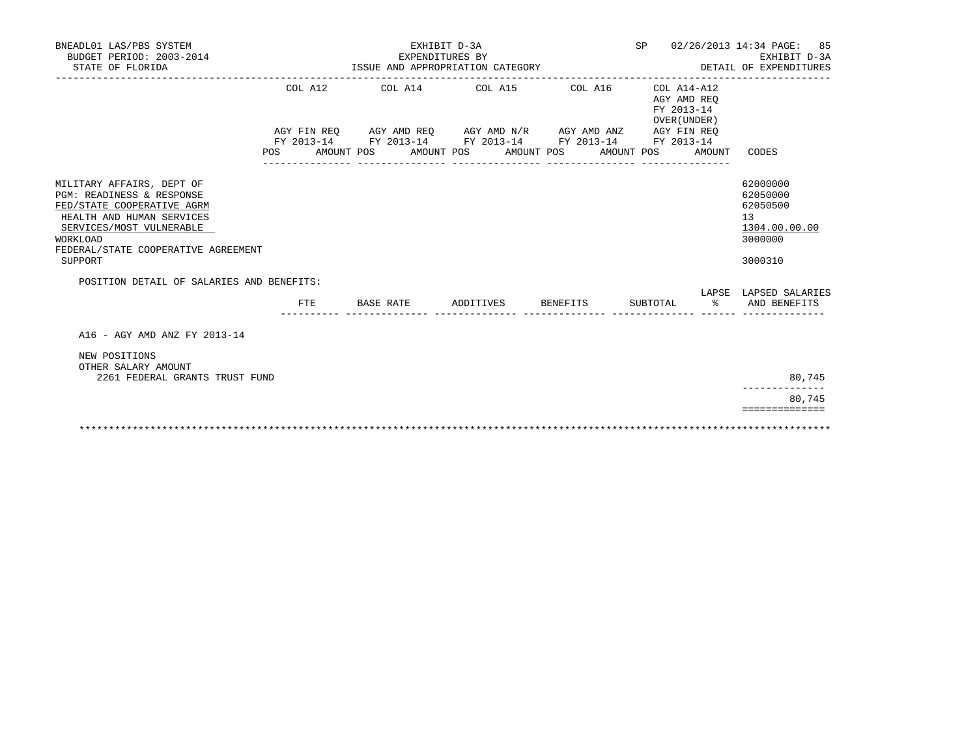| BNEADL01 LAS/PBS SYSTEM<br>BUDGET PERIOD: 2003-2014                                                                                                                                                                                                      | SP 02/26/2013 14:34 PAGE: 85<br>EXHIBIT D-3A<br>EXPENDITURES BY |                                                                                                                       |                                                              |  |                                                          |  |                                                                                                        |  |  |
|----------------------------------------------------------------------------------------------------------------------------------------------------------------------------------------------------------------------------------------------------------|-----------------------------------------------------------------|-----------------------------------------------------------------------------------------------------------------------|--------------------------------------------------------------|--|----------------------------------------------------------|--|--------------------------------------------------------------------------------------------------------|--|--|
| STATE OF FLORIDA                                                                                                                                                                                                                                         | ISSUE AND APPROPRIATION CATEGORY                                |                                                                                                                       | DETAIL OF EXPENDITURES<br>__________________________________ |  |                                                          |  |                                                                                                        |  |  |
|                                                                                                                                                                                                                                                          | COL A12                                                         | COL A14 COL A15 COL A16                                                                                               |                                                              |  | COL A14-A12<br>AGY AMD REO<br>FY 2013-14<br>OVER (UNDER) |  |                                                                                                        |  |  |
|                                                                                                                                                                                                                                                          |                                                                 | AGY FIN REQ AGY AMD REQ AGY AMD N/R AGY AMD ANZ AGY FIN REQ<br>FY 2013-14 FY 2013-14 FY 2013-14 FY 2013-14 FY 2013-14 |                                                              |  |                                                          |  |                                                                                                        |  |  |
|                                                                                                                                                                                                                                                          |                                                                 | POS AMOUNT POS AMOUNT POS AMOUNT POS AMOUNT POS AMOUNT                                                                |                                                              |  |                                                          |  | CODES                                                                                                  |  |  |
| MILITARY AFFAIRS, DEPT OF<br>PGM: READINESS & RESPONSE<br>FED/STATE COOPERATIVE AGRM<br>HEALTH AND HUMAN SERVICES<br>SERVICES/MOST VULNERABLE<br>WORKLOAD<br>FEDERAL/STATE COOPERATIVE AGREEMENT<br>SUPPORT<br>POSITION DETAIL OF SALARIES AND BENEFITS: |                                                                 |                                                                                                                       |                                                              |  |                                                          |  | 62000000<br>62050000<br>62050500<br>13<br>1304.00.00.00<br>3000000<br>3000310<br>LAPSE LAPSED SALARIES |  |  |
|                                                                                                                                                                                                                                                          | FTE.                                                            | BASE RATE                                                                                                             | ADDITIVES BENEFITS                                           |  | SUBTOTAL %                                               |  | AND BENEFITS                                                                                           |  |  |
| A16 - AGY AMD ANZ FY 2013-14<br>NEW POSITIONS<br>OTHER SALARY AMOUNT<br>2261 FEDERAL GRANTS TRUST FUND                                                                                                                                                   |                                                                 |                                                                                                                       |                                                              |  |                                                          |  | 80,745<br>80,745<br>==============                                                                     |  |  |
|                                                                                                                                                                                                                                                          |                                                                 |                                                                                                                       |                                                              |  |                                                          |  |                                                                                                        |  |  |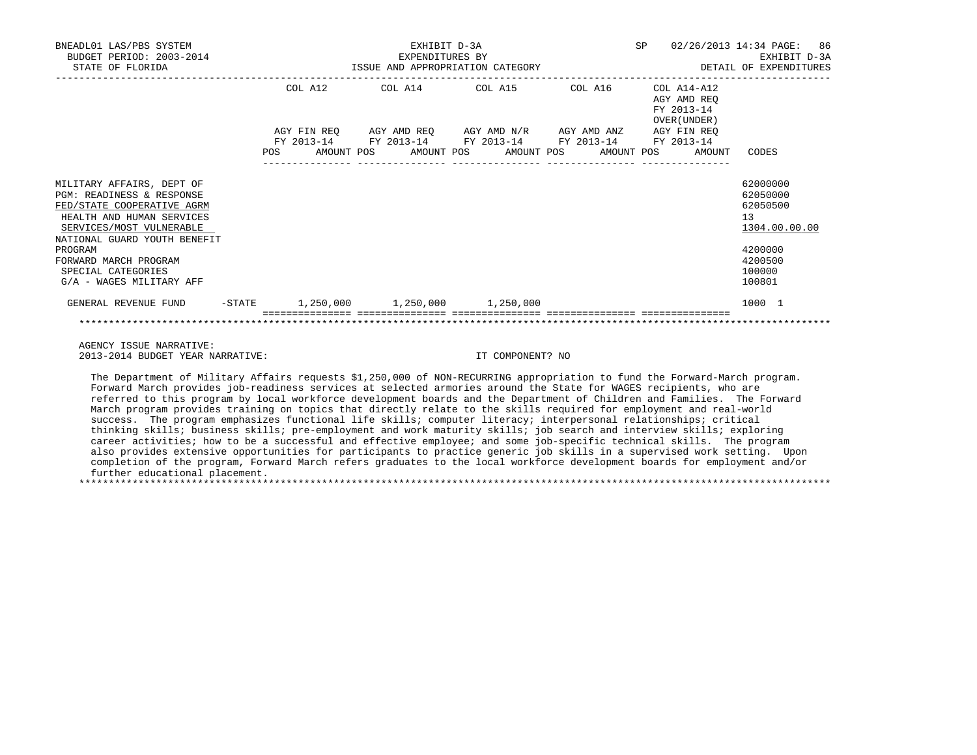| BNEADL01 LAS/PBS SYSTEM<br>BUDGET PERIOD: 2003-2014<br>STATE OF FLORIDA                                                                                                       | EXHIBIT D-3A<br>EXPENDITURES BY |  |  |                                                             |                                             |  |  |  |                                           |                                                              | SP 02/26/2013 14:34 PAGE: 86<br>EXHIBIT D-3A<br>DETAIL OF EXPENDITURES |
|-------------------------------------------------------------------------------------------------------------------------------------------------------------------------------|---------------------------------|--|--|-------------------------------------------------------------|---------------------------------------------|--|--|--|-------------------------------------------|--------------------------------------------------------------|------------------------------------------------------------------------|
|                                                                                                                                                                               |                                 |  |  |                                                             | COL A12 COL A14 COL A15 COL A16 COL A14-A12 |  |  |  | AGY AMD REO<br>FY 2013-14<br>OVER (UNDER) |                                                              |                                                                        |
|                                                                                                                                                                               |                                 |  |  | AGY FIN REQ AGY AMD REQ AGY AMD N/R AGY AMD ANZ AGY FIN REQ |                                             |  |  |  |                                           |                                                              |                                                                        |
|                                                                                                                                                                               |                                 |  |  | FY 2013-14 FY 2013-14 FY 2013-14 FY 2013-14 FY 2013-14      |                                             |  |  |  |                                           | POS AMOUNT POS AMOUNT POS AMOUNT POS AMOUNT POS AMOUNT CODES |                                                                        |
| MILITARY AFFAIRS, DEPT OF<br>PGM: READINESS & RESPONSE<br>FED/STATE COOPERATIVE AGRM<br>HEALTH AND HUMAN SERVICES<br>SERVICES/MOST VULNERABLE<br>NATIONAL GUARD YOUTH BENEFIT |                                 |  |  |                                                             |                                             |  |  |  |                                           |                                                              | 62000000<br>62050000<br>62050500<br>13<br>1304.00.00.00                |
| PROGRAM<br>FORWARD MARCH PROGRAM<br>SPECIAL CATEGORIES<br>G/A - WAGES MILITARY AFF                                                                                            |                                 |  |  |                                                             |                                             |  |  |  |                                           |                                                              | 4200000<br>4200500<br>100000<br>100801                                 |
| GENERAL REVENUE FUND                                                                                                                                                          |                                 |  |  | $-$ STATE 1,250,000 1,250,000 1,250,000                     |                                             |  |  |  |                                           |                                                              | 1000 1                                                                 |
|                                                                                                                                                                               |                                 |  |  |                                                             |                                             |  |  |  |                                           |                                                              |                                                                        |

 AGENCY ISSUE NARRATIVE: 2013-2014 BUDGET YEAR NARRATIVE: IT COMPONENT? NO

 The Department of Military Affairs requests \$1,250,000 of NON-RECURRING appropriation to fund the Forward-March program. Forward March provides job-readiness services at selected armories around the State for WAGES recipients, who are referred to this program by local workforce development boards and the Department of Children and Families. The Forward March program provides training on topics that directly relate to the skills required for employment and real-world success. The program emphasizes functional life skills; computer literacy; interpersonal relationships; critical thinking skills; business skills; pre-employment and work maturity skills; job search and interview skills; exploring career activities; how to be a successful and effective employee; and some job-specific technical skills. The program also provides extensive opportunities for participants to practice generic job skills in a supervised work setting. Upon completion of the program, Forward March refers graduates to the local workforce development boards for employment and/or further educational placement. \*\*\*\*\*\*\*\*\*\*\*\*\*\*\*\*\*\*\*\*\*\*\*\*\*\*\*\*\*\*\*\*\*\*\*\*\*\*\*\*\*\*\*\*\*\*\*\*\*\*\*\*\*\*\*\*\*\*\*\*\*\*\*\*\*\*\*\*\*\*\*\*\*\*\*\*\*\*\*\*\*\*\*\*\*\*\*\*\*\*\*\*\*\*\*\*\*\*\*\*\*\*\*\*\*\*\*\*\*\*\*\*\*\*\*\*\*\*\*\*\*\*\*\*\*\*\*